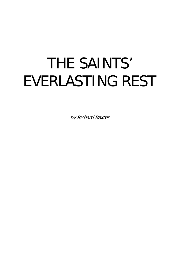# THE SAINTS' EVERLASTING REST

by Richard Baxter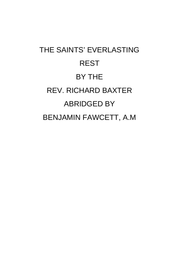# THE SAINTS' EVERLASTING REST BY THE REV. RICHARD BAXTER ABRIDGED BY BENJAMIN FAWCETT, A.M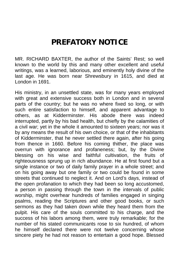## **PREFATORY NOTICE**

MR. RICHARD BAXTER, the author of the Saints' Rest; so well known to the world by this and many other excellent and useful writings, was a learned, laborious, and eminently holy divine of the last age. He was born near Shrewsbury in 1615, and died at London in 1691.

His ministry, in an unsettled state, was for many years employed with great and extensive success both in London and in several parts of the country; but he was no where fixed so long, or with such entire satisfaction to himself, and apparent advantage to others, as at Kidderminster. His abode there was indeed interrupted, partly by his bad health, but chiefly by the calamities of a civil war; yet in the whole it amounted to sixteen years; nor was it by any means the result of his own choice, or that of the inhabitants of Kidderminster, that he never settled there again, after his going from thence in 1660. Before his coming thither, the place was overrun with ignorance and profaneness; but, by the Divine blessing on his wise and faithful cultivation, the fruits of righteousness sprung up in rich abundance. He at first found but a single instance or two of daily family prayer in a whole street; and on his going away but one family or two could be found in some streets that continued to neglect it. And on Lord's days, instead of the open profanation to which they had been so long accustomed, a person in passing through the town in the intervals of public worship, might overhear hundreds of families engaged in singing psalms, reading the Scriptures and other good books, or such sermons as they had taken down while they heard them from the pulpit. His care of the souls committed to his charge, and the success of his labors among them, were truly remarkable; for the number of his stated communicants rose to six hundred, of whom he himself declared there were not twelve concerning whose sincere piety he had not reason to entertain a good hope. Blessed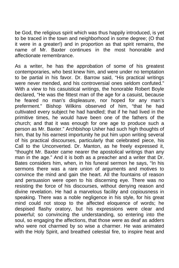be God, the religious spirit which was thus happily introduced, is yet to be traced in the town and neighborhood in some degree; (O that it were in a greater!) and in proportion as that spirit remains, the name of Mr. Baxter continues in the most honorable and affectionate remembrance.

As a writer, he has the approbation of some of his greatest contemporaries, who best knew him, and were under no temptation to be partial in his favor. Dr. Barrow said, "His practical writings were never mended, and his controversial ones seldom confuted." With a view to his casuistical writings, the honorable Robert Boyle declared, "He was the fittest man of the age for a casuist, because he feared no man's displeasure, nor hoped for any man's preferment." Bishop Wilkins observed of him, "that he had cultivated every subject he had handled; that if he had lived in the primitive times, he would have been one of the fathers of the church; and that it was enough for one age to produce such a person as Mr. Baxter." Archbishop Usher had such high thoughts of him, that by his earnest importunity he put him upon writing several of his practical discourses, particularly that celebrated piece, his Call to the Unconverted. Dr. Manton, as he freely expressed it, "thought Mr. Baxter came nearer the apostolical writings than any man in the age." And it is both as a preacher and a writer that Dr. Bates considers him, when, in his funeral sermon he says, "In his sermons there was a rare union of arguments and motives to convince the mind and gain the heart. All the fountains of reason and persuasion were open to his discerning eye. There was no resisting the force of his discourses, without denying reason and divine revelation. He had a marvelous facility and copiousness in speaking. There was a noble negligence in his style, for his great mind could not stoop to the affected eloquence of words; he despised flashy oratory, but his expressions were clear and powerful; so convincing the understanding, so entering into the soul, so engaging the affections, that those were as deaf as adders who were not charmed by so wise a charmer. He was animated with the Holy Spirit, and breathed celestial fire, to inspire heat and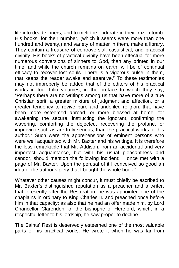life into dead sinners, and to melt the obdurate in their frozen tomb. His books, for their number, (which it seems were more than one hundred and twenty,) and variety of matter in them, make a library. They contain a treasure of controversial, casuistical, and practical divinity. His books of practical divinity have been effectual for more numerous conversions of sinners to God, than any printed in our time; and while the church remains on earth, will be of continual efficacy to recover lost souls. There is a vigorous pulse in them, that keeps the reader awake and attentive." To these testimonies may not improperly be added that of the editors of his practical works in four folio volumes; in the preface to which they say, "Perhaps there are no writings among us that have more of a true Christian sprit, a greater mixture of judgment and affection, or a greater tendency to revive pure and undefiled religion; that have been more esteemed abroad, or more blessed at home, for awakening the secure, instructing the ignorant, confirming the wavering, comforting the dejected, recovering the profane, or improving such as are truly serious, than the practical works of this author." Such were the apprehensions of eminent persons who were well acquainted with Mr. Baxter and his writings. It is therefore the less remarkable that Mr. Addison, from an accidental and very imperfect acquaintance, but with his usual pleasantness and candor, should mention the following incident: "I once met with a page of Mr. Baxter. Upon the perusal of it I conceived so good an idea of the author's piety that I bought the whole book."

Whatever other causes might concur, it must chiefly be ascribed to Mr. Baxter's distinguished reputation as a preacher and a writer, that, presently after the Restoration, he was appointed one of the chaplains in ordinary to King Charles II. and preached once before him in that capacity; as also that he had an offer made him, by Lord Chancellor Clarendon, of the bishopric of Hereford, which, in a respectful letter to his lordship, he saw proper to decline.

The Saints' Rest is deservedly esteemed one of the most valuable parts of his practical works. He wrote it when he was far from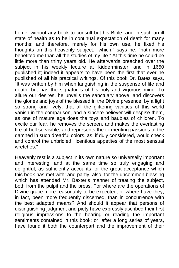home, without any book to consult but his Bible, and in such an ill state of health as to be in continual expectation of death for many months; and therefore, merely for his own use, he fixed his thoughts on this heavenly subject, "which," says he, "hath more benefited me than all the studies of my life." At this time he could be little more than thirty years old. He afterwards preached over the subject in his weekly lecture at Kidderminster, and in 1650 published it; indeed it appears to have been the first that ever he published of all his practical writings. Of this book Dr. Bates says, "It was written by him when languishing in the suspense of life and death, but has the signatures of his holy and vigorous mind. To allure our desires, he unveils the sanctuary above, and discovers the glories and joys of the blessed in the Divine presence, by a light so strong and lively, that all the glittering vanities of this world vanish in the comparison, and a sincere believer will despise them, as one of mature age does the toys and baubles of children. To excite our fear, he removes the screen, and makes the everlasting fire of hell so visible, and represents the tormenting passions of the damned in such dreadful colors, as, if duly considered, would check and control the unbridled, licentious appetites of the most sensual wretches."

Heavenly rest is a subject in its own nature so universally important and interesting, and at the same time so truly engaging and delightful, as sufficiently accounts for the great acceptance which this book has met with; and partly, also, for the uncommon blessing which has attended Mr. Baxter's manner of treating the subject, both from the pulpit and the press. For where are the operations of Divine grace more reasonably to be expected, or where have they, in fact, been more frequently discerned, than in concurrence with the best adapted means? And should it appear that persons of distinguishing judgment and piety have expressly ascribed their first religious impressions to the hearing or reading the important sentiments contained in this book; or, after a long series of years, have found it both the counterpart and the improvement of their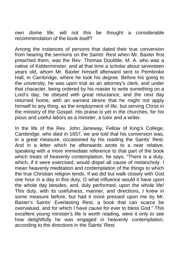own divine life; will not this be thought a considerable recommendation of the book itself?

Among the instances of persons that dated their true conversion from hearing the sermons on the Saints' Rest when Mr. Baxter first preached them, was the Rev. Thomas Doolittle, M. A. who was a native of Kidderminster, and at that time a scholar about seventeen years old, whom Mr. Baxter himself afterward sent to Pembroke Hall, in Cambridge, where he took his degree. Before his going to the university, he was upon trial as an attorney's clerk, and under that character, being ordered by his master to write something on a Lord's day, he obeyed with great reluctance, and the next day returned home, with an earnest desire that he might not apply himself to any thing, as the employment of life, but serving Christ in the ministry of the Gospel. His praise is yet in the churches, for his pious and useful labors as a minister, a tutor and a writer.

In the life of the Rev. John Janeway, Fellow of King's College, Cambridge, who died in 1657, we are told that his conversion was, in a great measure, occasioned by his reading the Saints' Rest. And in a letter which he afterwards wrote to a near relative, speaking with a more immediate reference to that part of the book which treats of heavenly contemplation, he says, "There is a duty, which, if it were exercised, would dispel all cause of melancholy: I mean heavenly meditation and contemplation of the things to which the true Christian religion tends. If we did but walk closely with God one hour in a day in this duty, O what influence would it have upon the whole day besides, and, duly performed, upon the whole life! This duty, with its usefulness, manner, and directions, I knew in some measure before, but had it more pressed upon me by Mr. Baxter's Saints' Everlasting Rest, a book that can scarce be overvalued, and for which I have cause for ever to bless God." This excellent young minister's life is worth reading, were it only to see how delightfully he was engaged in heavenly contemplation, according to the directions in the Saints' Rest.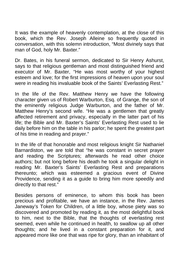It was the example of heavenly contemplation, at the close of this book, which the Rev. Joseph Alleine so frequently quoted in conversation, with this solemn introduction, "Most divinely says that man of God, holy Mr. Baxter."

Dr. Bates, in his funeral sermon, dedicated to Sir Henry Ashurst, says to that religious gentleman and most distinguished friend and executor of Mr. Baxter, "He was most worthy of your highest esteem and love; for the first impressions of heaven upon your soul were in reading his invaluable book of the Saints' Everlasting Rest."

In the life of the Rev. Matthew Henry we have the following character given us of Robert Warburton, Esq. of Grange, the son of the eminently religious Judge Warburton, and the father of Mr. Matthew Henry's second wife. "He was a gentlemen that greatly affected retirement and privacy, especially in the latter part of his life; the Bible and Mr. Baxter's Saints' Everlasting Rest used to lie daily before him on the table in his parlor; he spent the greatest part of his time in reading and prayer."

In the life of that honorable and most religious knight Sir Nathaniel Barnardiston, we are told that "he was constant in secret prayer and reading the Scriptures; afterwards he read other choice authors; but not long before his death he took a singular delight in reading Mr. Baxter's Saints' Everlasting Rest and preparations thereunto; which was esteemed a gracious event of Divine Providence, sending it as a guide to bring him more speedily and directly to that rest."

Besides persons of eminence, to whom this book has been precious and profitable, we have an instance, in the Rev. James Janeway's Token for Children, of a little boy, whose piety was so discovered and promoted by reading it, as the most delightful book to him, next to the Bible, that the thoughts of everlasting rest seemed, even while he continued in health, to swallow up all other thoughts; and he lived in a constant preparation for it, and appeared more like one that was ripe for glory, than an inhabitant of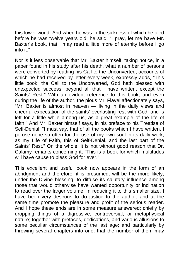this lower world. And when he was in the sickness of which he died before he was twelve years old, he said, "I pray, let me have Mr. Baxter's book, that I may read a little more of eternity before I go into it."

Nor is it less observable that Mr. Baxter himself, taking notice, in a paper found in his study after his death, what a number of persons were converted by reading his Call to the Unconverted, accounts of which he had received by letter every week, expressly adds, "This little book, the Call to the Unconverted, God hath blessed with unexpected success, beyond all that I have written, except the Saints' Rest." With an evident reference to this book, and even during the life of the author, the pious Mr. Flavel affectionately says, "Mr. Baxter is almost in heaven — living in the daily views and cheerful expectation of the saints' everlasting rest with God; and is left for a little while among us, as a great example of the life of faith." And Mr. Baxter himself says, in his preface to his Treatise of Self-Denial, "I must say, that of all the books which I have written, I peruse none so often for the use of my own soul in its daily work, as my Life of Faith, this of Self-Denial, and the last part of the Saints' Rest." On the whole, it is not without good reason that Dr. Calamy remarks concerning it, "This is a book for which multitudes will have cause to bless God for ever."

This excellent and useful book now appears in the form of an abridgment and therefore, it is presumed, will be the more likely, under the Divine blessing, to diffuse its salutary influence among those that would otherwise have wanted opportunity or inclination to read over the larger volume. In reducing it to this smaller size, I have been very desirous to do justice to the author, and at the same time promote the pleasure and profit of the serious reader. And I hope these ends are in some measure answered; chiefly by dropping things of a digressive, controversial, or metaphysical nature; together with prefaces, dedications, and various allusions to some peculiar circumstances of the last age; and particularly by throwing several chapters into one, that the number of them may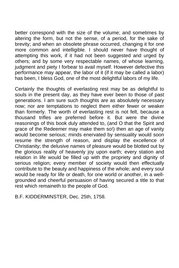better correspond with the size of the volume; and sometimes by altering the form, but not the sense, of a period, for the sake of brevity; and when an obsolete phrase occurred, changing it for one more common and intelligible. I should never have thought of attempting this work, if it had not been suggested and urged by others; and by some very respectable names, of whose learning, judgment and piety I forbear to avail myself. However defective this performance may appear, the labor of it (if it may be called a labor) has been, I bless God, one of the most delightful labors of my life.

Certainly the thoughts of everlasting rest may be as delightful to souls in the present day, as they have ever been to those of past generations. I am sure such thoughts are as absolutely necessary now; nor are temptations to neglect them either fewer or weaker than formerly. The worth of everlasting rest is not felt, because a thousand trifles are preferred before it. But were the divine reasonings of this book duly attended to, (and O that the Spirit and grace of the Redeemer may make them so!) then an age of vanity would become serious; minds enervated by sensuality would soon resume the strength of reason, and display the excellence of Christianity; the delusive names of pleasure would be blotted out by the glorious reality of heavenly joy upon earth; every station and relation in life would be filled up with the propriety and dignity of serious religion; every member of society would then effectually contribute to the beauty and happiness of the whole; and every soul would be ready for life or death, for one world or another, in a wellgrounded and cheerful persuasion of having secured a title to that rest which remaineth to the people of God.

B.F. KIDDERMINSTER, Dec. 25th, 1758.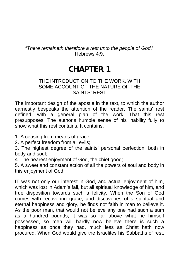"*There remaineth therefore a rest unto the people of God*." Hebrews 4:9.

#### **CHAPTER 1**

#### THE INTRODUCTION TO THE WORK, WITH SOME ACCOUNT OF THE NATURE OF THE SAINTS' REST

The important design of the apostle in the text, to which the author earnestly bespeaks the attention of the reader. The saints' rest defined, with a general plan of the work. That this rest presupposes. The author's humble sense of his inability fully to show what this rest contains. It contains,

1. A ceasing from means of grace;

2. A perfect freedom from all evils;

3. The highest degree of the saints' personal perfection, both in body and soul;

4. The nearest enjoyment of God, the chief good;

5. A sweet and constant action of all the powers of soul and body in this enjoyment of God.

IT was not only our interest in God, and actual enjoyment of him, which was lost in Adam's fall, but all spiritual knowledge of him, and true disposition towards such a felicity. When the Son of God comes with recovering grace, and discoveries of a spiritual and eternal happiness and glory, he finds not faith in man to believe it. As the poor man, that would not believe any one had such a sum as a hundred pounds, it was so far above what he himself possessed, so men will hardly now believe there is such a happiness as once they had, much less as Christ hath now procured. When God would give the Israelites his Sabbaths of rest,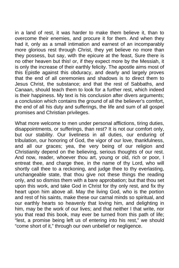in a land of rest, it was harder to make them believe it, than to overcome their enemies, and procure it for them. And when they had it, only as a small intimation and earnest of an incomparably more glorious rest through Christ, they yet believe no more than they possess, but say, with the epicure at the feast, Sure there is no other heaven but this! or, if they expect more by the Messiah, it is only the increase of their earthly felicity. The apostle aims most of this Epistle against this obduracy, and dearly and largely proves that the end of all ceremonies and shadows is to direct them to Jesus Christ, the substance; and that the rest of Sabbaths, and Canaan, should teach them to look for a further rest, which indeed is their happiness. My text is his conclusion after divers arguments; a conclusion which contains the ground of all the believer's comfort, the end of all his duty and sufferings, the life and sum of all gospel promises and Christian privileges.

What more welcome to men under personal afflictions, tiring duties, disappointments, or sufferings, than rest? It is not our comfort only, but our stability. Our liveliness in all duties, our enduring of tribulation, our honoring of God, the vigor of our love, thankfulness, and all our graces; yea, the very being of our religion and Christianity depend on the believing, serious thoughts of our rest. And now, reader, whoever thou art, young or old, rich or poor, I entreat thee, and charge thee, in the name of thy Lord, who will shortly call thee to a reckoning, and judge thee to thy everlasting, unchangeable state, that thou give not these things the reading only, and so dismiss them with a bare approbation; but that thou set upon this work, and take God in Christ for thy only rest, and fix thy heart upon him above all. May the living God, who is the portion and rest of his saints, make these our carnal minds so spiritual, and our earthly hearts so heavenly that loving him, and delighting in him, may be the work of our lives; and that neither I that write, nor you that read this book, may ever be turned from this path of life; "lest, a promise being left us of entering into his rest," we should "come short of it," through our own unbelief or negligence.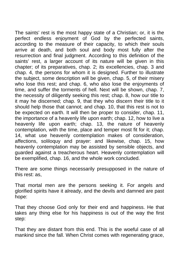The saints' rest is the most happy state of a Christian; or, it is the perfect endless enjoyment of God by the perfected saints, according to the measure of their capacity, to which their souls arrive at death, and both soul and body most fully after the resurrection and final judgment. According to this definition of the saints' rest, a larger account of its nature will be given in this chapter; of its preparatives, chap. 2; its excellencies, chap. 3 and chap. 4, the persons for whom it is designed. Further to illustrate the subject, some description will be given, chap. 5, of their misery who lose this rest; and chap. 6, who also lose the enjoyments of time, and suffer the torments of hell. Next will be shown, chap. 7, the necessity of diligently seeking this rest; chap. 8, how our title to it may he discerned; chap. 9, that they who discern their title to it should help those that cannot; and chap. 10, that this rest is not to be expected on earth. It will then be proper to consider, chap. 11, the importance of a heavenly life upon earth; chap. 12, how to live a heavenly life upon earth; chap. 13, the nature of heavenly contemplation, with the time, place and temper most fit for it; chap. 14, what use heavenly contemplation makes of consideration, affections, soliloquy and prayer: and likewise, chap. 15, how heavenly contemplation may be assisted by sensible objects, and guarded against a treacherous heart. Heavenly contemplation will be exemplified, chap. 16, and the whole work concluded.

There are some things necessarily presupposed in the nature of this rest: as,

That mortal men are the persons seeking it. For angels and glorified spirits have it already, and the devils and damned are past hope:

That they choose God only for their end and happiness. He that takes any thing else for his happiness is out of the way the first step:

That they are distant from this end. This is the woeful case of all mankind since the fall. When Christ comes with regenerating grace,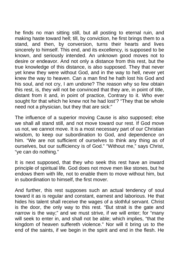he finds no man sitting still, but all posting to eternal ruin, and making haste toward hell; till, by conviction, he first brings them to a stand, and then, by conversion, turns their hearts and lives sincerely to himself. This end, and its excellency, is supposed to be known, and seriously intended. An unknown good moves not to desire or endeavor. And not only a distance from this rest, but the true knowledge of this distance, is also supposed. They that never yet knew they were without God, and in the way to hell, never yet knew the way to heaven. Can a man find he hath lost his God and his soul, and not cry, I am undone? The reason why so few obtain this rest, is, they will not be convinced that they are, in point of title, distant from it and, in point of practice, Contrary to it. Who ever sought for that which he knew not he had lost'? "They that be whole need not a physician, but they that are sick:"

The influence of a superior moving Cause is also supposed; else we shall all stand still, and not move toward our rest. If God move us not, we cannot move. It is a most necessary part of our Christian wisdom, to keep our subordination to God, and dependence on him. "We are not sufficient of ourselves to think any thing as of ourselves, but our sufficiency is of God." "Without me," says Christ, "ye can do nothing."

It is next supposed, that they who seek this rest have an inward principle of spiritual life. God does not move men like stones, but he endows them with life, not to enable them to move without him, but in subordination to himself, the first mover.

And further, this rest supposes such an actual tendency of soul toward it as is regular and constant, earnest and laborious. He that hides his talent shall receive the wages of a slothful servant. Christ is the door, the only way to this rest. "But strait is the gate and narrow is the way;" and we must strive, if we will enter; for "many will seek to enter in, and shall not be able; which implies, "that the kingdom of heaven suffereth violence." Nor will it bring us to the end of the saints, if we begin in the spirit and end in the flesh. He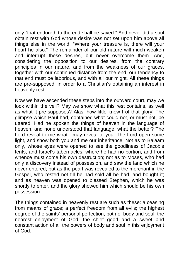only "that endureth to the end shall be saved." And never did a soul obtain rest with God whose desire was not set upon him above all things else in the world. "Where your treasure is, there will your heart he also." The remainder of our old nature will much weaken and interrupt these desires, but never overcome them. And, considering the opposition to our desires, from the contrary principles in our nature, and from the weakness of our graces, together with our continued distance from the end, our tendency to that end must be laborious, and with all our might. All these things are pre-supposed, in order to a Christian's obtaining an interest in heavenly rest.

Now we have ascended these steps into the outward court, may we look within the veil? May we show what this rest contains, as well as what it pre-supposes? Alas! how little know I of that glory! The glimpse which Paul had, contained what could not, or must not, be uttered. Had he spoken the things of heaven in the language of heaven, and none understood that language, what the better? The Lord reveal to me what I may reveal to you! The Lord open some light, and show both you and me our inheritance! Not as to Balaam only, whose eyes were opened to see the goodliness of Jacob's tents, and Israel's tabernacles, where he had no portion, and from whence must come his own destruction; not as to Moses, who had only a discovery instead of possession, and saw the land which he never entered; but as the pearl was revealed to the merchant in the Gospel, who rested not till he had sold all he had, and bought it; and as heaven was opened to blessed Stephen, which he was shortly to enter, and the glory showed him which should be his own possession.

The things contained in heavenly rest are such as these: a ceasing from means of grace; a perfect freedom from all evils; the highest degree of the saints' personal perfection, both of body and soul; the nearest enjoyment of God, the chief good and a sweet and constant action of all the powers of body and soul in this enjoyment of God.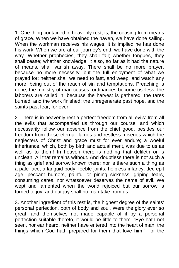1. One thing contained in heavenly rest, is, the ceasing from means of grace. When we have obtained the haven, we have done sailing. When the workman receives his wages, it is implied he has done his work. When we are at our journey's end, we have done with the way. Whether prophecies, they shall fail; whether tongues, they shall cease; whether knowledge, it also, so far as it had the nature of means, shall vanish away. There shall be no more prayer, because no more necessity, but the full enjoyment of what we prayed for: neither shall we need to fast, and weep, and watch any more, being out of the reach of sin and temptations. Preaching is done; the ministry of man ceases; ordinances become useless; the laborers are called in, because the harvest is gathered, the tares burned, and the work finished; the unregenerate past hope, and the saints past fear, for ever.

2. There is in heavenly rest a perfect freedom from all evils: from all the evils that accompanied us through our course, and which necessarily follow our absence from the chief good, besides our freedom from those eternal flames and restless miseries which the neglecters of Christ and grace must for ever endure; a woeful inheritance, which, both by birth and actual merit, was due to us as well as to them! In heaven there is nothing that defileth or is unclean. All that remains without. And doubtless there is not such a thing as grief and sorrow known there; nor is there such a thing as a pale face, a languid body, feeble joints, helpless infancy, decrepit age, peccant humors, painful or pining sickness, griping fears, consuming cares, nor whatsoever deserves the name of evil. We wept and lamented when the world rejoiced but our sorrow is turned to joy, and our joy shall no man take from us.

3. Another ingredient of this rest is, the highest degree of the saints' personal perfection, both of body and soul. Were the glory ever so great, and themselves not made capable of it by a personal perfection suitable thereto, it would be little to them. "Eye hath not seen, nor ear heard, neither have entered into the heart of man, the things which God hath prepared for them that love him." For the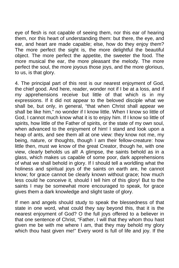eye of flesh is not capable of seeing them, nor this ear of hearing them, nor this heart of understanding them: but there, the eye, and ear, and heart are made capable; else, how do they enjoy them? The more perfect the sight is, the more delightful the beautiful object. The more perfect the appetite, the sweeter the food. The more musical the ear, the more pleasant the melody. The more perfect the soul, the more joyous those joys, and the more glorious, to us, is that glory.

4. The principal part of this rest is our nearest enjoyment of God, the chief good. And here, reader, wonder not if I be at a loss, and if my apprehensions receive but little of that which is in my expressions. If it did not appear to the beloved disciple what we shall be, but only, in general, "that when Christ shall appear we shall be like him," no wonder if I know little. When I know so little of God, I cannot much know what it is to enjoy him. If I know so little of spirits, how little of the Father of spirits, or the state of my own soul, when advanced to the enjoyment of him! I stand and look upon a heap of ants, and see them all at one view: they know not me, my being, nature, or thoughts, though I am their fellow-creature: how little then, must we know of the great Creator, though he, with one view, clearly beholds us all! A glimpse, the saints behold as in a glass, which makes us capable of some poor, dark apprehensions of what we shall behold in glory. If I should tell a worldling what the holiness and spiritual joys of the saints on earth are, he cannot know; for grace cannot be clearly known without grace; how much less could he conceive it, should I tell him of this glory! But to the saints I may be somewhat more encouraged to speak, for grace gives them a dark knowledge and slight taste of glory.

If men and angels should study to speak the blessedness of that state in one word, what could they say beyond this, that it is the nearest enjoyment of God? O the full joys offered to a believer in that one sentence of Christ, "Father, I will that they whom thou hast given me be with me where I am, that they may behold my glory which thou hast given me!" Every word is full of life and joy. If the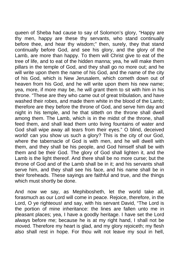queen of Sheba had cause to say of Solomon's glory, "Happy are thy men, happy are these thy servants, who stand continually before thee, and hear thy wisdom;" then, surely, they that stand continually before God, and see his glory, and the glory of the Lamb, are more than happy. To them will Christ give to eat of the tree of life, and to eat of the hidden manna; yea, he will make them pillars in the temple of God, and they shall go no more out; and he will write upon them the name of his God, and the name of the city of his God, which is New Jerusalem, which cometh down out of heaven from his God, and he will write upon them his new name; yea, more, if more may be, he will grant them to sit with him in his throne. "These are they who came out of great tribulation, and have washed their robes, and made them white in the blood of the Lamb; therefore are they before the throne of God, and serve him day and night in his temple, and he that sitteth on the throne shall dwell among them. The Lamb, which is in the midst of the throne, shall feed them, and shall lead them unto living fountains of water and God shall wipe away all tears from their eyes." O blind, deceived world! can you show us such a glory? This is the city of our God, where the tabernacle of God is with men, and he will dwell with them, and they shall be his people, and God himself shall be with them and be their God. The glory of God shall lighten it, and the Lamb is the light thereof. And there shall be no more curse; but the throne of God and of the Lamb shall be in it; and his servants shall serve him, and they shall see his face, and his name shall be in their foreheads. These sayings are faithful and true, and the things which must shortly be done.

And now we say, as Mephibosheth, let the world take all, forasmuch as our Lord will come in peace. Rejoice, therefore, in the Lord, O ye righteous! and say, with his servant David, "The Lord is the portion of mine inheritance: the lines are fallen unto me in pleasant places; yea, I have a goodly heritage. I have set the Lord always before me; because he is at my right hand, I shall not be moved. Therefore my heart is glad, and my glory rejoiceth; my flesh also shall rest in hope. For thou wilt not leave my soul in hell,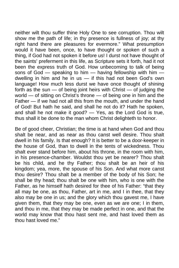neither wilt thou suffer thine Holy One to see corruption. Thou wilt show me the path of life; in thy presence is fullness of joy; at thy right hand there are pleasures for evermore." What presumption would it have been, once, to have thought or spoken of such a thing, if God had not spoken it before us! I durst not have thought of the saints' preferment in this life, as Scripture sets it forth, had it not been the express truth of God. How unbecoming to talk of being sons of God  $-$  speaking to him  $-$  having fellowship with him  $$ dwelling in him and he in us — if this had not been God's own language! How much less durst we have once thought of shining forth as the sun  $-$  of being joint heirs with Christ  $-$  of judging the world — of sitting on Christ's throne — of being one in him and the Father — if we had not all this from the mouth, and under the hand of God! But hath he said, and shall he not do it? Hath he spoken, and shall he not make it good? — Yes, as the Lord God is true, thus shall it be done to the man whom Christ delighteth to honor.

Be of good cheer, Christian; the time is at hand when God and thou shalt be near, and as near as thou canst well desire. Thou shalt dwell in his family. Is that enough? It is better to be a door-keeper in the house of God, than to dwell in the tents of wickedness. Thou shalt ever stand before him, about his throne, in the room with him, in his presence-chamber. Wouldst thou yet be nearer? Thou shalt be his child, and he thy Father; thou shalt be an heir of his kingdom; yea, more, the spouse of his Son. And what more canst thou desire? Thou shalt be a member of the body of his Son; he shall be thy head; thou shalt be one with him, who is one with the Father, as he himself hath desired for thee of his Father: "that they all may be one, as thou, Father, art in me, and I in thee, that they also may be one in us; and the glory which thou gavest me, I have given them, that they may be one, even as we are one; I in them, and thou in me, that they may be made perfect in one, and that the world may know that thou hast sent me, and hast loved them as thou hast loved me."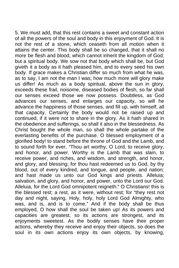5. We must add, that this rest contains a sweet and constant action of all the powers of the soul and body in this enjoyment of God. It is not the rest of a stone, which ceaseth from all motion when it attains the center. This body shall be so changed, that it shall no more be flesh and blood, which cannot inherit the kingdom of God; but a spiritual body. We sow not that body which shall be, but God giveth it a body as it hath pleased him, and to every seed his own body. If grace makes a Christian differ so much from what he was, as to say, I am not the man I was; how much more will glory make us differ! As much as a body spiritual, above the sun in glory, exceeds these frail, noisome, diseased bodies of flesh, so far shall our senses exceed those we now possess. Doubtless, as God advances our senses, and enlarges our capacity, so will he advance the happiness of those senses, and fill up, with himself, all that capacity. Certainly the body would not be raised up and continued, if it were not to share in the glory. As it hath shared in the obedience and sufferings, so shall it also in the blessedness. As Christ bought the whole man, so shall the whole partake of the everlasting benefits of the purchase. O blessed employment of a glorified body! to stand before the throne of God and the Lamb, and to sound forth for ever, "Thou art worthy, O Lord, to receive glory, and honor, and power. Worthy is the Lamb that was slain, to receive power, and riches, and wisdom, and strength, and honor, and glory, and blessing; for thou hast redeemed us to God, by thy blood, out of every kindred, and tongue, and people, and nation; and hast made us unto our God kings and priests. Alleluia; salvation, and glory, and honor, and power, unto the Lord our God. Alleluia, for the Lord God omnipotent reigneth." O Christians! this is the blessed rest; a rest, as it were, without rest; for "they rest not day and night, saying, Holy, holy, holy Lord God Almighty, who was, and is, and is to come." And if the body shall be thus employed, O how shall the soul be taken up! As its powers and capacities are greatest, so its actions are strongest, and its enjoyments sweetest. As the bodily senses have their proper actions, whereby they receive and enjoy their objects, so does the soul in its own actions enjoy its own objects, by knowing,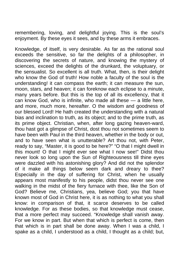remembering, loving, and delightful joying. This is the soul's enjoyment. By these eyes it sees, and by these arms it embraces.

Knowledge, of itself, is very desirable. As far as the rational soul exceeds the sensitive, so far the delights of a philosopher, in discovering the secrets of nature, and knowing the mystery of sciences, exceed the delights of the drunkard, the voluptuary, or the sensualist. So excellent is all truth. What, then, is their delight who know the God of truth! How noble a faculty of the soul is the understanding! it can compass the earth; it can measure the sun, moon, stars, and heaven; it can foreknow each eclipse to a minute, many years before. But this is the top of all its excellency, that it can know God, who is infinite, who made all these — a little here, and more, much more, hereafter. O the wisdom and goodness of our blessed Lord! He hath created the understanding with a natural bias and inclination to truth, as its object; and to the prime truth, as its prime object. Christian, when, after long gazing heaven-ward, thou hast got a glimpse of Christ, dost thou not sometimes seem to have been with Paul in the third heaven, whether in the body or out, and to have seen what is unutterable? Art thou not, with Peter, ready to say, "Master, it is good to be here?" "O that I might dwell in this mount! O that I might ever see what I now see!" Didst thou never look so long upon the Sun of Righteousness till thine eyes were dazzled with his astonishing glory? And did not the splendor of it make all things below seem dark and dreary to thee? Especially in the day of suffering for Christ, when he usually appears most manifestly to his people, didst thou never see one walking in the midst of the fiery furnace with thee, like the Son of God? Believe me, Christians, yea, believe God; you that have known most of God in Christ here, it is as nothing to what you shall know: in comparison of that, it scarce deserves to be called knowledge. For as these bodies, so that knowledge must cease, that a more perfect may succeed. "Knowledge shall vanish away. For we know in part. But when that which is perfect is come, then that which is in part shall be done away. When I was a child, I spake as a child, I understood as a child, I thought as a child; but,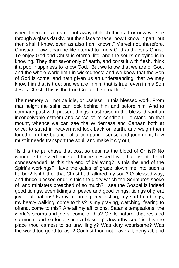when I became a man, I put away childish things. For now we see through a glass darkly, but then face to face; now I know in part, but then shall I know, even as also I am known." Marvel not, therefore, Christian, how it can be life eternal to know God and Jesus Christ. To enjoy God and Christ is eternal life; and the soul's enjoying is in knowing. They that savor only of earth, and consult with flesh, think it a poor happiness to know God. "But we know that we are of God, and the whole world lieth in wickedness; and we know that the Son of God is come, and hath given us an understanding, that we may know him that is true; and we are in him that is true, even in his Son Jesus Christ. This is the true God and eternal life."

The memory will not be idle, or useless, in this blessed work. From that height the saint can look behind him and before him. And to compare past with present things must raise in the blessed soul an inconceivable esteem and sense of its condition. To stand on that mount, whence we can see the Wilderness and Canaan both at once; to stand in heaven and look back on earth, and weigh them together in the balance of a comparing sense and judgment, how must it needs transport the soul, and make it cry out,

"Is this the purchase that cost so dear as the blood of Christ? No wonder. O blessed price and thrice blessed love, that invented and condescended! Is this the end of believing? Is this the end of the Spirit's workings? Have the gales of grace blown me into such a harbor? Is it hither that Christ hath allured my soul? O blessed way, and thrice blessed end! Is this the glory which the Scriptures spoke of, and ministers preached of so much? I see the Gospel is indeed good tidings, even tidings of peace and good things, tidings of great joy to all nations! Is my mourning, my fasting, my sad humblings, my heavy walking, come to this? Is my praying, watching, fearing to offend, come to this? Are all my afflictions, Satan's temptations, the world's scorns and jeers, come to this? O vile nature, that resisted so much, and so long, such a blessing! Unworthy soul! is this the place thou camest to so unwillingly? Was duty wearisome? Was the world too good to lose? Couldst thou not leave all, deny all, and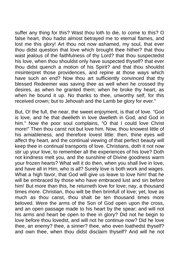suffer any thing for this? Wast thou loth to die, to come to this? O false heart, thou hadst almost betrayed me to eternal flames, and lost me this glory! Art thou not now ashamed, my soul, that ever thou didst question that love which brought thee hither? that thou wast jealous of the faithfulness of thy Lord? that thou suspectedst his love, when thou shouldst only have suspected thyself? that ever thou didst quench a motion of his Spirit? and that thou shouldst misinterpret those providences, and repine at those ways which have such an end? Now thou art sufficiently convinced that thy blessed Redeemer was saving thee as well when he crossed thy desires, as when he granted them; when he broke thy heart, as when he bound it up. No thanks to thee, unworthy self, for this received crown; but to Jehovah and the Lamb be glory for ever."

But, O! the full, the near, the sweet enjoyment, is that of love. "God is love, and he that dwelleth in love dwelleth in God, and God in him." Now the poor soul complains, "O that I could love Christ more!" Then thou canst not but love him. Now, thou knowest little of his amiableness, and therefore lovest little: then, thine eyes will affect thy heart, and the continual viewing of that perfect beauty will keep thee in continual transports of love. Christians, doth it not now stir up your love, to remember all the experiences of his love? Doth not kindness melt you, and the sunshine of Divine goodness warm your frozen hearts? What will it do then, when you shall live in love, and have all in Him, who is all? Surely love is both work and wages. What a high favor, that God will give us leave to love him! that he will be embraced by those who have embraced lust and sin before him! But more than this, he returneth love for love; nay, a thousand times more. Christian, thou wilt be then brimfull of love; yet, love as much as thou canst, thou shalt be ten thousand times more beloved. Were the arms of the Son of God open upon the cross, and an open passage made to his heart by the spear; and will not his arms and heart be open to thee in glory? Did not he begin to love before thou lovedst, and will not he continue now? Did he love thee, an enemy? thee, a sinner? thee, who even loathedst thyself? and own thee, when thou didst disclaim thyself? And will he not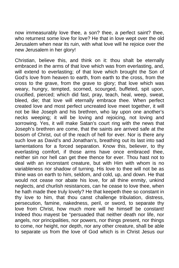now immeasurably love thee, a son? thee, a perfect saint? thee, who returnest some love for love? He that in love wept over the old Jerusalem when near its ruin, with what love will he rejoice over the new Jerusalem in her glory!

Christian, believe this, and think on it: thou shalt be eternally embraced in the arms of that love which was from everlasting, and, will extend to everlasting; of that love which brought the Son of God's love from heaven to earth, from earth to the cross, from the cross to the grave, from the grave to glory; that love which was weary, hungry, tempted, scorned, scourged, buffeted, spit upon, crucified, pierced; which did fast, pray, teach, heal, weep, sweat, bleed, die; that love will eternally embrace thee. When perfect created love and most perfect uncreated love meet together, it will not be like Joseph and his brethren, who lay upon one another's necks weeping; it will be loving and rejoicing, not loving and sorrowing. Yes, it will make Satan's court ring with the news that Joseph's brethren are come, that the saints are arrived safe at the bosom of Christ, out of the reach of hell for ever. Nor is there any such love as David's and Jonathan's, breathing out its last into sad lamentations for a forced separation. Know this, believer, to thy everlasting comfort, if those arms have once embraced thee, neither sin nor hell can get thee thence for ever. Thou hast not to deal with an inconstant creature, but with Him with whom is no variableness nor shadow of turning. His love to thee will not be as thine was on earth to him, seldom, and cold, up, and down. He that would not cease nor abate his love, for all thine enmity, unkind neglects, and churlish resistances, can he cease to love thee, when he hath made thee truly lovely? He that keepeth thee so constant in thy love to him, that thou canst challenge tribulation, distress, persecution, famine, nakedness, peril, or sword, to separate thy love from Christ, how much more will he himself be constant! Indeed thou mayest be "persuaded that neither death nor life, nor angels, nor principalities, nor powers, nor things present, nor things to come, nor height, nor depth, nor any other creature, shall be able to separate us from the love of God which is in Christ Jesus our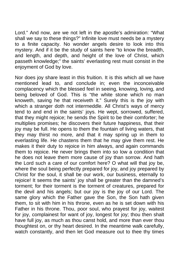Lord." And now, are we not left in the apostle's admiration: "What shall we say to these things?" Infinite love must needs be a mystery to a finite capacity. No wonder angels desire to look into this mystery. And if it be the study of saints here "to know the breadth, and length, and depth, and height of the love of Christ, which passeth knowledge;" the saints' everlasting rest must consist in the enjoyment of God by love.

Nor does joy share least in this fruition. It is this which all we have mentioned lead to, and conclude in; even the inconceivable complacency which the blessed feel in seeing, knowing, loving, and being beloved of God. This is "the white stone which no man knoweth, saving he that receiveth it." Surely this is the joy with which a stranger doth not intermeddle. All Christ's ways of mercy tend to and end in the saints' joys. He wept, sorrowed, suffered, that they might rejoice; he sends the Spirit to be their comforter; he multiplies promises; he discovers their future happiness, that their joy may be full. He opens to them the fountain of living waters, that they may thirst no more, and that it may spring up in them to everlasting life. He chastens them that he may give them rest. He makes it their duty to rejoice in him always, and again commands them to rejoice. He never brings them into so low a condition that he does not leave them more cause of joy than sorrow. And hath the Lord such a care of our comfort here? O what will that joy be, where the soul being perfectly prepared for joy, and joy prepared by Christ for the soul, it shall be our work, our business, eternally to rejoice! It seems the saints' joy shall be greater than the damned's torment; for their torment is the torment of creatures, prepared for the devil and his angels; but our joy is the joy of our Lord. The same glory which the Father gave the Son, the Son hath given them, to sit with him in his throne, even as he is set down with his Father in his throne. Thou, poor soul, who prayest for joy, waitest for joy, complainest for want of joy, longest for joy; thou then shalt have full joy, as much as thou canst hold, and more than ever thou thoughtest on, or thy heart desired. In the meantime walk carefully, watch constantly, and then let God measure out to thee thy times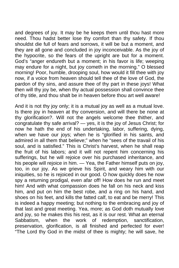and degrees of joy. It may be he keeps them until thou hast more need. Thou hadst better lose thy comfort than thy safety. If thou shouldst die full of fears and sorrows, it will be but a moment, and they are all gone and concluded in joy inconceivable. As the joy of the hypocrite, so the fears of the upright are but for a moment. God's "anger endureth but a moment; in his favor is life; weeping may endure for a night, but joy cometh in the morning." O blessed morning! Poor, humble, drooping soul, how would it fill thee with joy now, if a voice from heaven should tell thee of the love of God, the pardon of thy sins, and assure thee of thy part in these joys! What then will thy joy be, when thy actual possession shall convince thee of thy title, and thou shalt be in heaven before thou art well aware!

And it is not thy joy only; it is a mutual joy as well as a mutual love. Is there joy in heaven at thy conversion, and will there be none at thy glorification?. Will not the angels welcome thee thither, and congratulate thy safe arrival? — yes, it is the joy of Jesus Christ; for now he hath the end of his undertaking, labor, suffering, dying, when we have our joys; when he is "glorified in his saints, and admired in all them that believe;" when he "sees of the travail of his soul, and is satisfied." This is Christ's harvest, when he shall reap the fruit of his labors; and it will not repent him concerning his sufferings, but he will rejoice over his purchased inheritance, and his people will rejoice in him. — Yea, the Father himself puts on joy, too, in our joy. As we grieve his Spirit, and weary him with our iniquities, so he is rejoiced in our good. O how quickly does he now spy a returning prodigal, even afar off! How does he run and meet him! And with what compassion does he fall on his neck and kiss him, and put on him the best robe, and a ring on his hand, and shoes on his feet, and kills the fatted calf, to eat and be merry! This is indeed a happy meeting; but nothing to the embracing and joy of that last and great meeting. Yea, more; as God doth mutually love and joy, so he makes this his rest, as it is our rest. What an eternal Sabbatism, when the work of redemption, sanctification, preservation, glorification, is all finished and perfected for ever! "The Lord thy God in the midst of thee is mighty; he will save, he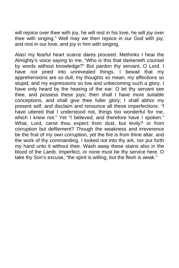will rejoice over thee with joy, he will rest in his love, he will joy over thee with singing." Well may we then rejoice in our God with joy, and rest in our love, and joy in him with singing.

Alas! my fearful heart scarce dares proceed. Methinks I hear the Almighty's voice saying to me, "Who is this that darkeneth counsel by words without knowledge?" But pardon thy servant, O Lord. I have not pried into unrevealed things. I bewail that my apprehensions are so dull, my thoughts so mean, my affections so stupid, and my expressions so low and unbecoming such a glory. I have only heard by the hearing of the ear: O let thy servant see thee, and possess these joys; then shall I have more suitable conceptions, and shall give thee fuller glory; I shall abhor my present self, and disclaim and renounce all these imperfections. "I have uttered that I understood not, things too wonderful for me, which I knew not." Yet "I believed, and therefore have I spoken." What, Lord, canst thou expect from dust, but levity? or from corruption but defilement? Though the weakness and irreverence be the fruit of my own corruption, yet the fire is from thine altar, and the work of thy commanding. I looked not into thy ark, nor put forth my hand unto it without thee. Wash away these stains also in the blood of the Lamb. Imperfect, or none must be thy service here. O take thy Son's excuse, "the spirit is willing, but the flesh is weak."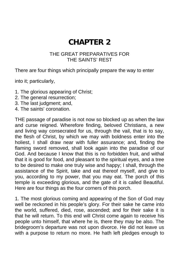### **CHAPTER 2**

#### THE GREAT PREPARATIVES FOR THE SAINTS' REST

There are four things which principally prepare the way to enter

into it; particularly,

- 1. The glorious appearing of Christ;
- 2. The general resurrection;
- 3. The last judgment; and,
- 4. The saints' coronation.

THE passage of paradise is not now so blocked up as when the law and curse reigned. Wherefore finding, beloved Christians, a new and living way consecrated for us, through the vail, that is to say, the flesh of Christ, by which we may with boldness enter into the holiest, I shall draw near with fuller assurance; and, finding the flaming sword removed, shall look again into the paradise of our God. And because I know that this is no forbidden fruit, and withal that it is good for food, and pleasant to the spiritual eyes, and a tree to be desired to make one truly wise and happy; I shall, through the assistance of the Spirit, take and eat thereof myself, and give to you, according to my power, that you may eat. The porch of this temple is exceeding glorious, and the gate of it is called Beautiful. Here are four things as the four corners of this porch.

1. The most glorious coming and appearing of the Son of God may well be reckoned in his people's glory. For their sake he came into the world, suffered, died, rose, ascended; and for their sake it is that he will return. To this end will Christ come again to receive his people unto himself, that where he is, there they may be also. The bridegroom's departure was not upon divorce. He did not leave us with a purpose to return no more. He hath left pledges enough to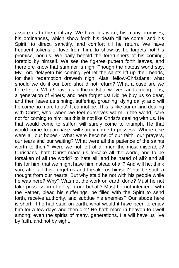assure us to the contrary. We have his word, his many promises, his ordinances, which show forth his death till he come; and his Spirit, to direct, sanctify, and comfort till he return. We have frequent tokens of love from him, to show us he forgets not his promise, nor us. We daily behold the forerunners of his coming, foretold by himself. We see the fig-tree putteth forth leaves, and therefore know that summer is nigh. Though the riotous world say, My Lord delayeth his coming; yet let the saints lift up their heads, for their redemption draweth nigh. Alas! fellow-Christians, what should we do if our Lord should not return? What a case are we here left in! What! leave us in the midst of wolves, and among lions, a generation of vipers, and here forget us! Did he buy us so dear, and then leave us sinning, suffering, groaning, dying daily; and will he come no more to us? It cannot be. This is like our unkind dealing with Christ, who, when we feel ourselves warm in the world, care not for coming to him; but this is not like Christ's dealing with us. He that would come to suffer, will surely come to triumph. He that would come to purchase, will surely come to possess. Where else were all our hopes? What were become of our faith, our prayers, our tears and our waiting? What were all the patience of the saints worth to them? Were we not left of all men the most miserable? Christians, hath Christ made us forsake all the world, and to be forsaken of all the world? to hate all, and be hated of all? and all this for him, that we might have him instead of all? And will he, think you, after all this, forget us and forsake us himself? Far be such a thought from our hearts! But why staid he not with his people while he was here? Why? Was not the work on earth done? Must he not take possession of glory in our behalf? Must he not intercede with the Father, plead his sufferings, be filled with the Spirit to send forth, receive authority, and subdue his enemies? Our abode here is short. If he had staid on earth, what would it have been to enjoy him for a few days and then die? He hath more in heaven to dwell among; even the spirits of many, generations. He will have us live by faith, and not by sight.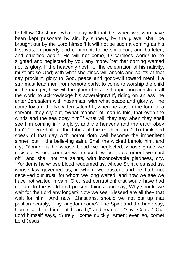O fellow-Christians, what a day will that be, when we, who have been kept prisoners by sin, by sinners, by the grave, shall be brought out by the Lord himself! It will not be such a coming as his first was, in poverty and contempt, to be spit upon, and buffeted, and crucified again. He will not come, O careless world! to be slighted and neglected by you any more. Yet that coming wanted not its glory. If the heavenly host, for the celebration of his nativity, must praise God; with what shoutings will angels and saints at that day proclaim glory to God, peace and good-will toward men! If a star must lead men from remote parts, to come to worship the child in the manger; how will the glory of his next appearing constrain all the world to acknowledge his sovereignty! If, riding on an ass, he enter Jerusalem with hosannas; with what peace and glory will he come toward the New Jerusalem! If, when he was in the form of a servant, they cry out, "What manner of man is this, that even the winds and the sea obey him?" what will they say when they shall see him coming in his glory, and the heavens and the earth obey him? "Then shall all the tribes of the earth mourn." To think and speak of that day with horror doth well become the impenitent sinner, but ill the believing saint. Shall the wicked behold him, and cry, "Yonder is he whose blood we neglected, whose grace we resisted, whose counsel we refused, whose government we cast off!" and shall not the saints, with inconceivable gladness, cry, "Yonder is he whose blood redeemed us, whose Spirit cleansed us, whose law governed us; in whom we trusted, and he hath not deceived our trust; for whom we long waited, and now we see we have not waited in vain! O cursed corruption! that would have had us turn to the world and present things, and say, Why should we wait for the Lord any longer? Now we see, Blessed are all they that wait for him." And now, Christians, should we not put up that petition heartily, "Thy kingdom come? The Spirit and the bride say, Come: and let him that heareth," and readeth, "say, Come." Our Lord himself says, "Surely I come quickly. Amen: even so, come! Lord Jesus."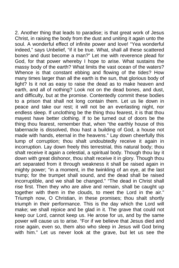2. Another thing that leads to paradise; is that great work of Jesus Christ, in raising the body from the dust and uniting it again unto the soul. A wonderful effect of infinite power and love! "Yea wonderful indeed," says Unbelief, "if it be true. What, shall all these scattered bones and dust become a man?" Let me with reverence plead for God, for that power whereby I hope to arise. What sustains the massy body of the earth? What limits the vast ocean of the waters? Whence is that constant ebbing and flowing of the tides? How many times larger than all the earth is the sun, that glorious body of light? Is it not as easy to raise the dead as to make heaven and earth, and all of nothing? Look not on the dead bones, and dust, and difficulty, but at the promise. Contentedly commit these bodies to a prison that shall not long contain them. Let us lie down in peace and take our rest; it will not be an everlasting night, nor endless sleep. If unclothing be the thing thou fearest, it is that thou mayest have better clothing. If to be turned out of doors be the thing thou fearest, remember that, when "the earthly house of this tabernacle is dissolved, thou hast a building of God, a house not made with hands, eternal in the heavens." Lay down cheerfully this lump of corruption; thou shalt undoubtedly receive it again in incorruption. Lay down freely this terrestrial, this natural body; thou shalt receive it again a celestial, a spiritual body. Though thou lay it down with great dishonor, thou shalt receive it in glory. Though thou art separated from it through weakness it shall be raised again in mighty power; "in a moment, in the twinkling of an eye, at the last trump; for the trumpet shall sound, and the dead shall be raised incorruptible, and we shall be changed." "The dead in Christ shall rise first. Then they who are alive and remain, shall be caught up together with them in the clouds, to meet the Lord in the air." Triumph now, O Christian, in these promises; thou shalt shortly triumph in their performance. This is the day which the Lord will make; we shall rejoice and be glad in it. The grave that could not keep our Lord, cannot keep us. He arose for us, and by the same power will cause us to arise. "For if we believe that Jesus died and rose again, even so, them also who sleep in Jesus will God bring with him." Let us never look at the grave, but let us see the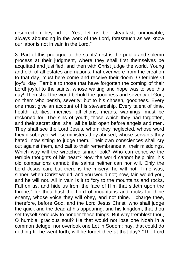resurrection beyond it. Yea, let us be "steadfast, unmovable, always abounding in the work of the Lord, forasmuch as we know our labor is not in vain in the Lord."

3. Part of this prologue to the saints' rest is the public and solemn process at their judgment, where they shall first themselves be acquitted and justified, and then with Christ judge the world. Young and old, of all estates and nations, that ever were from the creation to that day, must here come and receive their doom. O terrible! O joyful day! Terrible to those that have forgotten the coming of their Lord! joyful to the saints, whose waiting and hope was to see this day! Then shall the world behold the goodness and severity of God; on them who perish, severity; but to his chosen, goodness. Every one must give an account of his stewardship. Every talent of time, health, abilities, mercies, afflictions, means, warnings, must be reckoned for. The sins of youth, those which they had forgotten, and their secret sins, shall all be laid open before angels and men. They shall see the Lord Jesus, whom they neglected, whose word they disobeyed, whose ministers they abused, whose servants they hated, now sitting to judge them. Their own consciences shall cry out against them, and call to their remembrance all their misdoings. Which way will the wretched sinner look? Who can conceive the terrible thoughts of his heart? Now the world cannot help him; his old companions cannot; the saints neither can nor will. Only the Lord Jesus can; but there is the misery, he will not. Time was, sinner, when Christ would, and you would not; now, fain would you, and he will not. All in vain is it to "cry to the mountains and rocks, Fall on us, and hide us from the face of Him that sitteth upon the throne;" for thou hast the Lord of mountains and rocks for thine enemy, whose voice they will obey, and not thine. I charge thee, therefore, before God, and the Lord Jesus Christ, who shall judge the quick and the dead at his appearing, and his kingdom, that thou set thyself seriously to ponder these things. But why tremblest thou, O humble, gracious soul? He that would not lose one Noah in a common deluge, nor overlook one Lot in Sodom; nay, that could do nothing till he went forth; will he forget thee at that day? "The Lord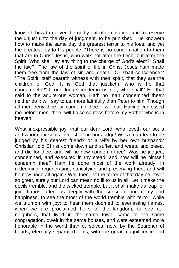knoweth how to deliver the godly out of temptation, and to reserve the unjust unto the day of judgment, to be punished." He knoweth how to make the same day the greatest terror to his foes, and yet the greatest joy to his people. "There is no condemnation to them that are in Christ Jesus, who walk not after the flesh, but after the Spirit. Who shall lay any thing to the charge of God's elect?" Shall the law? "The law of the spirit of life in Christ Jesus hath made them free from the law of sin and death." Or shall conscience'? "The Spirit itself beareth witness with their spirit, that they are the children of God. It is God that justifieth, who is he that condemneth?" If our Judge condemn us not, who shall? He that said to the adulterous woman, Hath no man condemned thee? neither do I; will say to us, more faithfully than Peter to him, Though all men deny thee, or condemn thee, I will not. Having confessed me before men, thee "will I also confess before my Father who is in heaven."

What inexpressible joy, that our dear Lord, who loveth our souls and whom our souls love, shall be our Judge! Will a man fear to be judged by his dearest friend? or a wife by her own husband? Christian, did Christ come down and suffer, and weep, and bleed, and die for thee, and will he now condemn thee? Was he judged, condemned, and executed in thy stead, and now will he himself condemn thee? Hath he done most of the work already, in redeeming, regenerating, sanctifying and preserving thee, and will he now undo all again? Well then, let the terror of that day be never so great, surely our Lord can mean no ill to us in all. Let it make the devils tremble, and the wicked tremble, but it shall make us leap for joy. It must affect us deeply with the sense of our mercy and happiness, to see the most of the world tremble with terror, while we triumph with joy; to hear them doomed to everlasting flames, when we are proclaimed heirs of the kingdom; to see our neighbors, that lived in the same town, came to the same congregation, dwelt in the same houses, and were esteemed more honorable in the world than ourselves, now, by the Searcher of hearts, eternally separated. This, with the great magnificence and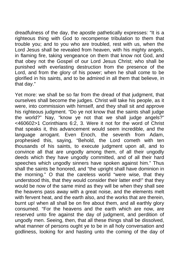dreadfulness of the day, the apostle pathetically expresses: "It is a righteous thing with God to recompense tribulation to them that trouble you; and to you who are troubled, rest with us, when the Lord Jesus shall be revealed from heaven, with his mighty angels, in flaming fire, taking vengeance on them that know not God, and that obey not the Gospel of our Lord Jesus Christ; who shall be punished with everlasting destruction from the presence of the Lord, and from the glory of his power; when he shall come to be glorified in his saints, and to be admired in all them that believe, in that day."

Yet more: we shall be so far from the dread of that judgment, that ourselves shall become the judges. Christ will take his people, as it were, into commission with himself, and they shall sit and approve his righteous judgment. "Do ye not know that the saints shall judge the world?" Nay, "know ye not that we shall judge angels?" <460602>1 Corinthians 6:2, 3. Were it not for the word of Christ that speaks it, this advancement would seem incredible, and the language arrogant. Even Enoch, the seventh from Adam, prophesied this, saying, "Behold, the Lord cometh with ten thousands of his saints, to execute judgment upon all, and to convince all that are ungodly among them, of all their ungodly deeds which they have ungodly committed, and of all their hard speeches which ungodly sinners have spoken against him." Thus shall the saints be honored, and "the upright shall have dominion in the morning." O that the careless world "were wise, that they understood this, that they would consider their latter end!" that they would be now of the same mind as they will be when they shall see the heavens pass away with a great noise, and the elements melt with fervent heat, and the earth also, and the works that are therein, burnt up! when all shall be on fire about them, and all earthly glory consumed. "For the heavens and the earth which are now, are reserved unto fire against the day of judgment, and perdition of ungodly men. Seeing, then, that all these things shall be dissolved, what manner of persons ought ye to be in all holy conversation and godliness, looking for and hasting unto the coming of the day of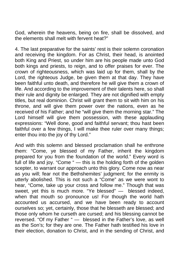God, wherein the heavens, being on fire, shall be dissolved, and the elements shall melt with fervent heat?"

4. The last preparative for the saints' rest is their solemn coronation and receiving the kingdom. For as Christ, their head, is anointed both King and Priest, so under him are his people made unto God both kings and priests, to reign, and to offer praises for ever. The crown of righteousness, which was laid up for them, shall by the Lord, the righteous Judge, be given them at that day. They have been faithful unto death, and therefore he will give them a crown of life. And according to the improvement of their talents here, so shall their rule and dignity be enlarged. They are not dignified with empty titles, but real dominion. Christ will grant them to sit with him on his throne, and will give them power over the nations, even as he received of his Father; and he "will give them the morning star." The Lord himself will give them possession, with these applauding expressions: "Well done, good and faithful servant; thou hast been faithful over a few things, I will make thee ruler over many things; enter thou into the joy of thy Lord."

And with this solemn and blessed proclamation shall he enthrone them: "Come, ye blessed of my Father, inherit the kingdom prepared for you from the foundation of the world." Every word is full of life and joy. "Come " — this is the holding forth of the golden scepter, to warrant our approach unto this glory. Come now as near as you will; fear not the Bethshemites' judgment; for the enmity is utterly abolished. This is not such a "Come" as we were wont to hear, "Come, take up your cross and follow me." Though that was sweet, yet this is much more. "Ye blessed" — blessed indeed, when that mouth so pronounce us! For though the world hath accounted us accursed, and we have been ready to account ourselves so; yet, certainly, those that he blesseth are blessed; and those only whom he curseth are cursed; and his blessing cannot be reversed. "Of my Father " - blessed in the Father's love, as well as the Son's; for they are one. The Father hath testified his love in their election, donation to Christ, and in the sending of Christ, and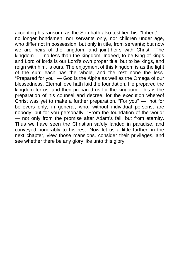accepting his ransom, as the Son hath also testified his. "Inherit" no longer bondsmen, nor servants only, nor children under age, who differ not in possession, but only in title, from servants; but now we are heirs of the kingdom, and joint-heirs with Christ. "The kingdom" — no less than the kingdom! Indeed, to be King of kings and Lord of lords is our Lord's own proper title; but to be kings, and reign with him, is ours. The enjoyment of this kingdom is as the light of the sun; each has the whole, and the rest none the less. "Prepared for you" — God is the Alpha as well as the Omega of our blessedness. Eternal love hath laid the foundation. He prepared the kingdom for us, and then prepared us for the kingdom. This is the preparation of his counsel and decree, for the execution whereof Christ was yet to make a further preparation. "For you" — not for believers only, in general, who, without individual persons, are nobody; but for you personally. "From the foundation of the world" — not only from the promise after Adam's fall, but from eternity. Thus we have seen the Christian safely landed in paradise, and conveyed honorably to his rest. Now let us a little further, in the next chapter, view those mansions, consider their privileges, and see whether there be any glory like unto this glory.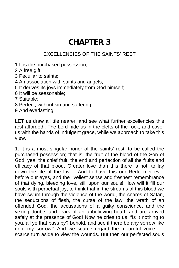## **CHAPTER 3**

#### EXCELLENCIES OF THE SAINTS' REST

- 1 It is the purchased possession;
- 2 A free gift;
- 3 Peculiar to saints;
- 4 An association with saints and angels;
- 5 It derives its joys immediately from God himself;
- 6 It will be seasonable;
- 7 Suitable;
- 8 Perfect, without sin and suffering;
- 9 And everlasting.

LET us draw a little nearer, and see what further excellencies this rest affordeth. The Lord hide us in the clefts of the rock, and cover us with the hands of indulgent grace, while we approach to take this view.

1. It is a most singular honor of the saints' rest, to be called the purchased possession; that is, the fruit of the blood of the Son of God; yea, the chief fruit, the end and perfection of all the fruits and efficacy of that blood. Greater love than this there is not, to lay down the life of the lover. And to have this our Redeemer ever before our eyes, and the liveliest sense and freshest remembrance of that dying, bleeding love, still upon our souls! How will it fill our souls with perpetual joy, to think that in the streams of this blood we have swum through the violence of the world, the snares of Satan, the seductions of flesh, the curse of the law, the wrath of an offended God, the accusations of a guilty conscience, and the vexing doubts and fears of an unbelieving heart, and are arrived safely at the presence of God! Now he cries to us, "Is it nothing to you, all ye that pass by? behold, and see if there be any sorrow like unto my sorrow!" And we scarce regard the mournful voice, scarce turn aside to view the wounds. But then our perfected souls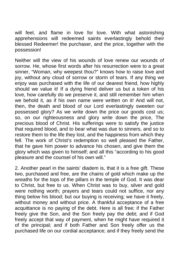will feel, and flame in love for love. With what astonishing apprehensions will redeemed saints everlastingly behold their blessed Redeemer! the purchaser, and the price, together with the possession!

Neither will the view of his wounds of love renew our wounds of sorrow. He, whose first words after his resurrection were to a great sinner, "Woman, why weepest thou?" knows how to raise love and joy, without any cloud of sorrow or storm of tears. If any thing we enjoy was purchased with the life of our dearest friend, how highly should we value it! If a dying friend deliver us but a token of his love, how carefully do we preserve it, and still remember him when we behold it, as if his own name were written on it! And will not, then, the death and blood of our Lord everlastingly sweeten our possessed glory? As we write down the price our goods cost us; so, on our righteousness and glory write down the price, The precious blood of Christ. His sufferings were to satisfy the justice that required blood, and to bear what was due to sinners, and so to restore them to the life they lost, and the happiness from which they fell. The work of Christ's redemption so well pleased the Father, that he gave him power to advance his chosen, and give them the glory which was given to himself; and all this "according to his good pleasure and the counsel of his own will."

2. Another pearl in the saints' diadem is, that it is a free gift. These two, purchased and free, are the chains of gold which make up the wreaths for the tops of the pillars in the temple of God. It was dear to Christ, but free to us. When Christ was to buy, silver and gold were nothing worth; prayers and tears could not suffice, nor any thing below his blood; but our buying is receiving; we have it freely, without money and without price. A thankful acceptance of a free acquittance is no paying of the debt. Here is all free; if the Father freely give the Son, and the Son freely pay the debt; and if God freely accept that way of payment, when he might have required it of the principal; and if both Father and Son freely offer us the purchased life on our cordial acceptance; and if they freely send the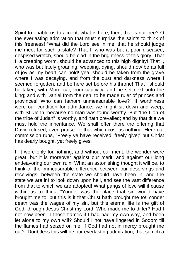Spirit to enable us to accept; what is here, then, that is not free? O the everlasting admiration that must surprise the saints to think of this freeness! "What did the Lord see in me, that he should judge me meet for such a state? That I, who was but a poor diseased, despised wretch, should be clad in the brightness of this glory! That I, a creeping worm, should be advanced to this high dignity! That I, who was but lately groaning, weeping, dying, should now be as full of joy as my heart can hold! yea, should be taken from the grave where I was decaying, and from the dust and darkness where I seemed forgotten, and be here set before his throne! That I should be taken, with Mordecai, from captivity, and be set next unto the king; and with Daniel from the den, to be made ruler of princes and provinces! Who can fathom unmeasurable love?" If worthiness were our condition for admittance, we might sit down and weep, with St. John, because no man was found worthy. But "the Lion of the tribe of Judah" is worthy, and hath prevailed; and by that title we must hold the inheritance. We shall offer there the offering that David refused, even praise for that which cost us nothing. Here our commission runs, "Freely ye have received, freely give;" but Christ has dearly bought, yet freely gives.

If it were only for nothing, and without our merit, the wonder were great; but it is moreover against our merit, and against our long endeavoring our own ruin. What an astonishing thought it will be, to think of the immeasurable difference between our deservings and receivings! between the state we should have been in, and the state we are in! to look down upon hell, and see the vast difference from that to which we are adopted! What pangs of love will it cause within us to think, "Yonder was the place that sin would have brought me to; but this is it that Christ hath brought me to! Yonder death was the wages of my sin, but this eternal life is the gift of God, through Jesus Christ my Lord. Who made me to differ? Had I not now been in those flames if I had had my own way, and been let alone to my own will? Should I not have lingered in Sodom till the flames had seized on me, if God had not in mercy brought me out?" Doubtless this will be our everlasting admiration, that so rich a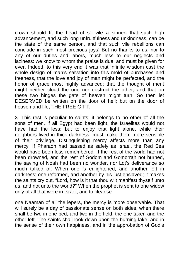crown should fit the head of so vile a sinner; that such high advancement, and such long unfruitfulness and unkindness, can be the state of the same person, and that such vile rebellions can conclude in such most precious joys! But no thanks to us, nor to any of our duties and labors, much less to our neglects and laziness: we know to whom the praise is due, and must be given for ever. Indeed, to this very end it was that infinite wisdom cast the whole design of man's salvation into this mold of purchases and freeness, that the love and joy of man might be perfected, and the honor of grace most highly advanced; that the thought of merit might neither cloud the one nor obstruct the other; and that on these two hinges the gate of heaven might turn. So then let DESERVED be written on the door of hell; but on the door of heaven and life, THE FREE GIFT.

3. This rest is peculiar to saints, it belongs to no other of all the sons of men. If all Egypt had been light, the Israelites would not have had the less; but to enjoy that light alone, while their neighbors lived in thick darkness, must make them more sensible of their privilege. Distinguishing mercy affects more than any mercy. If Pharaoh had passed as safely as Israel, the Red Sea would have been less remembered. If the rest of the world had not been drowned, and the rest of Sodom and Gomorrah not burned, the saving of Noah had been no wonder, nor Lot's deliverance so much talked of. When one is enlightened, and another left in darkness; one reformed, and another by his lust enslaved; it makes the saints cry out, "Lord, how is it that thou wilt manifest thyself unto us, and not unto the world?" When the prophet is sent to one widow only of all that were in Israel, and to cleanse

one Naaman of all the lepers, the mercy is more observable. That will surely be a day of passionate sense on both sides, when there shall be two in one bed, and two in the field, the one taken and the other left. The saints shall look down upon the burning lake, and in the sense of their own happiness, and in the approbation of God's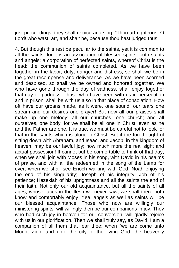just proceedings, they shall rejoice and sing, "Thou art righteous, O Lord! who wast, art, and shalt be, because thou hast judged thus."

4. But though this rest be peculiar to the saints, yet it is common to all the saints; for it is an association of blessed spirits, both saints and angels: a corporation of perfected saints, whereof Christ is the head: the communion of saints completed. As we have been together in the labor, duty, danger and distress; so shall we be in the great recompense and deliverance. As we have been scorned and despised, so shall we be owned and honored together. We who have gone through the day of sadness, shall enjoy together that day of gladness. Those who have been with us in persecution and in prison, shall be with us also in that place of consolation. How oft have our groans made, as it were, one sound! our tears one stream and our desires one prayer! But now all our praises shall make up one melody; all our churches, one church; and all ourselves, one body; for we shall be all one in Christ, even as he and the Father are one. It is true, we must be careful not to look for that in the saints which is alone in Christ. But if the forethought of sitting down with Abraham, and Isaac, and Jacob, in the kingdom of heaven, may be our lawful joy; how much more the real sight and actual possession! It cannot but be comfortable to think of that day, when we shall join with Moses in his song, with David in his psalms of praise, and with all the redeemed in the song of the Lamb for ever; when we shall see Enoch walking with God; Noah enjoying the end of his singularity; Joseph of his integrity; Job of his patience; Hezekiah of his uprightness and all the saints the end of their faith. Not only our old acquaintance, but all the saints of all ages, whose faces in the flesh we never saw, we shall there both know and comfortably enjoy. Yea, angels as well as saints will be our blessed acquaintance. Those who now are willingly our ministering spirits, will willingly then be our companions in joy. They who had such joy in heaven for our conversion, will gladly rejoice with us in our glorification. Then we shall truly say, as David, I am a companion of all them that fear thee; when "we are come unto Mount Zion, and unto the city of the living God, the heavenly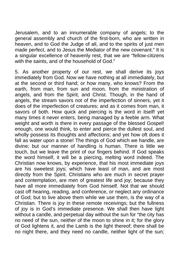Jerusalem, and to an innumerable company of angels; to the general assembly and church of the first-born, who are written in heaven, and to God the Judge of all, and to the spirits of just men made perfect, and to Jesus the Mediator of the new covenant." It is a singular excellence of heavenly rest, that we are "fellow-citizens with the saints, and of the household of God."

5. As another property of our rest, we shall derive its joys immediately from God. Now we have nothing at all immediately, but at the second or third hand; or how many, who knows? From the earth, from man, from sun and moon, from the ministration of angels, and from the Spirit, and Christ. Though, in the hand of angels, the stream savors not of the imperfection of sinners, yet it does of the imperfection of creatures; and as it comes from man, it savors of both. How quick and piercing is the word in itself! yet many times it never enters, being managed by a feeble arm. What weight and worth is there in every passage of the blessed Gospel! enough, one would think, to enter and pierce the dullest soul, and wholly possess its thoughts and affections; and yet how oft does it fall as water upon a stone! The things of God which we handle, are divine; but our manner of handling is human. There is little we touch, but we leave the print of our fingers behind. If God speaks the word himself, it will be a piercing, melting word indeed. The Christian now knows, by experience, that his most immediate joys are his sweetest joys; which have least of man, and are most directly from the Spirit. Christians who are much in secret prayer and contemplation, are men of greatest life and joy; because they have all more immediately from God himself. Not that we should cast off hearing, reading, and conference, or neglect any ordinance of God; but to live above them while we use them, is the way of a Christian. There is joy in these remote receivings; but the fullness of joy is in God's immediate presence. We shall then have light without a candle, and perpetual day without the sun for "the city has no need of the sun, neither of the moon to shine in it; for the glory of God lightens it, and the Lamb is the light thereof; there shall be no night there, and they need no candle, neither light of the sun;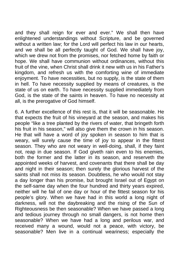and they shall reign for ever and ever." We shall then have enlightened understandings without Scripture, and be governed without a written law; for the Lord will perfect his law in our hearts, and we shall be all perfectly taught of God. We shall have joy, which we drew not from the promises, nor fetched home by faith or hope. We shall have communion without ordinances, without this fruit of the vine, when Christ shall drink it new with us in his Father's kingdom, and refresh us with the comforting wine of immediate enjoyment. To have necessities, but no supply, is the state of them in hell. To have necessity supplied by means of creatures, is the state of us on earth. To have necessity supplied immediately from God, is the state of the saints in heaven. To have no necessity at all, is the prerogative of God himself.

6. A further excellence of this rest is, that it will be seasonable. He that expects the fruit of his vineyard at the season, and makes his people "like a tree planted by the rivers of water, that bringeth forth his fruit in his season," will also give them the crown in his season. He that will have a word of joy spoken in season to him that is weary, will surely cause the time of joy to appear in the fittest season. They who are not weary in well-doing, shall, if they faint not, reap in due season. If God giveth rain even to his enemies, both the former and the latter in its season, and reserveth the appointed weeks of harvest, and covenants that there shall be day and night in their season; then surely the glorious harvest of the saints shall not miss its season. Doubtless, he who would not stay a day longer than his promise, but brought Israel out of Egypt on the self-same day when the four hundred and thirty years expired, neither will he fail of one day or hour of the fittest season for his people's glory. When we have had in this world a long night of darkness, will not the daybreaking and the rising of the Sun of Righteousness be then seasonable? When we have passed a long and tedious journey through no small dangers, is not home then seasonable? When we have had a long and perilous war, and received many a wound, would not a peace, with victory, be seasonable? Men live in a continual weariness; especially the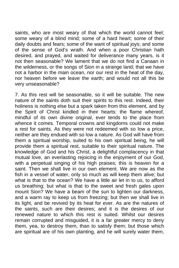saints, who are most weary of that which the world cannot feel; some weary of a blind mind; some of a hard heart; some of their daily doubts and fears; some of the want of spiritual joys; and some of the sense of God's wrath. And when a poor Christian hath desired, and prayed, and waited for deliverance many years, is it not then seasonable? We lament that we do not find a Canaan in the wilderness, or the songs of Sion in a strange land; that we have not a harbor in the main ocean, nor our rest in the heat of the day, nor heaven before we leave the earth; and would not all this be very unseasonable?

7. As this rest will be seasonable, so it will be suitable. The new nature of the saints doth suit their spirits to this rest. Indeed, their holiness is nothing else but a spark taken from this element, and by the Spirit of Christ kindled in their hearts: the flame whereof, mindful of its own divine original, ever tends to the place from whence it comes. Temporal crowns and kingdoms could not make a rest for saints. As they were not redeemed with so low a price, neither are they endued with so low a nature. As God will have from them a spiritual worship, suited to his own spiritual being, he will provide them a spiritual rest, suitable to their spiritual nature. The knowledge of God and his Christ, a delightful complacency in that mutual love, an everlasting rejoicing in the enjoyment of our God, with a perpetual singing of his high praises; this is heaven for a saint. Then we shall live in our own element. We are now as the fish in a vessel of water, only so much as will keep them alive; but what is that to the ocean? We have a little air let in to us, to afford us breathing; but what is that to the sweet and fresh gales upon mount Sion? We have a beam of the sun to lighten our darkness, and a warm ray to keep us from freezing; but then we shall live in its light, and be revived by its heat for ever. As are the natures of the saints, such are their desires; and it is the desires of our renewed nature to which this rest is suited. Whilst our desires remain corrupted and misguided, it is a far greater mercy to deny them, yea, to destroy them, than to satisfy them; but those which are spiritual are of his own planting, and he will surely water them,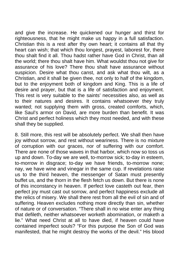and give the increase. He quickened our hunger and thirst for righteousness, that he might make us happy in a full satisfaction. Christian this is a rest after thy own heart; it contains all that thy heart can wish; that which thou longest, prayest, laborest for, there thou shalt find it all. Thou hadst rather have God in Christ, than all the world; there thou shalt have him. What wouldst thou not give for assurance of his love? There thou shalt have assurance without suspicion. Desire what thou canst, and ask what thou wilt, as a Christian, and it shall be given thee, not only to half of the kingdom, but to the enjoyment both of kingdom and King. This is a life of desire and prayer, but that is a life of satisfaction and enjoyment. This rest is very suitable to the saints' necessities also, as well as to their natures and desires. It contains whatsoever they truly wanted; not supplying them with gross, created comforts, which, like Saul's armor on David, are more burden than benefit. It was Christ and perfect holiness which they most needed, and with these shall they be supplied.

8. Still more, this rest will be absolutely perfect. We shall then have joy without sorrow, and rest without weariness. There is no mixture of corruption with our graces, nor of suffering with our comfort. There are none of those waves in that harbor, which now so toss us up and down. To-day we are well, to-morrow sick; to-day in esteem, to-morrow in disgrace; to-day we have friends, to-morrow none; nay, we have wine and vinegar in the same cup. If revelations raise us to the third heaven, the messenger of Satan must presently buffet us, and the thorn in the flesh fetch us down. But there is none of this inconstancy in heaven. If perfect love casteth out fear, then perfect joy must cast out sorrow, and perfect happiness exclude all the relics of misery. We shall there rest from all the evil of sin and of suffering. Heaven excludes nothing more directly than sin, whether of nature or of conversation. "There shall in no wise enter any thing that defileth, neither whatsoever worketh abomination, or maketh a lie." What need Christ at all to have died, if heaven could have contained imperfect souls? "For this purpose the Son of God was manifested, that he might destroy the works of the devil." His blood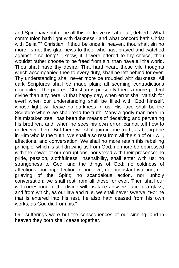and Spirit have not done all this, to leave us, after all, defiled. "What communion hath light with darkness? and what concord hath Christ with Belial?" Christian, if thou be once in heaven, thou shalt sin no more. Is not this glad news to thee, who hast prayed and watched against it so long? I know, if it were offered to thy choice, thou wouldst rather choose to be freed from sin, than have all the world. Thou shalt have thy desire. That hard heart, those vile thoughts which accompanied thee to every duty, shall be left behind for ever. Thy understanding shall never more be troubled with darkness. All dark Scriptures shall be made plain; all seeming contradictions reconciled. The poorest Christian is presently there a more perfect divine than any here. O that happy day, when error shall vanish for ever! when our understanding shall be filled with God himself, whose light will leave no darkness in us! His face shall be the Scripture where we shall read the truth. Many a godly man here, in his mistaken zeal, has been the means of deceiving and perverting his brethren, and, when he sees his own error, cannot tell how to undeceive them. But there we shall join in one truth, as being one in Him who is the truth. We shall also rest from all the sin of our will, affections, and conversation. We shall no more retain this rebelling principle, which is still drawing us from God; no more be oppressed with the power of our corruptions, nor vexed with their presence: no pride, passion, slothfulness, insensibility, shall enter with us; no strangeness to God, and the things of God; no coldness of affections, nor imperfection in our love; no inconstant walking, nor grieving of the Spirit; no scandalous action, nor unholy conversation: we shall rest from all these for ever. Then shall our will correspond to the divine will, as face answers face in a glass, and from which, as our law and rule, we shall never swerve. "For he that is entered into his rest, he also hath ceased from his own works, as God did from his."

Our sufferings were but the consequences of our sinning, and in heaven they both shall cease together.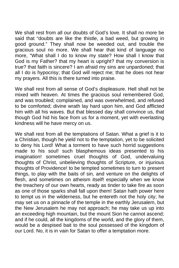We shall rest from all our doubts of God's love. It shall no more be said that "doubts are like the thistle, a bad weed, but growing in good ground." They shall now be weeded out, and trouble the gracious soul no more. We shall hear that kind of language no more, "What shall I do to know my state? How shall I know that God is my Father? that my heart is upright? that my conversion is true? that faith is sincere? I am afraid my sins are unpardoned; that all I do is hypocrisy; that God will reject me; that he does not hear my prayers. All this is there turned into praise.

We shall rest from all sense of God's displeasure. Hell shall not be mixed with heaven. At times the gracious soul remembered God, and was troubled; complained, and was overwhelmed, and refused to be comforted; divine wrath lay hard upon him, and God afflicted him with all his waves. But that blessed day shall convince us, that though God hid his face from us for a moment, yet with everlasting kindness will he have mercy on us.

We shall rest from all the temptations of Satan. What a grief is it to a Christian, though he yield not to the temptation, yet to be solicited to deny his Lord! What a torment to have such horrid suggestions made to his soul! such blasphemous ideas presented to his imagination! sometimes cruel thoughts of God, undervaluing thoughts of Christ, unbelieving thoughts of Scripture, or injurious thoughts of Providence! to be tempted sometimes to turn to present things, to play with the baits of sin, and venture on the delights of flesh, and sometimes on atheism itself! especially when we know the treachery of our own hearts, ready as tinder to take fire as soon as one of those sparks shall fall upon them! Satan hath power here to tempt us in the wilderness, but he entereth not the holy city; he may set us on a pinnacle of the temple in the earthly Jerusalem, but the New Jerusalem he may not approach; he may take us up into an exceeding high mountain, but the mount Sion he cannot ascend; and if he could, all the kingdoms of the world, and the glory of them, would be a despised bait to the soul possessed of the kingdom of our Lord. No, it is in vain for Satan to offer a temptation more.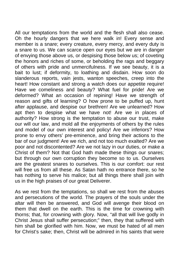All our temptations from the world and the flesh shall also cease. Oh the hourly dangers that we here walk in! Every sense and member is a snare; every creature, every mercy, and every duty is a snare to us. We can scarce open our eyes but we are in danger of envying those above us, or despising those below us; of coveting the honors and riches of some, or beholding the rags and beggary of others with pride and unmercifulness. If we see beauty, it is a bait to lust; if deformity, to loathing and disdain. How soon do slanderous reports, vain jests, wanton speeches, creep into the heart! How constant and strong a watch does our appetite require! Have we comeliness and beauty? What fuel for pride! Are we deformed? What an occasion of repining! Have we strength of reason and gifts of learning? O how prone to be puffed up, hunt after applause, and despise our brethren! Are we unlearned? How apt then to despise what we have not! Are we in places of authority? How strong is the temptation to abuse our trust, make our will our law, and mold all the enjoyments of others by the rules and model of our own interest and policy! Are we inferiors? How prone to envy others' pre-eminence, and bring their actions to the bar of our judgment! Are we rich, and not too much exalted? Are we poor and not discontented? Are we not lazy in our duties, or make a Christ of them? Not that God hath made these things our snares; but through our own corruption they become so to us. Ourselves are the greatest snares to ourselves. This is our comfort: our rest will free us from all these. As Satan hath no entrance there, so he has nothing to serve his malice; but all things there shall join with us in the high praises of our great Deliverer.

As we rest from the temptations, so shall we rest from the abuses and persecutions of the world. The prayers of the souls under the altar will then be answered, and God will avenge their blood on them that dwell on the earth. This is the time for crowning with thorns; that, for crowning with glory. Now, "all that will live godly in Christ Jesus shall suffer persecution;" then, they that suffered with him shall be glorified with him. Now, we must be hated of all men for Christ's sake; then, Christ will be admired in his saints that were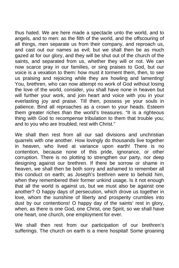thus hated. We are here made a spectacle unto the world, and to angels, and to men: as the filth of the world, and the offscouring of all things, men separate us from their company, and reproach us, and cast out our names as evil; but we shall then be as much gazed at for our glory, and they will be shut out of the church of the saints, and separated from us, whether they will or not. We can now scarce pray in our families, or sing praises to God, but our voice is a vexation to them: how must it torment them, then, to see us praising and rejoicing while they are howling and lamenting! You, brethren, who can now attempt no work of God without losing the love of the world, consider, you shall have none in heaven but will further your work, and join heart and voice with you in your everlasting joy and praise. Till then, possess ye your souls in patience. Bind all reproaches as a crown to your heads. Esteem them greater riches than the world's treasures. "It is a righteous thing with God to recompense tribulation to them that trouble you; and to you who are troubled, rest with Christ."

We shall then rest from all our sad divisions and unchristian quarrels with one another. How lovingly do thousands live together in heaven, who lived at variance upon earth! There is no contention, because none of this pride, ignorance, or other corruption. There is no plotting to strengthen our party, nor deep designing against our brethren. If there be sorrow or shame in heaven, we shall then be both sorry and ashamed to remember all this conduct on earth; as Joseph's brethren were to behold him, when they remembered their former unkind usage. Is it not enough that all the world is against us, but we must also be against one another? O happy days of persecution, which drove us together in love, whom the sunshine of liberty and prosperity crumbles into dust by our contentions! O happy day of the saints' rest in glory, when, as there is one God, one Christ, one Spirit, so we shall have one heart, one church, one employment for ever.

We shall then rest from our participation of our brethren's sufferings. The church on earth is a mere hospital! Some groaning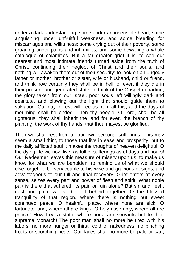under a dark understanding, some under an insensible heart, some anguishing under unfruitful weakness, and some bleeding for miscarriages and willfulness; some crying out of their poverty, some groaning under pains and infirmities, and some bewailing a whole catalogue of calamities. But a far greater grief it is, to see our dearest and most intimate friends turned aside from the truth of Christ, continuing their neglect of Christ and their souls, and nothing will awaken them out of their security: to look on an ungodly father or mother, brother or sister, wife or husband, child or friend, and think how certainly they shall be in hell for ever, if they die in their present unregenerated state; to think of the Gospel departing, the glory taken from our Israel, poor souls left willingly dark and destitute, and blowing out the light that should guide them to salvation! Our day of rest will free us from all this, and the days of mourning shall be ended. Then thy people, O Lord, shall be all righteous; they shall inherit the land for ever, the branch of thy planting, the work of thy hands; that thou mayest be glorified.

Then we shall rest from all our own personal sufferings. This may seem a small thing to those that live in ease and prosperity; but to the daily afflicted soul it makes the thoughts of heaven delightful. O the dying life we now live! as full of sufferings as of days and hours! Our Redeemer leaves this measure of misery upon us, to make us know for what we are beholden, to remind us of what we should else forget, to be serviceable to his wise and gracious designs, and advantageous to our full and final recovery. Grief enters at every sense, seizes every part and power of flesh and spirit. What noble part is there that suffereth its pain or ruin alone? But sin and flesh, dust and pain, will all be left behind together. O the blessed tranquillity of that region, where there is nothing but sweet continued peace! O healthful place, where none are sick! O fortunate land, where all are kings! O holy assembly, where all are priests! How free a state, where none are servants but to their supreme Monarch! The poor man shall no more be tired with his labors: no more hunger or thirst, cold or nakedness: no pinching frosts or scorching heats. Our faces shall no more be pale or sad;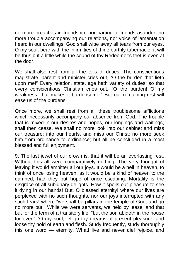no more breaches in friendship, nor parting of friends asunder; no more trouble accompanying our relations, nor voice of lamentation heard in our dwellings: God shall wipe away all tears from our eyes. O my soul, bear with the infirmities of thine earthly tabernacle; it will be thus but a little while the sound of thy Redeemer's feet is even at the door.

We shall also rest from all the toils of duties. The conscientious magistrate, parent and minister cries out, "O the burden that lieth upon me!" Every relation, state, age hath variety of duties; so that every conscientious Christian cries out, "O the burden! O my weakness, that makes it burdensome!" But our remaining rest will ease us of the burdens.

Once more, we shall rest from all these troublesome afflictions which necessarily accompany our absence from God. The trouble that is mixed in our desires and hopes, our longings and waitings, shall then cease. We shall no more look into our cabinet and miss our treasure; into our hearts, and miss our Christ; no more seek him from ordinance to ordinance; but all be concluded in a most blessed and full enjoyment.

9. The last jewel of our crown is, that it will be an everlasting rest. Without this all were comparatively nothing. The very thought of leaving it would embitter all our joys. It would be a hell in heaven, to think of once losing heaven; as it would be a kind of heaven to the damned, had they but hope of once escaping. Mortality is the disgrace of all sublunary delights. How it spoils our pleasure to see it dying in our hands! But, O blessed eternity! where our lives are perplexed with no such thoughts, nor our joys interrupted with any such fears! where "we shall be pillars in the temple of God, and go no more out." While we were servants, we held by lease, and that but for the term of a transitory life; "but the son abideth in the house for ever." "O my soul, let go thy dreams of present pleasure, and loose thy hold of earth and flesh. Study frequently, study thoroughly this one word — eternity. What! live and never die! rejoice, and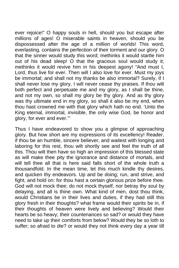ever rejoice!" O happy souls in hell, should you but escape after millions of ages! O miserable saints in heaven, should you be dispossessed after the age of a million of worlds! This word, everlasting, contains the perfection of their torment and our glory. O that the sinner would study this word; methinks it would startle him out of his dead sleep! O that the gracious soul would study it; methinks it would revive him in his deepest agony! "And must I, Lord, thus live for ever. Then will I also love for ever. Must my joys be immortal; and shall not my thanks be also immortal? Surely, if I shall never lose my glory, I will never cease thy praises. If thou wilt both perfect and perpetuate me and my glory, as I shall be thine, and not my own, so shall my glory be thy glory. And as thy glory was thy ultimate end in my glory, so shall it also be my end, when thou hast crowned me with that glory which hath no end. 'Unto the King eternal, immortal, invisible, the only wise God, be honor and glory, for ever and ever.'"

Thus I have endeavored to show you a glimpse of approaching glory. But how short are my expressions of its excellency! Reader, if thou be an humble, sincere believer, and waitest with longing and laboring for this rest, thou wilt shortly see and feel the truth of all this. Thou wilt then have so high an impression of this blessed state as will make thee pity the ignorance and distance of mortals, and will tell thee all that is here said falls short of the whole truth a thousandfold. In the mean time, let this much kindle thy desires, and quicken thy endeavors. Up and be doing; run, and strive, and fight, and hold on: for thou hast a certain glorious prize before thee. God will not mock thee; do not mock thyself, nor betray thy soul by delaying, and all is thine own. What kind of men, dost thou think, would Christians be in their lives and duties, if they had still this glory fresh in their thoughts? what frame would their spirits be in, if their thoughts of heaven were lively and believing? Would their hearts be so heavy; their countenances so sad? or would they have need to take up their comforts from below? Would they be so loth to suffer; so afraid to die? or would they not think every day a year till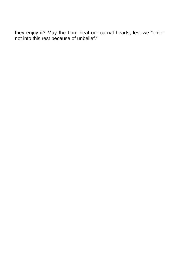they enjoy it? May the Lord heal our carnal hearts, lest we "enter not into this rest because of unbelief."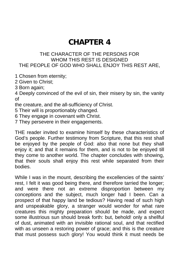## **CHAPTER 4**

THE CHARACTER OF THE PERSONS FOR WHOM THIS REST IS DESIGNED THE PEOPLE OF GOD WHO SHALL ENJOY THIS REST ARE,

1 Chosen from eternity;

2 Given to Christ;

3 Born again;

4 Deeply convinced of the evil of sin, their misery by sin, the vanity of

the creature, and the all-sufficiency of Christ.

5 Their will is proportionably changed.

6 They engage in covenant with Christ.

7 They persevere in their engagements.

THE reader invited to examine himself by these characteristics of God's people. Further testimony from Scripture, that this rest shall be enjoyed by the people of God: also that none but they shall enjoy it; and that it remains for them, and is not to be enjoyed till they come to another world. The chapter concludes with showing, that their souls shall enjoy this rest while separated from their bodies.

While I was in the mount, describing the excellencies of the saints' rest, I felt it was good being there, and therefore tarried the longer; and were there not an extreme disproportion between my conceptions and the subject, much longer had I been. Can a prospect of that happy land be tedious? Having read of such high and unspeakable glory, a stranger would wonder for what rare creatures this mighty preparation should be made, and expect some illustrious sun should break forth: but, behold! only a shellful of dust, animated with an invisible rational soul, and that rectified with as unseen a restoring power of grace; and this is the creature that must possess such glory! You would think it must needs be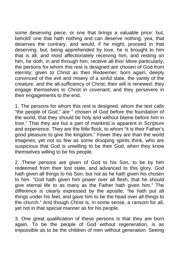some deserving piece, or one that brings a valuable price: but, behold! one that hath nothing and can deserve nothing; yea, that deserves the contrary, and would, if he might, proceed in that deserving: but, being apprehended by love, he is brought to him that is all; and most affectionately receiving him, and resting on him, he doth, in and through him, receive all this! More particularly, the persons for whom this rest is designed are chosen of God from eternity; given to Christ as their Redeemer; born again; deeply convinced of the evil and misery of a sinful state, the vanity of the creature, and the all-sufficiency of Christ; their will is renewed; they engage themselves to Christ in covenant; and they persevere in their engagements to the end.

1. The persons for whom this rest is designed, whom the text calls "the people of God," are " chosen of God before the foundation of the world, that they should be holy and without blame before him in love." That they are but a part of mankind is apparent in Scripture and experience. They are the little flock, to whom "it is their Father's good pleasure to give the kingdom." Fewer they are than the world imagines; yet not so few as some drooping spirits think, who are suspicious that God is unwilling to be their God, when they know themselves willing to be his people.

2. These persons are given of God to his Son, to be by him redeemed from their lost state, and advanced to this glory. God hath given all things to his Son, but not as he hath given his chosen to him. "God hath given him power over all flesh, that he should give eternal life to as many as the Father hath given him." The difference is clearly expressed by the apostle; "he hath put all things under his feet, and gave him to be the head over all things to the church." And though Christ is, in some sense, a ransom for all, yet not in that special manner as for his people.

3. One great qualification of these persons is that they are born again. To be the people of God without regeneration, is as impossible as to be the children of men without generation. Seeing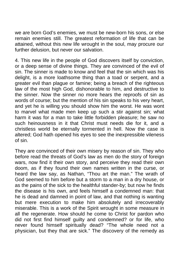we are born God's enemies, we must be new-born his sons, or else remain enemies still. The greatest reformation of life that can be attained, without this new life wrought in the soul, may procure our further delusion, but never our salvation.

4. This new life in the people of God discovers itself by conviction, or a deep sense of divine things. They are convinced of the evil of sin. The sinner is made to know and feel that the sin which was his delight, is a more loathsome thing than a toad or serpent, and a greater evil than plague or famine; being a breach of the righteous law of the most high God, dishonorable to him, and destructive to the sinner. Now the sinner no more hears the reproofs of sin as words of course; but the mention of his sin speaks to his very heart, and yet he is willing you should show him the worst. He was wont to marvel what made men keep up such a stir against sin; what harm it was for a man to take little forbidden pleasure; he saw no such heinousness in it that Christ must needs die for it, and a christless world be eternally tormented in hell. Now the case is altered; God hath opened his eyes to see the inexpressible vileness of sin.

They are convinced of their own misery by reason of sin. They who before read the threats of God's law as men do the story of foreign wars, now find it their own story, and perceive they read their own doom, as if they found their own names written in the curse, or heard the law say, as Nathan, "Thou art the man." The wrath of God seemed to him before but a storm to a man in a dry house, or as the pains of the sick to the healthful stander-by; but now he finds the disease is his own, and feels himself a condemned man: that he is dead and damned in point of law, and that nothing is wanting but mere execution to make him absolutely and irrecoverably miserable. This is a work of the Spirit wrought in some measure in all the regenerate. How should he come to Christ for pardon who did not first find himself guilty and condemned? or for life, who never found himself spiritually dead? "The whole need not a physician, but they that are sick." The discovery of the remedy as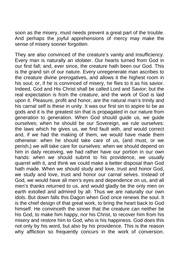soon as the misery, must needs prevent a great part of the trouble. And perhaps the joyful apprehensions of mercy may make the sense of misery sooner forgotten.

They are also convinced of the creature's vanity and insufficiency. Every man is naturally an idolater. Our hearts turned from God in our first fall; and, ever since, the creature hath been our God. This is the grand sin of our nature. Every unregenerate man ascribes to the creature divine prerogatives, and allows it the highest room in his soul; or, if he is convinced of misery, he flies to it as his savior. Indeed, God and His Christ shall be called Lord and Savior; but the real expectation is from the creature, and the work of God is laid upon it. Pleasure, profit and honor, are the natural man's trinity and his carnal self is these in unity. It was our first sin to aspire to be as gods and it is the greatest sin that is propagated in our nature from generation to generation. When God should guide us, we guide ourselves; when he should be our Sovereign, we rule ourselves: the laws which he gives us, we find fault with, and would correct and, if we had the making of them, we would have made them otherwise: when he should take care of us, (and must, or we perish,) we will take care for ourselves: when we should depend on him in daily receiving, we had rather have our portion in our own hands: when we should submit to his providence, we usually quarrel with it, and think we could make a better disposal than God hath made. When we should study and love, trust and honor God, we study and love, trust and honor our carnal selves. Instead of God, we would have all men's eyes and dependence on us, and all men's thanks returned to us, and would gladly be the only men on earth extolled and admired by all. Thus we are naturally our own idols. But down falls this Dagon when God once renews the soul. It is the chief design of that great work, to bring the heart back to God himself. He convinceth the sinner that the creature can neither be his God, to make him happy, nor his Christ, to recover him from his misery and restore him to God, who is his happiness. God does this not only by his word, but also by his providence. This is the reason why affliction so frequently concurs in the work of conversion.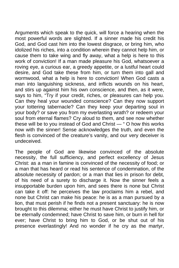Arguments which speak to the quick, will force a hearing when the most powerful words are slighted. If a sinner made his credit his God, and God cast him into the lowest disgrace, or bring him, who idolized his riches, into a condition wherein they cannot help him, or cause them to take wing and fly away, what a help is here to this work of conviction! If a man made pleasure his God, whatsoever a roving eye, a curious ear, a greedy appetite, or a lustful heart could desire, and God take these from him, or turn them into gall and wormwood, what a help is here to conviction! When God casts a man into languishing sickness, and inflicts wounds on his heart, and stirs up against him his own conscience, and then, as it were, says to him, "Try if your credit, riches, or pleasures can help you. Can they heal your wounded conscience? Can they now support your tottering tabernacle? Can they keep your departing soul in your body? or save you from my everlasting wrath? or redeem your soul from eternal flames? Cry aloud to them, and see now whether these will be to you instead of God and Christ — " O how this works now with the sinner! Sense acknowledges the truth, and even the flesh is convinced of the creature's vanity, and our very deceiver is undeceived.

The people of God are likewise convinced of the absolute necessity, the full sufficiency, and perfect excellency of Jesus Christ: as a man in famine is convinced of the necessity of food; or a man that has heard or read his sentence of condemnation, of the absolute necessity of pardon; or a man that lies in prison for debt, of his need of a surety to discharge it. Now the sinner feels a insupportable burden upon him, and sees there is none but Christ can take it off: he perceives the law proclaims him a rebel, and none but Christ can make his peace: he is as a man pursued by a lion, that must perish if he finds not a present sanctuary: he is now brought to this dilemma; either he must have Christ to justify him, or be eternally condemned; have Christ to save him, or burn in hell for ever; have Christ to bring him to God, or be shut out of his presence everlastingly! And no wonder if he cry as the martyr,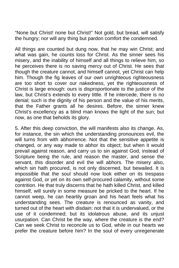"None but Christ! none but Christ!" Not gold, but bread, will satisfy the hungry; nor will any thing but pardon comfort the condemned.

All things are counted but dung now, that he may win Christ; and what was gain, he counts loss for Christ. As the sinner sees his misery, and the inability of himself and all things to relieve him, so he perceives there is no saving mercy out of Christ. He sees that though the creature cannot, and himself cannot, yet Christ can help him. Though the fig leaves of our own unrighteous righteousness are too short to cover our nakedness, yet the righteousness of Christ is large enough: ours is disproportionate to the justice of the law, but Christ's extends to every tittle. If he intercede, there is no denial; such is the dignity of his person and the value of his merits, that the Father grants all he desires. Before, the sinner knew Christ's excellency as a blind man knows the light of the sun; but now, as one that beholds its glory.

5. After this deep conviction, the will manifests also its change. As, for instance, the sin which the understanding pronounces evil, the will turns from with abhorrence. Not that the sensitive appetite is changed, or any way made to abhor its object; but when it would prevail against reason, and carry us to sin against God, instead of Scripture being the rule, and reason the master, and sense the servant, this disorder and evil the will abhors. The misery also, which sin hath procured, is not only discerned, but bewailed. It is impossible that the soul should now look either on its trespass against God, or yet on its own self-procured calamity, without some contrition. He that truly discerns that he hath killed Christ, and killed himself, will surely in some measure be pricked to the heart. If he cannot weep, he can heartily groan and his heart feels what his understanding sees. The creature is renounced as vanity, and turned out of the heart with disdain: not that it is undervalued, or the use of it condemned; but its idolatrous abuse, and its unjust usurpation. Can Christ be the way, where the creature is the end? Can we seek Christ to reconcile us to God, while in our hearts we prefer the creature before him? In the soul of every unregenerate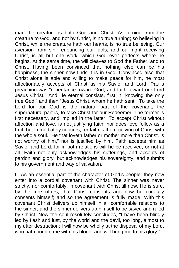man the creature is both God and Christ. As turning from the creature to God, and not by Christ, is no true turning; so believing in Christ, while the creature hath our hearts, is no true believing. Our aversion from sin, renouncing our idols, and our right receiving Christ, is all but one work, which God ever perfects where he begins. At the same time, the will cleaves to God the Father, and to Christ. Having been convinced that nothing else can be his happiness, the sinner now finds it is in God. Convinced also that Christ alone is able and willing to make peace for him, he most affectionately accepts of Christ as his Savior and Lord. Paul's preaching was "repentance toward God, and faith toward our Lord Jesus Christ." And life eternal consists, first in "knowing the only true God;" and then "Jesus Christ, whom he hath sent." To take the Lord for our God is the natural part of the covenant; the supernatural part is, to take Christ for our Redeemer. The former is first necessary, and implied in the latter. To accept Christ without affection and love, is not justifying faith: nor does love follow as a fruit, but immediately concurs; for faith is the receiving of Christ with the whole soul. "He that loveth father or mother more than Christ, is not worthy of him," nor is justified by him. Faith accepts him as Savior and Lord: for in both relations will he be received, or not at all. Faith not only acknowledges his sufferings, and accepts of pardon and glory, but acknowledges his sovereignty, and submits to his government and way of salvation.

6. As an essential part of the character of God's people, they now enter into a cordial covenant with Christ. The sinner was never strictly, nor comfortably, in covenant with Christ till now. He is sure, by the free offers, that Christ consents and now he cordially consents himself; and so the agreement is fully made. With this covenant Christ delivers up himself in all comfortable relations to the sinner; and the sinner delivers up himself to be saved and ruled by Christ. Now the soul resolutely concludes, "I have been blindly led by flesh and lust, by the world and the devil, too long, almost to my utter destruction; I will now be wholly at the disposal of my Lord, who hath bought me with his blood, and will bring me to his glory."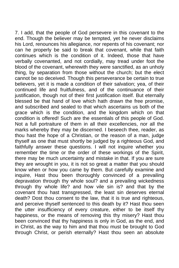7. I add, that the people of God persevere in this covenant to the end. Though the believer may be tempted, yet he never disclaims his Lord, renounces his allegiance, nor repents of his covenant; nor can he properly be said to break that covenant, while that faith continues which is the condition of it. Indeed, those that have verbally covenanted, and not cordially, may tread under foot the blood of the covenant, wherewith they were sanctified, as an unholy thing, by separation from those without the church; but the elect cannot be so deceived. Though this perseverance be certain to true believers, yet it is made a condition of their salvation; yea, of their continued life and fruitfulness, and of the continuance of their justification, though not of their first justification itself. But eternally blessed be that hand of love which hath drawn the free promise, and subscribed and sealed to that which ascertains us both of the grace which is the condition, and the kingdom which on that condition is offered! Such are the essentials of this people of God. Not a full portraiture of them in all their excellencies, nor all the marks whereby they may be discerned. I beseech thee, reader, as thou hast the hope of a Christian, or the reason of a man, judge thyself as one that must shortly be judged by a righteous God, and faithfully answer these questions. I will not inquire whether you remember the time or the order of these workings of the Spirit, there may be much uncertainty and mistake in that. If you are sure they are wrought in you, it is not so great a matter that you should know when or how you came by them. But carefully examine and inquire, Hast thou been thoroughly convinced of a prevailing depravation through thy whole soul? and a prevailing wickedness through thy whole life? and how vile sin is? and that by the covenant thou hast transgressed, the least sin deserves eternal death? Dost thou consent to the law, that it is true and righteous, and perceive thyself sentenced to this death by it? Hast thou seen the utter insufficiency of every creature, either to be itself thy happiness, or the means of removing this thy misery? Hast thou been convinced that thy happiness is only in God, as the end, and in Christ, as the way to him and that thou must be brought to God through Christ, or perish eternally? Hast thou seen an absolute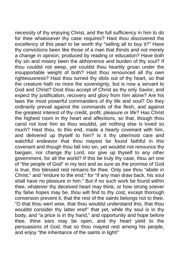necessity of thy enjoying Christ, and the full sufficiency in him to do for thee whatsoever thy case requires? Hast thou discovered the excellency of this pearl to be worth thy "selling all to buy it?" Have thy convictions been like those of a man that thirsts and not merely a change in opinion, produced by reading or education? Have both thy sin and misery been the abhorrence and burden of thy soul? If thou couldst not weep, yet couldst thou heartily groan under the insupportable weight of both? Hast thou renounced all thy own righteousness? Hast thou turned thy idols out of thy heart, so that the creature hath no more the sovereignty, but is now a servant to God and Christ? Dost thou accept of Christ as thy only Savior, and expect thy justification, recovery and glory from him alone? Are his laws the most powerful commanders of thy life and soul? Do they ordinarily prevail against the commands of the flesh, and against the greatest interest of thy credit, profit, pleasure or life? Has Christ the highest room in thy heart and affections, so that, though thou canst not love him as thou wouldst, yet nothing else is loved so much? Hast thou, to this end, made a hearty covenant with him, and delivered up thyself to him? Is it thy uttermost care and watchful endeavor that thou mayest be found faithful in this covenant and though thou fall into sin, yet wouldst not renounce thy bargain, nor change thy Lord, nor give up thyself to any other government, for all the world? If this be truly thy case, thou art one of "the people of God" in my text and as sure as the promise of God is true, this blessed rest remains for thee. Only see thou "abide in Christ," and "endure to the end;" for "if any man draw back, his soul shall have no pleasure in him." But if no such work be found within thee, whatever thy deceived heart may think, or how strong soever thy false hopes may be, thou wilt find to thy cost, except thorough conversion prevent it, that the rest of the saints belongs not to thee. "O that thou wert wise, that thou wouldst understand this, that thou wouldst consider thy latter end!" that yet, while thy soul is in thy body, and "a price is in thy hand," and opportunity and hope before thee, thine ears may be open, and thy heart yield to the persuasions of God, that so thou mayest rest among his people, and enjoy "the inheritance of the saints in light!"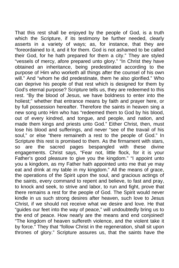That this rest shall be enjoyed by the people of God, is a truth which the Scripture, if its testimony be further needed, clearly asserts in a variety of ways; as, for instance, that they are "foreordained to it, and it for them. God is not ashamed to be called their God, for he hath prepared for them a city." They are styled "vessels of mercy, afore prepared unto glory." "In Christ they have obtained an inheritance, being predestinated according to the purpose of Him who worketh all things after the counsel of his own will." And "whom he did predestinate, them he also glorified." Who can deprive his people of that rest which is designed for them by God's eternal purpose? Scripture tells us, they are redeemed to this rest. "By the blood of Jesus, we have boldness to enter into the holiest;" whether that entrance means by faith and prayer here, or by full possession hereafter. Therefore the saints in heaven sing a new song unto Him who has "redeemed them to God by his blood, out of every kindred, and tongue, and people, and nation, and made them kings and priests unto God." Either Christ, then, must lose his blood and sufferings, and never "see of the travail of his soul," or else "there remaineth a rest to the people of God." In Scripture this rest is promised to them. As the firmament with stars, so are the sacred pages bespangled with these divine engagements. Christ says, "Fear not, little flock, for it is your Father's good pleasure to give you the kingdom." "I appoint unto you a kingdom, as my Father hath appointed unto me that ye may eat and drink at my table in my kingdom." All the means of grace, the operations of the Spirit upon the soul, and gracious actings of the saints, every command to repent and believe, to fast and pray, to knock and seek, to strive and labor, to run and fight, prove that there remains a rest for the people of God. The Spirit would never kindle in us such strong desires after heaven, such love to Jesus Christ, if we should not receive what we desire and love. He that "guides our feet into the way of peace," will undoubtedly bring us to the end of peace. How nearly are the means and end conjoined! "The kingdom of heaven suffereth violence, and the violent take it by force." They that "follow Christ in the regeneration, shall sit upon thrones of glory." Scripture assures us, that the saints have the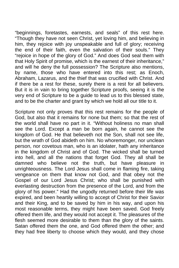"beginnings, foretastes, earnests, and seals" of this rest here. "Though they have not seen Christ, yet loving him, and believing in him, they rejoice with joy unspeakable and full of glory; receiving the end of their faith, even the salvation of their souls." They "rejoice in hope of the glory of God." And does God seal them with that Holy Spirit of promise, which is the earnest of their inheritance," and will he deny the full possession? The Scripture also mentions, by name, those who have entered into this rest; as Enoch, Abraham, Lazarus, and the thief that was crucified with Christ. And if there be a rest for these, surely there is a rest for all believers. But it is in vain to bring together Scripture proofs, seeing it is the very end of Scripture to be a guide to lead us to this blessed state, and to be the charter and grant by which we hold all our title to it.

Scripture not only proves that this rest remains for the people of God, but also that it remains for none but them; so that the rest of the world shall have no part in it. "Without holiness no man shall see the Lord. Except a man be born again, he cannot see the kingdom of God. He that believeth not the Son, shall not see life, but the wrath of God abideth on him. No whoremonger, nor unclean person, nor covetous man, who is an idolater, hath any inheritance in the kingdom of Christ and of God. The wicked shall be turned into hell, and all the nations that forget God. They all shall be damned who believe not the truth, but have pleasure in unrighteousness. The Lord Jesus shall come in flaming fire, taking vengeance on them that know not God, and that obey not the Gospel of our Lord Jesus Christ; who shall be punished with everlasting destruction from the presence of the Lord, and from the glory of his power." Had the ungodly returned before their life was expired, and been heartily willing to accept of Christ for their Savior and their King, and to be saved by him in his way, and upon his most reasonable terms, they might have been saved. God freely offered them life, and they would not accept it. The pleasures of the flesh seemed more desirable to them than the glory of the saints. Satan offered them the one, and God offered them the other; and they had free liberty to choose which they would, and they chose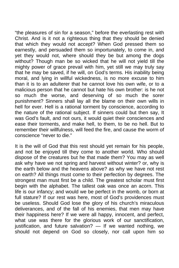"the pleasures of sin for a season," before the everlasting rest with Christ. And is it not a righteous thing that they should be denied that which they would not accept? When God pressed them so earnestly, and persuaded them so importunately, to come in, and yet they would not, where should they be but among the dogs without? Though man be so wicked that he will not yield till the mighty power of grace prevail with him, yet still we may truly say that he may be saved, if he will, on God's terms. His inability being moral, and lying in willful wickedness, is no more excuse to him than it is to an adulterer that he cannot love his own wife, or to a malicious person that he cannot but hate his own brother: is he not so much the worse, and deserving of so much the sorer punishment? Sinners shall lay all the blame on their own wills in hell for ever. Hell is a rational torment by conscience, according to the nature of the rational subject. If sinners could but then say, It was God's fault, and not ours, it would quiet their consciences and ease their torments, and make hell, to them, to be no hell. But to remember their willfulness, will feed the fire, and cause the worm of conscience "never to die."

It is the will of God that this rest should yet remain for his people, and not be enjoyed till they come to another world. Who should dispose of the creatures but he that made them? You may as well ask why have we not spring and harvest without winter? or, why is the earth below and the heavens above? as why we have not rest on earth? All things must come to their perfection by degrees. The strongest man must first be a child. The greatest scholar must first begin with the alphabet. The tallest oak was once an acorn. This life is our infancy; and would we be perfect in the womb, or born at full stature? If our rest was here, most of God's providences must be useless. Should God lose the glory of his church's miraculous deliverances, and of the fall of his enemies, that men may have their happiness here? If we were all happy, innocent, and perfect, what use was there for the glorious work of our sanctification, justification, and future salvation? — If we wanted nothing, we should not depend on God so closely, nor call upon him so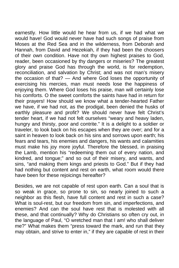earnestly. How little would he hear from us, if we had what we would have! God would never have had such songs of praise from Moses at the Red Sea and in the wilderness, from Deborah and Hannah, from David and Hezekiah, if they had been the choosers of their own condition. Have not thy own highest praises to God, reader, been occasioned by thy dangers or miseries? The greatest glory and praise God has through the world, is for redemption, reconciliation, and salvation by Christ; and was not man's misery the occasion of that? — And where God loses the opportunity of exercising his mercies, man must needs lose the happiness of enjoying them. Where God loses his praise, man will certainly lose his comforts. O the sweet comforts the saints have had in return for their prayers! How should we know what a tender-hearted Father we have, if we had not, as the prodigal, been denied the husks of earthly pleasure and profit? We should never have felt Christ's tender heart, if we had not felt ourselves "weary and heavy laden, hungry and thirsty, poor and contrite." It is a delight to a soldier or traveler, to look back on his escapes when they are over; and for a saint in heaven to look back on his sins and sorrows upon earth; his fears and tears, his enemies and dangers, his wants and calamities must make his joy more joyful. Therefore the blessed, in praising the Lamb, mention his "redeeming them out of every nation, and kindred, and tongue;" and so out of their misery, and wants, and sins, "and making them kings and priests to God." But if they had had nothing but content and rest on earth, what room would there have been for these rejoicings hereafter?

Besides, we are not capable of rest upon earth. Can a soul that is so weak in grace, so prone to sin, so nearly joined to such a neighbor as this flesh, have full content and rest in such a case? What is soul-rest, but our freedom from sin, and imperfections, and enemies? And can the soul have rest that is molested with all these, and that continually? Why do Christians so often cry out, in the language of Paul, "O wretched man that I am! who shall deliver me?" What makes them "press toward the mark, and run that they may obtain, and strive to enter in," if they are capable of rest in their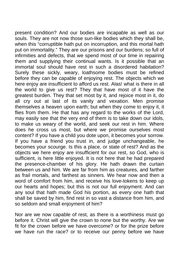present condition? And our bodies are incapable as well as our souls. They are not now those sun-like bodies which they shall be, when this "corruptible hath put on incorruption, and this mortal hath put on immortality." They are our prisons and our burdens; so full of infirmities and defects, that we spend most of our time in repairing them and supplying their continual wants. Is it possible that an immortal soul should have rest in such a disordered habitation? Surely these sickly, weary, loathsome bodies must be refined before they can be capable of enjoying rest. The objects which we here enjoy are insufficient to afford us rest. Alas! what is there in all the world to give us rest? They that have most of it have the greatest burden. They that set most by it, and rejoice most in it, do all cry out at last of its vanity and vexation. Men promise themselves a heaven upon earth; but when they come to enjoy it, it flies from them. He that has any regard to the works of the Lord, may easily see that the very end of them is to take down our idols, to make us weary of the world, and seek our rest in him. Where does he cross us most, but where we promise ourselves most content? If you have a child you dote upon, it becomes your sorrow. If you have a friend you trust in, and judge unchangeable, he becomes your scourge. Is this a place, or state of rest? And as the objects we here enjoy are insufficient for our rest, so God, who is sufficient, is here little enjoyed. It is not here that he had prepared the presence-chamber of his glory. He hath drawn the curtain between us and him. We are far from him as creatures, and farther as frail mortals, and farthest as sinners. We hear now and then a word of comfort from him, and receive his love-tokens to keep up our hearts and hopes; but this is not our full enjoyment. And can any soul that hath made God his portion, as every one hath that shall be saved by him, find rest in so vast a distance from him, and so seldom and small enjoyment of him?

Nor are we now capable of rest, as there is a worthiness must go before it. Christ will give the crown to none but the worthy. Are we fit for the crown before we have overcome? or for the prize before we have run the race? or to receive our penny before we have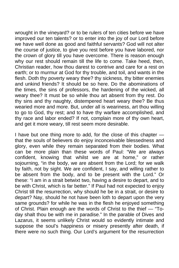wrought in the vineyard? or to be rulers of ten cities before we have improved our ten talents? or to enter into the joy of our Lord before we have well done as good and faithful servants? God will not alter the course of justice, to give you rest before you have labored, nor the crown of glory till you have overcome. There is reason enough why our rest should remain till the life to come. Take heed, then, Christian reader, how thou darest to contrive and care for a rest on earth; or to murmur at God for thy trouble, and toil, and wants in the flesh. Doth thy poverty weary thee? thy sickness, thy bitter enemies and unkind friends? It should be so here. Do the abominations of the times, the sins of professors, the hardening of the wicked, all weary thee? It must be so while thou art absent from thy rest. Do thy sins and thy naughty, distempered heart weary thee? Be thus wearied more and more. But, under all is weariness, art thou willing to go to God, thy rest; and to have thy warfare accomplished, and thy race and labor ended? If not, complain more of thy own heart, and get it more weary, till rest seem more desirable.

I have but one thing more to add, for the close of this chapter that the souls of believers do enjoy inconceivable blessedness and glory, even while they remain separated from their bodies. What can be more plain than these words of Paul: "We are always confident, knowing that whilst we are at home," or rather sojourning, "in the body, we are absent from the Lord; for we walk by faith, not by sight. We are confident, I say, and willing rather to be absent from the body, and to be present with the Lord." Or these: "I am in a strait betwixt two, having a desire to depart, and to be with Christ, which is far better." If Paul had not expected to enjoy Christ till the resurrection, why should he be in a strait, or desire to depart? Nay, should he not have been loth to depart upon the very same grounds? for while he was in the flesh he enjoyed something of Christ. Plain enough are the words of Christ to the thief — "Today shalt thou be with me in paradise." In the parable of Dives and Lazarus, it seems unlikely Christ would so evidently intimate and suppose the soul's happiness or misery presently after death, if there were no such thing. Our Lord's argument for the resurrection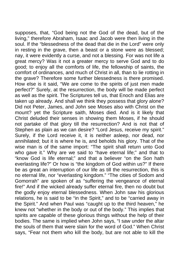supposes, that, "God being not the God of the dead, but of the living," therefore Abraham, Isaac and Jacob were then living in the soul. If the "blessedness of the dead that die in the Lord" were only in resting in the grave, then a beast or a stone were as blessed; nay, it were evidently a curse, and not a blessing. For was not life a great mercy? Was it not a greater mercy to serve God and to do good; to enjoy all the comforts of life, the fellowship of saints, the comfort of ordinances, and much of Christ in all, than to lie rotting in the grave? Therefore some further blessedness is there promised. How else is it said, "We are come to the spirits of just men made perfect?" Surely, at the resurrection, the body will be made perfect as well as the spirit. The Scriptures tell us, that Enoch and Elias are taken up already. And shall we think they possess that glory alone? Did not Peter, James, and John see Moses also with Christ on the mount? yet the Scripture saith, Moses died. And is it likely that Christ deluded their senses in showing them Moses, if he should not partake of that glory till the resurrection? And is not that of Stephen as plain as we can desire? "Lord Jesus, receive my spirit." Surely, if the Lord receive it, it is neither asleep, nor dead, nor annihilated; but it is where he is, and beholds his glory. That of the wise man is of the same import: "The spirit shall return unto God who gave it." Why are we said to "have eternal life;" and that to "know God is life eternal;" and that a believer "on the Son hath everlasting life?" Or how is "the kingdom of God within us?" If there be as great an interruption of our life as till the resurrection, this is no eternal life, nor "everlasting kingdom." "The cities of Sodom and Gomorrah" are spoken of as "suffering the vengeance of eternal fire!" And if the wicked already suffer eternal fire, then no doubt but the godly enjoy eternal blessedness. When John saw his glorious relations, he is said to be "in the Spirit," and to be "carried away in the Spirit." And when Paul was "caught up to the third heaven," he knew not "whether in the body or out of the body." This implies that spirits are capable of these glorious things without the help of their bodies. The same is implied when John says, "I saw under the altar the souls of them that were slain for the word of God." When Christ says, "Fear not them who kill the body, but are not able to kill the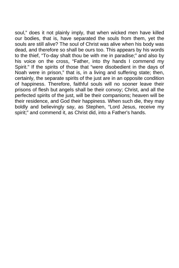soul," does it not plainly imply, that when wicked men have killed our bodies, that is, have separated the souls from them, yet the souls are still alive? The soul of Christ was alive when his body was dead, and therefore so shall be ours too. This appears by his words to the thief, "To-day shalt thou be with me in paradise;" and also by his voice on the cross, "Father, into thy hands I commend my Spirit." If the spirits of those that "were disobedient in the days of Noah were in prison," that is, in a living and suffering state; then, certainly, the separate spirits of the just are in an opposite condition of happiness. Therefore, faithful souls will no sooner leave their prisons of flesh but angels shall be their convoy; Christ, and all the perfected spirits of the just, will be their companions; heaven will be their residence, and God their happiness. When such die, they may boldly and believingly say, as Stephen, "Lord Jesus, receive my spirit;" and commend it, as Christ did, into a Father's hands.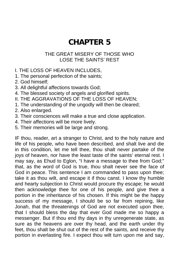# **CHAPTER 5**

#### THE GREAT MISERY OF THOSE WHO LOSE THE SAINTS' REST

- I. THE LOSS OF HEAVEN INCLUDES,
- 1. The personal perfection of the saints;
- 2. God himself;
- 3. All delightful affections towards God;
- 4. The blessed society of angels and glorified spirits.
- II. THE AGGRAVATIONS OF THE LOSS OF HEAVEN;
- 1. The understanding of the ungodly will then be cleared;
- 2. Also enlarged.
- 3. Their consciences will make a true and close application.
- 4. Their affections will be more lively.
- 5. Their memories will be large and strong.

IF thou, reader, art a stranger to Christ, and to the holy nature and life of his people, who have been described, and shalt live and die in this condition, let me tell thee, thou shalt never partake of the joys of heaven, nor have the least taste of the saints' eternal rest. I may say, as Ehud to Eglon, "I have a message to thee from God;" that, as the word of God is true, thou shalt never see the face of God in peace. This sentence I am commanded to pass upon thee; take it as thou wilt, and escape it if thou canst. I know thy humble and hearty subjection to Christ would procure thy escape; he would then acknowledge thee for one of his people, and give thee a portion in the inheritance of his chosen. If this might be the happy success of my message, I should be so far from repining, like Jonah, that the threatenings of God are not executed upon thee, that I should bless the day that ever God made me so happy a messenger. But if thou end thy days in thy unregenerate state, as sure as the heavens are over thy head, and the earth under thy feet, thou shalt be shut out of the rest of the saints, and receive thy portion in everlasting fire. I expect thou wilt turn upon me and say,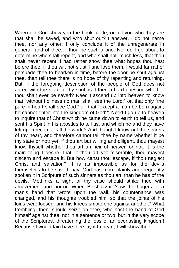When did God show you the book of life, or tell you who they are that shall be saved, and who shut out? I answer, I do not name thee, nor any other; I only conclude it of the unregenerate in general, and of thee, if thou be such a one. Nor do I go about to determine who shall repent, and who shall not; much less, that thou shalt never repent. I had rather show thee what hopes thou hast before thee, if thou wilt not sit still and lose them. I would far rather persuade thee to hearken in time, before the door be shut against thee, than tell thee there is no hope of thy repenting and returning. But, if the foregoing description of the people of God does not agree with the state of thy soul, is it then a hard question whether thou shalt ever be saved? Need I ascend up into heaven to know that "without holiness no man shall see the Lord;" or, that only "the pure in heart shall see God;" or, that "except a man be born again, he cannot enter into the kingdom of God?" Need I go up to heaven to inquire that of Christ which he came down to earth to tell us, and sent his Spirit in his apostles to tell us, and which he and they have left upon record to all the world? And though I know not the secrets of thy heart, and therefore cannot tell thee by name whether it be thy state or not; yet, if thou art but willing and diligent, thou mayest know thyself whether thou art an heir of heaven or not. It is the main thing I desire, that, if thou art yet miserable, thou mayest discern and escape it. But how canst thou escape, if thou neglect Christ and salvation? It is as impossible as for the devils themselves to be saved; nay, God has more plainly and frequently spoken it in Scripture of such sinners as thou art, than he has of the devils. Methinks a sight of thy case should strike thee with amazement and horror. When Belshazzar "saw the fingers of a man's hand that wrote upon the wall, his countenance was changed, and his thoughts troubled him, so that the joints of his loins were loosed, and his knees smote one against another." What trembling, then, should seize on thee, who hast the hand of God himself against thee, not in a sentence or two, but in the very scope of the Scriptures, threatening the loss of an everlasting kingdom! Because I would fain have thee lay it to heart, I will show thee,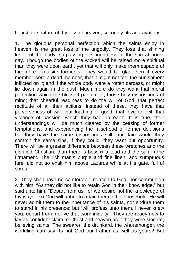I. first, the nature of thy loss of heaven; secondly, its aggravations.

1. The glorious personal perfection which the saints enjoy in heaven, is the great loss of the ungodly. They lose that shining luster of the body, surpassing the brightness of the sun at noonday. Though the bodies of the wicked will be raised more spiritual than they were upon earth, yet that will only make them capable of the more exquisite torments. They would be glad then if every member were a dead member, that it might not feel the punishment inflicted on it; and if the whole body were a rotten carcass, or might lie down again in the dust. Much more do they want that moral perfection which the blessed partake of; those holy dispositions of mind; that cheerful readiness to do the will of God; that perfect rectitude of all their actions: instead of these, they have that perverseness of will, that loathing of good, that love to evil, that violence of passion, which they had on earth. It is true, their understandings will be much cleared by the ceasing of former temptations, and experiencing the falsehood of former delusions but they have the same dispositions still, and fain would they commit the same sins, if they could: they want but opportunity. There will be a greater difference between these wretches and the glorified Christian, than there is betwixt a toad and the sun in the firmament. The rich man's purple and fine linen, and sumptuous fare, did not so exalt him above Lazarus while at his gate, full of sores.

2. They shall have no comfortable relation to God, nor communion with him. "As they did not like to retain God in their knowledge," but said unto him, "Depart from us, for we desire not the knowledge of thy ways:" so God will abhor to retain them in his household. He will never admit them to the inheritance of his saints, nor endure them to stand in his presence; but "will profess unto them, I never knew you; depart from me, ye that work iniquity." They are ready now to lay as confident claim to Christ and heaven as if they were sincere, believing saints. The swearer, the drunkard, the whoremonger, the worldling can say, Is not God our Father as well as yours? But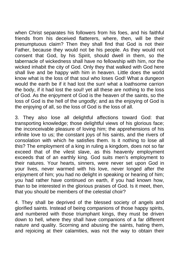when Christ separates his followers from his foes, and his faithful friends from his deceived flatterers, where, then, will be their presumptuous claim? Then they shall find that God is not their Father, because they would not be his people. As they would not consent that God, by his Spirit, should dwell in them, so the tabernacle of wickedness shall have no fellowship with him, nor the wicked inhabit the city of God. Only they that walked with God here shall live and be happy with him in heaven. Little does the world know what is the loss of that soul who loses God! What a dungeon would the earth be if it had lost the sun! what a loathsome carrion the body, if it had lost the soul! yet all these are nothing to the loss of God. As the enjoyment of God is the heaven of the saints, so the loss of God is the hell of the ungodly; and as the enjoying of God is the enjoying of all, so the loss of God is the loss of all.

3. They also lose all delightful affections toward God: that transporting knowledge; those delightful views of his glorious face; the inconceivable pleasure of loving him; the apprehensions of his infinite love to us; the constant joys of his saints, and the rivers of consolation with which he satisfies them. Is it nothing to lose all this? The employment of a king in ruling a kingdom, does not so far exceed that of the vilest slave, as this heavenly employment exceeds that of an earthly king. God suits men's employment to their natures. Your hearts, sinners, were never set upon God in your lives, never warmed with his love, never longed after the enjoyment of him; you had no delight in speaking or hearing of him; you had rather have continued on earth, if you had known how, than to be interested in the glorious praises of God. Is it meet, then, that you should be members of the celestial choir?

4. They shall be deprived of the blessed society of angels and glorified saints. Instead of being companions of those happy spirits, and numbered with those triumphant kings, they must be driven down to hell, where they shall have companions of a far different nature and quality. Scorning and abusing the saints, hating them, and rejoicing at their calamities, was not the way to obtain their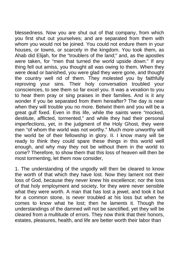blessedness. Now you are shut out of that company, from which you first shut out yourselves; and are separated from them with whom you would not be joined. You could not endure them in your houses, or towns, or scarcely in the kingdom. You took them, as Ahab did Elijah, for the "troublers of the land;" and, as the apostles were taken, for "men that turned the world upside down." If any thing fell out amiss, you thought all was owing to them. When they were dead or banished, you were glad they were gone, and thought the country well rid of them. They molested you by faithfully reproving your sins. Their holy conversation troubled your consciences, to see them so far excel you. It was a vexation to you to hear them pray or sing praises in their families. And is it any wonder if you be separated from them hereafter? The day is near when they will trouble you no more. Betwixt them and you will be a great gulf fixed. Even in this life, while the saints were "mocked, destitute, afflicted, tormented," and while they had their personal imperfections, yet, in the judgment of the Holy Ghost, they were men "of whom the world was not worthy." Much more unworthy will the world be of their fellowship in glory. II. I know many will be ready to think they could spare these things in this world well enough, and why may they not be without them in the world to come? Therefore, to show them that this loss of heaven will then be most tormenting, let them now consider,

1. The understanding of the ungodly will then be cleared to know the worth of that which they have lost. Now they lament not their loss of God, because they never knew his excellence; nor the loss of that holy employment and society, for they were never sensible what they were worth. A man that has lost a jewel, and took it but for a common stone, is never troubled at his loss but when he comes to know what he lost; then he laments it. Though the understandings of the damned will not be sanctified, yet they will be cleared from a multitude of errors. They now think that their honors, estates, pleasures, health, and life are better worth their labor than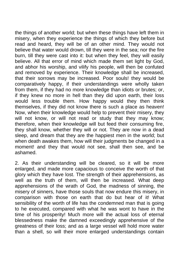the things of another world; but when these things have left them in misery, when they experience the things of which they before but read and heard, they will be of an other mind. They would not believe that water would drown, till they were in the sea; nor the fire burn, till they were cast into it: but when they feel, they will easily believe. All that error of mind which made them set light by God, and abhor his worship, and vilify his people, will then be confuted and removed by experience. Their knowledge shall be increased, that their sorrows may be increased. Poor souls! they would be comparatively happy, if their understandings were wholly taken from them, if they had no more knowledge than idiots or brutes; or, if they knew no more in hell than they did upon earth, their loss would less trouble them. How happy would they then think themselves, if they did not know there is such a place as heaven! Now, when their knowledge would help to prevent their misery, they will not know, or will not read or study that they may know; therefore, when their knowledge will but feed their consuming fire, they shall know, whether they will or not. They are now in a dead sleep, and dream that they are the happiest men in the world; but when death awakes them, how will their judgments be changed in a moment! and they that would not see, shall then see, and be ashamed.

2. As their understanding will be cleared, so it will be more enlarged, and made more capacious to conceive the worth of that glory which they have lost. The strength of their apprehensions, as well as the truth of them, will then be increased. What deep apprehensions of the wrath of God, the madness of sinning, the misery of sinners, have those souls that now endure this misery, in comparison with those on earth that do but hear of it! What sensibility of the worth of life has the condemned man that is going to he executed, compared with what he was wont to have in the time of his prosperity! Much more will the actual loss of eternal blessedness make the damned exceedingly apprehensive of the greatness of their loss; and as a large vessel will hold more water than a shell, so will their more enlarged understandings contain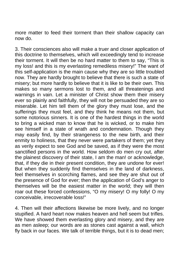more matter to feed their torment than their shallow capacity can now do.

3. Their consciences also will make a truer and closer application of this doctrine to themselves, which will exceedingly tend to increase their torment. It will then be no hard matter to them to say, "This is my loss! and this is my everlasting remediless misery!" The want of this self-application is the main cause why they are so little troubled now. They are hardly brought to believe that there is such a state of misery; but more hardly to believe that it is like to be their own. This makes so many sermons lost to them, and all threatenings and warnings in vain. Let a minister of Christ show them their misery ever so plainly and faithfully, they will not be persuaded they are so miserable. Let him tell them of the glory they must lose, and the sufferings they must feel, and they think he means not them, but some notorious sinners. It is one of the hardest things in the world to bring a wicked man to know that he is wicked, or to make him see himself in a state of wrath and condemnation. Though they may easily find, by their strangeness to the new birth, and their enmity to holiness, that they never were partakers of them; yet they as verily expect to see God and be saved, as if they were the most sanctified persons in the world. How seldom do men cry out, after the plainest discovery of their state, I am the man! or acknowledge, that, if they die in their present condition, they are undone for ever! But when they suddenly find themselves in the land of darkness, feel themselves in scorching flames, and see they are shut out of the presence of God for ever; then the application of God's anger to themselves will be the easiest matter in the world; they will then roar out these forced confessions, "O my misery! O my folly! O my conceivable, irrecoverable loss!"

4. Then will their affections likewise be more lively, and no longer stupified. A hard heart now makes heaven and hell seem but trifles. We have showed them everlasting glory and misery, and they are as men asleep; our words are as stones cast against a wall, which fly back in our faces. We talk of terrible things, but it is to dead men;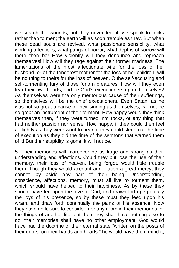we search the wounds, but they never feel it; we speak to rocks rather than to men; the earth will as soon tremble as they. But when these dead souls are revived, what passionate sensibility, what working affections, what pangs of horror, what depths of sorrow will there then be! How violently will they denounce and reproach themselves! How will they rage against their former madness! The lamentations of the most affectionate wife for the loss of her husband, or of the tenderest mother for the loss of her children, will be no thing to theirs for the loss of heaven. O the self-accusing and self-tormenting fury of those forlorn creatures! How will they even tear their own hearts, and be God's executioners upon themselves! As themselves were the only meritorious cause of their sufferings, so themselves will be the chief executioners. Even Satan, as he was not so great a cause of their sinning as themselves, will not be so great an instrument of their torment. How happy would they think themselves then, if they were turned into rocks, or any thing that had neither passion nor sense! How happy, if they could then feel as lightly as they were wont to hear! if they could sleep out the time of execution as they did the time of the sermons that warned them of it! But their stupidity is gone: it will not be.

5. Their memories will moreover be as large and strong as their understanding and affections. Could they but lose the use of their memory, their loss of heaven. being forgot, would little trouble them. Though they would account annihilation a great mercy, they cannot lay aside any part of their being. Understanding, conscience, affections, memory, must all live to torment them, which should have helped to their happiness. As by these they should have fed upon the love of God, and drawn forth perpetually the joys of his presence, so by these must they feed upon his wrath, and draw forth continually the pains of his absence. Now they have no leisure to consider, nor any room in their memories for the things of another life; but then they shall have nothing else to do; their memories shall have no other employment. God would have had the doctrine of their eternal state "written on the posts of their doors, on their hands and hearts:" he would have them mind it,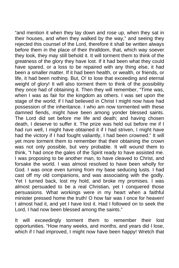"and mention it when they lay down and rose up, when they sat in their houses, and when they walked by the way," and seeing they rejected this counsel of the Lord, therefore it shall be written always before them in the place of their thralldom, that, which way soever they look, they may still behold it. It will torment them to think of the greatness of the glory they have lost. If it had been what they could have spared, or a loss to be repaired with any thing else, it had been a smaller matter. If it had been health, or wealth, or friends, or life, it had been nothing. But, O! to lose that exceeding and eternal weight of glory! It will also torment them to think of the possibility they once had of obtaining it. Then they will remember, "Time was, when I was as fair for the kingdom as others. I was set upon the stage of the world; if I had believed in Christ I might now have had possession of the inheritance. I who am now tormented with these damned fiends, might have been among yonder blessed saints. The Lord did set before me life and death; and having chosen death, I deserve to suffer it. The prize was held out before me if I had run well, I might have obtained it if I had striven, I might have had the victory if I had fought valiantly, I had been crowned." It will yet more torment them to remember that their obtaining the crown was not only possible, but very probable. It will wound them to think, "I had once the gales of the Spirit ready to have assisted me. I was proposing to be another man, to have cleaved to Christ, and forsake the world. I was almost resolved to have been wholly for God. I was once even turning from my base seducing lusts. I had cast off my old companions, and was associating with the godly. Yet I turned back, lost my hold, and broke my promises. I was almost persuaded to be a real Christian, yet I conquered those persuasions. What workings were in my heart when a faithful minister pressed home the truth! O how fair was I once for heaven! I almost had it, and yet I have lost it. Had I followed on to seek the Lord, I had now been blessed among the saints."

It will exceedingly torment them to remember their lost opportunities. "How many weeks, and months, and years did I lose, which if I had improved, I might now have been happy! Wretch that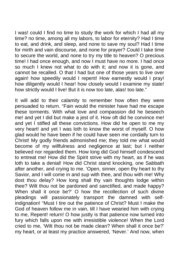I was! could I find no time to study the work for which I had all my time? no time, among all my labors, to labor for eternity? Had I time to eat, and drink, and sleep, and none to save my soul? Had I time for mirth and vain discourse, and none for prayer? Could I take time to secure the world, and none to try my title to heaven? O precious time! I had once enough, and now I must have no more. I had once so much I knew not what to do with it; and now it is gone, and cannot be recalled. O that I had but one of those years to live over again! how speedily would I repent! How earnestly would I pray! how diligently would I hear! how closely would I examine my state! how strictly would I live! But it is now too late, alas! too late."

It will add to their calamity to remember how often they were persuaded to return. "Fain would the minister have had me escape these torments. With what love and compassion did he beseech me! and yet I did but make a jest of it. How oft did he convince me! and yet I stifled all these convictions. How did he open to me my very heart! and yet I was loth to know the worst of myself. O how glad would he have been if he could have seen me cordially turn to Christ! My godly friends admonished me; they told me what would become of my willfulness and negligence at last; but I neither believed nor regarded them. How long did God himself condescend to entreat me! How did the Spirit strive with my heart, as if he was loth to take a denial! How did Christ stand knocking, one Sabbath after another, and crying to me. 'Open, sinner, open thy heart to thy Savior, and I will come in and sup with thee, and thou with me! Why dost thou delay? How long shall thy vain thoughts lodge within thee? Wilt thou not be pardoned and sanctified, and made happy? When shall it once be?' O how the recollection of such divine pleadings will passionately transport the damned with selfindignation! "Must I tire out the patience of Christ? Must I make the God of heaven follow me in vain, till I have wearied him with crying to me, Repent! return! O how justly is that patience now turned into fury which falls upon me with irresistible violence! When the Lord cried to me, 'Wilt thou not be made clean? When shall it once be?' my heart, or at least my practice answered, 'Never.' And now, when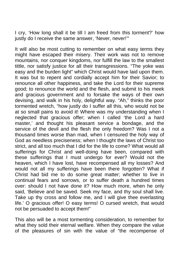I cry, 'How long shall it be till I am freed from this torment?' how justly do I receive the same answer, 'Never, never!""

It will also be most cutting to remember on what easy terms they might have escaped their misery. Their work was not to remove mountains, nor conquer kingdoms, nor fulfill the law to the smallest tittle, nor satisfy justice for all their transgressions. "The yoke was easy and the burden light" which Christ would have laid upon them. It was but to repent and cordially accept him for their Savior; to renounce all other happiness, and take the Lord for their supreme good; to renounce the world and the flesh, and submit to his meek and gracious government and to forsake the ways of their own devising, and walk in his holy, delightful way. "Ah," thinks the poor tormented wretch, "how justly do I suffer all this, who would not be at so small pains to avoid it! Where was my understanding when I neglected that gracious offer; when I called 'the Lord a hard master,' and thought his pleasant service a bondage, and the service of the devil and the flesh the only freedom? Was I not a thousand times worse than mad, when I censured the holy way of God as needless preciseness; when I thought the laws of Christ too strict, and all too much that I did for the life to come? What would all sufferings for Christ and well-doing have been, compared with these sufferings that I must undergo for ever? Would not the heaven, which I have lost, have recompensed all my losses? And would not all my sufferings have been there forgotten? What if Christ had bid me to do some great matter; whether to live in continual fears and sorrows, or to suffer death a hundred times over: should I not have done it? How much more, when he only said, 'Believe and be saved. Seek my face, and thy soul shall live. Take up thy cross and follow me, and I will give thee everlasting life.' O gracious offer! O easy terms! O cursed wretch, that would not be persuaded to accept them!"

This also will be a most tormenting consideration, to remember for what they sold their eternal welfare. When they compare the value of the pleasures of sin with the value of "the recompense of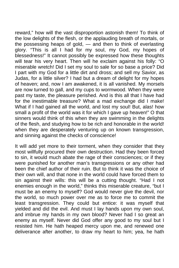reward," how will the vast disproportion astonish them! To think of the low delights of the flesh, or the applauding breath of mortals, or the possessing heaps of gold, — and then to think of everlasting glory. "This is all I had for my soul, my God, my hopes of blessedness!" It cannot possibly be expressed how these thoughts will tear his very heart. Then will he exclaim against his folly: "O miserable wretch! Did I set my soul to sale for so base a price? Did I part with my God for a little dirt and dross; and sell my Savior, as Judas, for a little silver? I had but a dream of delight for my hopes of heaven; and, now I am awakened, it is all vanished. My morsels are now turned to gall, and my cups to wormwood. When they were past my taste, the pleasure perished. And is this all that I have had for the inestimable treasure? What a mad exchange did I make! What if I had gained all the world, and lost my soul! But, alas! how small a profit of the world was it for which I gave up heaven!" O that sinners would think of this when they are swimming in the delights of the flesh, and studying how to be rich and honorable in the world! when they are desperately venturing up on known transgression, and sinning against the checks of conscience!

It will add yet more to their torment, when they consider that they most willfully procured their own destruction. Had they been forced to sin, it would much abate the rage of their consciences; or if they were punished for another man's transgressions or any other had been the chief author of their ruin. But to think it was the choice of their own will, and that none in the world could have forced them to sin against their wills: this will be a cutting thought. "Had I not enemies enough in the world," thinks this miserable creature, "but I must be an enemy to myself? God would never give the devil, nor the world, so much power over me as to force me to commit the least transgression. They could but entice: it was myself that yielded and did the evil. And must I lay hands upon my own soul, and imbrue my hands in my own blood? Never had I so great an enemy as myself. Never did God offer any good to my soul but I resisted him. He hath heaped mercy upon me, and renewed one deliverance after another, to draw my heart to him; yea, he hath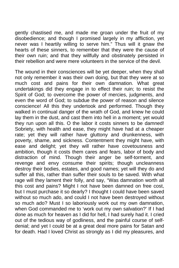gently chastised me, and made me groan under the fruit of my disobedience; and though I promised largely in my affliction, yet never was I heartily willing to serve him." Thus will it gnaw the hearts of these sinners, to remember that they were the cause of their own ruin; and that they willfully and obstinately persisted in their rebellion and were mere volunteers in the service of the devil.

The wound in their consciences will be yet deeper, when they shall not only remember it was their own doing, but that they were at so much cost and pains for their own damnation. What great undertakings did they engage in to effect their ruin; to resist the Spirit of God; to overcome the power of mercies, judgments, and even the word of God; to subdue the power of reason and silence conscience! All this they undertook and performed. Though they walked in continual danger of the wrath of God, and knew he could lay them in the dust, and cast them into hell in a moment; yet would they run upon all this. O the labor it costs sinners to be damned! Sobriety, with health and ease, they might have had at a cheaper rate; yet they will rather have gluttony and drunkenness, with poverty, shame, and sickness. Contentment they might have, with ease and delight; yet they will rather have covetousness and ambition, though it costs them cares and fears, labor of body and distraction of mind. Though their anger be self-torment, and revenge and envy consume their spirits; though uncleanness destroy their bodies, estates, and good names; yet will they do and suffer all this, rather than suffer their souls to be saved. With what rage will they lament their folly, and say, "Was damnation worth all this cost and pains? Might I not have been damned on free cost, but I must purchase it so dearly? I thought I could have been saved without so much ado, and could I not have been destroyed without so much ado? Must I so laboriously work out my own damnation, when God commanded me to 'work out my own salvation?' If I had done as much for heaven as I did for hell, I had surely had it. I cried out of the tedious way of godliness, and the painful course of selfdenial; and yet I could be at a great deal more pains for Satan and for death. Had I loved Christ as strongly as I did my pleasures, and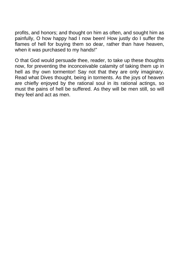profits, and honors; and thought on him as often, and sought him as painfully, O how happy had I now been! How justly do I suffer the flames of hell for buying them so dear, rather than have heaven, when it was purchased to my hands!"

O that God would persuade thee, reader, to take up these thoughts now, for preventing the inconceivable calamity of taking them up in hell as thy own tormentor! Say not that they are only imaginary. Read what Dives thought, being in torments. As the joys of heaven are chiefly enjoyed by the rational soul in its rational actings, so must the pains of hell be suffered. As they will be men still, so will they feel and act as men.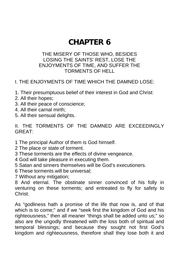## **CHAPTER 6**

### THE MISERY OF THOSE WHO, BESIDES LOSING THE SAINTS' REST, LOSE THE ENJOYMENTS OF TIME, AND SUFFER THE TORMENTS OF HELL

## I. THE ENJOYMENTS OF TIME WHICH THE DAMNED LOSE:

- 1. Their presumptuous belief of their interest in God and Christ:
- 2. All their hopes;
- 3. All their peace of conscience;
- 4. All their carnal mirth;
- 5. All their sensual delights.

II. THE TORMENTS OF THE DAMNED ARE EXCEEDINGLY GREAT:

- 1 The principal Author of them is God himself.
- 2 The place or state of torment.
- 3 These torments are the effects of divine vengeance.
- 4 God will take pleasure in executing them.
- 5 Satan and sinners themselves will be God's executioners.
- 6 These torments will be universal;
- 7 Without any mitigation;

8 And eternal. The obstinate sinner convinced of his folly in venturing on these torments; and entreated to fly for safety to Christ.

As "godliness hath a promise of the life that now is, and of that which is to come;" and if we "seek first the kingdom of God and his righteousness," then all meaner "things shall be added unto us;" so also are the ungodly threatened with the loss both of spiritual and temporal blessings; and because they sought not first God's kingdom and righteousness, therefore shall they lose both it and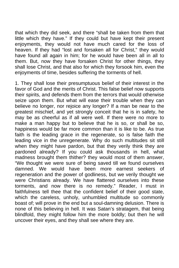that which they did seek, and there "shall be taken from them that little which they have." If they could but have kept their present enjoyments, they would not have much cared for the loss of heaven. If they had "lost and forsaken all for Christ," they would have found all again in him; for he would have been all in all to them. But, now they have forsaken Christ for other things, they shall lose Christ, and that also for which they forsook him, even the enjoyments of time, besides suffering the torments of hell.

1. They shall lose their presumptuous belief of their interest in the favor of God and the merits of Christ. This false belief now supports their spirits, and defends them from the terrors that would otherwise seize upon them. But what will ease their trouble when they can believe no longer, nor rejoice any longer? If a man be near to the greatest mischief, and yet strongly conceit that he is in safety, he may be as cheerful as if all were well. If there were no more to make a man happy but to believe that he is so, or shall be so, happiness would be far more common than it is like to be. As true faith is the leading grace in the regenerate, so is false faith the leading vice in the unregenerate. Why do such multitudes sit still when they might have pardon, but that they verily think they are pardoned already? If you could ask thousands in hell, what madness brought them thither? they would most of them answer, "We thought we were sure of being saved till we found ourselves damned. We would have been more earnest seekers of regeneration and the power of godliness, but we verily thought we were Christians already. We have flattered ourselves into these torments, and now there is no remedy." Reader, I must in faithfulness tell thee that the confident belief of their good state, which the careless, unholy, unhumbled multitude so commonly boast of; will prove in the end but a soul-damning delusion. There is none of this believing in hell. It was Satan's stratagem, that being blindfold, they might follow him the more boldly; but then he will uncover their eyes, and they shall see where they are.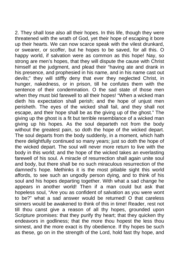2. They shall lose also all their hopes. In this life, though they were threatened with the wrath of God, yet their hope of escaping it bore up their hearts. We can now scarce speak with the vilest drunkard, or swearer, or scoffer, but he hopes to be saved, for all this. O happy world, if salvation were as common as this hope! Nay, so strong are men's hopes, that they will dispute the cause with Christ himself at the judgment, and plead their "having ate and drank in his presence, and prophesied in his name, and in his name cast out devils;" they will stiffly deny that ever they neglected Christ, in hunger, nakedness, or in prison, till he confutes them with the sentence of their condemnation. O the sad state of those men when they must bid farewell to all their hopes! "When a wicked man dieth his expectation shall perish; and the hope of unjust men perisheth. The eyes of the wicked shall fail, and they shall not escape, and their hope shall be as the giving up of the ghost." The giving up the ghost is a fit but terrible resemblance of a wicked man giving up his hopes. As the soul departeth not from the body without the greatest pain, so doth the hope of the wicked depart. The soul departs from the body suddenly, in a moment, which hath there delightfully continued so many years; just so doth the hope of the wicked depart. The soul will never more return to live with the body in this world; and the hope of the wicked takes an everlasting farewell of his soul. A miracle of resurrection shall again unite soul and body, but there shall be no such miraculous resurrection of the damned's hope. Methinks it is the most pitiable sight this world affords, to see such an ungodly person dying, and to think of his soul and his hopes departing together. With what a sad change he appears in another world! Then if a man could but ask that hopeless soul, "Are you as confident of salvation as you were wont to be?" what a sad answer would be returned! O that careless sinners would be awakened to think of this in time! Reader, rest not till thou canst give a reason of all thy hopes, grounded upon Scripture promises: that they purify thy heart; that they quicken thy endeavors in godliness; that the more thou hopest the less thou sinnest, and the more exact is thy obedience. If thy hopes be such as these, go on in the strength of the Lord, hold fast thy hope, and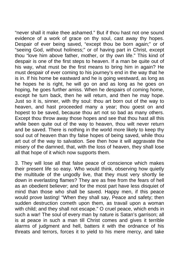"never shall it make thee ashamed." But if thou hast not one sound evidence of a work of grace on thy soul, cast away thy hopes. Despair of ever being saved, "except thou be born again;" or of "seeing God, without holiness;" or of having part in Christ, except thou "love him above father, mother, or thy own life." This kind of despair is one of the first steps to heaven. If a man be quite out of his way, what must be the first means to bring him in again? He must despair of ever coming to his journey's end in the way that he is in. If his home be eastward and he is going westward, as long as he hopes he is right, he will go on and as long as he goes on hoping, he goes further amiss. When he despairs of coming home, except he turn back, then he will return, and then he may hope. Just so it is, sinner, with thy soul: thou art born out of the way to heaven, and hast proceeded many a year; thou goest on and hopest to be saved, because thou art not so bad as many others. Except thou throw away those hopes and see that thou hast all this while been quite out of the way to heaven, thou wilt never return and be saved. There is nothing in the world more likely to keep thy soul out of heaven than thy false hopes of being saved, while thou art out of the way to salvation. See then how it will aggravate the misery of the damned, that, with the loss of heaven, they shall lose all that hope of it which now supports them.

3. They will lose all that false peace of conscience which makes their present life so easy. Who would think, observing how quietly the multitude of the ungodly live, that they must very shortly lie down in everlasting flames? They are as free from the fears of hell as an obedient believer; and for the most part have less disquiet of mind than those who shall be saved. Happy men, if this peace would prove lasting! "When they shall say, Peace and safety; then sudden destruction cometh upon them, as travail upon a woman with child; and they shall not escape." O cruel peace, which ends in such a war! The soul of every man by nature is Satan's garrison; all is at peace in such a man till Christ comes and gives it terrible alarms of judgment and hell, batters it with the ordnance of his threats and terrors, forces it to yield to his mere mercy, and take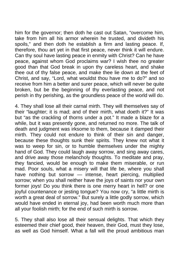him for the governor; then doth he cast out Satan, "overcome him, take from him all his armor wherein he trusted, and divideth his spoils," and then doth he establish a firm and lasting peace. If, therefore, thou art yet in that first peace, never think it will endure. Can thy soul have lasting peace in enmity with Christ? Can he have peace, against whom God proclaims war? I wish thee no greater good than that God break in upon thy careless heart, and shake thee out of thy false peace, and make thee lie down at the feet of Christ, and say, "Lord, what wouldst thou have me to do?" and so receive from him a better and surer peace, which will never be quite broken, but be the beginning of thy everlasting peace, and not perish in thy perishing, as the groundless peace of the world will do.

4. They shall lose all their carnal mirth. They will themselves say of their "laughter; it is mad; and of their mirth, what doeth it?" It was but "as the crackling of thorns under a pot." It made a blaze for a while, but it was presently gone, and returned no more. The talk of death and judgment was irksome to them, because it damped their mirth. They could not endure to think of their sin and danger, because these thoughts sunk their spirits. They knew not what it was to weep for sin, or to humble themselves under the mighty hand of God. They could laugh away sorrow, and sing away cares, and drive away those melancholy thoughts. To meditate and pray, they fancied, would be enough to make them miserable, or run mad. Poor souls, what a misery will that life be, where you shall have nothing but sorrow — intense, heart piercing, multiplied sorrow; when you shall neither have the joys of saints nor your own former joys! Do you think there is one merry heart in hell? or one joyful countenance or jesting tongue? You now cry, "a little mirth is worth a great deal of sorrow." But surely a little godly sorrow, which would have ended in eternal joy, had been worth much more than all your foolish mirth; for the end of such mirth is sorrow.

5. They shall also lose all their sensual delights. That which they esteemed their chief good, their heaven, their God, must they lose, as well as God himself. What a fall will the proud ambitious man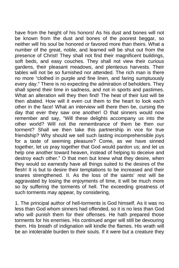have from the height of his honors! As his dust and bones will not be known from the dust and bones of the poorest beggar, so neither will his soul be honored or favored more than theirs. What a number of the great, noble, and learned will be shut out from the presence of Christ! They shall not find their magnificent buildings, soft beds, and easy couches. They shall not view their curious gardens, their pleasant meadows, and plenteous harvests. Their tables will not be so furnished nor attended. The rich man is there no more "clothed in purple and fine linen, and faring sumptuously every day." There is no expecting the admiration of beholders. They shall spend their time in sadness, and not in sports and pastimes. What an alteration will they then find! The heat of their lust will be then abated. How will it even cut them to the heart to look each other in the face! What an interview will there then be, cursing the day that ever they saw one another! O that sinners would now remember and say, "Will these delights accompany us into the other world? Will not the remembrance of them be then our torment? Shall we then take this partnership in vice for true friendship? Why should we sell such lasting incomprehensible joys for a taste of seeming pleasure? Come, as we have sinned together, let us pray together that God would pardon us; and let us help one another toward heaven, instead of helping to deceive and destroy each other." O that men but knew what they desire, when they would so earnestly have all things suited to the desires of the flesh! It is but to desire their temptations to be increased and their snares strengthened. II. As the loss of the saints' rest will be aggravated by losing the enjoyments of time, it will be much more so by suffering the torments of hell. The exceeding greatness of such torments may appear, by considering,

1. The principal author of hell-torments is God himself. As it was no less than God whom sinners had offended, so it is no less than God who will punish them for their offenses. He hath prepared those torments for his enemies. His continued anger will still be devouring them. His breath of indignation will kindle the flames. His wrath will be an intolerable burden to their souls. If it were but a creature they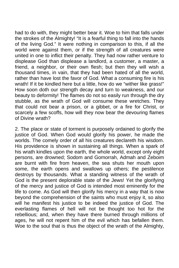had to do with, they might better bear it. Woe to him that falls under the strokes of the Almighty! "It is a fearful thing to fall into the hands of the living God." It were nothing in comparison to this, if all the world were against them, or if the strength of all creatures were united in one to inflict their penalty. They had now rather venture to displease God than displease a landlord, a customer, a master, a friend, a neighbor, or their own flesh; but then they will wish a thousand times, in vain, that they had been hated of all the world, rather than have lost the favor of God. What a consuming fire is his wrath! If it be kindled here but a little, how do we "wither like grass!" How soon doth our strength decay and turn to weakness, and our beauty to deformity! The flames do not so easily run through the dry stubble, as the wrath of God will consume these wretches. They that could not bear a prison, or a gibbet, or a fire for Christ, or scarcely a few scoffs, how will they now bear the devouring flames of Divine wrath?

2. The place or state of torment is purposely ordained to glorify the justice of God. When God would glorify his power, he made the worlds. The comely order of all his creatures declareth his wisdom. His providence is shown in sustaining all things. When a spark of his wrath kindles upon the earth, the whole world, except only eight persons, are drowned; Sodom and Gomorrah, Admah and Zeboim are burnt with fire from heaven, the sea shuts her mouth upon some, the earth opens and swallows up others; the pestilence destroys by thousands. What a standing witness of the wrath of God is the present deplorable state of the Jews! Yet the glorifying of the mercy and justice of God is intended most eminently for the life to come. As God will then glorify his mercy in a way that is now beyond the comprehension of the saints who must enjoy it, so also will he manifest his justice to be indeed the justice of God. The everlasting flames of hell will not be thought too hot for the rebellious; and, when they have there burned through millions of ages, he will not repent him of the evil which has befallen them. Woe to the soul that is thus the object of the wrath of the Almighty,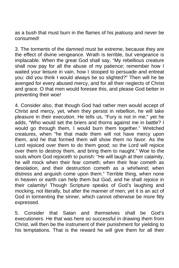as a bush that must burn in the flames of his jealousy and never be consumed!

3. The torments of the damned must be extreme, because they are the effect of divine vengeance. Wrath is terrible, but vengeance is implacable. When the great God shall say, "My rebellious creature shall now pay for all the abuse of my patience; remember how I waited your leisure in vain, how I stooped to persuade and entreat you: did you think I would always be so slighted?" Then will he be avenged for every abused mercy, and for all their neglects of Christ and grace. O that men would foresee this, and please God better in preventing their woe!

4. Consider also, that though God had rather men would accept of Christ and mercy, yet, when they persist in rebellion, he will take pleasure in their execution. He tells us, "Fury is not in me;" yet he adds, "Who would set the briers and thorns against me in battle? I would go through them, I would burn them together." Wretched creatures, when "he that made them will not have mercy upon them, and he that formed them will show them no favor. As the Lord rejoiced over them to do them good; so the Lord will rejoice over them to destroy them, and bring them to naught." Woe to the souls whom God rejoiceth to punish: "He will laugh at their calamity, he will mock when their fear cometh; when their fear cometh as desolation, and their destruction cometh as a whirlwind; when distress and anguish come upon them." Terrible thing, when none in heaven or earth can help them but God, and he shall rejoice in their calamity! Though Scripture speaks of God's laughing and mocking, not literally, but after the manner of men; yet it is an act of God in tormenting the sinner, which cannot otherwise be more fitly expressed.

5. Consider that Satan and themselves shall be God's executioners. He that was here so successful in drawing them from Christ, will then be the instrument of their punishment for yielding to his temptations. That is the reward he will give them for all their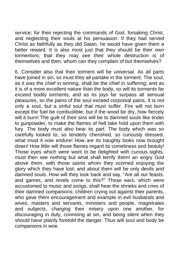service; for their rejecting the commands of God, forsaking Christ, and neglecting their souls at his persuasion. If they had served Christ as faithfully as they did Satan, he would have given them a better reward. It is also most just that they should be their own tormentors; that they may see their whole destruction is of themselves and then, whom can they complain of but themselves?

6. Consider also that their torment will be universal. As all parts have joined in sin, so must they all partake in the torment. The soul, as it was the chief in sinning, shall be the chief in suffering; and as it is of a more excellent nature than the body, so will its torments far exceed bodily torments; and as its joys far surpass all sensual pleasures, so the pains of the soul exceed corporeal pains. It is not only a soul, but a sinful soul that must suffer. Fire will not burn except the fuel be combustible; but if the wood be dry, how fiercely will it burn! The guilt of their sins will be to damned souls like tinder to gunpowder, to make the flames of hell take hold upon them with fury. The body must also bear its part. The body which was so carefully looked to, so tenderly cherished, so curiously dressed, what must it now endure! How are its haughty looks now brought down! How little will those flames regard its comeliness and beauty! Those eyes which were wont to be delighted with curious sights, must then see nothing but what shall terrify them! an angry God above them, with those saints whom they scorned enjoying the glory which they have lost; and about them will be only devils and damned souls. How will they look back and say, "Are all our feasts, and games, and revels come to this?" Those ears, which were accustomed to music and songs, shall hear the shrieks and cries of their damned companions; children crying out against their parents, who gave them encouragement and example in evil husbands and wives, masters and servants, ministers and people, magistrates and subjects, charging their misery upon one another, for discouraging in duty, conniving at sin, and being silent when they should have plainly foretold the danger. Thus will soul and body be companions in woe.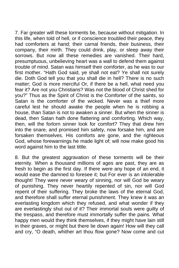7. Far greater will these torments be, because without mitigation. In this life, when told of hell, or if conscience troubled their peace, they had comforters at hand; their carnal friends, their business, their company, their mirth. They could drink, play, or sleep away their sorrows. But now all these remedies are vanished. Their hard, presumptuous, unbelieving heart was a wall to defend them against trouble of mind. Satan was himself their comforter, as he was to our first mother. "Hath God said, ye shall not eat? Ye shall not surely die. Doth God tell you that you shall die in hell? There is no such matter; God is more merciful Or, if there be a hell, what need you fear it? Are not you Christians? Was not the blood of Christ shed for you?" Thus as the Spirit of Christ is the Comforter of the saints, so Satan is the comforter of the wicked. Never was a thief more careful lest he should awake the people when he is robbing a house, than Satan is not to awaken a sinner. But when the sinner is dead, then Satan hath done flattering and comforting. Which way, then, will the forlorn sinner look for comfort? They that drew him into the snare, and promised him safety, now forsake him, and are forsaken themselves. His comforts are gone, and the righteous God, whose forewarnings he made light of; will now make good his word against him to the last tittle.

8. But the greatest aggravation of these torments will be their eternity. When a thousand millions of ages are past, they are as fresh to begin as the first day. If there were any hope of an end, it would ease the damned to foresee it; but For ever is an intolerable thought! They were never weary of sinning, nor will God be weary of punishing. They never heartily repented of sin, nor will God repent of their suffering. They broke the laws of the eternal God, and therefore shall suffer eternal punishment. They knew it was an everlasting kingdom which they refused, and what wonder if they are everlastingly shut out of it? Their immortal souls were guilty of the trespass, and therefore must immortally suffer the pains. What happy men would they think themselves, if they might have lain still in their graves, or might but there lie down again! How will they call and cry, "O death, whither art thou flow gone? Now come and cut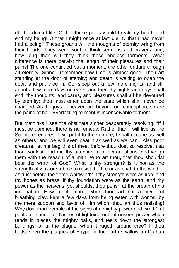off this doleful life. O that these pains would break my heart, and end my being! O that I might once at last die! O that I had never had a being!" These groans will the thoughts of eternity wring from their hearts. They were wont to think sermons and prayers long; how long then will they think these endless torments! What difference is there betwixt the length of their pleasures and their pains! The one continued but a moment, the other endure through all eternity. Sinner, remember how time is almost gone. Thou art standing at the door of eternity; and death is waiting to open the door, and put thee in, Go, sleep out a few more nights, and stir about a few more days on earth, and then thy nights and days shall end: thy thoughts, and cares, and pleasures shall all be devoured by eternity; thou must enter upon the state which shall never be changed. As the joys of heaven are beyond our conception, so are the pains of hell. Everlasting torment is inconceivable torment.

But methinks I see the obstinate sinner desperately resolving, "If I must be damned, there is no remedy. Rather than I will live as the Scripture requires, I will put it to the venture; I shall escape as well as others, and we will even bear it as well as we can." Alas poor creature, let me beg this of thee, before thou dost so resolve, that thou wouldst lend me thy attention to a few questions, and weigh them with the reason of a man. Who art thou, that thou shouldst bear the wrath of God? What is thy strength? Is it not as the strength of wax or stubble to resist the fire or as chaff to the wind or as dust before the fierce whirlwind? If thy strength were as iron, and thy bones as brass; if thy foundation were as the earth, and thy power as the heavens, yet shouldst thou perish at the breath of his indignation. How much more, when thou art but a piece of breathing clay, kept a few days from being eaten with worms, by the mere support and favor of Him whom thou art thus resisting! Why dost thou tremble at the signs of almighty power and wrath? at peals of thunder or flashes of lightning or that unseen power which rends in pieces the mighty oaks, and tears down the strongest buildings; or at the plague, when it rageth around thee? If thou hadst seen the plagues of Egypt, or the earth swallow up Dathan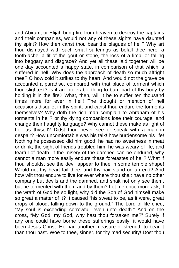and Abiram, or Elijah bring fire from heaven to destroy the captains and their companies, would not any of these sights have daunted thy spirit? How then canst thou bear the plagues of hell? Why art thou dismayed with such small sufferings as befall thee here: a tooth-ache, a fit of the gout or stone, the loss of a limb, or falling into beggary and disgrace? And yet all these laid together will be one day accounted a happy state, in comparison of that which is suffered in hell. Why does the approach of death so much affright thee? O how cold it strikes to thy heart! And would not the grave be accounted a paradise, compared with that place of torment which thou slightest? Is it an intolerable thing to burn part of thy body by holding it in the fire? What, then, will it be to suffer ten thousand times more for ever in hell! The thought or mention of hell occasions disquiet in thy spirit; and canst thou endure the torments themselves? Why doth the rich man complain to Abraham of his torments in hell? or thy dying companions lose their courage, and change their haughty language? Why cannot these make as light of hell as thyself? Didst thou never see or speak with a man in despair? How uncomfortable was his talk! how burdensome his life! Nothing he possessed did him good: he had no sweetness in meat or drink; the sight of friends troubled him; he was weary of life, and fearful of death. If the misery of the damned can be endured, why cannot a man more easily endure these foretastes of hell? What if thou shouldst see the devil appear to thee in some terrible shape! Would not thy heart fail thee, and thy hair stand on an end? And how wilt thou endure to live for ever where thou shalt have no other company but devils and the damned, and shalt not only see them, but be tormented with them and by them? Let me once more ask, if the wrath of God be so light, why did the Son of God himself make so great a matter of it? It caused "his sweat to be, as it were, great drops of blood, falling down to the ground." The Lord of life cried, "My soul is exceeding sorrowful, even unto death." And on the cross, "My God, my God, why hast thou forsaken me?" Surely if any one could have borne these sufferings easily, it would have been Jesus Christ. He had another measure of strength to bear it than thou hast. Woe to thee, sinner, for thy mad security! Dost thou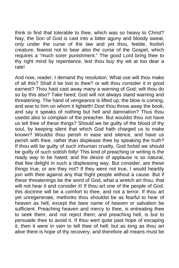think to find that tolerable to thee, which was so heavy to Christ? Nay, the Son of God is cast into a bitter agony and bloody sweat, only under the curse of the law and yet thou, feeble, foolish creature, fearest not to bear also the curse of the Gospel, which requires a "much sorer punishment." The good Lord bring thee to thy right mind by repentance, lest thou buy thy wit at too dear a rate!

And now, reader, I demand thy resolution. What use wilt thou make of all this? Shall it be lost to thee? or wilt thou consider it in good earnest? Thou hast cast away many a warning of God; wilt thou do so by this also? Take heed; God will not always stand warning and threatening. The hand of vengeance is lifted up, the blow is coming, and woe to him on whom it lighteth! Dost thou throw away the book, and say it speaks of nothing but hell and damnation? Thus thou usedst also to complain of the preacher. But wouldst thou not have us tell thee of these things? Should we be guilty of the blood of thy soul, by keeping silent that which God hath charged us to make known? Wouldst thou perish in ease and silence, and have us perish with thee, rather than displease thee by speaking the truth? If thou wilt be guilty of such inhuman cruelty, God forbid we should be guilty of such sottish folly! This kind of preaching or writing is the ready way to be hated; and the desire of applause is so natural, that few delight in such a displeasing way. But consider, are these things true, or are they not? If they were not true, I would heartily join with thee against any that fright people without a cause. But if these threatenings be the word of God, what a wretch art thou, that wilt not hear it and consider it! If thou art one of the people of God, this doctrine will be a comfort to thee, and not a terror. If thou art yet unregenerate, methinks thou shouldst be as fearful to hear of heaven as hell, except the bare name of heaven or salvation be sufficient. Preaching heaven and mercy to thee, is entreating thee to seek them, and not reject them; and preaching hell, is but to persuade thee to avoid it. If thou wert quite past hope of escaping it, then it were in vain to tell thee of hell; but as long as thou art alive there is hope of thy recovery, and therefore all means must be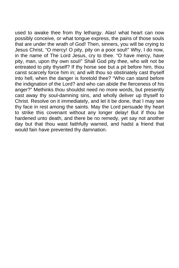used to awake thee from thy lethargy. Alas! what heart can now possibly conceive, or what tongue express, the pains of those souls that are under the wrath of God! Then, sinners, you will be crying to Jesus Christ, "O mercy! O pity, pity on a poor soul!" Why, I do now, in the name of The Lord Jesus, cry to thee. "O have mercy, have pity, man, upon thy own soul!" Shall God pity thee, who wilt not be entreated to pity thyself? If thy horse see but a pit before him, thou canst scarcely force him in; and wilt thou so obstinately cast thyself into hell, when the danger is foretold thee? "Who can stand before the indignation of the Lord? and who can abide the fierceness of his anger?" Methinks thou shouldst need no more words, but presently cast away thy soul-damning sins, and wholly deliver up thyself to Christ. Resolve on it immediately, and let it be done, that I may see thy face in rest among the saints. May the Lord persuade thy heart to strike this covenant without any longer delay! But if thou be hardened unto death, and there be no remedy, yet say not another day but that thou wast faithfully warned, and hadst a friend that would fain have prevented thy damnation.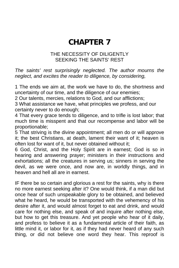# **CHAPTER 7**

### THE NECESSITY OF DILIGENTLY SEEKING THE SAINTS' REST

*The saints' rest surprisingly neglected. The author mourns the neglect, and excites the reader to diligence, by considering,* 

1 The ends we aim at, the work we have to do, the shortness and uncertainty of our time, and the diligence of our enemies;

2 Our talents, mercies, relations to God, and our afflictions;

3 What assistance we have, what principles we profess, and our certainty never to do enough;

4 That every grace tends to diligence, and to trifle is lost labor; that much time is misspent and that our recompense and labor will be proportionable;

5 That striving is the divine appointment; all men do or will approve it; the best Christians, at death, lament their want of it; heaven is often lost for want of it, but never obtained without it;

6 God, Christ, and the Holy Spirit are in earnest; God is so in hearing and answering prayer; ministers in their instructions and exhortations; all the creatures in serving us; sinners in serving the devil, as we were once, and now are, in worldly things, and in heaven and hell all are in earnest.

IF there be so certain and glorious a rest for the saints, why is there no more earnest seeking after it? One would think, if a man did but once hear of such unspeakable glory to be obtained, and believed what he heard, he would be transported with the vehemency of his desire after it, and would almost forget to eat and drink, and would care for nothing else, and speak of and inquire after nothing else, but how to get this treasure. And yet people who hear of it daily, and profess to believe it as a fundamental article of their faith, as little mind it, or labor for it, as if they had never heard of any such thing, or did not believe one word they hear. This reproof is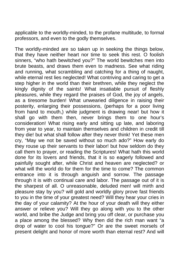applicable to the worldly-minded, to the profane multitude, to formal professors, and even to the godly themselves.

The worldly-minded are so taken up in seeking the things below, that they have neither heart nor time to seek this rest. O foolish sinners, "who hath bewitched you?" The world bewitches men into brute beasts, and draws them even to madness. See what riding and running, what scrambling and catching for a thing of naught, while eternal rest lies neglected! What contriving and caring to get a step higher in the world than their brethren, while they neglect the kingly dignity of the saints! What insatiable pursuit of fleshly pleasures, while they regard the praises of God, the joy of angels, as a tiresome burden! What unwearied diligence in raising their posterity, enlarging their possessions, (perhaps for a poor living from hand to mouth,) while judgment is drawing near! but how it shall go with them then, never brings them to one hour's consideration! What rising early and sitting up late, and laboring from year to year, to maintain themselves and children in credit till they die! but what shall follow after they never think! Yet these men cry, "May we not be saved without so much ado?" How early do they rouse up their servants to their labor! but how seldom do they call them to prayer, or reading the Scriptures! What hath this world done for its lovers and friends, that it is so eagerly followed and painfully sought after, while Christ and heaven are neglected? or what will the world do for them for the time to come? The common entrance into it is through anguish and sorrow. The passage through it is with continual care and labor. The passage out of it is the sharpest of all. O unreasonable, deluded men! will mirth and pleasure stay by you? will gold and worldly glory prove fast friends to you in the time of your greatest need? Will they hear your cries in the day of your calamity? At the hour of your death will they either answer or relieve you? Will they go along with you to the other world, and bribe the Judge and bring you off clear, or purchase you a place among the blessed? Why then did the rich man want "a drop of water to cool his tongue?" Or are the sweet morsels of present delight and honor of more worth than eternal rest? And will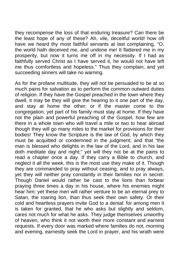they recompense the loss of that enduring treasure? Can there be the least hope of any of these? Ah, vile, deceitful world! how oft have we heard thy most faithful servants at last complaining, "O, the world hath deceived me, and undone me! It flattered me in my prosperity, but now it turns me off in my necessity. If I had as faithfully served Christ as I have served it, he would not have left me thus comfortless and hopeless." Thus they complain; and yet succeeding sinners will take no warning.

As for the profane multitude, they will not be persuaded to be at so much pains for salvation as to perform the common outward duties of religion. If they have the Gospel preached in the town where they dwell, it may be they will give the hearing to it one part of the day, and stay at home the other; or if the master come to the congregation, yet part of his family must stay at home. If they have not the plain and powerful preaching of the Gospel, how few are there in a whole town who will travel a mile or two to hear abroad though they will go many miles to the market for provisions for their bodies! They know the Scripture is the law of God, by which they must be acquitted or condemned in the judgment; and that "the man is blessed who delights in the law of the Lord, and in his law doth meditate day and night;" yet will they not be at the pains to read a chapter once a day. If they carry a Bible to church, and neglect it all the week, this is the most use they make of it. Though they are commanded to pray without ceasing, and to pray always, yet they will neither pray constantly in their families nor in secret. Though Daniel would rather be cast to the lions than forbear praying three times a day in his house, where his enemies might hear him; yet these men will rather venture to be an eternal prey to Satan, the roaring lion, than thus seek their own safety. Or their cold and heartless prayers invite God to a denial: for among men it is taken for granted, that he who asks but slightly and seldom, cares not much for what he asks. They judge themselves unworthy of heaven, who think it not worth their more constant and earnest requests. If every door was marked where families do not, morning and evening, earnestly seek the Lord in prayer, and his wrath were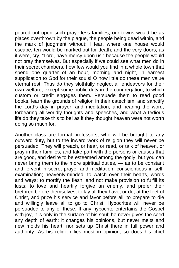poured out upon such prayerless families, our towns would be as places overthrown by the plague, the people being dead within, and the mark of judgment without: I fear, where one house would escape, ten would be marked out for death; and the very doors, as it were, cry, "Lord, have mercy upon us," because the people would not pray themselves. But especially if we could see what men do in their secret chambers, how few would you find in a whole town that spend one quarter of an hour, morning and night, in earnest supplication to God for their souls! O how little do these men value eternal rest! Thus do they slothfully neglect all endeavors for their own welfare, except some public duty in the congregation, to which custom or credit engages them. Persuade them to read good books, learn the grounds of religion in their catechism, and sanctify the Lord's day in prayer, and meditation, and hearing the word, forbearing all worldly thoughts and speeches, and what a tedious life do they take this to be! as if they thought heaven were not worth doing so much for.

Another class are formal professors, who will be brought to any outward duty, but to the inward work of religion they will never be persuaded. They will preach, or hear, or read, or talk of heaven, or pray in their families, and take part with the persons or causes that are good, and desire to be esteemed among the godly; but you can never bring them to the more spiritual duties, — as to be constant and fervent in secret prayer and meditation; conscientious in selfexamination; heavenly-minded; to watch over their hearts, words and ways; to mortify the flesh, and not make provision to fulfill its lusts; to love and heartily forgive an enemy, and prefer their brethren before themselves; to lay all they have, or do, at the feet of Christ, and prize his service and favor before all, to prepare to die and willingly leave all to go to Christ. Hypocrites will never be persuaded to any of these. If any hypocrite entertains the Gospel with joy, it is only in the surface of his soul; he never gives the seed any depth of earth: it changes his opinions, but never melts and new molds his heart, nor sets up Christ there in full power and authority. As his religion lies most in opinion, so does his chief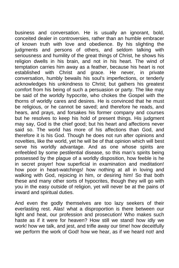business and conversation. He is usually an ignorant, bold, conceited dealer in controversies, rather than an humble embracer of known truth with love and obedience. By his slighting the judgments and persons of others, and seldom talking with seriousness and humility of the great things of Christ, he shows his religion dwells in his brain, and not in his heart. The wind of temptation carries him away as a feather, because his heart is not established with Christ and grace. He never, in private conversation, humbly bewails his soul's imperfections, or tenderly acknowledges his unkindness to Christ; but gathers his greatest comfort from his being of such a persuasion or party. The like may be said of the worldly hypocrite, who chokes the Gospel with the thorns of worldly cares and desires. He is convinced that he must be religious, or he cannot be saved; and therefore he reads, and hears, and prays, and forsakes his former company and courses but he resolves to keep his hold of present things. His judgment may say, God is the chief good; but his heart and affections never said so. The world has more of his affections than God, and therefore it is his God. Though he does not run after opinions and novelties, like the world, yet he will be of that opinion which will best serve his worldly advantage. And as one whose spirits are enfeebled by some pestilential disease, so this man's spirits being possessed by the plague of a worldly disposition, how feeble is he in secret prayer! how superficial in examination and meditation! how poor in heart-watchings! how nothing at all in loving and walking with God, rejoicing in him, or desiring him! So that both these and many other sorts of hypocrites, though they will go with you in the easy outside of religion, yet will never be at the pains of inward and spiritual duties.

And even the godly themselves are too lazy seekers of their everlasting rest. Alas! what a disproportion is there between our light and heat, our profession and prosecution! Who makes such haste as if it were for heaven? How still we stand! how idly we work! how we talk, and jest, and trifle away our time! how deceitfully we perform the work of God! how we hear, as if we heard not! and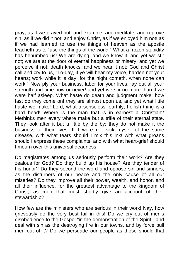pray, as if we prayed not! and examine, and meditate, and reprove sin, as if we did it not! and enjoy Christ, as if we enjoyed him not! as if we had learned to use the things of heaven as the apostle teacheth us to "use the things of the world!" What a frozen stupidity has benumbed us! We are dying, and we know it, and yet we stir not; we are at the door of eternal happiness or misery, and yet we perceive it not; death knocks, and we hear it not; God and Christ call and cry to us, "To-day, if ye will hear my voice, harden not your hearts; work while it is day, for the night cometh, when none can work." Now ply your business, labor for your lives, lay out all your strength and time now or never! and yet we stir no more than if we were half asleep. What haste do death and judgment make! how fast do they come on! they are almost upon us, and yet what little haste we make! Lord, what a senseless, earthly, hellish thing is a hard head! Where is the man that is in earnest a Christian? Methinks men every where make but a trifle of their eternal state. They look after it but a little by the by; they do not make it the business of their lives. If I were not sick myself of the same disease, with what tears should I mix this ink! with what groans should I express these complaints! and with what heart-grief should I mourn over this universal deadness!

Do magistrates among us seriously perform their work? Are they zealous for God? Do they build up his house? Are they tender of his honor? Do they second the word and oppose sin and sinners, as the disturbers of our peace and the only cause of all our miseries? Do they improve all their power, wealth, and honor, and all their influence, for the greatest advantage to the kingdom of Christ, as men that must shortly give an account of their stewardship?

How few are the ministers who are serious in their work! Nay, how grievously do the very best fail in this! Do we cry out of men's disobedience to the Gospel "in the demonstration of the Spirit," and deal with sin as the destroying fire in our towns, and by force pull men out of it? Do we persuade our people as those should that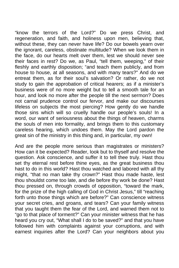"know the terrors of the Lord?" Do we press Christ, and regeneration, and faith, and holiness upon men, believing that, without these, they can never have life? Do our bowels yearn over the ignorant, careless, obstinate multitude? When we look them in the face, do our hearts melt over them, lest we should never see their faces in rest? Do we, as Paul, "tell them, weeping," of their fleshly and earthly disposition; "and teach them publicly, and from house to house, at all seasons, and with many tears?" And do we entreat them, as for their soul's salvation? Or rather, do we not study to gain the approbation of critical hearers; as if a minister's business were of no more weight but to tell a smooth tale for an hour, and look no more after the people till the next sermon? Does not carnal prudence control our fervor, and make our discourses lifeless on subjects the most piercing? How gently do we handle those sins which will so cruelly handle our people's souls! In a word, our want of seriousness about the things of heaven, charms the souls of men into formality, and brings them to this customary careless hearing, which undoes them. May the Lord pardon the great sin of the ministry in this thing and, in particular, my own!

And are the people more serious than magistrates or ministers? How can it be expected? Reader, look but to thyself and resolve the question. Ask conscience, and suffer it to tell thee truly. Hast thou set thy eternal rest before thine eyes, as the great business thou hast to do in this world? Hast thou watched and labored with all thy might, "that no man take thy crown?" Hast thou made haste, lest thou shouldst come too late, and die before thy work be done? Hast thou pressed on, through crowds of opposition, "toward the mark, for the prize of the high calling of God in Christ Jesus," till "reaching forth unto those things which are before?" Can conscience witness your secret cries, and groans, and tears? Can your family witness that you taught them the fear of the Lord, and warned them not to "go to that place of torment?" Can your minister witness that he has heard you cry out, "What shall I do to be saved?" and that you have followed him with complaints against your corruptions, and with earnest inquiries after the Lord? Can your neighbors about you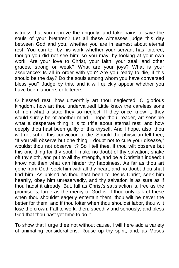witness that you reprove the ungodly, and take pains to save the souls of your brethren? Let all these witnesses judge this day between God and you, whether you are in earnest about eternal rest. You can tell by his work whether your servant has loitered, though you did not see him; so you may, by looking at your own work. Are your love to Christ, your faith, your zeal, and other graces, strong or weak? What are your joys? What is your assurance? Is all in order with you? Are you ready to die, if this should be the day? Do the souls among whom you have conversed bless you? Judge by this, and it will quickly appear whether you have been laborers or loiterers.

O blessed rest, how unworthily art thou neglected! O glorious kingdom, how art thou undervalued! Little know the careless sons of men what a state they so neglect. If they once knew it, they would surely be of another mind. I hope thou, reader, art sensible what a desperate thing it is to trifle about eternal rest, and how deeply thou hast been guilty of this thyself. And I hope, also, thou wilt not suffer this conviction to die. Should the physician tell thee, "If you will observe but one thing, I doubt not to cure your disease," wouldst thou not observe it? So I tell thee, if thou wilt observe but this one thing for thy soul, I make no doubt of thy salvation; shake off thy sloth, and put to all thy strength, and be a Christian indeed: I know not then what can hinder thy happiness. As far as thou art gone from God, seek him with all thy heart, and no doubt thou shalt find him. As unkind as thou hast been to Jesus Christ, seek him heartily, obey him unreservedly, and thy salvation is as sure as if thou hadst it already. But, full as Christ's satisfaction is, free as the promise is, large as the mercy of God is, if thou only talk of these when thou shouldst eagerly entertain them, thou wilt be never the better for them: and if thou loiter when thou shouldst labor, thou wilt lose the crown. Fall to work, then, speedily and seriously, and bless God that thou hast yet time to do it.

To show that I urge thee not without cause, I will here add a variety of animating considerations. Rouse up thy spirit, and, as Moses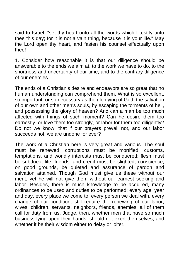said to Israel, "set thy heart unto all the words which I testify unto thee this day; for it is not a vain thing, because it is your life." May the Lord open thy heart, and fasten his counsel effectually upon thee!

1. Consider how reasonable it is that our diligence should be answerable to the ends we aim at, to the work we have to do, to the shortness and uncertainty of our time, and to the contrary diligence of our enemies.

The ends of a Christian's desire and endeavors are so great that no human understanding can comprehend them. What is so excellent, so important, or so necessary as the glorifying of God, the salvation of our own and other men's souls, by escaping the torments of hell, and possessing the glory of heaven? And can a man be too much affected with things of such moment? Can he desire them too earnestly, or love them too strongly, or labor for them too diligently? Do not we know, that if our prayers prevail not, and our labor succeeds not, we are undone for ever?

The work of a Christian here is very great and various. The soul must be renewed; corruptions must be mortified; customs, temptations, and worldly interests must be conquered; flesh must be subdued; life, friends, and credit must be slighted; conscience, on good grounds, be quieted and assurance of pardon and salvation attained. Though God must give us these without our merit, yet he will not give them without our earnest seeking and labor. Besides, there is much knowledge to be acquired, many ordinances to be used and duties to be performed; every age, year and day, every place we come to, every person we deal with, every change of our condition, still require the renewing of our labor; wives, children, servants, neighbors, friends, enemies, all of them call for duty from us. Judge, then, whether men that have so much business lying upon their hands, should not exert themselves; and whether it be their wisdom either to delay or loiter.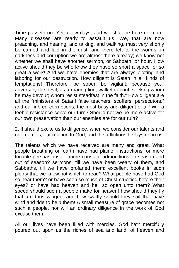Time passeth on. Yet a few days, and we shall be here no more. Many diseases are ready to assault us. We, that are now preaching, and hearing, and talking, and walking, must very shortly be carried and laid in the dust, and there left to the worms, in darkness and corruption we are almost there already; we know not whether we shall have another sermon, or Sabbath, or hour. How active should they be who know they have so short a space for so great a work! And we have enemies that are always plotting and laboring for our destruction. How diligent is Satan in all kinds of temptations! Therefore "be sober, be vigilant; because your adversary the devil, as a roaring lion, walketh about, seeking whom he may devour; whom resist steadfast in the faith." How diligent are all the "ministers of Satan! false teachers, scoffers, persecutors," and our inbred corruptions, the most busy and diligent of all! Will a feeble resistance serve our turn? Should not we be more active for our own preservation than our enemies are for our ruin?

2. It should excite us to diligence, when we consider our talents and our mercies, our relation to God, and the afflictions he lays upon us.

The talents which we have received are many and great. What people breathing on earth have had plainer instructions, or more forcible persuasions, or more constant admonitions, in season and out of season? sermons, till we have been weary of them, and Sabbaths, till we have profaned them; excellent books in such plenty that we knew not which to read? What people have had God so near them? or have seen so much of Christ crucified before their eyes? or have had heaven and hell so open unto them? What speed should such a people make for heaven! how should they fly that are thus winged! and how swiftly should they sail that have wind and tide to help them! A small measure of grace becomes not such a people, nor will an ordinary diligence in the work of God excuse them.

All our lives have been filled with mercies. God hath mercifully poured out upon us the riches of sea and land, of heaven and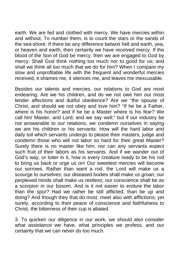earth. We are fed and clothed with mercy. We have mercies within and without. To number them, is to count the stars or the sands of the sea-shore. If there be any difference betwixt hell and earth, yea, or heaven and earth, then certainly we have received mercy. If the blood of the Son of God be mercy, then we are engaged to God by mercy. Shall God think nothing too much nor to good for us; and shall we think all too much that we do for him? When I compare my slow and unprofitable life with the frequent and wonderful mercies received, it shames me, it silences me, and leaves me inexcusable.

Besides our talents and mercies, our relations to God are most endearing. Are we his children, and do we not owe him our most tender affections and dutiful obedience? Are we "the spouse of Christ, and should we not obey and love him? "If he be a Father, where is his honor? and if he be a Master where is his fear? We call him Master, and Lord, and we say well;" but if our industry be not answerable to our relations, we condemn ourselves in saying we are his children or his servants. How will the hard labor and daily toil which servants undergo to please their masters, judge and condemn those who will not labor so hard for their great Master? Surely there is no master like him; nor can any servants expect such fruit of their labors as his servants. And if we wander out of God's way, or loiter in it, how is every creature ready to be his rod to bring us back or urge us on! Our sweetest mercies will become our sorrows. Rather than want a rod, the Lord will make us a scourge to ourselves; our diseased bodies shall make us groan; our perplexed minds shall make us restless; our conscience shall be as a scorpion in our bosom. And is it not easier to endure the labor than the spur? Had we rather be still afflicted, than be up and doing? And though they that do most, meet also with afflictions; yet surely, according to their peace of conscience and faithfulness to Christ, the bitterness of their cup is abated.

3. To quicken our diligence in our work, we should also consider what assistance we have, what principles we profess, and our certainty that we can never do too much.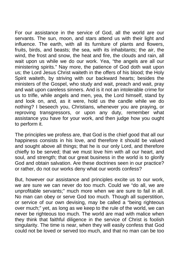For our assistance in the service of God, all the world are our servants. The sun, moon, and stars attend us with their light and influence. The earth, with all its furniture of plants and flowers, fruits, birds, and beasts; the sea, with its inhabitants; the air, the wind, the frost and snow, the heat and fire, the clouds and rain, all wait upon us while we do our work. Yea, "the angels are all our ministering spirits." Nay more, the patience of God doth wait upon us; the Lord Jesus Christ waiteth in the offers of his blood; the Holy Spirit waiteth, by striving with our backward hearts; besides the ministers of the Gospel, who study and wait, preach and wait, pray and wait upon careless sinners. And is it not an intolerable crime for us to trifle, while angels and men, yea, the Lord himself, stand by and look on, and, as it were, hold us the candle while we do nothing? I beseech you, Christians, whenever you are praying, or reproving transgressors, or upon any duty, remember what assistance you have for your work, and then judge how you ought to perform it.

The principles we profess are, that God is the chief good that all our happiness consists in his love, and therefore it should be valued and sought above all things; that he is our only Lord, and therefore chiefly to be served; that we must love him with all our heart, and soul, and strength; that our great business in the world is to glorify God and obtain salvation. Are these doctrines seen in our practice? or rather, do not our works deny what our words confess?

But, however our assistance and principles excite us to our work, we are sure we can never do too much. Could we "do all, we are unprofitable servants;" much more when we are sure to fail in all. No man can obey or serve God too much. Though all superstition, or service of our own devising, may be called a "being righteous over much;" yet, as long as we keep to the rule of the world, we can never be righteous too much. The world are mad with malice when they think that faithful diligence in the service of Christ is foolish singularity. The time is near, when they will easily confess that God could not be loved or served too much, and that no man can be too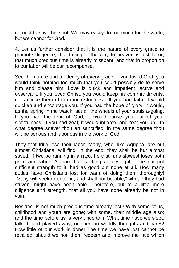earnest to save his soul. We may easily do too much for the world, but we cannot for God.

4. Let us further consider that it is the nature of every grace to promote diligence, that trifling in the way to heaven is lost labor, that much precious time is already misspent, and that in proportion to our labor will be our recompense.

See the nature and tendency of every grace. If you loved God, you would think nothing too much that you could possibly do to serve him and please him. Love is quick and impatient, active and observant. If you loved Christ, you would keep his commandments, nor accuse them of too much strictness. If you had faith, it would quicken and encourage you. If you had the hope of glory, it would, as the spring in the watch, set all the wheels of your souls a-going. If you had the fear of God, it would rouse you out of your slothfulness. If you had zeal, it would inflame, and "eat you up." In what degree soever thou art sanctified, in the same degree thou wilt be serious and laborious in the work of God.

They that trifle lose their labor. Many, who, like Agrippa, are but almost Christians, will find, in the end, they shall be but almost saved. If two be running in a race, he that runs slowest loses both prize and labor. A man that is lifting at a weight, if he put not sufficient strength to it, had as good put none at all. How many duties have Christians lost for want of doing them thoroughly! "Many will seek to enter in, and shall not be able," who, if they had striven, might have been able. Therefore, put to a little more diligence and strength, that all you have done already be not in vain.

Besides, is not much precious time already lost? With some of us, childhood and youth are gone; with some, their middle age also; and the time before us is very uncertain. What time have we slept, talked, and played away, or spent in worldly thoughts and cares! How little of our work is done! The time we have lost cannot be recalled; should we not, then, redeem and improve the little which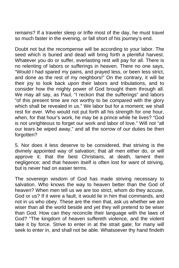remains? If a traveler sleep or trifle most of the day, he must travel so much faster in the evening, or fall short of his journey's end.

Doubt not but the recompense will be according to your labor. The seed which is buried and dead will bring forth a plentiful harvest. Whatever you do or suffer, everlasting rest will pay for all. There is no relenting of labors or sufferings in heaven. There no one says, "Would I had spared my pains, and prayed less, or been less strict, and done as the rest of my neighbors!" On the contrary, it will be their joy to look back upon their labors and tribulations, and to consider how the mighty power of God brought them through all. We may all say, as Paul, "I reckon that the sufferings" and labors "of this present time are not worthy to be compared with the glory which shall be revealed in us." We labor but for a moment; we shall rest for ever. Who would not put forth all his strength for one hour, when, for that hour's work, he may be a prince while he lives? "God is not unrighteous to forget our work and labor of love." Will not "all our tears be wiped away," and all the sorrow of our duties be then forgotten?

5. Nor does it less deserve to be considered, that striving is the divinely appointed way of salvation; that all men either do, or will approve it; that the best Christians, at death, lament their negligence; and that heaven itself is often lost for want of striving, but is never had on easier terms.

The sovereign wisdom of God has made striving necessary to salvation. Who knows the way to heaven better than the God of heaven? When men tell us we are too strict, whom do they accuse, God or us? If it were a fault, it would lie in him that commands, and not in us who obey. These are the men that, ask us whether we are wiser than all the world beside and yet they will pretend to be wiser than God. How can they reconcile their language with the laws of God? "The kingdom of heaven suffereth violence, and the violent take it by force. Strive to enter in at the strait gate; for many will seek to enter in, and shall not be able. Whatsoever thy hand findeth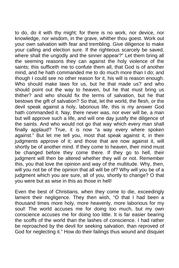to do, do it with thy might; for there is no work, nor device, nor knowledge, nor wisdom, in the grave, whither thou goest. Work out your own salvation with fear and trembling. Give diligence to make your calling and election sure. If the righteous scarcely be saved, where shall the ungodly and the sinner appear?" Let them bring all the seeming reasons they can against the holy violence of the saints; this sufficeth me to confute them all, that God is of another mind, and he hath commanded me to do much more than I do; and though I could see no other reason for it, his will is reason enough. Who should make laws for us, but he that made us? and who should point out the way to heaven, but he that must bring us thither? and who should fix the terms of salvation, but he that bestows the gift of salvation? So that, let the world, the flesh, or the devil speak against a holy, laborious life, this is my answer God hath commanded it. Nay, there never was, nor ever will be, a man but will approve such a life, and will one day justify the diligence of the saints. And who would not go that way which every man shall finally applaud? True, it is now "a way every where spoken against." But let me tell you, most that speak against it, in their judgments approve of it; and those that are now against it, will shortly be of another mind. If they come to heaven, their mind must be changed before they come there. If they go to hell, their judgment will then be altered whether they will or not. Remember this, you that love the opinion and way of the multitude. Why, then, will you not be of the opinion that all will be of? Why will you be of a judgment which you are sure, all of you, shortly to change? O that you were but as wise in this as those in hell!

Even the best of Christians, when they come to die, exceedingly lament their negligence. They then wish, "O that I had been a thousand times more holy, more heavenly, more laborious for my soul! The world accuses me for doing too much, but my own conscience accuses me for doing too little. It is far easier bearing the scoffs of the world than the lashes of conscience. I had rather be reproached by the devil for seeking salvation, than reproved of God for neglecting it." How do their failings thus wound and disquiet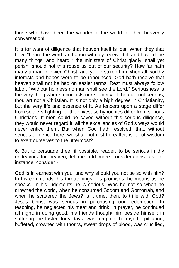those who have been the wonder of the world for their heavenly conversation!

It is for want of diligence that heaven itself is lost. When they that have "heard the word, and anon with joy received it, and have done many things, and heard " the ministers of Christ gladly, shall yet perish, should not this rouse us out of our security? How far hath many a man followed Christ, and yet forsaken him when all worldly interests and hopes were to be renounced! God hath resolve that heaven shall not be had on easier terms. Rest must always follow labor. "Without holiness no man shall see the Lord." Seriousness is the very thing wherein consists our sincerity. If thou art not serious, thou art not a Christian. It is not only a high degree in Christianity, but the very life and essence of it. As fencers upon a stage differ from soldiers fighting for their lives, so hypocrites differ from serious Christians. If men could be saved without this serious diligence, they would never regard it; all the excellencies of God's ways would never entice them. But when God hath resolved, that, without serious diligence here, we shall not rest hereafter, is it not wisdom to exert ourselves to the uttermost?

6. But to persuade thee, if possible, reader, to be serious in thy endeavors for heaven, let me add more considerations: as, for instance, consider -

God is in earnest with you; and why should you not be so with him? In his commands, his threatenings, his promises, he means as he speaks. In his judgments he is serious. Was he not so when he drowned the world, when he consumed Sodom and Gomorrah, and when he scattered the Jews? Is it time, then, to trifle with God? Jesus Christ was serious in purchasing our redemption. In teaching, he neglected his meat and drink: in prayer, he continued all night: in doing good, his friends thought him beside himself: in suffering, he fasted forty days, was tempted, betrayed, spit upon, buffeted, crowned with thorns, sweat drops of blood, was crucified,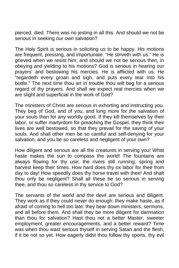pierced, died. There was no jesting in all this. And should we not be serious in seeking our own salvation?

The Holy Spirit is serious in soliciting us to be happy. His motions are frequent, pressing, and importunate. "He striveth with us." He is grieved when we resist him; and should we not be serious then, in obeying and yielding to his motions? God is serious in hearing our prayers' and bestowing his mercies. He is afflicted with us. He "regardeth every groan and sigh, and puts every tear into his bottle." The next time thou art in trouble thou wilt beg for a serious regard of thy prayers. And shall we expect real mercies when we are slight and superficial in the work of God?

The ministers of Christ are serious in exhorting and instructing you. They beg of God, and of you; and long more for the salvation of your souls than for any worldly good. If they kill themselves by their labor, or suffer martyrdom for preaching the Gospel, they think their lives are well bestowed, so that they prevail for the saving of your souls. And shall other men be so careful and self-denying for your salvation, and you be so careless and negligent of your own?

How diligent and serious are all the creatures in serving you! What haste makes the sun to compass the world! The fountains are always flowing for thy use; the rivers still running; spring and harvest keep their times. How hard does thy ox labor for thee from day to day! How speedily does thy horse travel with thee! And shalt thou only be negligent? Shall all these be so serious in serving thee, and thou so careless in thy service to God?

The servants of the world and the devil are serious and diligent. They work as if they could never do enough: they make haste, as if afraid of coming to hell too late: they bear down ministers, sermons, and all before them. And shall they be more diligent for damnation than thou for salvation? Hast thou not a better Master, sweeter employment, greater encouragements, and a better reward? Time was when thou wast serious thyself in serving Satan and the flesh, if it be not so yet. How eagerly didst thou follow thy sports, thy evil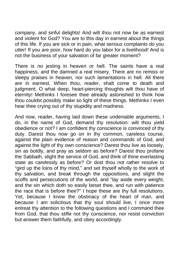company, and sinful delights! And wilt thou not now be as earnest and violent for God? You are to this day in earnest about the things of this life. If you are sick or in pain, what serious complaints do you utter! If you are poor, how hard do you labor for a livelihood! And is not the business of your salvation of far greater moment?

There is no jesting in heaven or hell. The saints have a real happiness, and the damned a real misery. There are no remiss or sleepy praises in heaven, nor such lamentations in hell. All there are in earnest. When thou, reader, shalt come to death and judgment, O what deep, heart-piercing thoughts wilt thou have of eternity! Methinks I foresee thee already astonished to think how thou couldst possibly make so light of these things. Methinks I even hear thee crying out of thy stupidity and madness.

And now, reader, having laid down these undeniable arguments, I do, in the name of God, demand thy resolution: wilt thou yield obedience or not? I am confident thy conscience is convinced of thy duty. Darest thou now go on in thy common, careless course, against the plain evidence of reason and commands of God, and against the light of thy own conscience? Darest thou live as loosely, sin as boldly, and pray as seldom as before? Darest thou profane the Sabbath, slight the service of God, and think of thine everlasting state as carelessly as before? Or dost thou not rather resolve to "gird up the loins of thy mind," and set thyself wholly to the work of thy salvation, and break through the oppositions, and slight the scoffs and persecutions of the world, and "lay aside every weight, and the sin which doth so easily beset thee, and run with patience the race that is before thee?" I hope these are thy full resolutions. Yet, because I know the obstinacy of the heart of man, and because I am solicitous that thy soul should live, I once more entreat thy attention to the following questions and I command thee from God, that thou stifle not thy conscience, nor resist conviction but answer them faithfully, and obey accordingly.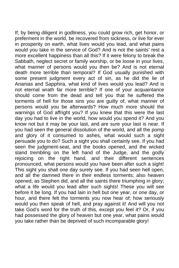If; by being diligent in godliness, you could grow rich, get honor, or preferment in the world, be recovered from sickness, or live for ever in prosperity on earth, what lives would you lead, and what pains would you take in the service of God? And is not the saints' rest a more excellent happiness than all this? If it were felony to break the Sabbath, neglect secret or family worship, or be loose in your lives, what manner of persons would you then be? And is not eternal death more terrible than temporal? If God usually punished with some present judgment every act of sin, as he did the lie of Ananias and Sapphira, what kind of lives would you lead? And is not eternal wrath far more terrible? If one of your acquaintance should come from the dead and tell you that he suffered the torments of hell for those sins you are guilty of, what manner of persons would you be afterwards? How much more should the warnings of God affright you? If you knew that this were the last day you had to live in the world, how would you spend it? And you know not but it may be your last, and are sure your last is near. If you had seen the general dissolution of the world, and all the pomp and glory of it consumed to ashes, what would such a sight persuade you to do? Such a sight you shall certainly see. If you had seen the judgment-seat, and the books opened, and the wicked stand trembling on the left hand of the Judge, and the godly rejoicing on the right hand, and their different sentences pronounced, what persons would you have been after such a sight! This sight you shall one day surely see. If you had seen hell open, and all the damned there in their endless torments; also heaven opened, as Stephen did, and all the saints there triumphing in glory; what a life would you lead after such sights! These you will see before it be long. If you had lain in hell but one year, or one day, or hour, and there felt the torments you now hear of; how seriously would you then speak of hell, and pray against it! And will you not take God's word for the truth of this, except you feel it? Or, if you had possessed the glory of heaven but one year, what pains would you take rather than be deprived of such incomparable glory!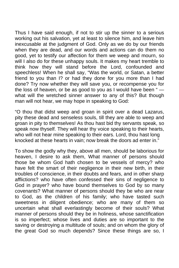Thus I have said enough, if not to stir up the sinner to a serious working out his salvation, yet at least to silence him, and leave him inexcusable at the judgment of God. Only as we do by our friends when they are dead, and our words and actions can do them no good, yet to testify our affection for them we weep and mourn, so will I also do for these unhappy souls. It makes my heart tremble to think how they will stand before the Lord, confounded and speechless! When he shall say, "Was the world, or Satan, a better friend to you than I? or had they done for you more than I had done? Try now whether they will save you, or recompense you for the loss of heaven, or be as good to you as I would have been " what will the wretched sinner answer to any of this? But though man will not hear, we may hope in speaking to God:

"O thou that didst weep and groan in spirit over a dead Lazarus, pity these dead and senseless souls, till they are able to weep and groan in pity to themselves! As thou hast bid thy servants speak, so speak now thyself. They will hear thy voice speaking to their hearts, who will not hear mine speaking to their ears. Lord, thou hast long knocked at these hearts in vain; now break the doors ad enter in."

To show the godly why they, above all men, should be laborious for heaven, I desire to ask them, What manner of persons should those be whom God hath chosen to be vessels of mercy? who have felt the smart of their negligence in their new birth, in their troubles of conscience, in their doubts and fears, and in other sharp afflictions? who have often confessed their sins of negligence to God in prayer? who have bound themselves to God by so many covenants? What manner of persons should they be who are near to God, as the children of his family; who have tasted such sweetness in diligent obedience; who are many of them so uncertain what shall everlastingly become of their souls? What manner of persons should they be in holiness, whose sanctification is so imperfect; whose lives and duties are so important to the saving or destroying a multitude of souls; and on whom the glory of the great God so much depends? Since these things are so, I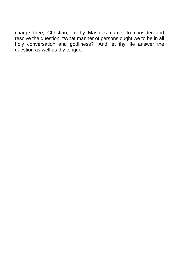charge thee, Christian, in thy Master's name, to consider and resolve the question, "What manner of persons ought we to be in all holy conversation and godliness?" And let thy life answer the question as well as thy tongue.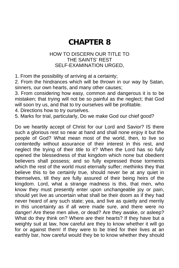## **CHAPTER 8**

## HOW TO DISCERN OUR TITLE TO THE SAINTS' REST SELF-EXAMINATION URGED,

1. From the possibility of arriving at a certainty;

2. From the hindrances which will be thrown in our way by Satan, sinners, our own hearts, and many other causes;

3. From considering how easy, common and dangerous it is to be mistaken; that trying will not be so painful as the neglect; that God will soon try us, and that to try ourselves will be profitable.

4. Directions how to try ourselves.

5. Marks for trial, particularly, Do we make God our chief good?

Do we heartily accept of Christ for our Lord and Savior? IS there such a glorious rest so near at hand and shall none enjoy it but the people of God? What mean most of the world, then, to live so contentedly without assurance of their interest in this rest, and neglect the trying of their title to it? When the Lord has so fully opened the blessedness of that kingdom which none but obedient believers shall possess; and so fully expressed those torments which the rest of the world must eternally suffer; methinks they that believe this to be certainly true, should never be at any quiet in themselves, till they are fully assured of their being heirs of the kingdom. Lord, what a strange madness is this, that men, who know they must presently enter upon unchangeable joy or pain, should yet live as uncertain what shall be their doom as if they had never heard of any such state; yea, and live as quietly and merrily in this uncertainty as if all were made sure, and there were no danger! Are these men alive, or dead? Are they awake, or asleep? What do they think on? Where are their hearts? If they have but a weighty suit at law, how careful are they to know whether it will go for or against them! If they were to be tried for their lives at an earthly bar, how careful would they be to know whether they should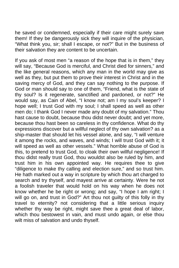he saved or condemned, especially if their care might surely save them! If they be dangerously sick they will inquire of the physician, "What think you, sir; shall I escape, or not?" But in the business of their salvation they are content to be uncertain.

If you ask of most men "a reason of the hope that is in them," they will say, "Because God is merciful, and Christ died for sinners," and the like general reasons, which any man in the world may give as well as they, but put them to prove their interest in Christ and in the saving mercy of God, and they can say nothing to the purpose. If God or man should say to one of them, "Friend, what is the state of thy soul? Is it regenerate, sanctified and pardoned, or not?" He would say, as Cain of Abel, "I know not; am I my soul's keeper? I hope well; I trust God with my soul; I shall speed as well as other men do; I thank God I never made any doubt of my salvation." Thou hast cause to doubt, because thou didst never doubt; and yet more, because thou hast been so careless in thy confidence. What do thy expressions discover but a willful neglect of thy own salvation? as a ship-master that should let his vessel alone, and say, "I will venture it among the rocks, and waves, and winds; I will trust God with it; it will speed as well as other vessels." What horrible abuse of God is this, to pretend to trust God, to cloak their own willful negligence! If thou didst really trust God, thou wouldst also be ruled by him, and trust him in his own appointed way. He requires thee to give "diligence to make thy calling and election sure," and so trust him. He hath marked out a way in scripture by which thou art charged to search and try thyself, and mayest arrive at certainty. Were he not a foolish traveler that would hold on his way when he does not know whether he be right or wrong; and say, "I hope I am right; I will go on, and trust in God?" Art thou not guilty of this folly in thy travel to eternity? not considering that a little serious inquiry whether thy way be right, might save thee a great deal of labor, which thou bestowest in vain, and must undo again, or else thou wilt miss of salvation and undo thyself.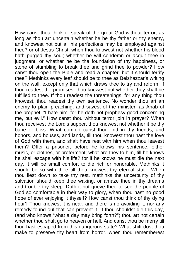How canst thou think or speak of the great God without terror, as long as thou art uncertain whether he be thy father or thy enemy, and knowest not but all his perfections may be employed against thee? or of Jesus Christ, when thou knowest not whether his blood hath purged thy soul; whether he will condemn or acquit thee in judgment; or whether he be the foundation of thy happiness, or stone of stumbling to break thee and grind thee to powder? How canst thou open the Bible and read a chapter, but it should terrify thee? Methinks every leaf should be to thee as Belshazzar's writing on the wall, except only that which draws thee to try and reform. If thou readest the promises, thou knowest not whether they shall be fulfilled to thee. If thou readest the threatenings, for any thing thou knowest, thou readest thy own sentence. No wonder thou art an enemy to plain preaching, and sayest of the minister, as Ahab of the prophet, "I hate him, for he doth not prophesy good concerning me, but evil." How canst thou without terror join in prayer? When thou receivest the Lord's supper, thou knowest not whether it be thy bane or bliss. What comfort canst thou find in thy friends, and honors, and houses, and lands, till thou knowest thou hast the love of God with them, and shalt have rest with him when thou leavest them? Offer a prisoner, before he knows his sentence, either music, or clothes, or preferment; what are they to him, till he knows he shall escape with his life? for if he knows he must die the next day, it will be small comfort to die rich or honorable. Methinks it should be so with thee till thou knowest thy eternal state. When thou liest down to take thy rest, methinks the uncertainty of thy salvation should keep thee waking, or amaze thee in thy dreams and trouble thy sleep. Doth it not grieve thee to see the people of God so comfortable in their way to glory, when thou hast no good hope of ever enjoying it thyself? How canst thou think of thy dying hour? Thou knowest it is near, and there is no avoiding it, nor any remedy found out that can prevent it. If thou shouldst die this day, (and who knows "what a day may bring forth?") thou art not certain whether thou shalt go to heaven or hell. And canst thou be merry till thou hast escaped from this dangerous state? What shift dost thou make to preserve thy heart from horror, when thou rememberest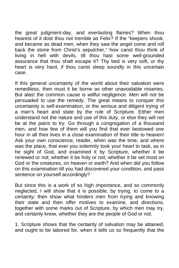the great judgment-day, and everlasting flames? When thou hearest of it dost thou not tremble as Felix? If the "keepers shook, and became as dead men, when they saw the angel come and roll back the stone from Christ's sepulcher," how canst thou think of living in hell with devils, till thou hast some well-grounded assurance that thou shalt escape it? Thy bed is very soft, or thy heart is very hard, if thou canst sleep soundly in this uncertain case.

If this general uncertainty of the world about their salvation were remediless, then must it be borne as other unavoidable miseries. But alas! the common cause is willful negligence. Men will not be persuaded to use the remedy. The great means to conquer this uncertainty is self-examination, or the serious and diligent trying of a man's heart and state by the rule of Scripture. Either men understand not the nature and use of this duty, or else they will not be at the pains to try. Go through a congregation of a thousand men, and how few of them will you find that ever bestowed one hour in all their lives in a close examination of their title to heaven! Ask your own conscience, reader, when was the time, and where was the place, that ever you solemnly took your heart to task, as in he sight of God, and examined it by Scripture, whether it be renewed or not; whether it be holy or not; whether it be set most on God or the creatures, on heaven or earth? And when did you follow on this examination till you had discovered your condition, and pass sentence on yourself accordingly?

But since this is a work of so high importance, and so commonly neglected, I will show that it is possible, by trying, to come to a certainty; then show what hinders men from trying and knowing their state and then offer motives to examine, and directions, together with some marks out of Scripture, by which men may try, and certainly know, whether they are the people of God or not.

1. Scripture shows that the certainty of salvation may be attained, and ought to be labored for, when it tells us so frequently that the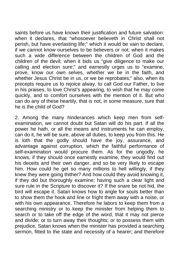saints before us have known their justification and future salvation: when it declares, that "whosoever believeth in Christ shall not perish, but have everlasting life;" which it would be vain to declare, if we cannot know ourselves to be believers or not; when it makes such a wide difference between the children of God and the children of the devil; when it bids us "give diligence to make our calling and election sure;" and earnestly urges us to "examine, prove, know our own selves, whether we be in the faith, and whether Jesus Christ be in us, or we be reprobates;" also, when its precepts require us to rejoice alway, to call God our Father, to live in his praises, to love Christ's appearing, to wish that he may come quickly, and to comfort ourselves with the mention of it. But who can do any of these heartily, that is not, in some measure, sure that he is the child of God?

2. Among the many hinderances which keep men from selfexamination, we cannot doubt but Satan will do his part. If all the power he hath, or all the means and instruments he can employ, can do it, he will be sure, above all duties, to keep you from this. He is loth that the godly should have the joy, assurance, and advantage against corruption, which the faithful performance of self-examination would procure them. As for the ungodly, he knows, if they should once earnestly examine, they would find out his deceits and their own danger, and so be very likely to escape him. How could he get so many millions to hell willingly, if they knew they were going thither? And how could they avoid knowing it, if they did but thoroughly examine; having such a clear light and sure rule in the Scripture to discover it? If the snare be not hid, the bird will escape it. Satan knows how to angle for souls better than to show them the hook and line or fright them away with a noise, or with his own appearance. Therefore he labors to keep them from a searching ministry or to keep the minister from helping them to search or to take off the edge of the word, that it may not pierce and divide; or to turn away their thoughts; or to possess them with prejudice. Satan knows when the minister has provided a searching sermon, fitted to the state and necessity of a hearer; and therefore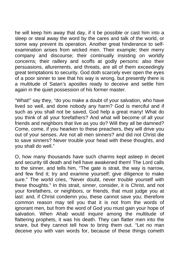he will keep him away that day, if it be possible or cast him into a sleep or steal away the word by the cares and talk of the world, or some way prevent its operation. Another great hinderance to selfexamination arises from wicked men. Their example; their merry company and discourse; their continually insisting on worldly concerns; their raillery and scoffs at godly persons: also their persuasions, allurements, and threats, are all of them exceedingly great temptations to security. God doth scarcely ever open the eyes of a poor sinner to see that his way is wrong, but presently there is a multitude of Satan's apostles ready to deceive and settle him again in the quiet possession of his former master.

"What!" say they, "do you make a doubt of your salvation, who have lived so well, and done nobody any harm? God is merciful and if such as you shall not be saved, God help a great many! What do you think of all your forefathers? And what will become of all your friends and neighbors that live as you do? Will they all be damned? Come, come, if you hearken to these preachers, they will drive you out of your senses. Are not all men sinners? and did not Christ die to save sinners? Never trouble your head with these thoughts, and you shall do well."

O, how many thousands have such charms kept asleep in deceit and security till death and hell have awakened them! The Lord calls to the sinner, and tells him, "The gate is strait, the way is narrow, and few find it; try and examine yourself; give diligence to make sure." The world cries, "Never doubt, never trouble yourself with these thoughts." In this strait, sinner, consider, it is Christ, and not your forefathers, or neighbors, or friends, that must judge you at last: and, if Christ condemn you, these cannot save you; therefore common reason may tell you that it is not from the words of ignorant men, but from the word of God you must gain your hope of salvation. When Ahab would inquire among the multitude of flattering prophets, it was his death. They can flatter men into the snare, but they cannot tell how to bring them out. "Let no man deceive you with vain words for, because of these things cometh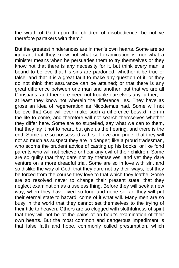the wrath of God upon the children of disobedience; be not ye therefore partakers with them."

But the greatest hinderances are in men's own hearts. Some are so ignorant that they know not what self-examination is, nor what a minister means when he persuades them to try themselves or they know not that there is any necessity for it, but think every man is bound to believe that his sins are pardoned, whether it be true or false, and that it is a great fault to make any question of it; or they do not think that assurance can be attained; or that there is any great difference between one man and another, but that we are all Christians, and therefore need not trouble ourselves any further; or at least they know not wherein the difference lies. They have as gross an idea of regeneration as Nicodemus had. Some will not believe that God will ever make such a difference betwixt men in the life to come, and therefore will not search themselves whether they differ here. Some are so stupefied, say what we can to them, that they lay it not to heart, but give us the hearing, and there is the end. Some are so possessed with self-love and pride, that they will not so much as suspect they are in danger; like a proud tradesman, who scorns the prudent advice of casting up his books; or like fond parents who will not believe or hear any evil of their children. Some are so guilty that they dare not try themselves, and yet they dare venture on a more dreadful trial. Some are so in love with sin, and so dislike the way of God, that they dare not try their ways, lest they be forced from the course they love to that which they loathe. Some are so resolved never to change their present state, that they neglect examination as a useless thing. Before they will seek a new way, when they have lived so long and gone so far, they will put their eternal state to hazard, come of it what will. Many men are so busy in the world that they cannot set themselves to the trying of their title to heaven. Others are so clogged with slothfulness of spirit that they will not be at the pains of an hour's examination of their own hearts. But the most common and dangerous impediment is that false faith and hope, commonly called presumption, which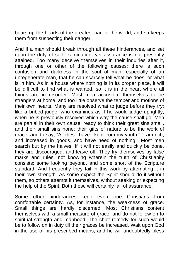bears up the hearts of the greatest part of the world, and so keeps them from suspecting their danger.

And if a man should break through all these hinderances, and set upon the duty of self-examination, yet assurance is not presently attained. Too many deceive themselves in their inquiries after it, through one or other of the following causes: there is such confusion and darkness in the soul of man, especially of an unregenerate man, that he can scarcely tell what he does, or what is in him. As in a house where nothing is in its proper place, it will be difficult to find what is wanted, so it is in the heart where all things are in disorder. Most men accustom themselves to be strangers at home, and too little observe the temper and motions of their own hearts. Many are resolved what to judge before they try; like a bribed judge, who examines as if he would judge uprightly, when he is previously resolved which way the cause shall go. Men are partial in their own cause; ready to think their great sins small, and their small sins none; their gifts of nature to be the work of grace, and to say, "All these have I kept from my youth;" "I am rich, and increased in goods, and have need of nothing." Most men search but by the halves. If it will not easily and quickly be done, they are discouraged, and leave off. They try themselves by false marks and rules, not knowing wherein the truth of Christianity consists; some looking beyond, and some short of the Scripture standard. And frequently they fail in this work by attempting it in their own strength. As some expect the Spirit should do it without them, so others attempt it themselves, without seeking or expecting the help of the Spirit. Both these will certainly fail of assurance.

Some other hinderances keep even true Christians from comfortable certainty. As, for instance, the weakness of grace. Small things are hardly discerned. Most Christians content themselves with a small measure of grace, and do not follow on to spiritual strength and manhood. The chief remedy for such would be to follow on in duty till their graces be increased. Wait upon God in the use of his prescribed means, and he will undoubtedly bless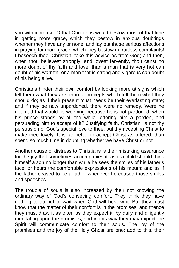you with increase. O that Christians would bestow most of that time in getting more grace, which they bestow in anxious doubtings whether they have any or none; and lay out those serious affections in praying for more grace, which they bestow in fruitless complaints! I beseech thee, Christian, take this advice as from God; and then, when thou believest strongly, and lovest fervently, thou canst no more doubt of thy faith and love, than a man that is very hot can doubt of his warmth, or a man that is strong and vigorous can doubt of his being alive.

Christians hinder their own comfort by looking more at signs which tell them what they are, than at precepts which tell them what they should do; as if their present must needs be their everlasting state; and if they be now unpardoned, there were no remedy. Were he not mad that would lie weeping because he is not pardoned, when his prince stands by all the while, offering him a pardon, and persuading him to accept of it? Justifying faith, Christian, is not thy persuasion of God's special love to thee, but thy accepting Christ to make thee lovely. It is far better to accept Christ as offered, than spend so much time in doubting whether we have Christ or not.

Another cause of distress to Christians is their mistaking assurance for the joy that sometimes accompanies it; as if a child should think himself a son no longer than while he sees the smiles of his father's face, or hears the comfortable expressions of his mouth; and as if the father ceased to be a father whenever he ceased those smiles and speeches.

The trouble of souls is also increased by their not knowing the ordinary way of God's conveying comfort. They think they have nothing to do but to wait when God will bestow it. But they must know that the matter of their comfort is in the promises, and thence they must draw it as often as they expect it, by daily and diligently meditating upon the promises; and in this way they may expect the Spirit will communicate comfort to their souls. The joy of the promises and the joy of the Holy Ghost are one: add to this, their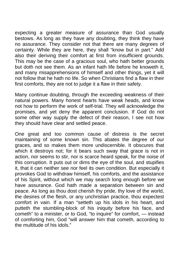expecting a greater measure of assurance than God usually bestows. As long as they have any doubting, they think they have no assurance. They consider not that there are many degrees of certainty. While they are here, they shall "know but in part." Add also their deriving their comfort at first from insufficient grounds. This may be the case of a gracious soul, who hath better grounds but doth not see them. As an infant hath life before he knoweth it, and many misapprehensions of himself and other things, yet it will not follow that he hath no life. So when Christians find a flaw in their first comforts, they are not to judge it a flaw in their safety.

Many continue doubting, through the exceeding weakness of their natural powers. Many honest hearts have weak heads, and know not how to perform the work of self-trial. They will acknowledge the promises, and yet deny the apparent conclusion. If God do not some other way supply the defect of their reason, I see not how they should have clear and settled peace.

One great and too common cause of distress is the secret maintaining of some known sin. This abates the degree of our graces, and so makes them more undiscernible. It obscures that which it destroys not; for it bears such sway that grace is not in action, nor seems to stir, nor is scarce heard speak, for the noise of this corruption. It puts out or dims the eye of the soul, and stupifies it, that it can neither see nor feel its own condition. But especially it provokes God to withdraw himself, his comforts, and the assistance of his Spirit, without which we may search long enough before we have assurance. God hath made a separation between sin and peace. As long as thou dost cherish thy pride, thy love of the world, the desires of the flesh, or any unchristian practice, thou expectest comfort in vain. If a man "setteth up his idols in his heart, and putteth the stumbling-block of his iniquity before his face, and cometh" to a minister, or to God, "to inquire" for comfort, — instead of comforting him, God "will answer him that cometh, according to the multitude of his idols."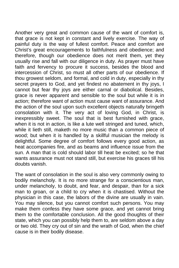Another very great and common cause of the want of comfort is, that grace is not kept in constant and lively exercise. The way of painful duty is the way of fullest comfort. Peace and comfort are Christ's great encouragements to faithfulness and obedience; and therefore, though our obedience does not merit them, yet they usually rise and fall with our diligence in duty. As prayer must have faith and fervency to procure it success, besides the blood and intercession of Christ, so must all other parts of our obedience. If thou growest seldom, and formal, and cold in duty, especially in thy secret prayers to God, and yet findest no abatement in thy joys, I cannot but fear thy joys are either carnal or diabolical. Besides, grace is never apparent and sensible to the soul but while it is in action; therefore want of action must cause want of assurance. And the action of the soul upon such excellent objects naturally bringeth consolation with it. The very act of loving God, in Christ, is inexpressibly sweet. The soul that is best furnished with grace, when it is not in action, is like a lute well stringed and tuned, which, while it lieth still, maketh no more music than a common piece of wood; but when it is handled by a skillful musician the melody is delightful. Some degree of comfort follows every good action, as heat accompanies fire, and as beams and influence issue from the sun. A man that is cold should labor till heat be excited; so he that wants assurance must not stand still, but exercise his graces till his doubts vanish.

The want of consolation in the soul is also very commonly owing to bodily melancholy. It is no more strange for a conscientious man, under melancholy, to doubt, and fear, and despair, than for a sick man to groan, or a child to cry when it is chastised. Without the physician in this case, the labors of the divine are usually in vain. You may silence, but you cannot comfort such persons. You may make them confess they have some grace, and yet cannot bring them to the comfortable conclusion. All the good thoughts of their state, which you can possibly help them to, are seldom above a day or two old. They cry out of sin and the wrath of God, when the chief cause is in their bodily disease.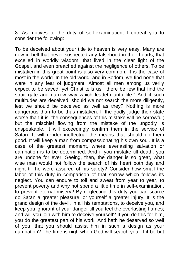3. As motives to the duty of self-examination, I entreat you to consider the following:

To be deceived about your title to heaven is very easy. Many are now in hell that never suspected any falsehood in their hearts, that excelled in worldly wisdom, that lived in the clear light of the Gospel, and even preached against the negligence of others. To be mistaken in this great point is also very common. It is the case of most in the world. In the old world, and in Sodom, we find none that were in any fear of judgment. Almost all men among us verily expect to be saved; yet Christ tells us, "there be few that find the strait gate and narrow way which leadeth unto life." And if such multitudes are deceived, should we not search the more diligently, lest we should be deceived as well as they? Nothing is more dangerous than to be thus mistaken. If the godly judge their state worse than it is, the consequences of this mistake will be sorrowful; but the mischief flowing from the mistake of the ungodly is unspeakable. It will exceedingly confirm them in the service of Satan. It will render ineffectual the means that should do them good. It will keep a man from compassionating his own soul. It is a case of the greatest moment, where everlasting salvation or damnation is to be determined. And if you mistake till death, you are undone for ever. Seeing, then, the danger is so great, what wise man would not follow the search of his heart both day and night till he were assured of his safety? Consider how small the labor of this duty in comparison of that sorrow which follows its neglect. You can endure to toil and sweat from year to year, to prevent poverty and why not spend a little time in self-examination, to prevent eternal misery? By neglecting this duty you can scarce do Satan a greater pleasure, or yourself a greater injury. It is the grand design of the devil, in all his temptations, to deceive you, and keep you ignorant of your danger till you feel the everlasting flames; and will you join with him to deceive yourself? If you do this for him, you do the greatest part of his work. And hath he deserved so well of you, that you should assist him in such a design as your damnation? The time is nigh when God will search you. If it be but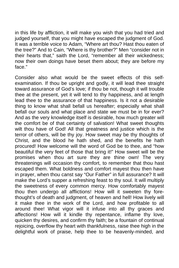in this life by affliction, it will make you wish that you had tried and judged yourself, that you might have escaped the judgment of God. It was a terrible voice to Adam, "Where art thou? Hast thou eaten of the tree?" And to Cain, "Where is thy brother?" Men "consider not in their hearts that," saith the Lord, "remember all their wickedness; now their own doings have beset them about; they are before my face."

Consider also what would be the sweet effects of this selfexamination. If thou be upright and godly, it will lead thee straight toward assurance of God's love; if thou be not, though it will trouble thee at the present, yet it will tend to thy happiness, and at length lead thee to the assurance of that happiness. Is it not a desirable thing to know what shall befall us hereafter; especially what shall befall our souls and what place and state we must be in for ever? And as the very knowledge itself is desirable, how much greater will the comfort be of that certainty of salvation! What sweet thoughts wilt thou have of God! All that greatness and justice which is the terror of others, will be thy joy. How sweet may be thy thoughts of Christ, and the blood he hath shed, and the benefits he hath procured! How welcome will the word of God be to thee, and "how beautiful the very feet of those that bring it!" How sweet will be the promises when thou art sure they are thine own! The very threatenings will occasion thy comfort, to remember that thou hast escaped them. What boldness and comfort mayest thou then have in prayer, when thou canst say "Our Father" in full assurance? It will make the Lord's supper a refreshing feast to thy soul. It will multiply the sweetness of every common mercy. How comfortably mayest thou then undergo all afflictions! How will it sweeten thy forethought's of death and judgment, of heaven and hell! How lively will it make thee in the work of the Lord, and how profitable to all around thee! What vigor will it infuse into all thy graces and affections! How will it kindle thy repentance, inflame thy love, quicken thy desires, and confirm thy faith; be a fountain of continual rejoicing, overflow thy heart with thankfulness, raise thee high in the delightful work of praise, help thee to be heavenly-minded, and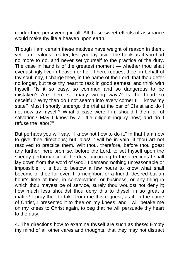render thee persevering in all! All these sweet effects of assurance would make thy life a heaven upon earth.

Though I am certain these motives have weight of reason in them, yet I am jealous, reader, lest you lay aside the book as if you had no more to do, and never set yourself to the practice of the duty. The case in hand is of the greatest moment — whether thou shalt everlastingly live in heaven or hell. I here request thee, in behalf of thy soul; nay, I charge thee, in the name of the Lord, that thou defer no longer, but take thy heart to task in good earnest, and think with thyself, "Is it so easy, so common and so dangerous to be mistaken? Are there so many wrong ways? Is the heart so deceitful? Why then do I not search into every corner till I know my state? Must I shortly undergo the trial at the bar of Christ and do I not now try myself? What a case were I in, should I then fail of salvation? May I know by a little diligent inquiry now; and do I refuse the labor?"

But perhaps you will say, "I know not how to do it." In that I am now to give thee directions; but, alas! it will be in vain, if thou art not resolved to practice them. Wilt thou, therefore, before thou goest any further, here promise, before the Lord, to set thyself upon the speedy performance of the duty, according to the directions I shall lay down from the word of God? I demand nothing unreasonable or impossible: it is but to bestow a few hours to know what shall become of thee for ever. If a neighbor, or a friend, desired but an hour's time of thee, in conversation, or business, or any thing in which thou mayest be of service, surely thou wouldst not deny it; how much less shouldst thou deny this to thyself in so great a matter! I pray thee to take from me this request, as if; in the name of Christ, I presented it to thee on my knees; and I will betake me on my knees to Christ again, to beg that he will persuade thy heart to the duty.

4. The directions how to examine thyself are such as these: Empty thy mind of all other cares and thoughts, that they may not distract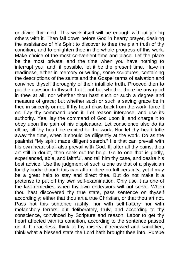or divide thy mind. This work itself will be enough without joining others with it. Then fall down before God in hearty prayer, desiring the assistance of his Spirit to discover to thee the plain truth of thy condition, and to enlighten thee in the whole progress of this work. Make choice of the most convenient time and place. Let the place be the most private, and the time when you have nothing to interrupt you; and, if possible, let it be the present time. Have in readiness, either in memory or writing, some scriptures, containing the descriptions of the saints and the Gospel terms of salvation and convince thyself thoroughly of their infallible truth. Proceed then to put the question to thyself. Let it not be, whether there be any good in thee at all; nor whether thou hast such or such a degree and measure of grace; but whether such or such a saving grace be in thee in sincerity or not. If thy heart draw back from the work, force it on. Lay thy command upon it. Let reason interpose, and use its authority. Yea, lay the command of God upon it, and charge it to obey upon the pain of his displeasure. Let conscience also do its office, till thy heart be excited to the work. Nor let thy heart trifle away the time, when it should be diligently at the work. Do as the psalmist "My spirit made diligent search." He that can prevail with his own heart shall also prevail with God. If, after all thy pains, thou art still in doubt, then seek out for help. Go to one that is godly, experienced, able, and faithful, and tell him thy case, and desire his best advice. Use the judgment of such a one as that of a physician for thy body: though this can afford thee no full certainty, yet it may be a great help to stay and direct thee. But do not make it a pretense to put off thy own self-examination. Only use it as one of the last remedies, when thy own endeavors will not serve. When thou hast discovered thy true state, pass sentence on thyself accordingly; either that thou art a true Christian, or that thou art not. Pass not this sentence rashly, nor with self-flattery nor with melancholy terrors; but deliberately, truly, and according to thy conscience, convinced by Scripture and reason. Labor to get thy heart affected with its condition, according to the sentence passed on it. If graceless, think of thy misery; if renewed and sanctified, think what a blessed state the Lord hath brought thee into. Pursue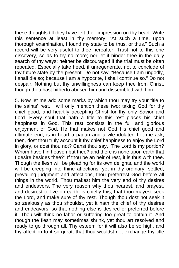these thoughts till they have left their impression on thy heart. Write this sentence at least in thy memory: "At such a time, upon thorough examination, I found my state to be thus, or thus." Such a record will be very useful to thee hereafter. Trust not to this one discovery, so as to try no more; nor let it hinder thee in the daily search of thy ways; neither be discouraged if the trial must be often repeated. Especially take heed, if unregenerate, not to conclude of thy future state by the present. Do not say, "Because I am ungodly, I shall die so; because I am a hypocrite, I shall continue so." Do not despair. Nothing but thy unwillingness can keep thee from Christ, though thou hast hitherto abused him and dissembled with him.

5. Now let me add some marks by which thou may try your title to the saints' rest. I will only mention these two: taking God for thy chief good, and heartily accepting Christ for thy only Savior and Lord. Every soul that hath a title to this rest places his chief happiness in God. This rest consists in the full and glorious enjoyment of God. He that makes not God his chief good and ultimate end, is in heart a pagan and a vile idolater. Let me ask, then, dost thou truly account it thy chief happiness to enjoy the Lord in glory, or dost thou not? Canst thou say, "The Lord is my portion? Whom have I in heaven but thee? and there is none upon earth that I desire besides thee?" If thou be an heir of rest, it is thus with thee. Though the flesh will be pleading for its own delights, and the world will be creeping into thine affections, yet in thy ordinary, settled, prevailing judgment and affections, thou preferrest God before all things in the world. Thou makest him the very end of thy desires and endeavors. The very reason why thou hearest, and prayest, and desirest to live on earth, is chiefly this, that thou mayest seek the Lord, and make sure of thy rest. Though thou dost not seek it so zealously as thou shouldst, yet it hath the chief of thy desires and endeavors, so that nothing else is desired or preferred before it. Thou wilt think no labor or suffering too great to obtain it. And though the flesh may sometimes shrink, yet thou art resolved and ready to go through all. Thy esteem for it will also be so high, and thy affection to it so great, that thou wouldst not exchange thy title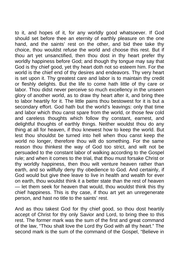to it, and hopes of it, for any worldly good whatsoever. If God should set before thee an eternity of earthly pleasure on the one hand, and the saints' rest on the other, and bid thee take thy choice, thou wouldst refuse the world and choose this rest. But if thou art yet unsanctified, then thou dost in thy heart prefer thy worldly happiness before God; and though thy tongue may say that God is thy chief good, yet thy heart doth not so esteem him. For the world is the chief end of thy desires and endeavors. Thy very heart is set upon it. Thy greatest care and labor is to maintain thy credit or fleshly delights. But the life to come hath little of thy care or labor. Thou didst never perceive so much excellency in the unseen glory of another world, as to draw thy heart after it, and bring thee to labor heartily for it. The little pains thou bestowest for it is but a secondary effort. God hath but the world's leavings: only that time and labor which thou canst spare from the world, or those few cold and careless thoughts which follow thy constant, earnest, and delightful thoughts of earthly things. Neither wouldst thou do any thing at all for heaven, if thou knewest how to keep the world. But lest thou shouldst be turned into hell when thou canst keep the world no longer, therefore thou wilt do something. For the same reason thou thinkest the way of God too strict, and wilt not be persuaded to the constant labor of walking according to the Gospel rule; and when it comes to the trial, that thou must forsake Christ or thy worldly happiness, then thou wilt venture heaven rather than earth, and so willfully deny thy obedience to God. And certainly, if God would but give thee leave to live in health and wealth for ever on earth, thou wouldst think it a better state than the rest of heaven — let them seek for heaven that would, thou wouldst think this thy chief happiness. This is thy case, if thou art yet an unregenerate person, and hast no title to the saints' rest.

And as thou takest God for thy chief good, so thou dost heartily accept of Christ for thy only Savior and Lord, to bring thee to this rest. The former mark was the sum of the first and great command of the law, "Thou shalt love the Lord thy God with all thy heart." The second mark is the sum of the command of the Gospel, "Believe in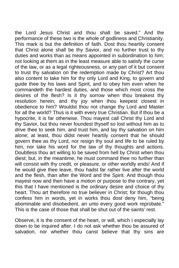the Lord Jesus Christ and thou shalt be saved." And the performance of these two is the whole of godliness and Christianity. This mark is but the definition of faith. Dost thou heartily consent that Christ alone shall be thy Savior, and no further trust to thy duties and works than as means appointed in subordination to him; not looking at them as in the least measure able to satisfy the curse of the law, or as a legal righteousness, or any part of it but consent to trust thy salvation on the redemption made by Christ? Art thou also content to take him for thy only Lord and King, to govern and guide thee by his laws and Spirit, and to obey him even when he commandeth the hardest duties, and those which most cross the desires of the flesh? Is it thy sorrow when thou breakest thy resolution herein; and thy joy when thou keepest closest in obedience to him? Wouldst thou not change thy Lord and Master for all the world? Thus is it with every true Christian. But if thou be a hypocrite, it is far otherwise. Thou mayest call Christ thy Lord and thy Savior, but thou never foundest thyself so lost without him as to drive thee to seek him, and trust him, and lay thy salvation on him alone; at least, thou didst never heartily consent that he should govern thee as thy Lord, nor resign thy soul and life to be ruled by him, nor take his word for the law of thy thoughts and actions. Doubtless thou art willing to be saved from hell by Christ when thou diest; but, in the meantime, he must command thee no further than will consist with thy credit, or pleasure, or other worldly ends! And if he would give thee leave, thou hadst far rather live after the world and the flesh, than after the Word and the Spirit. And though thou mayest now and then have a motion or purpose to the contrary, yet this that I have mentioned is the ordinary desire and choice of thy heart. Thou art therefore no true believer in Christ; for though thou confess him in words, yet in works thou dost deny him, "being abominable and disobedient, an unto every good work reprobate." This is the case of those that shall be shut out of the saints' rest.

Observe, it is the consent of the heart, or will, which I especially lay down to be inquired after. I do not ask whether thou be assured of salvation, nor whether thou canst believe that thy sins are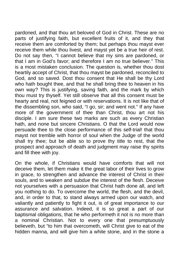pardoned, and that thou art beloved of God in Christ. These are no parts of justifying faith, but excellent fruits of it, and they that receive them are comforted by them; but perhaps thou mayst ever receive them while thou livest, and mayst yet be a true heir of rest. Do not say then, "I cannot believe that my sins are pardoned, or that I am in God's favor; and therefore I am no true believer." This is a most mistaken conclusion. The question is, whether thou dost heartily accept of Christ, that thou mayst be pardoned, reconciled to God, and so saved. Dost thou consent that He shall be thy Lord who hath bought thee, and that he shall bring thee to heaven in his own way? This is justifying, saving faith, and the mark by which thou must try thyself. Yet still observe that all this consent must be hearty and real, not feigned or with reservations. It is not like that of the dissembling son, who said, "I go, sir; and went not." If any have more of the government of thee than Christ, thou art not his disciple. I am sure these two marks are such as every Christian hath, and none but sincere Christians. O that the Lord would now persuade thee to the close performance of this self-trial! that thou mayst not tremble with horror of soul when the Judge of the world shall try thee; but be able so to prove thy title to rest, that the prospect and approach of death and judgment may raise thy spirits and fill thee with joy.

On the whole, if Christians would have comforts that will not deceive them, let them make it the great labor of their lives to grow in grace, to strengthen and advance the interest of Christ in their souls, and to weaken and subdue the interest of the flesh. Deceive not yourselves with a persuasion that Christ hath done all, and left you nothing to do. To overcome the world, the flesh, and the devil, and, in order to that, to stand always armed upon our watch, and valiantly and patiently to fight it out, is of great importance to our assurance and salvation. Indeed, it is so great a part of our baptismal obligations, that he who performeth it not is no more than a nominal Christian. Not to every one that presumptuously believeth, but "to him that overcometh, will Christ give to eat of the hidden manna, and will give him a white stone, and in the stone a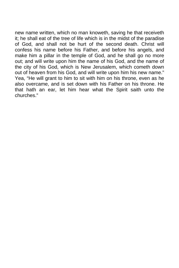new name written, which no man knoweth, saving he that receiveth it; he shall eat of the tree of life which is in the midst of the paradise of God, and shall not be hurt of the second death. Christ will confess his name before his Father, and before his angels, and make him a pillar in the temple of God, and he shall go no more out; and will write upon him the name of his God, and the name of the city of his God, which is New Jerusalem, which cometh down out of heaven from his God, and will write upon him his new name." Yea, "He will grant to him to sit with him on his throne, even as he also overcame, and is set down with his Father on his throne. He that hath an ear, let him hear what the Spirit saith unto the churches."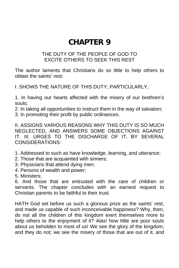## **CHAPTER 9**

## THE DUTY OF THE PEOPLE OF GOD TO EXCITE OTHERS TO SEEK THIS REST

The author laments that Christians do so little to help others to obtain the saints' rest:

I. SHOWS THE NATURE OF THIS DUTY; PARTICULARLY,

1. In having our hearts affected with the misery of our brethren's souls;

2. In taking all opportunities to instruct them in the way of salvation;

3. In promoting their profit by public ordinances.

II. ASSIGNS VARIOUS REASONS WHY THIS DUTY IS SO MUCH NEGLECTED, AND ANSWERS SOME OBJECTIONS AGAINST IT. III. URGES TO THE DISCHARGE OF IT, BY SEVERAL CONSIDERATIONS:

1. Addressed to such as have knowledge, learning, and utterance;

- 2. Those that are acquainted with sinners;
- 3. Physicians that attend dying men;
- 4. Persons of wealth and power;
- 5. Ministers;

6. And those that are entrusted with the care of children or servants. The chapter concludes with an earnest request to Christian parents to be faithful to their trust.

HATH God set before us such a glorious prize as the saints' rest, and made us capable of such inconceivable happiness? Why, then, do not all the children of this kingdom exert themselves more to help others to the enjoyment of it? Alas! how little are poor souls about us beholden to most of us! We see the glory of the kingdom, and they do not; we see the misery of those that are out of it, and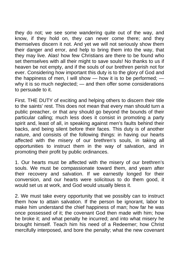they do not; we see some wandering quite out of the way, and know, if they hold on, they can never come there; and they themselves discern it not. And yet we will not seriously show them their danger and error, and help to bring them into the way, that they may live. Alas! how few Christians are there to be found who set themselves with all their might to save souls! No thanks to us if heaven be not empty, and if the souls of our brethren perish not for ever. Considering how important this duty is to the glory of God and the happiness of men, I will show  $-$  how it is to be performed;  $$ why it is so much neglected; — and then offer some considerations to persuade to it.

First. THE DUTY of exciting and helping others to discern their title to the saints' rest. This does not mean that every man should turn a public preacher, or that any should go beyond the bounds of their particular calling; much less does it consist in promoting a party spirit and, least of all, in speaking against men's faults behind their backs, and being silent before their faces. This duty is of another nature, and consists of the following things: in having our hearts affected with the misery of our brethren's souls, in taking all opportunities to instruct them in the way of salvation, and in promoting their profit by public ordinances.

1. Our hearts must be affected with the misery of our brethren's souls. We must be compassionate toward them, and yearn after their recovery and salvation. If we earnestly longed for their conversion, and our hearts were solicitous to do them good, it would set us at work, and God would usually bless it.

2. We must take every opportunity that we possibly can to instruct them how to attain salvation. If the person be ignorant, labor to make him understand the chief happiness of man; how far he was once possessed of it; the covenant God then made with him; how he broke it; and what penalty he incurred; and into what misery he brought himself. Teach him his need of a Redeemer; how Christ mercifully interposed, and bore the penalty; what the new covenant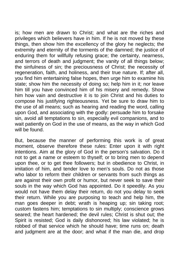is; how men are drawn to Christ; and what are the riches and privileges which believers have in him. If he is not moved by these things, then show him the excellency of the glory he neglects; the extremity and eternity of the torments of the damned; the justice of enduring them for willfully refusing grace; the certainty, nearness, and terrors of death and judgment; the vanity of all things below; the sinfulness of sin; the preciousness of Christ; the necessity of regeneration, faith, and holiness, and their true nature. If; after all, you find him entertaining false hopes, then urge him to examine his state; show him the necessity of doing so; help him in it; nor leave him till you have convinced him of his misery and remedy. Show him how vain and destructive it is to join Christ and his duties to compose his justifying righteousness. Yet be sure to draw him to the use of all means; such as hearing and reading the word, calling upon God, and associating with the godly: persuade him to forsake sin, avoid all temptations to sin, especially evil companions, and to wait patiently on God in the use of means, as the way in which God will be found.

But, because the manner of performing this work is of great moment, observe therefore these rules: Enter upon it with right intentions. Aim at the glory of God in the person's salvation. Do it not to get a name or esteem to thyself; or to bring men to depend upon thee, or to get thee followers; but in obedience to Christ, in imitation of him, and tender love to men's souls. Do not as those who labor to reform their children or servants from such things as are against their own profit or humor, but never seek to save their souls in the way which God has appointed. Do it speedily. As you would not have them delay their return, do not you delay to seek their return. While you are purposing to teach and help him, the man goes deeper in debt; wrath is heaping up; sin taking root; custom fastens him; temptations to sin multiply; conscience grows seared; the heart hardened; the devil rules; Christ is shut out; the Spirit is resisted; God is daily dishonored; his law violated; he is robbed of that service which he should have; time runs on; death and judgment are at the door; and what if the man die, and drop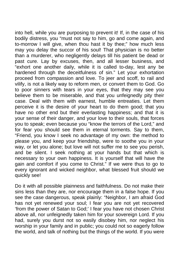into hell, while you are purposing to prevent it! If, in the case of his bodily distress, you "must not say to him, go and come again, and to-morrow I will give, when thou hast it by thee;" how much less may you delay the succor of his soul! That physician is no better than a murderer, who negligently delays till his patient be dead or past cure. Lay by excuses, then, and all lesser business, and "exhort one another daily, while it is called to-day, lest any be hardened through the deceitfulness of sin." Let your exhortation proceed from compassion and love. To jeer and scoff, to rail and vilify, is not a likely way to reform men, or convert them to God. Go to poor sinners with tears in your eyes, that they may see you believe them to be miserable, and that you unfeignedly pity their case. Deal with them with earnest, humble entreaties. Let them perceive it is the desire of your heart to do them good; that you have no other end but their everlasting happiness; and that it is your sense of their danger, and your love to their souls, that forces you to speak; even because you "know the terrors of the Lord," and for fear you should see them in eternal torments. Say to them, "Friend, you know I seek no advantage of my own: the method to please you, and keep your friendship, were to soothe you in your way, or let you alone; but love will not suffer me to see you perish, and be silent. I seek nothing at your hands but that which is necessary to your own happiness. It is yourself that will have the gain and comfort if you come to Christ." If we were thus to go to every ignorant and wicked neighbor, what blessed fruit should we quickly see!

Do it with all possible plainness and faithfulness. Do not make their sins less than they are, nor encourage them in a false hope. If you see the case dangerous, speak plainly: "Neighbor, I am afraid God has not yet renewed your soul; I fear you are not yet recovered 'from the power of Satan to God;' I fear you have not chosen Christ above all, nor unfeignedly taken him for your sovereign Lord. If you had, surely you durst not so easily disobey him, nor neglect his worship in your family and in public; you could not so eagerly follow the world, and talk of nothing but the things of the world. If you were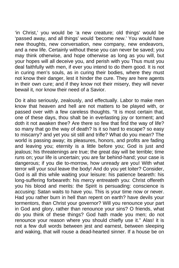'in Christ,' you would be 'a new creature; old things' would be 'passed away, and all things' would 'become new.' You would have new thoughts, new conversation, new company, new endeavors, and a new life. Certainly without these you can never be saved; you may think otherwise, and hope otherwise as long as you will, but your hopes will all deceive you, and perish with you Thus must you deal faithfully with men, if ever you intend to do them good. It is not in curing men's souls, as in curing their bodies, where they must not know their danger, lest it hinder the cure. They are here agents in their own cure; and if they know not their misery, they will never bewail it, nor know their need of a Savior.

Do it also seriously, zealously, and effectually. Labor to make men know that heaven and hell are not matters to be played with, or passed over with a few careless thoughts. "It is most certain that, one of these days, thou shalt be in everlasting joy or torment; and doth it not awaken thee? Are there so few that find the way of life? so many that go the way of death? Is it so hard to escape? so easy to miscarry? and yet you sit still and trifle? What do you mean? The world is passing away; its pleasures, honors, and profits are fading and leaving you; eternity is a little before you; God is just and jealous; his threatenings are true; the great day will be terrible; time runs on; your life is uncertain; you are far behind-hand; your case is dangerous; if you die to-morrow, how unready are you! With what terror will your soul leave the body! And do you yet loiter? Consider, God is all this while waiting your leisure: his patience beareth: his long-suffering forbeareth: his mercy entreateth you: Christ offereth you his blood and merits: the Spirit is persuading: conscience is accusing: Satan waits to have you. This is your time now or never. Had you rather burn in hell than repent on earth? have devils your tormentors, than Christ your governor? Will you renounce your part in God and glory, rather than renounce your sins? O friends, what do you think of these things? God hath made you men; do not renounce your reason where you should chiefly use it." Alas! it is not a few dull words between jest and earnest, between sleeping and waking, that will rouse a dead-hearted sinner. If a house be on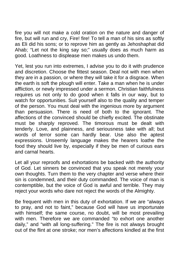fire you will not make a cold oration on the nature and danger of fire, but will run and cry, Fire! fire! To tell a man of his sins as softly as Eli did his sons; or to reprove him as gently as Jehoshaphat did Ahab; "Let not the king say so;" usually does as much harm as good. Loathness to displease men makes us undo them.

Yet, lest you run into extremes, I advise you to do it with prudence and discretion. Choose the fittest season. Deal not with men when they are in a passion, or where they will take it for a disgrace. When the earth is soft the plough will enter. Take a man when he is under affliction, or newly impressed under a sermon. Christian faithfulness requires us not only to do good when it falls in our way, but to watch for opportunities. Suit yourself also to the quality and temper of the person. You must deal with the ingenious more by argument than persuasion. There is need of both to the ignorant. The affections of the convinced should be chiefly excited. The obstinate must be sharply reproved. The timorous must be dealt with tenderly. Love, and plainness, and seriousness take with all; but words of terror some can hardly bear. Use also the aptest expressions. Unseemly language makes the hearers loathe the food they should live by, especially if they be men of curious ears and carnal hearts.

Let all your reproofs and exhortations be backed with the authority of God. Let sinners be convinced that you speak not merely your own thoughts. Turn them to the very chapter and verse where their sin is condemned, and their duty commanded. The voice of man is contemptible, but the voice of God is awful and terrible. They may reject your words who dare not reject the words of the Almighty.

Be frequent with men in this duty of exhortation. If we are "always to pray, and not to faint," because God will have us importunate with himself; the same course, no doubt, will be most prevailing with men. Therefore we are commanded "to exhort one another daily," and "with all long-suffering." The fire is not always brought out of the flint at one stroke; nor men's affections kindled at the first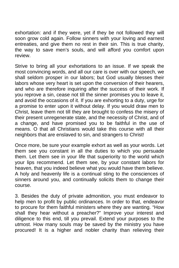exhortation: and if they were, yet if they be not followed they will soon grow cold again. Follow sinners with your loving and earnest entreaties, and give them no rest in their sin. This is true charity, the way to save men's souls, and will afford you comfort upon review.

Strive to bring all your exhortations to an issue. If we speak the most convincing words, and all our care is over with our speech, we shall seldom prosper in our labors; but God usually blesses their labors whose very heart is set upon the conversion of their hearers, and who are therefore inquiring after the success of their work. If you reprove a sin, cease not till the sinner promises you to leave it, and avoid the occasions of it. If you are exhorting to a duty, urge for a promise to enter upon it without delay. If you would draw men to Christ, leave them not till they are brought to confess the misery of their present unregenerate state, and the necessity of Christ, and of a change, and have promised you to be faithful in the use of means. O that all Christians would take this course with all their neighbors that are enslaved to sin, and strangers to Christ!

Once more, be sure your example exhort as well as your words. Let them see you constant in all the duties to which you persuade them. Let them see in your life that superiority to the world which your lips recommend. Let them see, by your constant labors for heaven, that you indeed believe what you would have them believe. A holy and heavenly life is a continual sting to the consciences of sinners around you, and continually solicits them to change their course.

3. Besides the duty of private admonition, you must endeavor to help men to profit by public ordinances. In order to that, endeavor to procure for them faithful ministers where they are wanting. "How shall they hear without a preacher?" Improve your interest and diligence to this end, till you prevail. Extend your purposes to the utmost. How many souls may be saved by the ministry you have procured! It is a higher and nobler charity than relieving their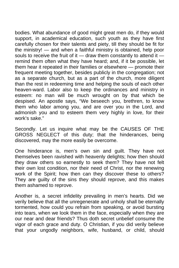bodies. What abundance of good might great men do, if they would support, in academical education, such youth as they have first carefully chosen for their talents and piety, till they should be fit for the ministry! — and when a faithful ministry is obtained, help poor souls to receive the fruit of it  $-$  draw them constantly to attend it  $$ remind them often what they have heard; and, if it be possible, let them hear it repeated in their families or elsewhere — promote their frequent meeting together, besides publicly in the congregation; not as a separate church, but as a part of the church, more diligent than the rest in redeeming time and helping the souls of each other heaven-ward. Labor also to keep the ordinances and ministry in esteem: no man will be much wrought on by that which be despised. An apostle says, "We beseech you, brethren, to know them who labor among you, and are over you in the Lord, and admonish you and to esteem them very highly in love, for their work's sake."

Secondly. Let us inquire what may be the CAUSES OF THE GROSS NEGLECT of this duty; that the hinderances, being discovered, may the more easily be overcome.

One hinderance is, men's own sin and guilt. They have not themselves been ravished with heavenly delights; how then should they draw others so earnestly to seek them? They have not felt their own lost condition, nor their need of Christ, nor the renewing work of the Spirit; how then can they discover these to others? They are guilty of the sins they should reprove, and this makes them ashamed to reprove.

Another is, a secret infidelity prevailing in men's hearts. Did we verily believe that all the unregenerate and unholy shall be eternally tormented, how could you refrain from speaking, or avoid bursting into tears, when we look them in the face, especially when they are our near and dear friends? Thus doth secret unbelief consume the vigor of each grace and duty. O Christian, if you did verily believe that your ungodly neighbors, wife, husband, or child, should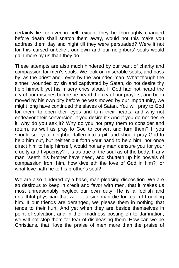certainly lie for ever in hell, except they be thoroughly changed before death shall snatch them away, would not this make you address them day and night till they were persuaded? Were it not for this cursed unbelief, our own and our neighbors' souls would gain more by us than they do.

These attempts are also much hindered by our want of charity and compassion for men's souls. We look on miserable souls, and pass by, as the priest and Levite by the wounded man. What though the sinner, wounded by sin and captivated by Satan, do not desire thy help himself; yet his misery cries aloud. If God had not heard the cry of our miseries before he heard the cry of our prayers, and been moved by his own pity before he was moved by our importunity, we might long have continued the slaves of Satan. You will pray to God for them, to open their eyes and turn their hearts; and why not endeavor their conversion, if you desire it? And if you do not desire it, why do you ask it? Why do you not pray them to consider and return, as well as pray to God to convert and turn them? If you should see your neighbor fallen into a pit, and should pray God to help him out, but neither put forth your hand to help him, nor once direct him to help himself, would not any man censure you for your cruelty and hypocrisy? It is as true of the soul as of the body. If any man "seeth his brother have need, and shutteth up his bowels of compassion from him, how dwelleth the love of God in him?" or what love hath he to his brother's soul?

We are also hindered by a base, man-pleasing disposition. We are so desirous to keep in credit and favor with men, that it makes us most unreasonably neglect our own duty. He is a foolish and unfaithful physician that will let a sick man die for fear of troubling him. If our friends are deranged, we please them in nothing that tends to their hurt. And yet when they are beside themselves in point of salvation, and in their madness posting on to damnation, we will not stop them for fear of displeasing them. How can we be Christians, that "love the praise of men more than the praise of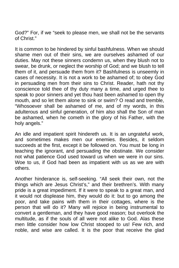God?" For, if we "seek to please men, we shall not be the servants of Christ."

It is common to be hindered by sinful bashfulness. When we should shame men out of their sins, we are ourselves ashamed of our duties. May not these sinners condemn us, when they blush not to swear, be drunk, or neglect the worship of God; and we blush to tell them of it, and persuade them from it? Bashfulness is unseemly in cases of necessity. It is not a work to be ashamed of; to obey God in persuading men from their sins to Christ. Reader, hath not thy conscience told thee of thy duty many a time, and urged thee to speak to poor sinners and yet thou hast been ashamed to open thy mouth, and so let them alone to sink or swim? O read and tremble, "Whosoever shall be ashamed of me, and of my words, in this adulterous and sinful generation, of him also shall the Son of man be ashamed, when he cometh in the glory of his Father, with the holy angels."

An idle and impatient spirit hindereth us. It is an ungrateful work, and sometimes makes men our enemies. Besides, it seldom succeeds at the first, except it be followed on. You must be long in teaching the ignorant, and persuading the obstinate. We consider not what patience God used toward us when we were in our sins. Woe to us, if God had been as impatient with us as we are with others.

Another hinderance is, self-seeking. "All seek their own, not the things which are Jesus Christ's," and their brethren's. With many pride is a great impediment. If it were to speak to a great man, and it would not displease him, they would do it: but to go among the poor, and take pains with them in their cottages, where is the person that will do it? Many will rejoice in being instrumental to convert a gentleman, and they have good reason; but overlook the multitude, as if the souls of all were not alike to God. Alas these men little consider how low Christ stooped to us! Few rich, and noble, and wise are called. It is the poor that receive the glad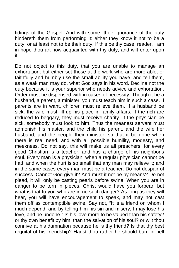tidings of the Gospel. And with some, their ignorance of the duty hindereth them from performing it: either they know it not to be a duty, or at least not to be their duty. If this be thy case, reader, I am in hope thou art now acquainted with thy duty, and wilt enter upon it.

Do not object to this duty, that you are unable to manage an exhortation; but either set those at the work who are more able, or faithfully and humbly use the small ability you have, and tell them, as a weak man may do, what God says in his word. Decline not the duty because it is your superior who needs advice and exhortation, Order must be dispensed with in cases of necessity. Though it be a husband, a parent, a minister, you must teach him in such a case. If parents are in want, children must relieve them. If a husband be sick, the wife must fill up his place in family affairs. If the rich are reduced to beggary, they must receive charity. If the physician be sick, somebody must look to him. Thus the meanest servant must admonish his master, and the child his parent, and the wife her husband, and the people their minister; so that it be done when there is real need, and with all possible humility, modesty, and meekness. Do not say, this will make us all preachers; for every good Christian is a teacher, and has a charge of his neighbor's soul. Every man is a physician, when a regular physician cannot be had, and when the hurt is so small that any man may relieve it; and in the same cases every man must be a teacher. Do not despair of success. Cannot God give it? And must it not be by means? Do not plead, it will only be casting pearls before swine. When you are in danger to be torn in pieces, Christ would have you forbear; but what is that to you who are in no such danger? As long as they will hear, you will have encouragement to speak, and may not cast them off as contemptible swine. Say not, "It is a friend on whom I much depend; and by telling him his sin and misery, I may lose his love, and be undone." Is his love more to be valued than his safety? or thy own benefit by him, than the salvation of his soul? or wilt thou connive at his damnation because he is thy friend? Is that thy best requital of his friendship? Hadst thou rather he should burn in hell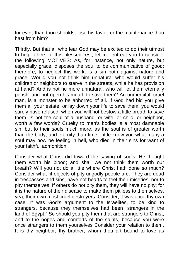for ever, than thou shouldst lose his favor, or the maintenance thou hast from him?

Thirdly. But that all who fear God may be excited to do their utmost to help others to this blessed rest, let me entreat you to consider the following MOTIVES: As, for instance, not only nature, but especially grace, disposes the soul to be communicative of good; therefore, to neglect this work, is a sin both against nature and grace. Would you not think him unnatural who would suffer his children or neighbors to starve in the streets, while he has provision at hand? And is not he more unnatural, who will let them eternally perish, and not open his mouth to save them? An unmerciful, cruel man, is a monster to be abhorred of all. If God had bid you give them all your estate, or lay down your life to save them, you would surely have refused, when you will not bestow a little breath to save them. Is not the soul of a husband, or wife, or child, or neighbor, worth a few words? Cruelty to men's bodies is a most damnable sin; but to their souls much more, as the soul is of greater worth than the body, and eternity than time. Little know you what many a soul may now be feeling in hell, who died in their sins for want of your faithful admonition.

Consider what Christ did toward the saving of souls. He thought them worth his blood; and shall we not think them worth our breath? Will you not do a little where Christ hath done so much? Consider what fit objects of pity ungodly people are. They are dead in trespasses and sins, have not hearts to feel their miseries, nor to pity themselves. If others do not pity them, they will have no pity; for it is the nature of their disease to make them pitiless to themselves, yea, their own most cruel destroyers. Consider, it was once thy own case. It was God's argument to the Israelites, to be kind to strangers, because they themselves had been "strangers in the land of Egypt." So should you pity them that are strangers to Christ, and to the hopes and comforts of the saints, because you were once strangers to them yourselves Consider your relation to them. It is thy neighbor, thy brother, whom thou art bound to love as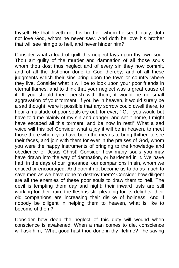thyself. He that loveth not his brother, whom he seeth daily, doth not love God, whom he never saw. And doth he love his brother that will see him go to hell, and never hinder him?

Consider what a load of guilt this neglect lays upon thy own soul. Thou art guilty of the murder and damnation of all those souls whom thou dost thus neglect and of every sin they now commit, and of all the dishonor done to God thereby; and of all these judgments which their sins bring upon the town or country where they live. Consider what it will be to look upon your poor friends in eternal flames, and to think that your neglect was a great cause of it. If you should there perish with them, it would be no small aggravation of your torment. If you be in heaven, it would surely be a sad thought, were it possible that any sorrow could dwell there, to hear a multitude of poor souls cry out, for ever, " O, if you would but have told me plainly of my sin and danger, and set it home, I might have escaped all this torment, and be now in rest!" What a sad voice will this be! Consider what a joy it will be in heaven, to meet those there whom you have been the means to bring thither; to see their faces, and join with them for ever in the praises of God, whom you were the happy instruments of bringing to the knowledge and obedience of Jesus Christ! Consider how many souls you may have drawn into the way of damnation, or hardened in it. We have had, in the days of our ignorance, our companions in sin, whom we enticed or encouraged. And doth it not become us to do as much to save men as we have done to destroy them? Consider how diligent are all the enemies of these poor souls to draw them to hell. The devil is tempting them day and night; their inward lusts are still working for their ruin; the flesh is still pleading for its delights; their old companions are increasing their dislike of holiness. And if nobody be diligent in helping them to heaven, what is like to become of them?

Consider how deep the neglect of this duty will wound when conscience is awakened. When a man comes to die, conscience will ask him, "What good hast thou done in thy lifetime? The saving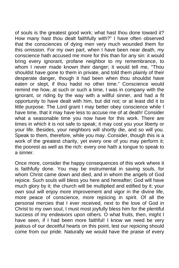of souls is the greatest good work; what hast thou done toward it? How many hast thou dealt faithfully with?" I have often observed that the consciences of dying men very much wounded them for this omission. For my own part, when I have been near death, my conscience hath accused me more for this than for any sin: it would bring every ignorant, profane neighbor to my remembrance, to whom I never made known their danger; it would tell me, "Thou shouldst have gone to them in private, and told them plainly of their desperate danger, though it had been when thou shouldst have eaten or slept, if thou hadst no other time." Conscience would remind me how, at such or such a time, I was in company with the ignorant, or riding by the way with a willful sinner, and had a fit opportunity to have dealt with him, but did not; or at least did it to little purpose. The Lord grant I may better obey conscience while I have time, that it may have less to accuse me of at death! Consider what a seasonable time you now have for this work. There are times in which it is not safe to speak; it may cost you your liberty or your life. Besides, your neighbors will shortly die, and so will you. Speak to them, therefore, while you may. Consider, though this is a work of the greatest charity, yet every one of you may perform it; the poorest as well as the rich: every one hath a tongue to speak to a sinner.

Once more, consider the happy consequences of this work where it is faithfully done. You may be instrumental in saving souls, for whom Christ came down and died, and in whom the angels of God rejoice. Such souls will bless you here and hereafter; God will have much glory by it; the church will be multiplied and edified by it; your own soul will enjoy more improvement and vigor in the divine life, more peace of conscience, more rejoicing in spirit. Of all the personal mercies that I ever received, next to the love of God in Christ to my own soul, I must most joyfully bless him for the plentiful success of my endeavors upon others. O what fruits, then, might I have seen, if I had been more faithful! I know we need be very jealous of our deceitful hearts on this point, lest our rejoicing should come from our pride. Naturally we would have the praise of every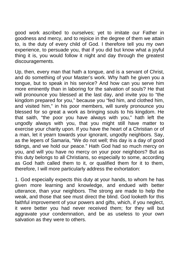good work ascribed to ourselves; yet to imitate our Father in goodness and mercy, and to rejoice in the degree of them we attain to, is the duty of every child of God. I therefore tell you my own experience, to persuade you, that if you did but know what a joyful thing it is, you would follow it night and day through the greatest discouragements.

Up, then, every man that hath a tongue, and is a servant of Christ, and do something of your Master's work. Why hath he given you a tongue, but to speak in his service? And how can you serve him more eminently than in laboring for the salvation of souls? He that will pronounce you blessed at the last day, and invite you to "the kingdom prepared for you," because you "fed him, and clothed him, and visited him," in his poor members, will surely pronounce you blessed for so great a work as bringing souls to his kingdom. He that saith, "the poor you have always with you," hath left the ungodly always with you, that you might still have matter to exercise your charity upon. If you have the heart of a Christian or of a man, let it yearn towards your ignorant, ungodly neighbors. Say, as the lepers of Samaria, "We do not well; this day is a day of good tidings, and we hold our peace." Hath God had so much mercy on you, and will you have no mercy on your poor neighbors? But as this duty belongs to all Christians, so especially to some, according as God hath called them to it, or qualified them for it to them, therefore, I will more particularly address the exhortation:

1. God especially expects this duty at your hands, to whom he has given more learning and knowledge, and endued with better utterance, than your neighbors. The strong are made to help the weak, and those that see must direct the blind. God looketh for this faithful improvement of your powers and gifts, which, if you neglect, it were better you had never received them; for they will but aggravate your condemnation, and be as useless to your own salvation as they were to others.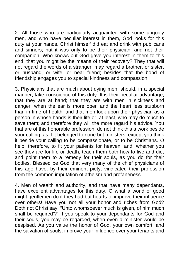2. All those who are particularly acquainted with some ungodly men, and who have peculiar interest in them, God looks for this duty at your hands. Christ himself did eat and drink with publicans and sinners; hut it was only to be their physician, and not their companion. Who knows but God gave you interest in them to this end, that you might be the means of their recovery? They that will not regard the words of a stranger, may regard a brother, or sister, or husband, or wife, or near friend; besides that the bond of friendship engages you to special kindness and compassion.

3. Physicians that are much about dying men, should, in a special manner, take conscience of this duty. It is their peculiar advantage, that they are at hand; that they are with men in sickness and danger, when the ear is more open and the heart less stubborn than in time of health; and that men look upon their physician as a person in whose hands is their life or, at least, who may do much to save them; and therefore they will the more regard his advice. You that are of this honorable profession, do not think this a work beside your calling, as if it belonged to none but ministers; except you think it beside your calling to be compassionate, or to be Christians. O help, therefore, to fit your patients for heaven! and, whether you see they are for life or death, teach them both how to live and die, and point them to a remedy for their souls, as you do for their bodies. Blessed be God that very many of the chief physicians of this age have, by their eminent piety, vindicated their profession from the common imputation of atheism and profaneness.

4. Men of wealth and authority, and that have many dependants, have excellent advantages for this duty. O what a world of good might gentlemen do if they had but hearts to improve their influence over others! Have you not all your honor and riches from God? Doth not Christ say, "Unto whomsoever much is given, of him much shall be required'?" If you speak to your dependants for God and their souls, you may be regarded, when even a minister would be despised. As you value the honor of God, your own comfort, and the salvation of souls, improve your influence over your tenants and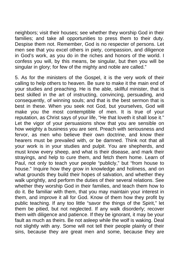neighbors; visit their houses; see whether they worship God in their families; and take all opportunities to press them to their duty. Despise them not. Remember, God is no respecter of persons. Let men see that you excel others in piety, compassion, and diligence in God's work, as you do in the riches and honors of the world. I confess you will, by this means, be singular, but then you will be singular in glory; for few of the mighty and noble are called."

5. As for the ministers of the Gospel, it is the very work of their calling to help others to heaven. Be sure to make it the main end of your studies and preaching. He is the able, skillful minister, that is best skilled in the art of instructing, convincing, persuading, and consequently, of winning souls; and that is the best sermon that is best in these. When you seek not God, but yourselves, God will make you the most contemptible of men. It is true of your reputation, as Christ says of your life, "He that loveth it shall lose it." Let the vigor of your persuasions show that you are sensible on how weighty a business you are sent. Preach with seriousness and fervor, as men who believe their own doctrine, and know their hearers must be prevailed with, or be damned. Think not that all your work is in your studies and pulpit. You are shepherds, and must know every sheep, and what is their disease, and mark their strayings, and help to cure them, and fetch them home. Learn of Paul, not only to teach your people "publicly," but "from house to house." Inquire how they grow in knowledge and holiness, and on what grounds they build their hopes of salvation, and whether they walk uprightly, and perform the duties of their several relations. See whether they worship God in their families, and teach them how to do it. Be familiar with them, that you may maintain your interest in them, and improve it all for God. Know of them how they profit by public teaching. If any too little "savor the things of the Spirit," let them be pitied, but not neglected. If any walk disorderly; recover them with diligence and patience. If they be ignorant, it may be your fault as much as theirs. Be not asleep while the wolf is waking. Deal not slightly with any. Some will not tell their people plainly of their sins, because they are great men and some, because they are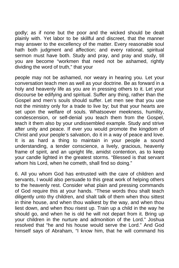godly; as if none but the poor and the wicked should be dealt plainly with. Yet labor to be skillful and discreet, that the manner may answer to the excellency of the matter. Every reasonable soul hath both judgment and affection; and every rational, spiritual sermon must have both. Study and pray, and pray and study, till you are become "workmen that need not be ashamed, rightly dividing the word of truth," that your

people may not be ashamed, nor weary in hearing you. Let your conversation teach men as well as your doctrine. Be as forward in a holy and heavenly life as you are in pressing others to it. Let your discourse be edifying and spiritual. Suffer any thing, rather than the Gospel and men's souls should suffer. Let men see that you use not the ministry only for a trade to live by; but that your hearts are set upon the welfare of souls. Whatsoever meekness, humility, condescension, or self-denial you teach them from the Gospel, teach it them also by your undissembled example. Study and strive after unity and peace. If ever you would promote the kingdom of Christ and your people's salvation, do it in a way of peace and love. It is as hard a thing to maintain in your people a sound understanding, a tender conscience, a lively, gracious, heavenly frame of spirit, and an upright life, amidst contention, as to keep your candle lighted in the greatest storms. "Blessed is that servant whom his Lord, when he cometh, shall find so doing."

6. All you whom God has entrusted with the care of children and servants, I would also persuade to this great work of helping others to the heavenly rest. Consider what plain and pressing commands of God require this at your hands. "These words thou shalt teach diligently unto thy children, and shalt talk of them when thou sittest in thine house, and when thou walkest by the way, and when thou liest down, and when thou risest up. Train up a child in the way he should go, and when he is old he will not depart from it. Bring up your children in the nurture and admonition of the Lord." Joshua resolved that "he and his house would serve the Lord." And God himself says of Abraham, "I know him, that he will command his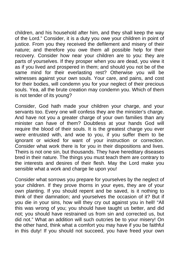children, and his household after him, and they shall keep the way of the Lord." Consider, it is a duty you owe your children in point of justice. From you they received the defilement and misery of their nature; and therefore you owe them all possible help for their recovery. Consider how near your children are to you: they are parts of yourselves. If they prosper when you are dead, you view it as if you lived and prospered in them; and should you not be of the same mind for their everlasting rest? Otherwise you will be witnesses against your own souls. Your care, and pains, and cost for their bodies, will condemn you for your neglect of their precious souls. Yea, all the brute creation may condemn you. Which of them is not tender of its young?

Consider, God hath made your children your charge, and your servants too. Every one will confess they are the minister's charge. And have not you a greater charge of your own families than any minister can have of them? Doubtless at your hands God will require the blood of their souls. It is the greatest charge you ever were entrusted with, and woe to you, if you suffer them to be ignorant or wicked for want of your instruction or correction. Consider what work there is for you in their dispositions and lives. Theirs is not one sin, but thousands. They have hereditary diseases bred in their nature. The things you must teach them are contrary to the interests and desires of their flesh. May the Lord make you sensible what a work and charge lie upon you!

Consider what sorrows you prepare for yourselves by the neglect of your children. If they prove thorns in your eyes, they are of your own planting. If you should repent and be saved, is it nothing to think of their damnation; and yourselves the occasion of it? But if you die in your sins, how will they cry out against you in hell! "All this was wrong of you; you should have taught us better, and did not; you should have restrained us from sin and corrected us, but did not." What an addition will such outcries be to your misery! On the other hand, think what a comfort you may have if you be faithful in this duty! If you should not succeed, you have freed your own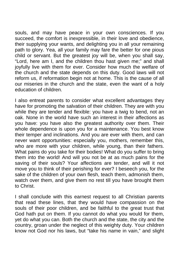souls, and may have peace in your own consciences. If you succeed, the comfort is inexpressible, in their love and obedience, their supplying your wants, and delighting you in all your remaining path to glory. Yea, all your family may fare the better for one pious child or servant. But the greatest joy will be, when you shall say, "Lord, here am I, and the children thou hast given me;" and shall joyfully live with them for ever. Consider how much the welfare of the church and the state depends on this duty. Good laws will not reform us, if reformation begin not at home. This is the cause of all our miseries in the church and the state, even the want of a holy education of children.

I also entreat parents to consider what excellent advantages they have for promoting the salvation of their children. They are with you while they are tender and flexible: you have a twig to bend, not an oak. None in the world have such an interest in their affections as you have: you have also the greatest authority over them. Their whole dependence is upon you for a maintenance. You best know their temper and inclinations. And you are ever with them, and can never want opportunities: especially you, mothers, remember this, who are more with your children, while young, than their fathers. What pains do you take for their bodies! What do you suffer to bring them into the world! And will you not be at as much pains for the saving of their souls? Your affections are tender, and will it not move you to think of their perishing for ever? I beseech you, for the sake of the children of your own flesh, teach them, admonish them, watch over them, and give them no rest till you have brought them to Christ.

I shall conclude with this earnest request to all Christian parents that read these lines, that they would have compassion on the souls of their poor children, and be faithful to the great trust that God hath put on them. If you cannot do what you would for them, yet do what you can. Both the church and the state, the city and the country, groan under the neglect of this weighty duty. Your children know not God nor his laws, but "take his name in vain," and slight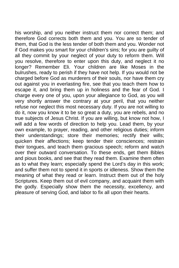his worship, and you neither instruct them nor correct them; and therefore God corrects both them and you. You are so tender of them, that God is the less tender of both them and you. Wonder not if God makes you smart for your children's sins; for you are guilty of all they commit by your neglect of your duty to reform them. Will you resolve, therefore to enter upon this duty, and neglect it no longer? Remember Eli. Your children are like Moses in the bulrushes, ready to perish if they have not help. If you would not be charged before God as murderers of their souls, nor have them cry out against you in everlasting fire, see that you teach them how to escape it, and bring them up in holiness and the fear of God. I charge every one of you, upon your allegiance to God, as you will very shortly answer the contrary at your peril, that you neither refuse nor neglect this most necessary duty. If you are not willing to do it, now you know it to be so great a duty, you are rebels, and no true subjects of Jesus Christ. If you are willing, but know not how, I will add a few words of direction to help you. Lead them, by your own example, to prayer, reading, and other religious duties; inform their understandings; store their memories; rectify their wills; quicken their affections; keep tender their consciences; restrain their tongues, and teach them gracious speech; reform and watch over their outward conversation. To these ends, get them Bibles and pious books, and see that they read them. Examine them often as to what they learn; especially spend the Lord's day in this work; and suffer them not to spend it in sports or idleness. Show them the meaning of what they read or learn. Instruct them out of the holy Scriptures. Keep them out of evil company, and acquaint them with the godly. Especially show them the necessity, excellency, and pleasure of serving God, and labor to fix all upon their hearts.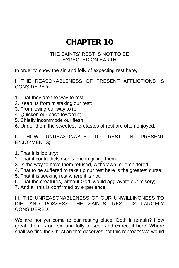## **CHAPTER 10**

## THE SAINTS' REST IS NOT TO BE EXPECTED ON EARTH

In order to show the sin and folly of expecting rest here,

I. THE REASONABLENESS OF PRESENT AFFLICTIONS IS CONSIDERED;

- 1. That they are the way to rest;
- 2. Keep us from mistaking our rest;
- 3. From losing our way to it;
- 4. Quicken our pace toward it;
- 5. Chiefly incommode our flesh;
- 6. Under them the sweetest foretastes of rest are often enjoyed.

II. HOW UNREASONABLE TO REST IN PRESENT ENJOYMENTS;

- 1. That it is idolatry;
- 2. That it contradicts God's end in giving them;
- 3. Is the way to have them refused, withdrawn, or embittered;
- 4. That to be suffered to take up our rest here is the greatest curse;
- 5. That it is seeking rest where it is not;
- 6. That the creatures, without God, would aggravate our misery;
- 7. And all this is confirmed by experience.

III. THE UNREASONABLENESS OF OUR UNWILLINGNESS TO DIE, AND POSSESS THE SAINTS' REST, IS LARGELY CONSIDERED.

We are not yet come to our resting place. Doth it remain? How great, then, is our sin and folly to seek and expect it here! Where shall we find the Christian that deserves not this reproof? We would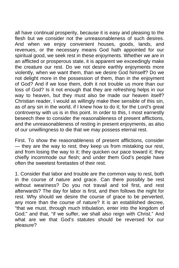all have continual prosperity, because it is easy and pleasing to the flesh but we consider not the unreasonableness of such desires. And when we enjoy convenient houses, goods, lands, and revenues, or the necessary means God hath appointed for our spiritual good, we seek rest in these enjoyments. Whether we are in an afflicted or prosperous state, it is apparent we exceedingly make the creature our rest. Do we not desire earthly enjoyments more violently, when we want them, than we desire God himself? Do we not delight more in the possession of them, than in the enjoyment of God? And if we lose them, doth it not trouble us more than our loss of God? Is it not enough that they are refreshing helps in our way to heaven, but they must also be made our heaven itself? Christian reader, I would as willingly make thee sensible of this sin, as of any sin in the world, if I knew how to do it; for the Lord's great controversy with us is in this point. In order to this, I most earnestly beseech thee to consider the reasonableness of present afflictions, and the unreasonableness of resting in present enjoyments, as also of our unwillingness to die that we may possess eternal rest.

First. To show the reasonableness of present afflictions, consider — they are the way to rest; they keep us from mistaking our rest, and from losing the way to it; they quicken our pace toward it; they chiefly incommode our flesh; and under them God's people have often the sweetest foretastes of their rest.

1. Consider that labor and trouble are the common way to rest, both in the course of nature and grace. Can there possibly be rest without weariness? Do you not travail and toil first, and rest afterwards? The day for labor is first, and then follows the night for rest. Why should we desire the course of grace to be perverted, any more than the course of nature? It is an established decree, "that we must, through much tribulation, enter into the kingdom of God;" and that, "if we suffer, we shall also reign with Christ." And what are we that God's statutes should be reversed for our pleasure?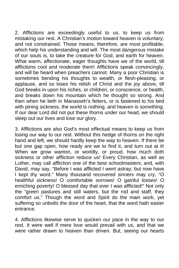2. Afflictions are exceedingly useful to us, to keep us from mistaking our rest. A Christian's motion toward heaven is voluntary, and not constrained. Those means, therefore, are most profitable, which help his understanding and will. The most dangerous mistake of our souls is, to take the creature for God, and earth for heaven. What warm, affectionate, eager thoughts have we of the world, till afflictions cool and moderate them! Afflictions speak convincingly, and will be heard when preachers cannot. Many a poor Christian is sometimes bending his thoughts to wealth, or flesh-pleasing, or applause, and so loses his relish of Christ and the joy above, till God breaks in upon his riches, or children, or conscience, or health, and breaks down his mountain which he thought so strong. And then when he lieth in Manasseh's fetters, or is fastened to his bed with pining sickness, the world is nothing, and heaven is something. If our dear Lord did not put these thorns under our head, we should sleep out our lives and lose our glory.

3. Afflictions are also God's most effectual means to keep us from losing our way to our rest. Without this hedge of thorns on the right hand and left, we should hardly keep the way to heaven. If there be but one gap open, how ready are we to find it, and turn out at it! When we grow wanton, or worldly, or proud, how much doth sickness or other affliction reduce us! Every Christian, as well as Luther, may call affliction one of the best schoolmasters; and, with David, may say, "Before I was afflicted I went astray; but now have I kept thy word." Many thousand recovered sinners may cry, "O healthful sickness! O comfortable sorrows! O gainful losses! O enriching poverty! O blessed day that ever I was afflicted!" Not only the "green pastures and still waters, but the rod and staff, they comfort us." Though the word and Spirit do the main work, yet suffering so unbolts the door of the heart, that the word hath easier entrance.

4. Afflictions likewise serve to quicken our pace in the way to our rest. It were well if mere love would prevail with us, and that we were rather drawn to heaven than driven. But, seeing our hearts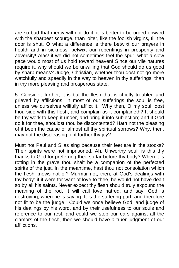are so bad that mercy will not do it, it is better to be urged onward with the sharpest scourge, than loiter, like the foolish virgins, till the door is shut. O what a difference is there betwixt our prayers in health and in sickness! betwixt our repentings in prosperity and adversity! Alas! if we did not sometimes feel the spur, what a slow pace would most of us hold toward heaven! Since our vile natures require it, why should we be unwilling that God should do us good by sharp means? Judge, Christian, whether thou dost not go more watchfully and speedily in the way to heaven in thy sufferings, than in thy more pleasing and prosperous state.

5. Consider, further, it is but the flesh that is chiefly troubled and grieved by afflictions. In most of our sufferings the soul is free, unless we ourselves willfully afflict it. "Why then, O my soul, dost thou side with this flesh, and complain as it complaineth? It should be thy work to keep it under, and bring it into subjection; and if God do it for thee, shouldst thou be discontented? Hath not the pleasing of it been the cause of almost all thy spiritual sorrows? Why, then, may not the displeasing of it further thy joy?

Must not Paul and Silas sing because their feet are in the stocks? Their spirits were not imprisoned. Ah, Unworthy soul! is this thy thanks to God for preferring thee so far before thy body? When it is rotting in the grave thou shalt be a companion of the perfected spirits of the just. In the meantime, hast thou not consolation which the flesh knows not of? Murmur not, then, at God's dealings with thy body: if it were for want of love to thee, he would not have dealt so by all his saints. Never expect thy flesh should truly expound the meaning of the rod. It will call love hatred, and say, God is destroying, when he is saving. It is the suffering part, and therefore not fit to be the judge." Could we once believe God, and judge of his dealings by his word, and by their usefulness to our souls and reference to our rest, and could we stop our ears against all the clamors of the flesh, then we should have a truer judgment of our afflictions.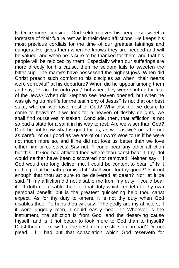6. Once more, consider, God seldom gives his people so sweet a foretaste of their future rest as in their deep afflictions. He keeps his most precious cordials for the time of our greatest faintings and dangers. He gives them when he knows they are needed and will be valued, and when he is sure to be thanked for them, and that his people will be rejoiced by them. Especially when our sufferings are more directly for his cause, then he seldom fails to sweeten the bitter cup. The martyrs have possessed the highest joys. When did Christ preach such comfort to his disciples as when "their hearts were sorrowful" at his departure? When did he appear among them and say, "Peace be unto you," but when they were shut up for fear of the Jews? When did Stephen see heaven opened, but when he was giving up his life for the testimony of Jesus? Is not that our best state, wherein we have most of God? Why else do we desire to come to heaven? If we look for a heaven of fleshly delights, we shall find ourselves mistaken. Conclude, then, that affliction is not so bad a state for a saint in his way to rest. Are we wiser than God? Doth he not know what is good for us, as well as we? or is he not as careful of our good as we are of our own? Woe to us if he were not much more so, and if he did not love us better than we love either him or ourselves! Say not, "I could bear any other affliction but this." If God had afflicted thee where thou canst bear it, thy idol would neither have been discovered nor removed. Neither say, "If God would ere long deliver me, I could be content to bear it." Is it nothing, that he hath promised it "shall work for thy good?" Is it not enough that thou art sure to be delivered at death? Nor let it be said, "If my affliction did not disable me from my duty, I could bear it." It doth not disable thee for that duty which tendeth to thy own personal benefit, but is the greatest quickening help thou canst expect. As for thy duty to others, it is not thy duty when God disables thee. Perhaps thou wilt say, "The godly are my afflicters; if it were ungodly men, I could easily bear it." Whoever is the instrument, the affliction is from God, and the deserving cause thyself; and is it not better to look more to God than to thyself? Didst thou not know that the best men are still sinful in part? Do not plead, "If I had but that consolation which God reserveth for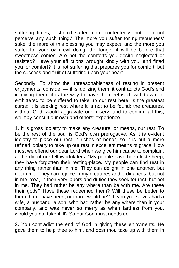suffering times, I should suffer more contentedly; but I do not perceive any such thing." The more you suffer for righteousness' sake, the more of this blessing you may expect; and the more you suffer for your own evil doing, the longer it will be before that sweetness comes. Are not the comforts you desire neglected or resisted? Have your afflictions wrought kindly with you, and fitted you for comfort? It is not suffering that prepares you for comfort, but the success and fruit of suffering upon your heart.

Secondly. To show the unreasonableness of resting in present enjoyments, consider — it is idolizing them; it contradicts God's end in giving them; it is the way to have them refused, withdrawn, or embittered to be suffered to take up our rest here, is the greatest curse; it is seeking rest where it is not to be found; the creatures, without God, would aggravate our misery; and to confirm all this, we may consult our own and others' experience.

1. It is gross idolatry to make any creature, or means, our rest. To be the rest of the soul is God's own prerogative. As it is evident idolatry to place our rest in riches or honor, so it is but a more refined idolatry to take up our rest in excellent means of grace. How must we offend our dear Lord when we give him cause to complain, as he did of our fellow idolaters: "My people have been lost sheep; they have forgotten their resting-place. My people can find rest in any thing rather than in me. They can delight in one another, but not in me. They can rejoice in my creatures and ordinances, but not in me. Yea, in their very labors and duties they seek for rest, but not in me. They had rather be any where than be with me. Are these their gods? Have these redeemed them? Will these be better to them than I have been, or than I would be?" If you yourselves had a wife, a husband, a son, who had rather be any where than in your company, and was never so merry as when farthest from you, would you not take it ill? So our God must needs do.

2. You contradict the end of God in giving these enjoyments. He gave them to help thee to him, and dost thou take up with them in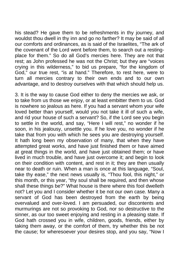his stead? He gave them to be refreshments in thy journey, and wouldst thou dwell in thy inn and go no farther? It may be said of all our comforts and ordinances, as is said of the Israelites, "The ark of the covenant of the Lord went before them, to search out a restingplace for them." So do all God's mercies here. They are not that rest; as John professed he was not the Christ; but they are "voices crying in this wilderness," to bid us prepare, "for the kingdom of God," our true rest, "is at hand." Therefore, to rest here, were to turn all mercies contrary to their own ends and to our own advantage, and to destroy ourselves with that which should help us.

3. It is the way to cause God either to deny the mercies we ask, or to take from us those we enjoy, or at least embitter them to us. God is nowhere so jealous as here. If you had a servant whom your wife loved better than yourself, would you not take it ill of such a wife, and rid your house of such a servant? So, if the Lord see you begin to settle in the world, and say, "Here I will rest," no wonder if he soon, in his jealousy, unsettle you. If he love you, no wonder if he take that from you with which he sees you are destroying yourself. It hath long been my observation of many, that when they have attempted great works, and have just finished them or have aimed at great things in the world, and have just obtained them; or have lived in much trouble, and have just overcome it; and begin to look on their condition with content, and rest in it; they are then usually near to death or ruin. When a man is once at this language, "Soul, take thy ease," the next news usually is, "Thou fool, this night," or this month, or this year, "thy soul shall be required, and then whose shall these things be?" What house is there where this fool dwelleth not? Let you and I consider whether it be not our own case. Many a servant of God has been destroyed from the earth by being overvalued and over-loved. I am persuaded, our discontents and murmurings are not so provoking to God, nor so destructive to the sinner, as our too sweet enjoying and resting in a pleasing state. If God hath crossed you in wife, children, goods, friends, either by taking them away, or the comfort of them, try whether this be not the cause; for wheresoever your desires stop, and you say, "Now I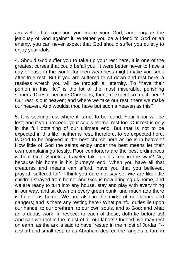am well," that condition you make your God, and engage the jealousy of God against it. Whether you be a friend to God or an enemy, you can never expect that God should suffer you quietly to enjoy your idols.

4. Should God suffer you to take up your rest here, it is one of the greatest curses that could befall you. It were better never to have a day of ease in the world; for then weariness might make you seek after true rest. But if you are suffered to sit down and rest here, a restless wretch you will be through all eternity. To "have their portion in this life," is the lot of the most miserable, perishing sinners. Does it become Christians, then, to expect so much here? Our rest is our heaven; and where we take our rest, there we make our heaven. And wouldst thou have but such a heaven as this?

5. It is seeking rest where it is not to be found. Your labor will be lost; and if you proceed, your soul's eternal rest too. Our rest is only in the full obtaining of our ultimate end. But that is not to be expected in this life; neither is rest, therefore, to be expected here. Is God to be enjoyed in the best church here as he is in heaven? How little of God the saints enjoy under the best means let their own complainings testify. Poor comforters are the best ordinances without God. Should a traveler take up his rest in the way? No; because his home is his journey's end. When you have all that creatures and means can afford, have you that you believed, prayed, suffered for? I think you dare not say so. We are like little children strayed from home, and God is now bringing us home, and we are ready to turn into any house, stay and play with every thing in our way, and sit down on every green bank, and much ado there is to get us home. We are also in the midst of our labors and dangers; and is there any resting here? What painful duties lie upon our hands! to our brethren, to our own souls, and to God; and what an arduous work, in respect to each of these, doth lie before us! And can we rest in the midst of all our labors? Indeed, we may rest on earth, as the ark is said to have "rested in the midst of Jordan "- a short and small rest; or as Abraham desired the "angels to turn in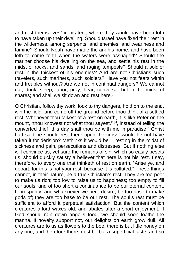and rest themselves" in his tent, where they would have been loth to have taken up their dwelling. Should Israel have fixed their rest in the wilderness, among serpents, and enemies, and weariness and famine? Should Noah have made the ark his home, and have been loth to come forth when the waters were assuaged? Should the mariner choose his dwelling on the sea, and settle his rest in the midst of rocks, and sands, and raging tempests? Should a soldier rest in the thickest of his enemies? And are not Christians such travelers, such mariners, such soldiers? Have you not fears within and troubles without? Are we not in continual dangers? We cannot eat, drink, sleep, labor, pray, hear, converse, but in the midst of snares; and shall we sit down and rest here?

O Christian, follow thy work, look to thy dangers, hold on to the end, win the field, and come off the ground before thou think of a settled rest. Whenever thou talkest of a rest on earth, it is like Peter on the mount, "thou knowest not what thou sayest." If, instead of telling the converted thief "this day shalt thou be with me in paradise," Christ had said he should rest there upon the cross, would he not have taken it for derision? Methinks it would be ill resting in the midst of sickness and pain, persecutions and distresses. But if nothing else will convince us, yet sure the remains of sin, which so easily besets us, should quickly satisfy a believer that here is not his rest. I say, therefore, to every one that thinketh of rest on earth, "Arise ye, and depart, for this is not your rest, because it is polluted." These things cannot, in their nature, be a true Christian's rest. They are too poor to make us rich; too low to raise us to happiness; too empty to fill our souls; and of too short a continuance to be our eternal content. If prosperity, and whatsoever we here desire, be too base to make gods of; they are too base to be our rest. The soul's rest must be sufficient to afford it perpetual satisfaction. But the content which creatures afford waxes old, and abates after a short enjoyment. If God should rain down angel's food, we should soon loathe the manna. If novelty support not, our delights on earth grow dull. All creatures are to us as flowers to the bee; there is but little honey on any one, and therefore there must be but a superficial taste, and so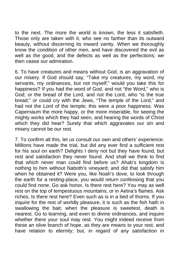to the next. The more the world is known, the less it satisfieth. Those only are taken with it, who see no farther than its outward beauty, without discerning its inward vanity. When we thoroughly know the condition of other men, and have discovered the evil as well as the good, and the defects as well as the perfections; we then cease our admiration.

6. To have creatures and means without God, is an aggravation of our misery. If God should say, "Take my creatures, my word, my servants, my ordinances, but not myself;" would you take this for happiness? If you had the word of God, and not "the Word," who is God; or the bread of the Lord, and not the Lord, who "is the true bread;" or could cry with the Jews, "The temple of the Lord," and had not the Lord of the temple; this were a poor happiness. Was Capernaum the more happy, or the more miserable, for seeing the mighty works which they had seen, and hearing the words of Christ which they did hear? Surely that which aggravates our sin and misery cannot be our rest.

7. To confirm all this, let us consult our own and others' experience. Millions have made the trial, but did any ever find a sufficient rest for his soul on earth? Delights I deny not but they have found, but rest and satisfaction they never found. And shall we think to find that which never man could find before us? Ahab's kingdom is nothing to him without Naboth's vineyard; and did that satisfy him when he obtained it? Were you, like Noah's dove, to look through the earth for a resting-place, you would return confessing that you could find none. Go ask honor, Is there rest here? You may as well rest on the top of tempestuous mountains, or in Aetna's flames. Ask riches, Is there rest here? Even such as is in a bed of thorns. If you inquire for the rest of worldly pleasure, it is such as the fish hath in swallowing the bait; when the pleasure is sweetest, death is nearest. Go to learning, and even to divine ordinances, and inquire whether there your soul may rest. You might indeed receive from these an olive branch of hope, as they are means to your rest, and have relation to eternity; but, in regard of any satisfaction in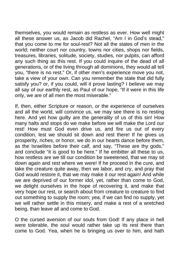themselves, you would remain as restless as ever. How well might all these answer us, as Jacob did Rachel, "Am I in God's stead," that you come to me for soul-rest? Not all the states of men in the world; neither court nor country, towns nor cities, shops nor fields, treasures, libraries, solitude, society, studies, nor pulpits, can afford any such thing as this rest. If you could inquire of the dead of all generations, or of the living through all dominions, they would all tell you, "there is no rest." Or, if other men's experience move you not, take a view of your own. Can you remember the state that did fully satisfy you? or, if you could, will it prove lasting? I believe we may all say of our earthly rest, as Paul of our hope, "If it were in this life only, we are of all men the most miserable."

If, then, either Scripture or reason, or the experience of ourselves and all the world, will convince us, we may see there is no resting here. And yet how guilty are the generality of us of this sin! How many halts and stops do we make before we will make the Lord our rest! How must God even drive us, and fire us out of every condition, lest we should sit down and rest there! If he gives us prosperity, riches, or honor, we do in our hearts dance before them, as the Israelites before their calf, and say, "These are thy gods," and conclude "it is good to be here." If he embitter all these to us, how restless are we till our condition be sweetened, that we may sit down again and rest where we were! If he proceed in the cure, and take the creature quite away, then we labor, and cry, and pray that God would restore it, that we may make it our rest again! And while we are deprived of our former idol, yet, rather than come to God, we delight ourselves in the hope of recovering it, and make that very hope our rest, or search about from creature to creature to find out something to supply the room; yea, if we can find no supply, yet we will rather settle in this misery, and make a rest of a wretched being, than leave all and come to God.

O the cursed aversion of our souls from God! If any place in hell were tolerable, the soul would rather take up its rest there than come to God. Yea, when he is bringing us over to him, and hath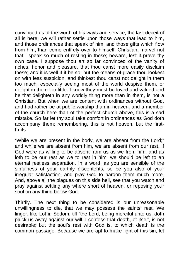convinced us of the worth of his ways and service, the last deceit of all is here; we will rather settle upon those ways that lead to him, and those ordinances that speak of him, and those gifts which flow from him, than come entirely over to himself. Christian, marvel not that I speak so much of resting in these; beware, lest it prove thy own case. I suppose thou art so far convinced of the vanity of riches, honor and pleasure, that thou canst more easily disclaim these; and it is well if it be so; but the means of grace thou lookest on with less suspicion, and thinkest thou canst not delight in them too much, especially seeing most of the world despise them, or delight in them too little. I know they must be loved and valued and he that delighteth in any worldly thing more than in them, is not a Christian. But when we are content with ordinances without God, and had rather be at public worship than in heaven, and a member of the church here than of the perfect church above, this is a sad mistake. So far let thy soul take comfort in ordinances as God doth accompany them; remembering, this is not heaven, but the firstfruits.

"While we are present in the body, we are absent from the Lord;" and while we are absent from him, we are absent from our rest. If God were as willing to be absent from us as we from him, and as loth to be our rest as we to rest in him, we should be left to an eternal restless separation. In a word, as you are sensible of the sinfulness of your earthly discontents, so be you also of your irregular satisfaction, and pray God to pardon them much more. And, above all the plagues on this side hell, see that you watch and pray against settling any where short of heaven, or reposing your soul on any thing below God.

Thirdly. The next thing to be considered is our unreasonable unwillingness to die, that we may possess the saints' rest. We linger, like Lot in Sodom, till "the Lord, being merciful unto us, doth pluck us away against our will. I confess that death, of itself, is not desirable; but the soul's rest with God is, to which death is the common passage. Because we are apt to make light of this sin, let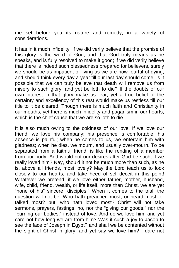me set before you its nature and remedy, in a variety of considerations.

It has in it much infidelity. If we did verily believe that the promise of this glory is the word of God, and that God truly means as he speaks, and is fully resolved to make it good; if we did verily believe that there is indeed such blessedness prepared for believers, surely we should be as impatient of living as we are now fearful of dying, and should think every day a year till our last day should come. Is it possible that we can truly believe that death will remove us from misery to such glory, and yet be loth to die? If the doubts of our own interest in that glory make us fear, yet a true belief of the certainty and excellency of this rest would make us restless till our title to it be cleared. Though there is much faith and Christianity in our mouths, yet there is much infidelity and paganism in our hearts, which is the chief cause that we are so loth to die.

It is also much owing to the coldness of our love. If we love our friend, we love his company; his presence is comfortable, his absence is painful; when he comes to us, we entertain him with gladness; when he dies, we mourn, and usually over-mourn. To be separated from a faithful friend, is like the rending of a member from our body. And would not our desires after God be such, if we really loved him? Nay, should it not be much more than such, as he is, above all friends, most lovely? May the Lord teach us to look closely to our hearts, and take heed of self-deceit in this point! Whatever we pretend, if we love either father, mother, husband, wife, child, friend, wealth, or life itself, more than Christ, we are yet "none of his" sincere "disciples." When it comes to the trial, the question will not be, Who hath preached most, or heard most, or talked most? but, who hath loved most? Christ will not take sermons, prayers, fastings; no, nor the "giving our goods," nor the "burning our bodies," instead of love. And do we love him, and yet care not how long we are from him? Was it such a joy to Jacob to see the face of Joseph in Egypt? and shall we be contented without the sight of Christ in glory, and yet say we love him? I dare not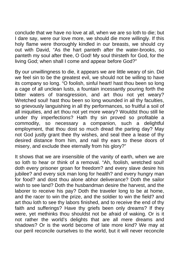conclude that we have no love at all, when we are so loth to die; but I dare say, were our love more, we should die more willingly. If this holy flame were thoroughly kindled in our breasts, we should cry out with David, "As the hart panteth after the water-brooks, so panteth my soul after thee, O God! My soul thirsteth for God, for the living God; when shall I come and appear before God?"

By our unwillingness to die, it appears we are little weary of sin. Did we feel sin to be the greatest evil, we should not be willing to have its company so long. "O foolish, sinful heart! hast thou been so long a cage of all unclean lusts, a fountain incessantly pouring forth the bitter waters of transgression, and art thou not yet weary? Wretched soul! hast thou been so long wounded in all thy faculties, so grievously languishing in all thy performances, so fruitful a soil of all iniquities, and art thou not yet more weary? Wouldst thou still lie under thy imperfections? Hath thy sin proved so profitable a commodity, so necessary a companion, such a delightful employment, that thou dost so much dread the parting day? May not God justly grant thee thy wishes, and seal thee a lease of thy desired distance from him, and nail thy ears to these doors of misery, and exclude thee eternally from his glory?"

It shows that we are insensible of the vanity of earth, when we are so loth to hear or think of a removal. "Ah, foolish, wretched soul! doth every prisoner groan for freedom? and every slave desire his jubilee? and every sick man long for health? and every hungry man for food? and dost thou alone abhor deliverance? Doth the sailor wish to see land? Doth the husbandman desire the harvest, and the laborer to receive his pay? Doth the traveler long to be at home, and the racer to win the prize, and the soldier to win the field? and art thou loth to see thy labors finished, and to receive the end of thy faith and sufferings? Have thy griefs been only dreams? If they were, yet methinks thou shouldst not be afraid of waking. Or is it not rather the world's delights that are all mere dreams and shadows? Or is the world become of late more kind? We may at our peril reconcile ourselves to the world, but it will never reconcile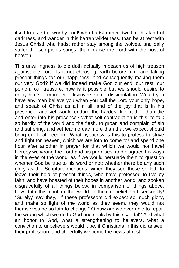itself to us. O unworthy soul! who hadst rather dwell in this land of darkness, and wander in this barren wilderness, than be at rest with Jesus Christ! who hadst rather stay among the wolves, and daily suffer the scorpion's stings, than praise the Lord with the host of heaven."

This unwillingness to die doth actually impeach us of high treason against the Lord. Is it not choosing earth before him, and taking present things for our happiness, and consequently making them our very God? If we did indeed make God our end, our rest, our portion, our treasure, how is it possible but we should desire to enjoy him? It, moreover, discovers some dissimulation. Would you have any man believe you when you call the Lord your only hope, and speak of Christ as all in all, and of the joy that is in his presence, and yet would endure the hardest life, rather than die and enter into his presence? What self-contradiction is this, to talk so hardly of the world and the flesh, to groan and complain of sin and suffering, and yet fear no day more than that we expect should bring our final freedom! What hypocrisy is this to profess to strive and fight for heaven, which we are loth to come to! and spend one hour after another in prayer for that which we would not have! Hereby we wrong the Lord and his promises, and disgrace his ways in the eyes of the world; as if we would persuade them to question whether God be true to his word or not; whether there be any such glory as the Scripture mentions. When they see those so loth to leave their hold of present things, who have professed to live by faith, and have boasted of their hopes in another world, and spoken disgracefully of all things below, in comparison of things above, how doth this confirm the world in their unbelief and sensuality! "Surely," say they, "if these professors did expect so much glory, and make so light of the world as they seem, they would not themselves be so loth to change." O how are we ever able to repair the wrong which we do to God and souls by this scandal? And what an honor to God, what a strengthening to believers, what a conviction to unbelievers would it be, if Christians in this did answer their profession. and cheerfully welcome the news of rest!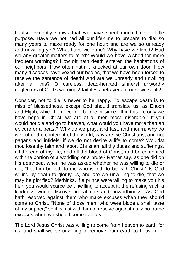It also evidently shows that we have spent much time to little purpose. Have we not had all our life-time to prepare to die; so many years to make ready for one hour; and are we so unready and unwilling yet? What have we done? Why have we lived? Had we any greater matters to mind? Would we have wished for more frequent warnings? How oft hath death entered the habitations of our neighbors! How often hath it knocked at our own door! How many diseases have vexed our bodies, that we have been forced to receive the sentence of death! And are we unready and unwilling after all this? O careless, dead-hearted sinners! unworthy neglecters of God's warnings! faithless betrayers of our own souls!

Consider, not to die is never to be happy. To escape death is to miss of blessedness, except God should translate us, as Enoch and Elijah, which he never did before or since. "If in this life only we have hope in Christ, we are of all men most miserable." If you would not die and go to heaven, what would you have more than an epicure or a beast? Why do we pray, and fast, and mourn; why do we suffer the contempt of the world; why are we Christians, and not pagans and infidels, if we do not desire a life to come? Wouldst thou lose thy faith and labor, Christian; all thy duties and sufferings, all the end of thy life, and all the blood of Christ, and be contented with the portion of a worldling or a brute? Rather say, as one did on his deathbed, when he was asked whether he was willing to die or not, "Let him be loth to die who is loth to be with Christ." Is God willing by death to glorify us, and are we unwilling to die, that we may be glorified? Methinks, if a prince were willing to make you his heir, you would scarce be unwilling to accept it; the refusing such a kindness would discover ingratitude and unworthiness. As God hath resolved against them who make excuses when they should come to Christ, "None of those men, who were bidden, shall taste of my supper;" so it is just with him to resolve against us, who frame excuses when we should come to glory.

The Lord Jesus Christ was willing to come from heaven to earth for us, and shall we be unwilling to remove from earth to heaven for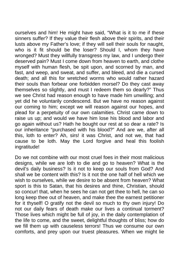ourselves and him! He might have said, "What is it to me if these sinners suffer? If they value their flesh above their spirits, and their lusts above my Father's love; if they will sell their souls for naught, who is it fit should be the loser? Should I, whom they have wronged? Must they willfully transgress my law, and I undergo their deserved pain? Must I come down from heaven to earth, and clothe myself with human flesh, be spit upon, and scorned by man, and fast, and weep, and sweat, and suffer, and bleed, and die a cursed death; and all this for wretched worms who would rather hazard their souls than forbear one forbidden morsel? Do they cast away themselves so slightly, and must I redeem them so dearly?" Thus we see Christ had reason enough to have made him unwilling; and yet did he voluntarily condescend. But we have no reason against our coming to him; except we will reason against our hopes, and plead for a perpetuity of our own calamities. Christ came down to raise us up; and would we have him lose his blood and labor and go again without us? Hath he bought our rest at so dear a rate? Is our inheritance "purchased with his blood?" And are we, after all this, loth to enter? Ah, sirs! it was Christ, and not we, that had cause to be loth. May the Lord forgive and heal this foolish ingratitude!

Do we not combine with our most cruel foes in their most malicious designs, while we are loth to die and go to heaven? What is the devil's daily business? Is it not to keep our souls from God? And shall we be content with this? Is it not the one half of hell which we wish to ourselves, while we desire to be absent from heaven? What sport is this to Satan, that his desires and thine, Christian, should so concur! that, when he sees he can not get thee to hell, he can so long keep thee out of heaven, and make thee the earnest petitioner for it thyself! O gratify not the devil so much to thy own injury! Do not our daily fears of death make our lives a continual torment? Those lives which might be full of joy, in the daily contemplation of the life to come, and the sweet, delightful thoughts of bliss; how do we fill them up with causeless terrors! Thus we consume our own comforts, and prey upon our truest pleasures. When we might lie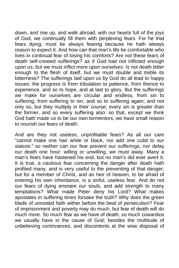down, and rise up, and walk abroad, with our hearts full of the joys of God, we continually fill them with perplexing fears. For he that fears dying, must be always fearing because he hath always reason to expect it. And how can that man's life be comfortable who lives in continual fear of losing his comforts? Are not these fears of death self-created sufferings? as if God had not inflicted enough upon us, but we must inflict more upon ourselves. Is not death bitter enough to the flesh of itself, but we must double and treble its bitterness? The sufferings laid upon us by God do all lead to happy issues; the progress is from tribulation to patience, from thence to experience, and so to hope, and at last to glory. But the sufferings we make for ourselves are circular and endless, from sin to suffering, from suffering to sin, and so to suffering again; and not only so, but they multiply in their course; every sin is greater than the former, and so every suffering also: so that, except we think God hath made us to be our own tormentors, we have small reason to nourish our fears of death.

And are they not useless, unprofitable fears? As all our care "cannot make one hair white or black, nor add one cubit to our stature," so neither can our fear prevent our sufferings, nor delay our death one hour: willing or unwilling, we must away. Many a man's fears have hastened his end, but no man's did ever avert it. It is true, a cautious fear concerning the danger after death hath profited many, and is very useful to the preventing of that danger; but for a member of Christ, and an heir of heaven, to be afraid of entering his own inheritance, is a sinful, useless fear. And do not our fears of dying ensnare our souls, and add strength to many temptations? What made Peter deny his Lord? What makes apostates in suffering times forsake the truth? Why does the green blade of unrooted faith wither before the beat of persecution? Fear of imprisonment and poverty may do much, but fear of death will do much more. So much fear as we have of death, so much cowardice we usually have in the cause of God; besides the multitude of unbelieving contrivances, and discontents at the wise disposal of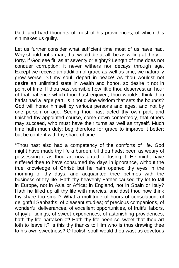God, and hard thoughts of most of his providences, of which this sin makes us guilty.

Let us further consider what sufficient time most of us have had. Why should not a man, that would die at all, be as willing at thirty or forty, if God see fit, as at seventy or eighty? Length of time does not conquer corruption; it never withers nor decays through age. Except we receive an addition of grace as well as time, we naturally grow worse. "O my soul, depart in peace! As thou wouldst not desire an unlimited state in wealth and honor, so desire it not in point of time. If thou wast sensible how little thou deservest an hour of that patience which thou hast enjoyed, thou wouldst think thou hadst had a large part. Is it not divine wisdom that sets the bounds? God will honor himself by various persons and ages, and not by one person or age. Seeing thou hast acted thy own part, and finished thy appointed course, come down contentedly, that others may succeed, who must have their turns as well as thyself. Much time hath much duty; beg therefore for grace to improve it better; but be content with thy share of time.

"Thou hast also had a competency of the comforts of life. God might have made thy life a burden, till thou hadst been as weary of possessing it as thou art now afraid of losing it. He might have suffered thee to have consumed thy days in ignorance, without the true knowledge of Christ: but he hath opened thy eyes in the morning of thy days, and acquainted thee betimes with the business of thy life. Hath thy heavenly Father caused thy lot to fall in Europe, not in Asia or Africa; in England, not in Spain or Italy? Hath he filled up all thy life with mercies, and dost thou now think thy share too small? What a multitude of hours of consolation, of delightful Sabbaths, of pleasant studies; of precious companions, of wonderful deliverances, of excellent opportunities, of fruitful labors, of joyful tidings, of sweet experiences, of astonishing providences, hath thy life partaken of! Hath thy life been so sweet that thou art loth to leave it? Is this thy thanks to Him who is thus drawing thee to his own sweetness? O foolish soul! would thou wast as covetous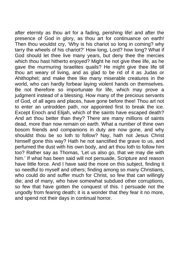after eternity as thou art for a fading, perishing life! and after the presence of God in glory, as thou art for continuance on earth! Then thou wouldst cry, 'Why is his chariot so long in coming? why tarry the wheels of his chariot?' How long, Lord? how long? What if God should let thee live many years, but deny thee the mercies which thou hast hitherto enjoyed? Might he not give thee life, as he gave the murmuring Israelites quails? He might give thee life till thou art weary of living, and as glad to be rid of it as Judas or Ahithophel; and make thee like many miserable creatures in the world, who can hardly forbear laying violent hands on themselves. Be not therefore so importunate for life, which may prove a judgment instead of a blessing. How many of the precious servants of God, of all ages and places, have gone before thee! Thou art not to enter an untrodden path, nor appointed first to break the ice. Except Enoch and Elijah, which of the saints have escaped death? And art thou better than they? There are many millions of saints dead, more than now remain on earth. What a number of thine own bosom friends and companions in duty are now gone, and why shouldst thou be so loth to follow? Nay, hath not Jesus Christ himself gone this way? Hath he not sanctified the grave to us, and perfumed the dust with his own body, and art thou loth to follow him too? Rather say as Thomas, 'Let us also go, that we may die with him.' If what has been said will not persuade, Scripture and reason have little force. And I have said the more on this subject, finding it so needful to myself and others; finding among so many Christians, who could do and suffer much for Christ, so few that can willingly die; and of many, who have somewhat subdued other corruptions, so few that have gotten the conquest of this. I persuade not the ungodly from fearing death; it is a wonder that they fear it no more, and spend not their days in continual horror.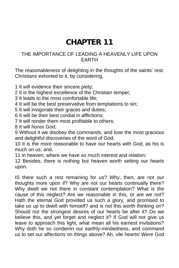# **CHAPTER 11**

#### THE IMPORTANCE OF LEADING A HEAVENLY LIFE UPON EARTH

The reasonableness of delighting in the thoughts of the saints' rest. Christians exhorted to it, by considering,

1 It will evidence their sincere piety;

2 It is the highest excellence of the Christian temper;

- 3 It leads to the most comfortable life;
- 4 It will be the best preservative from temptations to sin;
- 5 It will invigorate their graces and duties;
- 6 It will be their best cordial in afflictions;
- 7 It will render them most profitable to others;
- 8 It will honor God;

9 Without it we disobey the commands, and lose the most gracious and delightful discoveries of the word of God;

10 It is the more reasonable to have our hearts with God, as his is much on us; and,

11 in heaven, where we have so much interest and relation;

12 Besides, there is nothing but heaven worth setting our hearts upon.

IS there such a rest remaining for us? Why, then, are not our thoughts more upon if? Why are not our hearts continually there? Why dwell we not there in constant contemplation? What is the cause of this neglect? Are we reasonable in this, or are we not? Hath the eternal God provided us such a glory, and promised to take us up to dwell with himself? and is not this worth thinking on? Should not the strongest desires of our hearts be after it? Do we believe this, and yet forget and neglect it? If God will not give us leave to approach this light, what mean all his earnest invitations? Why doth he so condemn our earthly-mindedness, and command us to set our affections on things above? Ah, vile hearts! Were God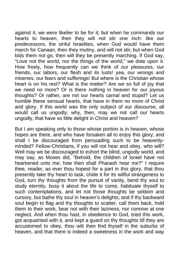against it, we were likelier to be for it; but when he commands our hearts to heaven, then they will not stir one inch: like our predecessors, the sinful Israelites, when God would have them march for Canaan, then they mutiny, and will not stir; but when God bids them not go, then will they be presently marching. If God say, "Love not the world, nor the things of the world," we dote upon it. How freely, how frequently can we think of our pleasures, our friends, our labors, our flesh and its lusts! yea, our wrongs and miseries, our fears and sufferings! But where is the Christian whose heart is on his rest? What is the matter? Are we so full of joy that we need no more? Or is there nothing in heaven for our joyous thoughts? Or rather, are not our hearts carnal and stupid? Let us humble these sensual hearts, that have in them no more of Christ and glory. If this world was the only subject of our discourse, all would call us ungodly; why, then, may we not call our hearts ungodly, that have so little delight in Christ and heaven?

But I am speaking only to those whose portion is in heaven, whose hopes are there, and who have forsaken all to enjoy this glory; and shall I be discouraged from persuading such to be heavenlyminded? Fellow-Christians, if you will not hear and obey, who will? Well may we be discouraged to exhort the blind, ungodly world, and may say, as Moses did, "Behold, the children of Israel have not hearkened unto me; how then shall Pharaoh hear me?" I require thee, reader, as ever thou hopest for a part in this glory, that thou presently take thy heart to task, chide it for its willful strangeness to God, turn thy thoughts from the pursuit of vanity, bend thy soul to study eternity, busy it about the life to come, habituate thyself to such contemplations, and let not those thoughts be seldom and cursory, but bathe thy soul in heaven's delights; and if thy backward soul begin to flag and thy thoughts to scatter, call them back, hold them to their work, bear not with their laziness, nor connive at one neglect. And when thou hast, in obedience to God, tried this work, got acquainted with it, and kept a guard on thy thoughts till they are accustomed to obey, thou wilt then find thyself in the suburbs of heaven, and that there is indeed a sweetness in the work and way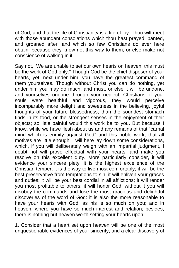of God, and that the life of Christianity is a life of joy. Thou wilt meet with those abundant consolations which thou hast prayed, panted, and groaned after, and which so few Christians do ever here obtain, because they know not this way to them, or else make not conscience of walking in it.

Say not, "We are unable to set our own hearts on heaven; this must be the work of God only." Though God be the chief disposer of your hearts, yet, next under him, you have the greatest command of them yourselves. Though without Christ you can do nothing, yet under him you may do much, and must, or else it will be undone, and yourselves undone through your neglect. Christians, if your souls were healthful and vigorous, they would perceive incomparably more delight and sweetness in the believing, joyful thoughts of your future blessedness, than the soundest stomach finds in its food, or the strongest senses in the enjoyment of their objects; so little painful would this work be to you. But because I know, while we have flesh about us and any remains of that "carnal mind which is enmity against God" and this noble work, that all motives are little enough, I will here lay down some considerations, which, if you will deliberately weigh with an impartial judgment, I doubt not will prove effectual with your hearts, and make you resolve on this excellent duty. More particularly consider, it will evidence your sincere piety; it is the highest excellence of the Christian temper; it is the way to live most comfortably; it will be the best preservative from temptations to sin; it will enliven your graces and duties; it will be your best cordial in all afflictions; it will render you most profitable to others; it will honor God; without it you will disobey the commands and lose the most gracious and delightful discoveries of the word of God: it is also the more reasonable to have your hearts with God, as his is so much on you; and in heaven, where you have so much interest and relation; besides, there is nothing but heaven worth setting your hearts upon.

1. Consider that a heart set upon heaven will be one of the most unquestionable evidences of your sincerity, and a clear discovery of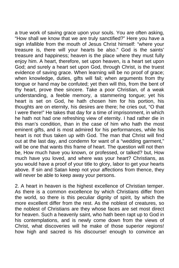a true work of saving grace upon your souls. You are often asking, "How shall we know that we are truly sanctified?" Here you have a sign infallible from the mouth of Jesus Christ himself: "where your treasure is, there will your hearts be also." God is the saints' treasure and happiness; heaven is the place where they must fully enjoy him. A heart, therefore, set upon heaven, is a heart set upon God; and surely a heart set upon God, through Christ, is the truest evidence of saving grace. When learning will be no proof of grace; when knowledge, duties, gifts will fail; when arguments from thy tongue or hand may be confuted; yet then will this, from the bent of thy heart, prove thee sincere. Take a poor Christian, of a weak understanding, a feeble memory, a stammering tongue; yet his heart is set on God, he hath chosen him for his portion, his thoughts are on eternity, his desires are there; he cries out, "O that I were there!" He takes that day for a time of imprisonment, in which he hath not had one refreshing view of eternity. I had rather die in this man's condition, than in the case of him who hath the most eminent gifts, and is most admired for his performances, while his heart is not thus taken up with God. The man that Christ will find out at the last day, and condemn for want of a "wedding garment," will be one that wants this frame of heart. The question will not then be, How much have you known, or professed, or talked? but, How much have you loved, and where was your heart? Christians, as you would have a proof of your title to glory, labor to get your hearts above. If sin and Satan keep not your affections from thence, they will never be able to keep away your persons.

2. A heart in heaven is the highest excellence of Christian temper. As there is a common excellence by which Christians differ from the world, so there is this peculiar dignity of spirit, by which the more excellent differ from the rest. As the noblest of creatures, so the noblest of Christians are they whose faces are set most direct for heaven. Such a heavenly saint, who hath been rapt up to God in his contemplations, and is newly come down from the views of Christ, what discoveries will he make of those superior regions! how high and sacred is his discourse! enough to convince an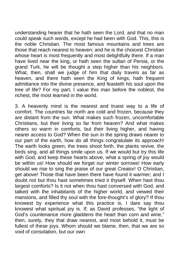understanding hearer that he hath seen the Lord, and that no man could speak such words, except he had been with God. This, this is the noble Christian. The most famous mountains and trees are those that reach nearest to heaven; and he is the choicest Christian whose heart is most frequently and most delightfully there. If a man have lived near the king, or hath seen the sultan of Persia, or the grand Turk, he will be thought a step higher than his neighbors. What, then, shall we judge of him that daily travels as far as heaven, and there hath seen the King of kings, hath frequent admittance into the divine presence, and feasteth his soul upon the tree of life? For my part, I value this man before the noblest, the richest, the most learned in the world.

3. A heavenly mind is the nearest and truest way to a life of comfort. The countries far north are cold and frozen, because they are distant from the sun. What makes such frozen, uncomfortable Christians, but their living so far from heaven? And what makes others so warm in comforts, but their living higher, and having nearer access to God? When the sun in the spring draws nearer to our part of the earth, how do all things congratulate its approach! The earth looks green, the trees shoot forth, the plants revive, the birds sing. and all things smile upon us. If we would but try this life with God, and keep these hearts above, what a spring of joy would be within us! How should we forget our winter sorrows! How early should we rise to sing the praise of our great Creator! O Christian, get above! Those that have been there have found it warmer; and I doubt not but thou hast sometimes tried it thyself. When hast thou largest comforts? Is it not when thou hast conversed with God, and talked with the inhabitants of the higher world, and viewed their mansions, and filled thy soul with the fore-thought's of glory? If thou knowest by experience what this practice is, I dare say thou knowest what spiritual joy is. If; as David professes, "the light of God's countenance more gladdens the heart than corn and wine," then, surely, they that draw nearest, and most behold it, must be fullest of these joys. Whom should we blame, then, that we are so void of consolation, but our own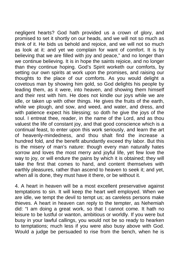negligent hearts? God hath provided us a crown of glory, and promised to set it shortly on our heads, and we will not so much as think of it. He bids us behold and rejoice, and we will not so much as look at it: and yet we complain for want of comfort. It is by believing that we are filled with joy and peace," and no longer than we continue believing. It is in hope the saints rejoice, and no longer than they continue hoping. God's Spirit worketh our comforts, by setting our own spirits at work upon the promises, and raising our thoughts to the place of our comforts. As you would delight a covetous man by showing him gold, so God delights his people by leading them, as it were, into heaven, and showing them himself and their rest with him. He does not kindle our joys while we are idle, or taken up with other things. He gives the fruits of the earth, while we plough, and sow, and weed, and water, and dress, and with patience expect his blessing; so doth he give the joys of the soul. I entreat thee, reader, in the name of the Lord, and as thou valuest the life of constant joy, and that good conscience which is a continual feast, to enter upon this work seriously, and learn the art of heavenly-mindedness, and thou shalt find the increase a hundred fold, and the benefit abundantly exceed thy labor. But this is the misery of man's nature: though every man naturally hates sorrow and loves the most merry and joyful life, yet few love the way to joy, or will endure the pains by which it is obtained; they will take the first that comes to hand, and content themselves with earthly pleasures, rather than ascend to heaven to seek it; and yet, when all is done, they must have it there, or be without it.

4. A heart in heaven will be a most excellent preservative against temptations to sin. It will keep the heart well employed. When we are idle, we tempt the devil to tempt us; as careless persons make thieves. A heart in heaven can reply to the tempter, as Nehemiah did: "I am doing a great work, so that I cannot come. It hath no leisure to be lustful or wanton, ambitious or worldly. If you were but busy in your lawful callings, you would not be so ready to hearken to temptations; much less if you were also busy above with God. Would a judge be persuaded to rise from the bench, when he is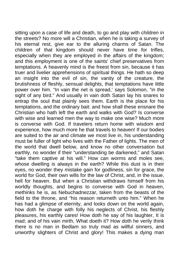sitting upon a case of life and death, to go and play with children in the streets? No more will a Christian, when he is taking a survey of his eternal rest, give ear to the alluring charms of Satan. The children of that kingdom should never have time for trifles, especially when they are employed in the affairs of the kingdom; and this employment is one of the saints' chief preservatives from temptations. A heavenly mind is the freest from sin, because it has truer and livelier apprehensions of spiritual things. He hath so deep an insight into the evil of sin, the vanity of the creature, the brutishness of fleshly, sensual delights, that temptations have little power over him. "In vain the net is spread,' says Solomon, "in the sight of any bird." And usually in vain doth Satan lay his snares to entrap the soul that plainly sees them. Earth is the place for his temptations, and the ordinary bait: and how shall these ensnare the Christian who hath left the earth and walks with God? Is converse with wise and learned men the way to make one wise? Much more is converse with God. If travelers return home with wisdom and experience, how much more he that travels to heaven! If our bodies are suited to the air and climate we most live in, his understanding must be fuller of light who lives with the Father of lights. The men of the world that dwell below, and know no other conversation but earthly, no wonder if their "understanding be darkened," and Satan "take them captive at his will." How can worms and moles see, whose dwelling is always in the earth? While this dust is in their eyes, no wonder they mistake gain for godliness, sin for grace, the world for God, their own wills for the law of Christ, and, in the issue, hell for heaven. But when a Christian withdraws himself from his worldly thoughts, and begins to converse with God in heaven, methinks he is, as Nebuchadnezzar, taken from the beasts of the field to the throne, and "his reason returneth unto him." When he has had a glimpse of eternity, and looks down on the world again, how doth he charge with folly his neglects of Christ, his fleshly pleasures, his earthly cares! How doth he say of his laughter, It is mad; and of his vain mirth, What doeth it? How doth he verily think there is no man in Bedlam so truly mad as willful sinners, and unworthy slighters of Christ and glory! This makes a dying man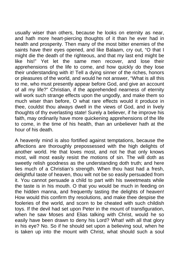usually wiser than others, because he looks on eternity as near, and hath more heart-piercing thoughts of it than he ever had in health and prosperity. Then many of the most bitter enemies of the saints have their eyes opened, and like Balaam, cry out, "O that I might die the death of the righteous, and that my last end might be like his!" Yet let the same men recover, and lose their apprehensions of the life to come, and how quickly do they lose their understanding with it! Tell a dying sinner of the riches, honors or pleasures of the world, and would he not answer, "What is all this to me, who must presently appear before God, and give an account of all my life?" Christian, if the apprehended nearness of eternity will work such strange effects upon the ungodly, and make them so much wiser than before, O what rare effects would it produce in thee, couldst thou always dwell in the views of God, and in lively thoughts of thy everlasting state! Surely a believer, if he improve his faith, may ordinarily have more quickening apprehensions of the life to come, in the time of his health, than an unbeliever hath at the hour of his death.

A heavenly mind is also fortified against temptations, because the affections are thoroughly prepossessed with the high delights of another world. He that loves most, and not he that only knows most, will most easily resist the motions of sin. The will doth as sweetly relish goodness as the understanding doth truth; and here lies much of a Christian's strength. When thou hast had a fresh, delightful taste of heaven, thou wilt not be so easily persuaded from it. You cannot persuade a child to part with his sweetmeats while the taste is in his mouth. O that you would be much in feeding on the hidden manna, and frequently tasting the delights of heaven! How would this confirm thy resolutions, and make thee despise the fooleries of the world, and scorn to be cheated with such childish toys. If the devil had set upon Peter in the mount of transfiguration, when he saw Moses and Elias talking with Christ, would he so easily have been drawn to deny his Lord? What! with all that glory in his eye? No. So if he should set upon a believing soul, when he is taken up into the mount with Christ, what should such a soul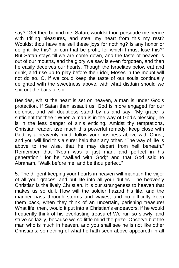say? "Get thee behind me, Satan; wouldst thou persuade me hence with trifling pleasures, and steal my heart from this my rest? Wouldst thou have me sell these joys for nothing? Is any honor or delight like this? or can that be profit, for which I must lose this?" But Satan stays till we are come down, and the taste of heaven is out of our mouths, and the glory we saw is even forgotten, and then he easily deceives our hearts. Though the Israelites below eat and drink, and rise up to play before their idol, Moses in the mount will not do so. O, if we could keep the taste of our souls continually delighted with the sweetness above, with what disdain should we spit out the baits of sin!

Besides, whilst the heart is set on heaven, a man is under God's protection. If Satan then assault us, God is more engaged for our defense, and will doubtless stand by us and say, "My grace is sufficient for thee." When a man is in the way of God's blessing, he is in the less danger of sin's enticing. Amidst thy temptations, Christian reader, use much this powerful remedy; keep close with God by a heavenly mind; follow your business above with Christ, and you will find this a surer help than any other. "The way of life is above to the wise, that he may depart from hell beneath." Remember that "Noah was a just man, and perfect in his generation;" for he "walked with God;" and that God said to Abraham, "Walk before me, and be thou perfect."

5. The diligent keeping your hearts in heaven will maintain the vigor of all your graces, and put life into all your duties. The heavenly Christian is the lively Christian. It is our strangeness to heaven that makes us so dull. How will the soldier hazard his life, and the mariner pass through storms and waves, and no difficulty keep them back, when they think of an uncertain, perishing treasure! What life, then, would it put into a Christian's endeavors, if he would frequently think of his everlasting treasure! We run so slowly, and strive so lazily, because we so little mind the prize. Observe but the man who is much in heaven, and you shall see he is not like other Christians; something of what he hath seen above appeareth in all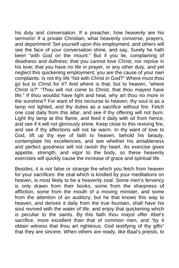his duty and conversation. If a preacher, how heavenly are his sermons! If a private Christian, what heavenly converse, prayers, and deportment! Set yourself upon this employment, and others will see the face of your conversation shine, and say, Surely he hath been "with God on the mount." But if you lie, complaining of deadness and dullness; that you cannot love Christ, nor rejoice in his love; that you have no life in prayer, or any other duty, and yet neglect this quickening employment; you are the cause of your own complaints. Is not thy life "hid with Christ in God?" Where must thou go but to Christ for it? And where is that, but to heaven, "where Christ is?" "Thou wilt not come to Christ, that thou mayest have life." If thou wouldst have light and heat, why art thou no more in the sunshine? For want of this recourse to heaven, thy soul is as a lamp not lighted, and thy duties as a sacrifice without fire. Fetch one coal daily from this altar, and see if thy offering will not burn. Light thy lamp at this flame, and feed it daily with oil from hence, and see if it will not gloriously shine. Keep close to this reviving fire, and see if thy affections will not be warm. In thy want of love to God, lift up thy eye of faith to heaven, behold his beauty, contemplate his excellencies, and see whether his amiableness and perfect goodness will not ravish thy heart. As exercise gives appetite, strength, and vigor to the body, so these heavenly exercises will quickly cause the increase of grace and spiritual life.

Besides, it is not false or strange fire which you fetch from heaven for your sacrifices: the zeal which is kindled by your meditations on heaven, is most likely to be a heavenly zeal. Some men's fervency is only drawn from their books, some from the sharpness of affliction, some from the mouth of a moving minister, and some from the attention of an auditory; but he that knows this way to heaven, and derives it daily from the true fountain, shall have his soul revived with the water of life, and enjoy that quickening which is peculiar to the saints. By this faith thou mayst offer Abel's sacrifice, more excellent than that of common men, and "by it obtain witness that thou art righteous, God testifying of thy gifts" that they are sincere. When others are ready, like Baal's priests, to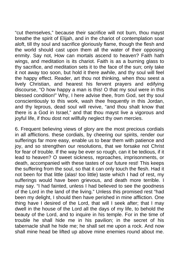"cut themselves," because their sacrifice will not burn, thou mayst breathe the spirit of Elijah, and in the chariot of contemplation soar aloft, till thy soul and sacrifice gloriously flame, though the flesh and the world should cast upon them all the water of their opposing enmity. Say not, How can mortals ascend to heaven? Faith hath wings, and meditation is its chariot. Faith is as a burning glass to thy sacrifice, and meditation sets it to the face of the sun; only take it not away too soon, but hold it there awhile, and thy soul will feel the happy effect. Reader, art thou not thinking, when thou seest a lively Christian, and hearest his fervent prayers and edifying discourse, "O how happy a man is this! O that my soul were in this blessed condition!" Why, I here advise thee, from God, set thy soul conscientiously to this work, wash thee frequently in this Jordan, and thy leprous, dead soul will revive, "and thou shalt know that there is a God in Israel," and that thou mayst live a vigorous and joyful life, if thou dost not willfully neglect thy own mercies.

6. Frequent believing views of glory are the most precious cordials in all afflictions. these cordials, by cheering our spirits, render our sufferings far more easy, enable us to bear them with patience and joy, and so strengthen our resolutions, that we forsake not Christ for fear of trouble. If the way be ever so rough, can it be tedious, if it lead to heaven? O sweet sickness, reproaches, imprisonments, or death, accompanied with these tastes of our future rest! This keeps the suffering from the soul, so that it can only touch the flesh. Had it not been for that little (alas! too little) taste which I had of rest, my sufferings would have been grievous, and death more terrible. I may say. "I had fainted, unless I had believed to see the goodness of the Lord in the land of the living." Unless this promised rest "had been my delight, I should then have perished in mine affliction. One thing have I desired of the Lord, that will I seek after; that I may dwell in the house of the Lord all the days of my life, to behold the beauty of the Lord, and to inquire in his temple. For in the time of trouble he shall hide me in his pavilion; in the secret of his tabernacle shall he hide me; he shall set me upon a rock. And now shall mine head be lifted up above mine enemies round about me.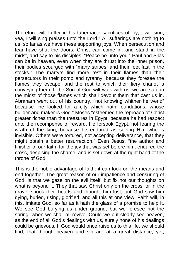Therefore will I offer in his tabernacle sacrifices of joy; I will sing, yea, I will sing praises unto the Lord." All sufferings are nothing to us, so far as we have these supporting joys. When persecution and fear have shut the doors, Christ can come in, and stand in the midst, and say to his disciples, "Peace be unto you." Paul and Silas can be in heaven, even when they are thrust into the inner prison, their bodies scourged with "many stripes, and their feet fast in the stocks." The martyrs find more rest in their flames than their persecutors in their pomp and tyranny; because they foresee the flames they escape, and the rest to which their fiery chariot is conveying them. If the Son of God wilt walk with us, we are safe in the midst of those flames which shall devour them that cast us in. Abraham went out of his country, "not knowing whither he went;" because "he looked for a city which hath foundations, whose builder and maker is God." Moses "esteemed the reproach of Christ greater riches than the treasures in Egypt; because he had respect unto the recompense of reward. He forsook Egypt, not fearing the wrath of the king; because he endured as seeing Him who is invisible. Others were tortured, not accepting deliverance, that they might obtain a better resurrection." Even Jesus, "the author and finisher of our faith, for the joy that was set before him, endured the cross, despising the shame, and is set down at the right hand of the throne of God."

This is the noble advantage of faith: it can look on the means and end together. The great reason of our impatience and censuring of God, is that we gaze on the evil itself, but fix not our thoughts on what is beyond it. They that saw Christ only on the cross, or in the grave, shook their heads and thought him lost; but God saw him dying, buried, rising, glorified; and all this at one view. Faith will, in this, imitate God, so far as it hath the glass of a promise to help it. We see God burying us under ground, but we foresee not the spring, when we shall all revive. Could we but clearly see heaven, as the end of all God's dealings with us, surely none of his dealings could be grievous. If God would once raise us to this life, we should find, that though heaven and sin are at a great distance; yet,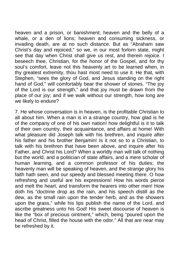heaven and a prison, or banishment; heaven and the belly of a whale, or a den of lions; heaven and consuming sickness, or invading death, are at no such distance. But as "Abraham saw Christ's day and rejoiced," so we, in our most forlorn state, might see that day when Christ shall give us rest, and therein rejoice. I beseech thee, Christian, for the honor of the Gospel, and for thy soul's comfort, leave not this heavenly art to be learned when, in thy greatest extremity, thou hast most need to use it. He that, with Stephen, "sees the glory of God, and Jesus standing on the right hand of God," will comfortably bear the shower of stones. "The joy of the Lord is our strength," and that joy must be drawn from the place of our joy; and if we walk without our strength, how long are we likely to endure?

7. He whose conversation is in heaven, is the profitable Christian to all about him. When a man is in a strange country, how glad is he of the company of one of his own nation! how delightful is it to talk of their own country, their acquaintance, and affairs at home! With what pleasure did Joseph talk with his brethren, and inquire after his father and his brother Benjamin! Is it not so to a Christian, to talk with his brethren that have been above, and inquire after his Father, and Christ his Lord? When a worldly man will talk of nothing but the world, and a politician of state affairs, and a mere scholar of human learning, and a common professor of his duties; the heavenly man will be speaking of heaven, and the strange glory his faith hath seen, and our speedy and blessed meeting there. O how refreshing and useful are his expressions! How his words pierce and melt the heart, and transform the hearers into other men! How doth his "doctrine drop as the rain, and his speech distill as the dew, as the small rain upon the tender herb, and as the showers upon the grass," while his lips publish the name of the Lord, and ascribe greatness unto his God! His sweet discourse of heaven is like the "box of precious ointment," which, being "poured upon the head of Christ, filled the house with the odor." All that are near may be refreshed by it.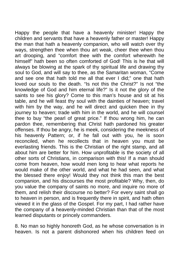Happy the people that have a heavenly minister! Happy the children and servants that have a heavenly father or master! Happy the man that hath a heavenly companion, who will watch over thy ways, strengthen thee when thou art weak, cheer thee when thou art drooping, and "comfort thee with the comfort wherewith he himself" hath been so often comforted of God! This is he that will always be blowing at the spark of thy spiritual life and drawing thy soul to God, and will say to thee, as the Samaritan woman, "Come and see one that hath told me all that ever I did;" one that hath loved our souls to the death. "Is not this the Christ?" Is not "the knowledge of God and him eternal life?" Is it not the glory of the saints to see his glory? Come to this man's house and sit at his table, and he will feast thy soul with the dainties of heaven; travel with him by the way, and he will direct and quicken thee in thy journey to heaven; trade with him in the world, and he will counsel thee to buy "the pearl of great price." If thou wrong him, he can pardon thee, remembering that Christ hath pardoned his greater offenses. If thou be angry, he is meek, considering the meekness of his heavenly Pattern; or, if he fall out with you, he is soon reconciled, when he recollects that in heaven you must be everlasting friends. This is the Christian of the right stamp, and all about him are better for him. How unprofitable is the society of all other sorts of Christians, in comparison with this! If a man should come from heaven, how would men long to hear what reports he would make of the other world, and what he had seen, and what the blessed there enjoy! Would they not think this man the best companion, and his discourses the most profitable? Why, then, do you value the company of saints no more, and inquire no more of them, and relish their discourse no better? For every saint shall go to heaven in person, and is frequently there in spirit, and hath often viewed it in the glass of the Gospel. For my part, I had rather have the company of a heavenly-minded Christian than that of the most learned disputants or princely commanders.

8. No man so highly honoreth God, as he whose conversation is in heaven. Is not a parent dishonored when his children feed on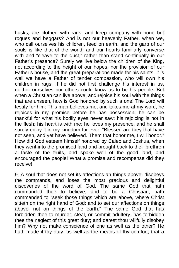husks, are clothed with rags, and keep company with none but rogues and beggars? And is not our heavenly Father, when we, who call ourselves his children, feed on earth, and the garb of our souls is like that of the world; and our hearts familiarly converse with and "cleave to the dust," rather than stand continually in our Father's presence? Surely we live below the children of the King, not according to the height of our hopes, nor the provision of our Father's house, and the great preparations made for his saints. It is well we have a Father of tender compassion, who will own his children in rags. If he did not first challenge his interest in us, neither ourselves nor others could know us to be his people. But when a Christian can live above, and rejoice his soul with the things that are unseen, how is God honored by such a one! The Lord will testify for him: This man believes me, and takes me at my word, he rejoices in my promise before he has possession; he can be thankful for what his bodily eyes never saw: his rejoicing is not in the flesh; his heart is with me; he loves my presence, and he shall surely enjoy it in my kingdom for ever. "Blessed are they that have not seen, and yet have believed. Them that honor me, I will honor." How did God esteem himself honored by Caleb and Joshua, when they went into the promised land and brought back to their brethren a taste of the fruits, and spake well of the good land, and encouraged the people! What a promise and recompense did they receive!

9. A soul that does not set its affections an things above, disobeys the commands, and loses the most gracious and delightful discoveries of the word of God. The same God that hath commanded thee to believe, and to be a Christian, hath commanded to "seek those things which are above, where Christ sitteth on the right hand of God: and to set our affections on things above, not on things of the earth." The same God that has forbidden thee to murder, steal, or commit adultery, has forbidden thee the neglect of this great duty; and darest thou willfully disobey him? Why not make conscience of one as well as the other? He hath made it thy duty, as well as the means of thy comfort, that a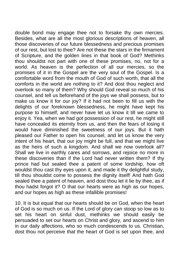double bond may engage thee not to forsake thy own mercies. Besides, what are all the most glorious descriptions of heaven, all those discoveries of our future blessedness and precious promises of our rest, but lost to thee? Are not these the stars in the firmament of Scripture, and the golden lines in that book of God? Methinks thou shouldst not part with one of these promises, no, not for a world. As heaven is the perfection of all our mercies, so the promises of it in the Gospel are the very soul of the Gospel. Is a comfortable word from the mouth of God of such worth, that all the comforts in the world are nothing to it? And dost thou neglect and overlook so many of them? Why should God reveal so much of his counsel, and tell us beforehand of the joys we shall possess, but to make us know it for our joy? If it had not been to fill us with the delights of our foreknown blessedness, he might have kept his purpose to himself, and never have let us know it till we came to enjoy it. Yea, when we had got possession of our rest, he might still have concealed its eternity from us, and then the fears of losing it would have diminished the sweetness of our joys. But it hath pleased our Father to open his counsel, and let us know the very intent of his heart, that our joy might be full, and that we might live as the heirs of such a kingdom. And shall we now overlook all? Shall we live in earthly cares and sorrows, and rejoice no more in these discoveries than if the Lord had never written them? If thy prince had but sealed thee a patent of some lordship, how oft wouldst thou cast thy eyes upon it, and made it thy delightful study, till thou shouldst come to possess the dignity itself! And hath God sealed thee a patent of heaven, and dost thou let it lie by thee, as if thou hadst forgot it? O that our hearts were as high as our hopes, and our hopes as high as these infallible promises!

10. It is but equal that our hearts should be on God, when the heart of God is so much on us. If the Lord of glory can stoop so low as to set his heart on sinful dust, methinks we should easily be persuaded to set our hearts on Christ and glory, and ascend to him in our daily affections, who so much condescends to us. Christian, dost thou not perceive that the heart of God is set upon thee, and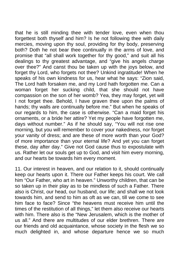that he is still minding thee with tender love, even when thou forgettest both thyself and him? Is he not following thee with daily mercies, moving upon thy soul, providing for thy body, preserving both? Doth he not bear thee continually in the arms of love, and promise that "all shall work together for thy good," and suit all his dealings to thy greatest advantage, and "give his angels charge over thee?" And canst thou be taken up with the joys below, and forget thy Lord, who forgets not thee? Unkind ingratitude! When he speaks of his own kindness for us, hear what he says: "Zion said, The Lord hath forsaken me, and my Lord hath forgotten me. Can a woman forget her sucking child, that she should not have compassion on the son of her womb? Yea, they may forget, yet will I not forget thee. Behold, I have graven thee upon the palms of hands; thy walls are continually before me." But when he speaks of our regards to him, the case is otherwise. "Can a maid forget his ornaments, or a bride her attire? Yet my people have forgotten me, days without number." As if he should say, "You will not rise one morning, but you will remember to cover your nakedness, nor forget your vanity of dress; and are these of more worth than your God? of more importance than your eternal life? And yet you can forget these, day after day." Give not God cause thus to expostulate with us. Rather let our souls get up to God, and visit him every morning, and our hearts be towards him every moment.

11. Our interest in heaven, and our relation to it, should continually keep our hearts upon it. There our Father keeps his court. We call him "Our Father, who art in heaven." Unworthy children, that can be so taken up in their play as to be mindless of such a Father. There also is Christ, our head, our husband, our life; and shall we not look towards him, and send to him as oft as we can, till we come to see him face to face? Since "the heavens must receive him until the times of the restitution of all things," let them also receive our hearts with him. There also is the "New Jerusalem, which is the mother of us all." And there are multitudes of our elder brethren. There are our friends and old acquaintance, whose society in the flesh we so much delighted in, and whose departure hence we so much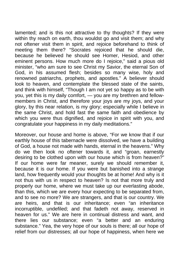lamented; and is this not attractive to thy thoughts? If they were within thy reach on earth, thou wouldst go and visit them; and why not oftener visit them in spirit, and rejoice beforehand to think of meeting them there? "Socrates rejoiced that he should die, because he believed he should see Homer, Hesiod, and other eminent persons. How much more do I rejoice," said a pious old minister, "who am sure to see Christ my Savior, the eternal Son of God, in his assumed flesh; besides so many wise, holy and renowned patriarchs, prophets, and apostles." A believer should look to heaven, and contemplate the blessed state of the saints, and think with himself, "Though I am not yet so happy as to be with you, yet this is my daily comfort, — you are my brethren and fellowmembers in Christ, and therefore your joys are my joys, and your glory, by this near relation, is my glory; especially while I believe in the same Christ, and hold fast the same faith and obedience by which you were thus dignified, and rejoice in spirit with you, and congratulate your happiness in my daily meditations."

Moreover, our house and home is above, "For we know that if our earthly house of this tabernacle were dissolved, we have a building of God, a house not made with hands, eternal in the heavens." Why do we then look no oftener towards it, and "groan, earnestly desiring to be clothed upon with our house which is from heaven?" If our home were far meaner, surely we should remember it, because it is our home. If you were but banished into a strange land, how frequently would your thoughts be at home! And why is it not thus with us in respect to heaven? Is not that more truly and properly our home, where we must take up our everlasting abode, than this, which we are every hour expecting to be separated from, and to see no more? We are strangers, and that is our country. We are heirs, and that is our inheritance; even "an inheritance incorruptible, undefiled; and that fadeth not away, reserved in heaven for us." We are here in continual distress and want, and there lies our substance; even "a better and an enduring substance." Yea, the very hope of our souls is there; all our hope of relief from our distresses; all our hope of happiness, when here we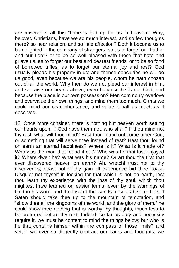are miserable; all this "hope is laid up for us in heaven." Why, beloved Christians, have we so much interest, and so few thoughts there? so near relation, and so little affection? Doth it become us to be delighted in the company of strangers, so as to forget our Father and our Lord? or to be so well pleased with those that hate and grieve us, as to forget our best and dearest friends; or to be so fond of borrowed trifles, as to forget our eternal joy and rest? God usually pleads his property in us; and thence concludes he will do us good, even because we are his people, whom he hath chosen out of all the world. Why then do we not plead our interest in him, and so raise our hearts above; even because he is our God, and because the place is our own possession? Men commonly overlove and overvalue their own things, and mind them too much. O that we could mind our own inheritance, and value it half as much as it deserves.

12. Once more consider, there is nothing but heaven worth setting our hearts upon. If God have them not, who shall? If thou mind not thy rest, what wilt thou mind? Hast thou found out some other God; or something that will serve thee instead of rest? Hast thou found on earth an eternal happiness? Where is it? What is it made of? Who was the man that found it out? Who was he that last enjoyed it? Where dwelt he? What was his name? Or art thou the first that ever discovered heaven on earth? Ah, wretch! trust not to thy discoveries; boast not of thy gain till experience bid thee boast. Disquiet not thyself in looking for that which is not on earth, lest thou learn thy experience with the loss of thy soul, which thou mightest have learned on easier terms; even by the warnings of God in his word, and the loss of thousands of souls before thee. If Satan should take thee up to the mountain of temptation, and "show thee all the kingdoms of the world, and the glory of them," he could show thee nothing that is worthy thy thoughts, much less to be preferred before thy rest. Indeed, so far as duty and necessity require it, we must be content to mind the things below; but who is he that contains himself within the compass of those limits? and yet, if we ever so diligently contract our cares and thoughts, we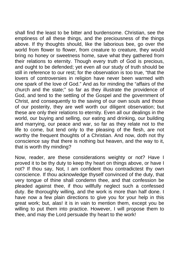shall find the least to be bitter and burdensome. Christian, see the emptiness of all these things, and the preciousness of the things above. If thy thoughts should, like the laborious bee, go over the world from flower to flower, from creature to creature, they would bring no honey or sweetness home, save what they gathered from their relations to eternity. Though every truth of God is precious, and ought to be defended; yet even all our study of truth should be still in reference to our rest; for the observation is too true, "that the lovers of controversies in religion have never been warmed with one spark of the love of God." And as for minding the "affairs of the church and the state;" so far as they illustrate the providence of God, and tend to the settling of the Gospel and the government of Christ, and consequently to the saving of our own souls and those of our posterity, they are well worth our diligent observation; but these are only their relations to eternity. Even all our dealings in the world, our buying and selling, our eating and drinking, our building and marrying, our peace and war, so far as they relate not to the life to come, but tend only to the pleasing of the flesh, are not worthy the frequent thoughts of a Christian. And now, doth not thy conscience say that there is nothing but heaven, and the way to it, that is worth thy minding?

Now, reader, are these considerations weighty or not? Have I proved it to be thy duty to keep thy heart on things above, or have I not? If thou say, Not, I am confident thou contradictest thy own conscience. If thou acknowledge thyself convinced of the duty, that very tongue of thine shall condemn thee, and that confession be pleaded against thee, if thou willfully neglect such a confessed duty. Be thoroughly willing, and the work is more than half done. I have now a few plain directions to give you for your help in this great work; but, alas! it is in vain to mention them, except you be willing to put them into practice. However, I will propose them to thee, and may the Lord persuade thy heart to the work!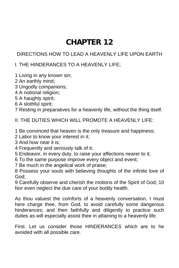# **CHAPTER 12**

## DIRECTIONS HOW TO LEAD A HEAVENLY LIFE UPON EARTH

### I. THE HINDERANCES TO A HEAVENLY LIFE;

- 1 Living in any known sin;
- 2 An earthly mind;
- 3 Ungodly companions;
- 4 A notional religion;
- 5 A haughty spirit;
- 6 A slothful spirit;
- 7 Resting in preparatives for a heavenly life, without the thing itself.

### II. THE DUTIES WHICH WILL PROMOTE A HEAVENLY LIFE:

- 1 Be convinced that heaven is the only treasure and happiness;
- 2 Labor to know your interest in it;
- 3 And how near it is;
- 4 Frequently and seriously talk of it;
- 5 Endeavor, in every duty, to raise your affections nearer to it;
- 6 To the same purpose improve every object and event;
- 7 Be much in the angelical work of praise;

8 Possess your souls with believing thoughts of the infinite love of God;

9 Carefully observe and cherish the motions of the Spirit of God; 10 Nor even neglect the due care of your bodily health.

As thou valuest the comforts of a heavenly conversation, I must here charge thee, from God, to avoid carefully some dangerous hinderances; and then faithfully and diligently to practice such duties as will especially assist thee in attaining to a heavenly life.

First. Let us consider those HINDERANCES which are to he avoided with all possible care.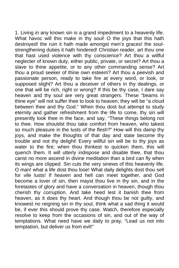1. Living in any known sin is a grand impediment to a heavenly life. What havoc will this make in thy soul! O the joys that this hath destroyed! the ruin it hath made amongst men's graces! the soulstrengthening duties it hath hindered! Christian reader, art thou one that hast used violence with thy conscience? Art thou a willful neglecter of known duty, either public, private, or secret? Art thou a slave to thine appetite, or to any other commanding sense? Art thou a proud seeker of thine own esteem? Art thou a peevish and passionate person, ready to take fire at every word, or look, or supposed slight? Art thou a deceiver of others in thy dealings, or one that will be rich, right or wrong? If this be thy case, I dare say heaven and thy soul are very great strangers. These "beams in thine eye" will not suffer thee to look to heaven; they will be "a cloud between thee and thy God." When thou dost but attempt to study eternity and gather refreshment from the life to come, thy sin will presently look thee in the face, and say, "These things belong not to thee. How shouldst thou take comfort from heaven, who takest so much pleasure in the lusts of the flesh?" How will this damp thy joys, and make the thoughts of that day and state become thy trouble and not thy delight! Every willful sin will be to thy joys as water to the fire; when thou thinkest to quicken them, this will quench them. It will utterly indispose and disable thee, that thou canst no more ascend in divine meditation than a bird can fly when its wings are clipped. Sin cuts the very sinews of this heavenly life. O man! what a life dost thou lose! What daily delights dost thou sell for vile lusts! If heaven and hell can meet together, and God become a lover of sin, then mayst thou live in thy sin, and in the foretastes of glory and have a conversation in heaven, though thou cherish thy corruption. And take heed lest it banish thee from heaven, as it does thy heart. And though thou be not guilty, and knowest no reigning sin in thy soul, think what a sad thing it would be, if ever this should prove thy case. Watch, therefore especially resolve to keep from the occasions of sin, and out of the way of temptations. What need have we daily to pray, "Lead us not into temptation, but deliver us from evil!"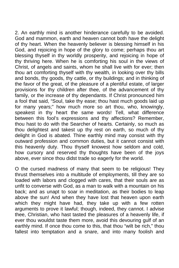2. An earthly mind is another hinderance carefully to be avoided. God and mammon, earth and heaven cannot both have the delight of thy heart. When the heavenly believer is blessing himself in his God, and rejoicing in hope of the glory to come; perhaps thou art blessing thyself in thy worldly prosperity, and rejoicing in hope of thy thriving here. When he is comforting his soul in the views of Christ, of angels and saints, whom he shall live with for ever; then thou art comforting thyself with thy wealth, in looking over thy bills and bonds, thy goods, thy cattle, or thy buildings; and in thinking of the favor of the great, of the pleasure of a plentiful estate, of larger provisions for thy children after thee, of the advancement of thy family, or the increase of thy dependants. If Christ pronounced him a fool that said, "Soul, take thy ease; thou hast much goods laid up for many years;" how much more so art thou, who, knowingly, speakest in thy heart the same words! Tell, what difference between this fool's expressions and thy affections? Remember, thou hast to do with the Searcher of hearts. Certainly, so much as thou delightest and takest up thy rest on earth, so much of thy delight in God is abated. Thine earthly mind may consist with thy outward profession and common duties, but it cannot consist with this heavenly duty. Thou thyself knowest how seldom and cold, how cursory and reserved thy thoughts have been of the joys above, ever since thou didst trade so eagerly for the world.

O the cursed madness of many that seem to be religious! They thrust themselves into a multitude of employments, till they are so loaded with labors and clogged with cares, that their souls are as unfit to converse with God, as a man to walk with a mountain on his back; and as unapt to soar in meditation, as their bodies to leap above the sun! And when they have lost that heaven upon earth which they might have had, they take up with a few rotten arguments to prove it lawful; though, indeed, they cannot. I advise thee, Christian, who hast tasted the pleasures of a heavenly life, if ever thou wouldst taste them more, avoid this devouring gulf of an earthly mind. If once thou come to this, that thou "wilt be rich," thou fallest into temptation and a snare, and into many foolish and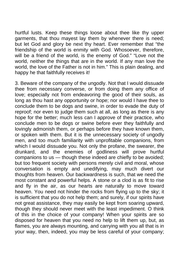hurtful lusts. Keep these things loose about thee like thy upper garments, that thou mayest lay them by whenever there is need; but let God and glory be next thy heart. Ever remember that "the friendship of the world is enmity with God. Whosoever, therefore, will be a friend of the world, is the enemy of God." "Love not the world, neither the things that are in the world. If any man love the world, the love of the Father is not in him." This is plain dealing, and happy he that faithfully receives it!

3. Beware of the company of the ungodly. Not that I would dissuade thee from necessary converse, or from doing them any office of love; especially not from endeavoring the good of their souls, as long as thou hast any opportunity or hope; nor would I have thee to conclude them to be dogs and swine, in order to evade the duty of reproof; nor even to judge them such at all, as long as there is any hope for the better; much less can I approve of their practice, who conclude men to be dogs or swine before ever they faithfully and lovingly admonish them, or perhaps before they have known them, or spoken with them. But it is the unnecessary society of ungodly men, and too much familiarity with unprofitable companions, from which I would dissuade you. Not only the profane, the swearer, the drunkard, and the enemies of godliness will prove hurtful companions to us — though these indeed are chiefly to be avoided; but too frequent society with persons merely civil and moral, whose conversation is empty and unedifying, may much divert our thoughts from heaven. Our backwardness is such, that we need the most constant and powerful helps. A stone or a clod is as fit to rise and fly in the air, as our hearts are naturally to move toward heaven. You need not hinder the rocks from flying up to the sky; it is sufficient that you do not help them; and surely, if our spirits have not great assistance, they may easily be kept from soaring upward, though they should never meet with the least impediment. O think of this in the choice of your company! When your spirits are so disposed for heaven that you need no help to lift them up, but, as flames, you are always mounting, and carrying with you all that is in your way, then, indeed, you may be less careful of your company;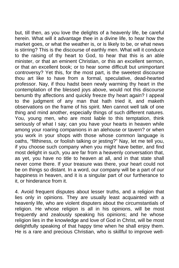but, till then, as you love the delights of a heavenly life, be careful herein. What will it advantage thee in a divine life, to hear how the market goes, or what the weather is, or is likely to be, or what news is stirring? This is the discourse of earthly men. What will it conduce to the raising of thy heart to God, to hear that this is an able minister, or that an eminent Christian, or this an excellent sermon, or that an excellent book; or to hear some difficult but unimportant controversy? Yet this, for the most part, is the sweetest discourse thou art like to have from a formal, speculative, dead-hearted professor. Nay, if thou hadst been newly warming thy heart in the contemplation of the blessed joys above, would not this discourse benumb thy affections and quickly freeze thy heart again? I appeal to the judgment of any man that hath tried it, and maketh observations on the frame of his spirit. Men cannot well talk of one thing and mind another, especially things of such different natures. You, young men, who are most liable to this temptation, think seriously of what I say; can you have your hearts in heaven while among your roaring companions in an alehouse or tavern? or when you work in your shops with those whose common language is oaths, "filthiness, or foolish talking or jesting?" Nay, let me tell you, if you choose such company when you might have better, and find most delight in such, you are far from a heavenly conversation that, as yet, you have no title to heaven at all, and in that state shall never come there. If your treasure was there, your heart could not be on things so distant. In a word, our company will be a part of our happiness in heaven, and it is a singular part of our furtherance to it, or hinderance from it.

4. Avoid frequent disputes about lesser truths, and a religion that lies only in opinions. They are usually least acquainted with a heavenly life, who are violent disputers about the circumstantials of religion. He whose religion is all in his opinions, will be most frequently and zealously speaking his opinions; and he whose religion lies in the knowledge and love of God in Christ, will be most delightfully speaking of that happy time when he shall enjoy them. He is a rare and precious Christian, who is skillful to improve well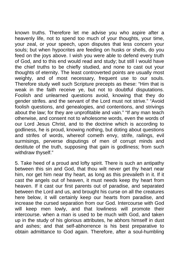known truths. Therefore let me advise you who aspire after a heavenly life, not to spend too much of your thoughts, your time, your zeal, or your speech, upon disputes that less concern your souls; but when hypocrites are feeding on husks or shells, do you feed on the joys above. I wish you were able to defend every truth of God, and to this end would read and study; but still I would have the chief truths to be chiefly studied, and none to cast out your thoughts of eternity. The least controverted points are usually most weighty, and of most necessary, frequent use to our souls. Therefore study well such Scripture precepts as these: "Him that is weak in the faith receive ye, but not to doubtful disputations. Foolish and unlearned questions avoid, knowing that they do gender strifes. and the servant of the Lord must not strive." "Avoid foolish questions, and genealogies, and contentions, and strivings about the law; for they are unprofitable and vain." "If any man teach otherwise, and consent not to wholesome words, even the words of our Lord Jesus Christ, and to the doctrine which is according to godliness, he is proud, knowing nothing, but doting about questions and strifes of words, whereof cometh envy, strife, railings, evil surmisings, perverse disputings of men of corrupt minds and destitute of the truth, supposing that gain is godliness; from such withdraw thyself."

5. Take heed of a proud and lofty spirit. There is such an antipathy between this sin and God, that thou wilt never get thy heart near him, nor get him near thy heart, as long as this prevaileth in it. If it cast the angels out of heaven, it must needs keep thy heart from heaven. If it cast our first parents out of paradise, and separated between the Lord and us, and brought his curse on all the creatures here below, it will certainly keep our hearts from paradise, and increase the cursed separation from our God. Intercourse with God will keep men lowly, and that lowliness will promote their intercourse. when a man is used to be much with God, and taken up in the study of his glorious attributes, he abhors himself in dust and ashes; and that self-abhorrence is his best preparative to obtain admittance to God again. Therefore, after a soul-humbling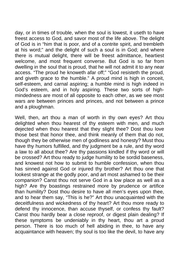day, or in times of trouble, when the soul is lowest, it useth to have freest access to God, and savor most of the life above. The delight of God is in "him that is poor, and of a contrite spirit, and trembleth at his word;" and the delight of such a soul is in God; and where there is mutual delight, there will be freest admittance, heartiest welcome, and most frequent converse. But God is so far from dwelling in the soul that is proud, that he will not admit it to any near access. "The proud he knoweth afar off;" "God resisteth the proud, and giveth grace to the humble." A proud mind is high in conceit, self-esteem, and carnal aspiring; a humble mind is high indeed in God's esteem, and in holy aspiring. These two sorts of highmindedness are most of all opposite to each other, as we see most wars are between princes and princes, and not between a prince and a ploughman.

Well, then, art thou a man of worth in thy own eyes? Art thou delighted when thou hearest of thy esteem with men, and much dejected when thou hearest that they slight thee? Dost thou love those best that honor thee, and think meanly of them that do not, though they be otherwise men of godliness and honesty? Must thou have thy humors fulfilled, and thy judgment be a rule, and thy word a law to all about thee? Are thy passions kindled if thy word or will be crossed? Art thou ready to judge humility to be sordid baseness, and knowest not how to submit to humble confession, when thou has sinned against God or injured thy brother? Art thou one that lookest strange at the godly poor, and art most ashamed to be their companion? Canst thou not serve God in a low place as well as a high? Are thy boastings restrained more by prudence or artifice than humility? Dost thou desire to have all men's eyes upon thee, and to hear them say, "This is he?" Art thou unacquainted with the deceitfulness and wickedness of thy heart? Art thou more ready to defend thy innocence, than accuse thyself, or confess thy fault? Canst thou hardly bear a close reproof, or digest plain dealing? If these symptoms be undeniably in thy heart, thou art a proud person. There is too much of hell abiding in thee, to have any acquaintance with heaven; thy soul is too like the devil, to have any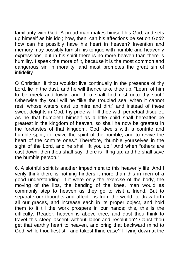familiarity with God. A proud man makes himself his God, and sets up himself as his idol; how, then, can his affections be set on God? how can he possibly have his heart in heaven? Invention and memory may possibly furnish his tongue with humble and heavenly expressions, but in his spirit there is no more heaven than there is humility. I speak the more of it, because it is the most common and dangerous sin in morality, and most promotes the great sin of infidelity.

O Christian! if thou wouldst live continually in the presence of thy Lord, lie in the dust, and he will thence take thee up. "Learn of him to be meek and lowly; and thou shalt find rest unto thy soul." Otherwise thy soul will be "like the troubled sea, when it cannot rest, whose waters cast up mire and dirt;" and instead of these sweet delights in God, thy pride will fill thee with perpetual disquiet. As he that humbleth himself as a little child shall hereafter be greatest in the kingdom of heaven, so shall he now be greatest in the foretastes of that kingdom. God "dwells with a contrite and humble spirit, to revive the spirit of the humble, and to revive the heart of the contrite ones." Therefore, "humble yourselves in the sight of the Lord, and he shall lift you up." And when "others are cast down, then thou shalt say, there is lifting up; and he shall save the humble person."

6. A slothful spirit is another impediment to this heavenly life. And I verily think there is nothing hinders it more than this in men of a good understanding. If it were only the exercise of the body, the moving of the lips, the bending of the knee, men would as commonly step to heaven as they go to visit a friend. But to separate our thoughts and affections from the world, to draw forth all our graces, and increase each in its proper object, and hold them to it till the work prospers in our hands; this, this is the difficulty. Reader, heaven is above thee, and dost thou think to travel this steep ascent without labor and resolution? Canst thou get that earthly heart to heaven, and bring that backward mind to God, while thou liest still and takest thine ease? If lying down at the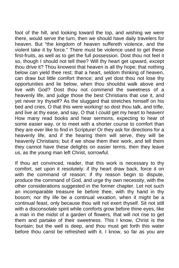foot of the hill, and looking toward the top, and wishing we were there, would serve the turn, then we should have daily travelers for heaven. But "the kingdom of heaven suffereth violence, and the violent take it by force." There must be violence used to get these first-fruits, as well as to get the full possession. Dost thou not feel it so, though I should not tell thee? Will thy heart get upward, except thou drive it? Thou knowest that heaven is all thy hope; that nothing below can yield thee rest; that a heart, seldom thinking of heaven, can draw but little comfort thence; and yet dost thou not lose thy opportunities and lie below, when thou shouldst walk above and live with God? Dost thou not commend the sweetness of a heavenly life, and judge those the best Christians that use it, and yet never try thyself? As the sluggard that stretches himself on his bed and cries, O that this were working! so dost thou talk, and trifle, and live at thy ease, and say, O that I could get my heart to heaven! How many read books and hear sermons, expecting to hear of some easier way, or to meet with a shorter course to comfort than they are ever like to find in Scripture! Or they ask for directions for a heavenly life, and if the hearing them will serve, they will be heavenly Christians; but if we show them their work, and tell them they cannot have these delights on easier terms, then they leave us, as the young man left Christ, sorrowful.

If thou art convinced, reader, that this work is necessary to thy comfort, set upon it resolutely: if thy heart draw back, force it on with the command of reason; if thy reason begin to dispute, produce the command of God, and urge thy own necessity, with the other considerations suggested in the former chapter. Let not such an incomparable treasure lie before thee, with thy hand in thy bosom; nor thy life be a continual vexation, when it might be a continual feast, only because thou wilt not exert thyself. Sit not still with a disconsolate spirit while comforts grow before thine eyes, like a man in the midst of a garden of flowers, that will not rise to get them and partake of their sweetness. This I know, Christ is the fountain; but the well is deep, and thou must get forth this water before thou canst be refreshed with it. I know, so far as you are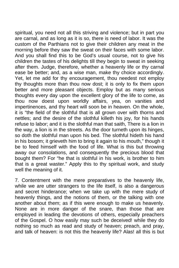spiritual, you need not all this striving and violence; but in part you are carnal, and as long as it is so, there is need of labor. It was the custom of the Parthians not to give their children any meat in the morning before they saw the sweat on their faces with some labor. And you shall find this to be God's usual course, not to give his children the tastes of his delights till they begin to sweat in seeking after them. Judge, therefore, whether a heavenly life or thy carnal ease be better; and, as a wise man, make thy choice accordingly. Yet, let me add for thy encouragement, thou needest not employ thy thoughts more than thou now dost; it is only to fix them upon better and more pleasant objects. Employ but as many serious thoughts every day upon the excellent glory of the life to come, as thou now doest upon worldly affairs, yea, on vanities and impertinences, and thy heart will soon be in heaven. On the whole, it is "the field of the slothful that is all grown over with thorns and nettles; and the desire of the slothful killeth his joy, for his hands refuse to labor; and it is the slothful man that saith, There is a lion in the way, a lion is in the streets. As the door turneth upon its hinges, so doth the slothful man upon his bed. The slothful hideth his hand in his bosom; it grieveth him to bring it again to his mouth," though it be to feed himself with the food of life. What is this but throwing away our consolations, and consequently the precious blood that bought them? For "he that is slothful in his work, is brother to him that is a great waster." Apply this to thy spiritual work, and study well the meaning of it.

7. Contentment with the mere preparatives to the heavenly life, while we are utter strangers to the life itself, is also a dangerous and secret hinderance; when we take up with the mere study of heavenly things, and the notions of them, or the talking with one another about them; as if this were enough to make us heavenly. None are in more danger of the snare, than those that are employed in leading the devotions of others, especially preachers of the Gospel. O how easily may such be deceived! while they do nothing so much as read and study of heaven; preach, and pray, and talk of heaven: is not this the heavenly life? Alas! all this is but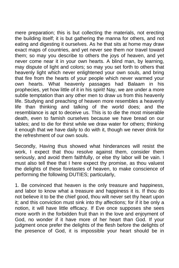mere preparation; this is but collecting the materials, not erecting the building itself; it is but gathering the manna for others, and not eating and digesting it ourselves. As he that sits at home may draw exact maps of countries, and yet never see them nor travel toward them; so may you describe to others the joys of heaven, and yet never come near it in your own hearts. A blind man, by learning, may dispute of light and colors; so may you set forth to others that heavenly light which never enlightened your own souls, and bring that fire from the hearts of your people which never warmed your own hearts. What heavenly passages had Balaam in his prophecies, yet how little of it in his spirit! Nay, we are under a more subtle temptation than any other men to draw us from this heavenly life. Studying and preaching of heaven more resembles a heavenly life than thinking and talking of the world does; and the resemblance is apt to deceive us. This is to die the most miserable death, even to famish ourselves because we have bread on our tables; and to die for thirst while we draw water for others; thinking it enough that we have daily to do with it, though we never drink for the refreshment of our own souls.

Secondly, Having thus showed what hinderances will resist the work, I expect that thou resolve against them, consider them seriously, and avoid them faithfully, or else thy labor will be vain. I must also tell thee that I here expect thy promise, as thou valuest the delights of these foretastes of heaven, to make conscience of performing the following DUTIES; particularly,

1. Be convinced that heaven is the only treasure and happiness, and labor to know what a treasure and happiness it is. If thou do not believe it to be the chief good, thou wilt never set thy heart upon it; and this conviction must sink into thy affections; for if it be only a notion, it will have little efficacy. If Eve once supposes she sees more worth in the forbidden fruit than in the love and enjoyment of God, no wonder if it have more of her heart than God. If your judgment once prefer the delights of the flesh before the delights of the presence of God, it is impossible your heart should be in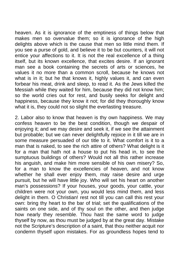heaven. As it is ignorance of the emptiness of things below that makes men so overvalue them; so it is ignorance of the high delights above which is the cause that men so little mind them. If you see a purse of gold, and believe it to be but counters, it will not entice your affections to it. It is not the real excellence of a thing itself, but its known excellence, that excites desire. If an ignorant man see a book containing the secrets of arts or sciences, he values it no more than a common scroll, because he knows not what is in it; but he that knows it, highly values it, and can even forbear his meat, drink and sleep, to read it. As the Jews killed the Messiah while they waited for him, because they did not know him; so the world cries out for rest, and busily seeks for delight and happiness, because they know it not; for did they thoroughly know what it is, they could not so slight the everlasting treasure.

2. Labor also to know that heaven is thy own happiness. We may confess heaven to be the best condition, though we despair of enjoying it; and we may desire and seek it, if we see the attainment but probable; but we can never delightfully rejoice in it till we are in some measure persuaded of our title to it. What comfort is it to a man that is naked, to see the rich attire of others? What delight is it for a man that hath not a house to put his head in, to see the sumptuous buildings of others? Would not all this rather increase his anguish, and make him more sensible of his own misery? So, for a man to know the excellencies of heaven, and not know whether he shall ever enjoy them, may raise desire and urge pursuit, but he will have little joy. Who will set his heart on another man's possessions? If your houses, your goods, your cattle, your children were not your own, you would less mind them, and less delight in them. O Christian! rest not till you can call this rest your own: bring thy heart to the bar of trial; set the qualifications of the saints on one side, and of thy soul on the other, and then judge how nearly they resemble. Thou hast the same word to judge thyself by now, as thou must be judged by at the great day. Mistake not the Scripture's description of a saint, that thou neither acquit nor condemn thyself upon mistakes. For as groundless hopes tend to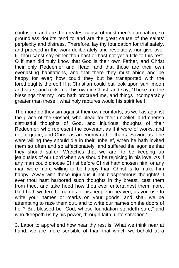confusion, and are the greatest cause of most men's damnation; so groundless doubts tend to and are the great cause of the saints' perplexity and distress. Therefore, lay thy foundation for trial safely, and proceed in the work deliberately and resolutely, nor give over till thou canst say either thou hast or hast not yet a title to this rest. O if men did truly know that God is their own Father, and Christ their only Redeemer and Head, and that those are their own everlasting habitations, and that there they must abide and be happy for ever; how could they but be transported with the forethoughts thereof! If a Christian could but look upon sun, moon and stars, and reckon all his own in Christ, and say, "These are the blessings that my Lord hath procured me, and things incomparably greater than these;" what holy raptures would his spirit feel!

The more do they sin against their own comforts, as well as against the grace of the Gospel, who plead for their unbelief, and cherish distrustful thoughts of God, and injurious thoughts of their Redeemer; who represent the covenant as if it were of works, and not of grace; and Christ as an enemy rather than a Savior; as if he were willing they should die in their unbelief, when he hath invited them so often and so affectionately, and suffered the agonies that they should suffer. Wretches that we are! to be keeping up jealousies of our Lord when we should be rejoicing in his love. As if any man could choose Christ before Christ hath chosen him; or any man were more willing to be happy than Christ is to make him happy. Away with these injurious if not blasphemous thoughts! If ever thou hast harbored such thoughts in thy breast, cast them from thee, and take heed how thou ever entertainest them more. God hath written the names of his people in heaven, as you use to write your names or marks on your goods; and shall we be attempting to raze them out, and to write our names on the doors of hell? But blessed be "God, whose foundation standeth sure;" and who "keepeth us by his power, through faith, unto salvation."

3. Labor to apprehend how near thy rest is. What we think near at hand, we are more sensible of than that which we behold at a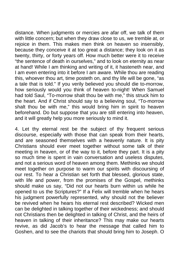distance. When judgments or mercies are afar off, we talk of them with little concern; but when they draw close to us, we tremble at, or rejoice in them. This makes men think on heaven so insensibly, because they conceive it at too great a distance; they look on it as twenty, thirty, or forty years off. How much better were it to receive "the sentence of death in ourselves," and to look on eternity as near at hand! While I am thinking and writing of it, it hasteneth near, and I am even entering into it before I am aware. While thou are reading this, whoever thou art, time posteth on, and thy life will be gone, "as a tale that is told." If you verily believed you should die to-morrow, how seriously would you think of heaven to-night! When Samuel had told Saul, "To-morrow shalt thou be with me," this struck him to the heart. And if Christ should say to a believing soul, "To-morrow shalt thou be with me," this would bring him in spirit to heaven beforehand. Do but suppose that you are still entering into heaven, and it will greatly help you more seriously to mind it.

4. Let thy eternal rest be the subject of thy frequent serious discourse, especially with those that can speak from their hearts, and are seasoned themselves with a heavenly nature. It is pity Christians should ever meet together without some talk of their meeting in heaven, or of the way to it, before they part. It is a pity so much time is spent in vain conversation and useless disputes, and not a serious word of heaven among them. Methinks we should meet together on purpose to warm our spirits with discoursing of our rest. To hear a Christian set forth that blessed, glorious state, with life and power, from the promises of the Gospel, methinks should make us say, "Did not our hearts burn within us while he opened to us the Scriptures?" If a Felix will tremble when he hears his judgment powerfully represented, why should not the believer be revived when he hears his eternal rest described? Wicked men can be delighted in talking together of their wickedness; and should not Christians then be delighted in talking of Christ, and the heirs of heaven in talking of their inheritance? This may make our hearts revive, as did Jacob's to hear the message that called him to Goshen, and to see the chariots that should bring him to Joseph. O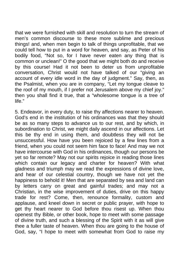that we were furnished with skill and resolution to turn the stream of men's common discourse to these more sublime and precious things! and, when men begin to talk of things unprofitable, that we could tell how to put in a word for heaven, and say, as Peter of his bodily food, "Not so, for I have never eaten any thing that is common or unclean!" O the good that we might both do and receive by this course! Had it not been to deter us from unprofitable conversation, Christ would not have talked of our "giving an account of every idle word in the day of judgment." Say, then, as the Psalmist, when you are in company, "Let my tongue cleave to the roof of my mouth, if I prefer not Jerusalem above my chief joy." then you shall find it true, that a "wholesome tongue is a tree of life."

5. Endeavor, in every duty, to raise thy affections nearer to heaven. God's end in the institution of his ordinances was that they should be as so many steps to advance us to our rest, and by which, in subordination to Christ, we might daily ascend in our affections. Let this be thy end in using them, and doubtless they will not be unsuccessful. How have you been rejoiced by a few lines from a friend, when you could not seem him face to face! And may we not have intercourse with God in his ordinances, though our persons be yet so far remote? May not our spirits rejoice in reading those lines which contain our legacy and charter for heaven? With what gladness and triumph may we read the expressions of divine love, and hear of our celestial country, though we have not yet the happiness to behold it! Men that are separated by sea and land can by letters carry on great and gainful trades; and may not a Christian, in the wise improvement of duties, drive on this happy trade for rest? Come, then, renounce formality, custom and applause, and kneel down in secret or public prayer, with hope to get thy heart nearer to God before thou risest up. When thou openest thy Bible, or other book, hope to meet with some passage of divine truth, and such a blessing of the Spirit with it as will give thee a fuller taste of heaven. When thou are going to the house of God, say, "I hope to meet with somewhat from God to raise my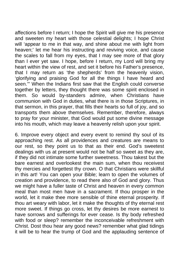affections before I return; I hope the Spirit will give me his presence and sweeten my heart with those celestial delights; I hope Christ will 'appear to me in that way, and shine about me with light from heaven;' let me hear his instructing and reviving voice, and cause the scales to fall from my eyes, that I may see more of that glory than I ever yet saw. I hope, before I return, my Lord will bring my heart within the view of rest, and set it before his Father's presence, that I may return as 'the shepherds' from the heavenly vision, 'glorifying and praising God for all the things I have heard and seen.'" When the Indians first saw that the English could converse together by letters, they thought there was some spirit enclosed in them. So would by-standers admire, when Christians have communion with God in duties, what there is in those Scriptures, in that sermon, in this prayer, that fills their hearts so full of joy, and so transports them above themselves. Remember, therefore, always to pray for your minister, that God would put some divine message into his mouth, which may leave a heavenly relish upon your spirit.

6. Improve every object and every event to remind thy soul of its approaching rest. As all providences and creatures are means to our rest, so they point us to that as their end. God's sweetest dealings with us at present would not be half so sweet as they are, if they did not intimate some further sweetness. Thou takest but the bare earnest and overlookest the main sum, when thou receivest thy mercies and forgettest thy crown. O that Christians were skillful in this art! You can open your Bible; learn to open the volumes of creation and providence, to read there also of God and glory. Thus we might have a fuller taste of Christ and heaven in every common meal than most men have in a sacrament. If thou prosper in the world, let it make thee more sensible of thine eternal prosperity. If thou art weary with labor, let it make the thoughts of thy eternal rest more sweet. If things go cross, let thy desires be more earnest to have sorrows and sufferings for ever cease. Is thy body refreshed with food or sleep? remember the inconceivable refreshment with Christ. Dost thou hear any good news? remember what glad tidings it will be to hear the trump of God and the applauding sentence of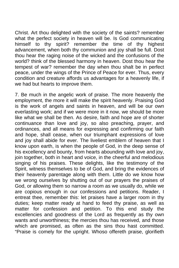Christ. Art thou delighted with the society of the saints? remember what the perfect society in heaven will be. Is God communicating himself to thy spirit? remember the time of thy highest advancement, when both thy communion and joy shall be full. Dost thou hear the raging noise of the wicked and the confusions of the world? think of the blessed harmony in heaven. Dost thou hear the tempest of war? remember the day when thou shalt be in perfect peace, under the wings of the Prince of Peace for ever. Thus, every condition and creature affords us advantages for a heavenly life, if we had but hearts to improve them.

7. Be much in the angelic work of praise. The more heavenly the employment, the more it will make the spirit heavenly. Praising God is the work of angels and saints in heaven, and will be our own everlasting work; and if we were more in it now, we should be more like what we shall be then. As desire, faith and hope are of shorter continuance than love and joy, so also preaching, prayer, and ordinances, and all means for expressing and confirming our faith and hope, shall cease, when our triumphant expressions of love and joy shall abide for ever. The liveliest emblem of heaven that I know upon earth, is when the people of God, in the deep sense of his excellency and bounty, from hearts abounding with love and joy, join together, both in heart and voice, in the cheerful and melodious singing of his praises. These delights, like the testimony of the Spirit, witness themselves to be of God, and bring the evidences of their heavenly parentage along with them. Little do we know how we wrong ourselves by shutting out of our prayers the praises of God, or allowing them so narrow a room as we usually do, while we are copious enough in our confessions and petitions. Reader, I entreat thee, remember this: let praises have a larger room in thy duties; keep matter ready at hand to feed thy praise, as well as matter for confession and petition. To this end study the excellencies and goodness of the Lord as frequently as thy own wants and unworthiness; the mercies thou has received, and those which are promised, as often as the sins thou hast committed. "Praise is comely for the upright. Whoso offereth praise, glorifieth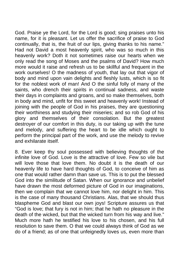God. Praise ye the Lord, for the Lord is good; sing praises unto his name, for it is pleasant. Let us offer the sacrifice of praise to God continually, that is, the fruit of our lips, giving thanks to his name." Had not David a most heavenly spirit, who was so much in this heavenly work? Doth it not sometimes raise our hearts when we only read the song of Moses and the psalms of David? How much more would it raise and refresh us to be skillful and frequent in the work ourselves! O the madness of youth, that lay out that vigor of body and mind upon vain delights and fleshly lusts, which is so fit for the noblest work of man! And O the sinful folly of many of the saints, who drench their spirits in continual sadness, and waste their days in complaints and groans, and so make themselves, both in body and mind, unfit for this sweet and heavenly work! Instead of joining with the people of God in his praises, they are questioning their worthiness and studying their miseries; and so rob God of his glory and themselves of their consolation. But the greatest destroyer of our comfort in this duty, is our taking up with the tune and melody, and suffering the heart to be idle which ought to perform the principal part of the work, and use the melody to revive and exhilarate itself.

8. Ever keep thy soul possessed with believing thoughts of the infinite love of God. Love is the attractive of love. Few so vile but will love those that love them. No doubt it is the death of our heavenly life to have hard thoughts of God, to conceive of him as one that would rather damn than save us. This is to put the blessed God into the similitude of Satan. When our ignorance and unbelief have drawn the most deformed picture of God in our imaginations, then we complain that we cannot love him, nor delight in him. This is the case of many thousand Christians. Alas, that we should thus blaspheme God and blast our own joys! Scripture assures us that "God is love; that fury is not in him; that he hath no pleasure in the death of the wicked, but that the wicked turn from his way and live." Much more hath he testified his love to his chosen, and his full resolution to save them. O that we could always think of God as we do of a friend; as of one that unfeignedly loves us, even more than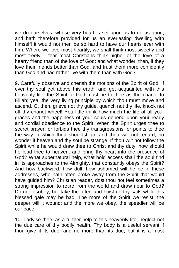we do ourselves; whose very heart is set upon us to do us good, and hath therefore provided for us an everlasting dwelling with himself! it would not then be so hard to have our hearts ever with him. Where we love most heartily, we shall think most sweetly and most freely. I fear most Christians think higher of the love of a hearty friend than of the love of God; and what wonder, then, if they love their friends better than God, and trust them more confidently than God and had rather live with them than with God?

9. Carefully observe and cherish the motions of the Spirit of God. If ever thy soul get above this earth, and get acquainted with this heavenly life, the Spirit of God must be to thee as the chariot to Elijah; yea, the very living principle by which thou must move and ascend. O, then, grieve not thy guide, quench not thy life, knock not off thy chariot wheel! You little think how much the life of all your graces and the happiness of your souls depend upon your ready and cordial obedience to the Spirit. When the Spirit urges thee to secret prayer; or forbids thee thy transgressions; or points to thee the way in which thou shouldst go; and thou wilt not regard; no wonder if heaven and thy soul be strange. If thou wilt not follow the Spirit while he would draw thee to Christ and thy duty; how should he lead thee to heaven, and bring thy heart into the presence of God? What supernatural help, what bold access shall the soul find in its approaches to the Almighty, that constantly obeys the Spirit? And how backward, how dull, how ashamed will he be in these addresses, who hath often broke away from the Spirit that would have guided him? Christian reader, dost thou not feel sometimes a strong impression to retire from the world and draw near to God? Do not disobey, but take the offer, and hoist up thy sails while this blessed gale may be had. The more of the Spirit we resist, the deeper will it wound; and the more we obey, the speedier will be our pace.

10. I advise thee, as a further help to this heavenly life, neglect not the due care of thy bodily health. Thy body is a useful servant if thou give it its due, and no more than its due; but it is a most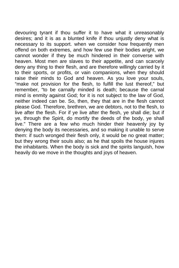devouring tyrant if thou suffer it to have what it unreasonably desires; and it is as a blunted knife if thou unjustly deny what is necessary to its support. when we consider how frequently men offend on both extremes, and how few use their bodies aright, we cannot wonder if they be much hindered in their converse with heaven. Most men are slaves to their appetite, and can scarcely deny any thing to their flesh, and are therefore willingly carried by it to their sports, or profits, or vain companions, when they should raise their minds to God and heaven. As you love your souls, "make not provision for the flesh, to fulfill the lust thereof," but remember, "to be carnally minded is death; because the carnal mind is enmity against God; for it is not subject to the law of God, neither indeed can be. So, then, they that are in the flesh cannot please God. Therefore, brethren, we are debtors, not to the flesh, to live after the flesh. For if ye live after the flesh, ye shall die; but if ye, through the Spirit, do mortify the deeds of the body, ye shall live." There are a few who much hinder their heavenly joy by denying the body its necessaries, and so making it unable to serve them: if such wronged their flesh only, it would be no great matter; but they wrong their souls also; as he that spoils the house injures the inhabitants. When the body is sick and the spirits languish, how heavily do we move in the thoughts and joys of heaven.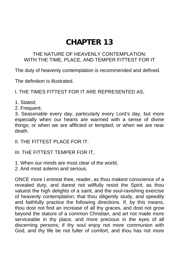# **CHAPTER 13**

#### THE NATURE OF HEAVENLY CONTEMPLATION; WITH THE TIME, PLACE, AND TEMPER FITTEST FOR IT

The duty of heavenly contemplation is recommended and defined.

The definition is illustrated.

### I. THE TIMES FITTEST FOR IT ARE REPRESENTED AS,

- 1. Stated;
- 2. Frequent;

3. Seasonable every day, particularly every Lord's day, but more especially when our hearts are warmed with a sense of divine things; or when we are afflicted or tempted; or when we are near death.

#### II. THE FITTEST PLACE FOR IT.

## III. THE FITTEST TEMPER FOR IT,

- 1. When our minds are most clear of the world,
- 2. And most solemn and serious.

ONCE more I entreat thee, reader, as thou makest conscience of a revealed duty, and darest not willfully resist the Spirit; as thou valuest the high delights of a saint, and the soul-ravishing exercise of heavenly contemplation; that thou diligently study, and speedily and faithfully practice the following directions. If, by this means, thou dost not find an increase of all thy graces, and dost not grow beyond the stature of a common Christian, and art not made more serviceable in thy place, and more precious in the eyes of all discerning persons; if thy soul enjoy not more communion with God, and thy life be not fuller of comfort, and thou has not more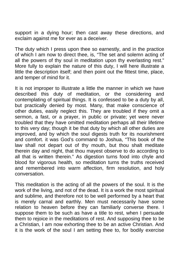support in a dying hour; then cast away these directions, and exclaim against me for ever as a deceiver.

The duty which I press upon thee so earnestly, and in the practice of which I am now to direct thee, is, "The set and solemn acting of all the powers of thy soul in meditation upon thy everlasting rest." More fully to explain the nature of this duty, I will here illustrate a little the description itself; and then point out the fittest time, place, and temper of mind for it.

It is not improper to illustrate a little the manner in which we have described this duty of meditation, or the considering and contemplating of spiritual things. It is confessed to be a duty by all, but practically denied by most. Many, that make conscience of other duties, easily neglect this. They are troubled if they omit a sermon, a fast, or a prayer, in public or private; yet were never troubled that they have omitted meditation perhaps all their lifetime to this very day; though it be that duty by which all other duties are improved, and by which the soul digests truth for its nourishment and comfort. it was God's command to Joshua, "This book of the law shall not depart out of thy mouth, but thou shalt meditate therein day and night, that thou mayest observe to do according to all that is written therein." As digestion turns food into chyle and blood for vigorous health, so meditation turns the truths received and remembered into warm affection, firm resolution, and holy conversation.

This meditation is the acting of all the powers of the soul. It is the work of the living, and not of the dead. It is a work the most spiritual and sublime, and therefore not to be well performed by a heart that is merely carnal and earthly. Men must necessarily have some relation to heaven before they can familiarly converse there. I suppose them to be such as have a title to rest, when I persuade them to rejoice in the meditations of rest. And supposing thee to be a Christian, I am now exhorting thee to be an active Christian. And it is the work of the soul I am setting thee to, for bodily exercise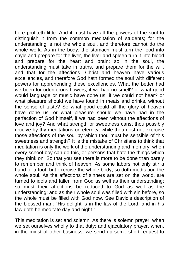here profiteth little. And it must have all the powers of the soul to distinguish it from the common meditation of students; for the understanding is not the whole soul, and therefore cannot do the whole work. As in the body, the stomach must turn the food into chyle and prepare for the liver, the liver and spleen turn it into blood and prepare for the heart and brain; so in the soul, the understanding must take in truths, and prepare them for the will, and that for the affections. Christ and heaven have various excellencies, and therefore God hath formed the soul with different powers for apprehending these excellencies. What the better had we been for odoriferous flowers, if we had no smell? or what good would language or music have done us, if we could not hear? or what pleasure should we have found in meats and drinks, without the sense of taste? So what good could all the glory of heaven have done us, or what pleasure should we have had in the perfection of God himself, if we had been without the affections of love and joy? And what strength or sweetness canst thou possibly receive by thy meditations on eternity, while thou dost not exercise those affections of the soul by which thou must be sensible of this sweetness and strength? It is the mistake of Christians to think that meditation is only the work of the understanding and memory; when every school-boy can do this, or persons that hate the things which they think on. So that you see there is more to be done than barely to remember and think of heaven. As some labors not only stir a hand or a foot, but exercise the whole body; so doth meditation the whole soul. As the affections of sinners are set on the world, are turned to idols and fallen from God as well as their understanding; so must their affections be reduced to God as well as the understanding; and as their whole soul was filled with sin before, so the whole must be filled with God now. See David's description of the blessed man: "His delight is in the law of the Lord, and in his law doth he meditate day and night."

This meditation is set and solemn. As there is solemn prayer, when we set ourselves wholly to that duty; and ejaculatory prayer, when, in the midst of other business, we send up some short request to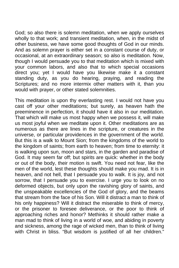God; so also there is solemn meditation, when we apply ourselves wholly to that work; and transient meditation, when, in the midst of other business, we have some good thoughts of God in our minds. And as solemn prayer is either set in a constant course of duty, or occasional, at an extraordinary season; so also is meditation. Now, though I would persuade you to that meditation which is mixed with your common labors, and also that to which special occasions direct you; yet I would have you likewise make it a constant standing duty, as you do hearing, praying, and reading the Scriptures; and no more intermix other matters with it, than you would with prayer, or other stated solemnities.

This meditation is upon thy everlasting rest. I would not have you cast off your other meditations; but surely, as heaven hath the preeminence in perfection, it should have it also in our meditation. That which will make us most happy when we possess it, will make us most joyful when we meditate upon it. Other meditations are as numerous as there are lines in the scripture, or creatures in the universe, or particular providences in the government of the world. But this is a walk to Mount Sion; from the kingdoms of the world to the kingdom of saints; from earth to heaven; from time to eternity: it is walking upon sun, moon and stars, in the garden and paradise of God. It may seem far off; but spirits are quick: whether in the body or out of the body, their motion is swift. You need not fear, like the men of the world, lest these thoughts should make you mad. It is in heaven, and not hell, that I persuade you to walk. It is joy, and not sorrow, that I persuade you to exercise. I urge you to look on no deformed objects, but only upon the ravishing glory of saints, and the unspeakable excellencies of the God of glory, and the beams that stream from the face of his Son. Will it distract a man to think of his only happiness? Will it distract the miserable to think of mercy, or the prisoner to foresee deliverance, or the poor to think of approaching riches and honor? Methinks it should rather make a man mad to think of living in a world of woe, and abiding in poverty and sickness, among the rage of wicked men, than to think of living with Christ in bliss. "But wisdom is justified of all her children."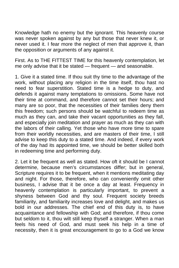Knowledge hath no enemy but the ignorant. This heavenly course was never spoken against by any but those that never knew it, or never used it. I fear more the neglect of men that approve it, than the opposition or arguments of any against it.

First. As to THE FITTEST TIME for this heavenly contemplation, let me only advise that it be stated — frequent — and seasonable.

1. Give it a stated time. If thou suit thy time to the advantage of the work, without placing any religion in the time itself, thou hast no need to fear superstition. Stated time is a hedge to duty, and defends it against many temptations to omissions. Some have not their time at command, and therefore cannot set their hours; and many are so poor, that the necessities of their families deny them this freedom; such persons should be watchful to redeem time as much as they can, and take their vacant opportunities as they fall, and especially join meditation and prayer as much as they can with the labors of their calling. Yet those who have more time to spare from their worldly necessities, and are masters of their time, I still advise to keep this duty to a stated time. And indeed, if every work of the day had its appointed time, we should be better skilled both in redeeming time and performing duty.

2. Let it be frequent as well as stated. How oft it should be I cannot determine, because men's circumstances differ; but in general, Scripture requires it to be frequent, when it mentions meditating day and night. For those, therefore, who can conveniently omit other business, I advise that it be once a day at least. Frequency in heavenly contemplation is particularly important, to prevent a shyness between God and thy soul. Frequent society breeds familiarity, and familiarity increases love and delight, and makes us bold in our addresses. The chief end of this duty is, to have acquaintance and fellowship with God; and therefore, if thou come but seldom to it, thou wilt still keep thyself a stranger. When a man feels his need of God, and must seek his help in a time of necessity, then it is great encouragement to go to a God we know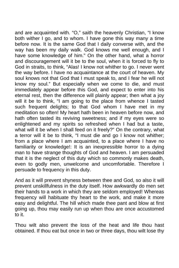and are acquainted with. "O," saith the heavenly Christian, "I know both wither I go, and to whom. I have gone this way many a time before now. It is the same God that I daily converse with, and the way has been my daily walk. God knows me well enough, and I have some knowledge of him." On the other hand, what a horror and discouragement will it be to the soul, when it is forced to fly to God in straits, to think, "Alas! I know not whither to go. I never went the way before. I have no acquaintance at the court of heaven. My soul knows not that God that I must speak to, and I fear he will not know my soul." But especially when we come to die, and must immediately appear before this God, and expect to enter into his eternal rest, then the difference will plainly appear; then what a joy will it be to think, "I am going to the place from whence I tasted such frequent delights; to that God whom I have met in my meditation so often! My heart hath been in heaven before now, and hath often tasted its reviving sweetness; and if my eyes were so enlightened and my spirits so refreshed when I had but a taste, what will it be when I shall feed on it freely?" On the contrary, what a terror will it be to think, "I must die and go I know not whither; from a place where I am acquainted, to a place where I have no familiarity or knowledge!: It is an inexpressible horror to a dying man to have strange thoughts of God and heaven. I am persuaded that it is the neglect of this duty which so commonly makes death, even to godly men, unwelcome and uncomfortable. Therefore I persuade to frequency in this duty.

And as it will prevent shyness between thee and God, so also it will prevent unskillfulness in the duty itself. How awkwardly do men set their hands to a work in which they are seldom employed! Whereas frequency will habituate thy heart to the work, and make it more easy and delightful. The hill which made thee pant and blow at first going up, thou may easily run up when thou are once accustomed to it.

Thou wilt also prevent the loss of the heat and life thou hast obtained. If thou eat but once in two or three days, thou wilt lose thy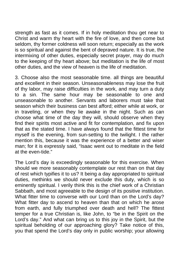strength as fast as it comes. If in holy meditation thou get near to Christ and warm thy heart with the fire of love, and then come but seldom, thy former coldness will soon return; especially as the work is so spiritual and against the bent of depraved nature. It is true, the intermixing of other duties, especially secret prayer, may do much to the keeping of thy heart above; but meditation is the life of most other duties, and the view of heaven is the life of meditation.

3. Choose also the most seasonable time. all things are beautiful and excellent in their season. Unseasonableness may lose the fruit of thy labor, may raise difficulties in the work, and may turn a duty to a sin. The same hour may be seasonable to one and unseasonable to another. Servants and laborers must take that season which their business can best afford; either while at work, or in traveling, or when they lie awake in the night. Such as can choose what time of the day they will, should observe when they find their spirits most active and fit for contemplation, and fix upon that as the stated time. I have always found that the fittest time for myself is the evening, from sun-setting to the twilight. I the rather mention this, because it was the experience of a better and wiser man; for it is expressly said, "Isaac went out to meditate in the field at the even-tide."

The Lord's day is exceedingly seasonable for this exercise. When should we more seasonably contemplate our rest than on that day of rest which typifies it to us? It being a day appropriated to spiritual duties, methinks we should never exclude this duty, which is so eminently spiritual. I verily think this is the chief work of a Christian Sabbath, and most agreeable to the design of its positive institution. What fitter time to converse with our Lord than on the Lord's day? What fitter day to ascend to heaven than that on which he arose from earth, and fully triumphed over death and hell? The fittest temper for a true Christian is, like John, to "be in the Spirit on the Lord's day." And what can bring us to this joy in the Spirit, but the spiritual beholding of our approaching glory? Take notice of this, you that spend the Lord's day only in public worship; your allowing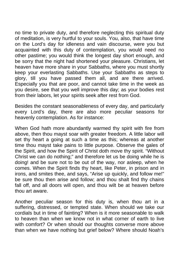no time to private duty, and therefore neglecting this spiritual duty of meditation, is very hurtful to your souls. You, also, that have time on the Lord's day for idleness and vain discourse, were you but acquainted with this duty of contemplation, you would need no other pastime; you would think the longest day short enough, and be sorry that the night had shortened your pleasure. Christians, let heaven have more share in your Sabbaths, where you must shortly keep your everlasting Sabbaths. Use your Sabbaths as steps to glory, till you have passed them all, and are there arrived. Especially you that are poor, and cannot take time in the week as you desire, see that you well improve this day; as your bodies rest from their labors, let your spirits seek after rest from God.

Besides the constant seasonableness of every day, and particularly every Lord's day, there are also more peculiar seasons for heavenly contemplation. As for instance:

When God hath more abundantly warmed thy spirit with fire from above, then thou mayst soar with greater freedom. A little labor will set thy heart a going at such a time as this; whereas at another time thou mayst take pains to little purpose. Observe the gales of the Spirit, and how the Spirit of Christ doth move thy spirit. "Without Christ we can do nothing;" and therefore let us be doing while he is doing! and be sure not to be out of the way, nor asleep, when he comes. When the Spirit finds thy heart, like Peter, in prison and in irons, and smites thee, and says, "Arise up quickly, and follow me!" be sure thou then arise and follow; and thou shalt find thy chains fall off, and all doors will open, and thou wilt be at heaven before thou art aware.

Another peculiar season for this duty is, when thou art in a suffering, distressed, or tempted state. When should we take our cordials but in time of fainting? When is it more seasonable to walk to heaven than when we know not in what corner of earth to live with comfort? Or when should our thoughts converse more above than when we have nothing but grief below? Where should Noah's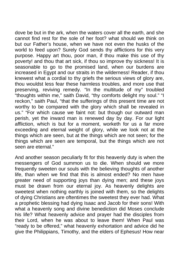dove be but in the ark, when the waters cover all the earth, and she cannot find rest for the sole of her foot? what should we think on but our Father's house, when we have not even the husks of the world to feed upon? Surely God sends thy afflictions for this very purpose. Happy art thou, poor man, if thou make this use of thy poverty! and thou that art sick, if thou so improve thy sickness! It is seasonable to go to the promised land, when our burdens are increased in Egypt and our straits in the wilderness! Reader, if thou knewest what a cordial to thy griefs the serious views of glory are, thou wouldst less fear these harmless troubles, and more use that preserving, reviving remedy. "In the multitude of my" troubled "thoughts within me," saith David, "thy comforts delight my soul." "I reckon," saith Paul, "that the sufferings of this present time are not worthy to be compared with the glory which shall be revealed in us." "For which cause we faint not: but though our outward man perish, yet the inward man is renewed day by day. For our light affliction, which is but for a moment, worketh for us a far more exceeding and eternal weight of glory, while we look not at the things which are seen, but at the things which are not seen; for the things which are seen are temporal, but the things which are not seen are eternal."

And another season peculiarly fit for this heavenly duty is when the messengers of God summon us to die. When should we more frequently sweeten our souls with the believing thoughts of another life, than when we find that this is almost ended? No men have greater need of supporting joys than dying men; and these joys must be drawn from our eternal joy. As heavenly delights are sweetest when nothing earthly is joined with them, so the delights of dying Christians are oftentimes the sweetest they ever had. What a prophetic blessing had dying Isaac and Jacob for their sons! With what a heavenly song and divine benediction did Moses conclude his life? What heavenly advice and prayer had the disciples from their Lord, when he was about to leave them! When Paul was "ready to be offered," what heavenly exhortation and advice did he give the Philippians, Timothy, and the elders of Ephesus! How near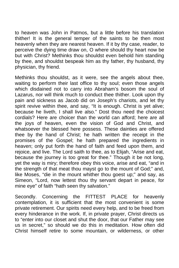to heaven was John in Patmos, but a little before his translation thither! It is the general temper of the saints to be then most heavenly when they are nearest heaven. If it by thy case, reader, to perceive the dying time draw on, O where should thy heart now be but with Christ? Methinks thou shouldst even behold him standing by thee, and shouldst bespeak him as thy father, thy husband, thy physician, thy friend.

Methinks thou shouldst, as it were, see the angels about thee, waiting to perform their last office to thy soul; even those angels which disdained not to carry into Abraham's bosom the soul of Lazarus, nor will think much to conduct thee thither. Look upon thy pain and sickness as Jacob did on Joseph's chariots, and let thy spirit revive within thee, and say, "It is enough. Christ is yet alive; because he liveth, I shall live also." Dost thou need the choicest cordials? Here are choicer than the world can afford; here are all the joys of heaven, even the vision of God and Christ, and whatsoever the blessed here possess. These dainties are offered thee by the hand of Christ; he hath written the receipt in the promises of the Gospel; he hath prepared the ingredients in heaven; only put forth the hand of faith and feed upon them, and rejoice, and live. The Lord saith to thee, as to Elijah, "Arise and eat, because the journey is too great for thee." Though it be not long, yet the way is miry; therefore obey this voice, arise and eat, "and in the strength of that meat thou mayst go to the mount of God;" and, like Moses, "die in the mount whither thou goest up;" and say, as Simeon, "Lord, now lettest thou thy servant depart in peace, for mine eye" of faith "hath seen thy salvation."

Secondly. Concerning the FITTEST PLACE for heavenly contemplation, it is sufficient that the most convenient is some private retirement. Our spirits need every help, and to be freed from every hinderance in the work. If, in private prayer, Christ directs us to "enter into our closet and shut the door, that our Father may see us in secret," so should we do this in meditation. How often did Christ himself retire to some mountain, or wilderness, or other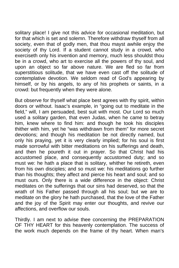solitary place! I give not this advice for occasional meditation, but for that which is set and solemn. Therefore withdraw thyself from all society, even that of godly men, that thou mayst awhile enjoy the society of thy Lord. If a student cannot study in a crowd, who exerciseth only his invention and memory, much less shouldst thou be in a crowd, who art to exercise all the powers of thy soul, and upon an object so far above nature. We are fled so far from superstitious solitude, that we have even cast off the solitude of contemplative devotion. We seldom read of God's appearing by himself, or by his angels, to any of his prophets or saints, in a crowd: but frequently when they were alone.

But observe for thyself what place best agrees with thy spirit, within doors or without. Isaac's example, in "going out to meditate in the field," will, I am persuaded, best suit with most. Our Lord so much used a solitary garden, that even Judas, when he came to betray him, knew where to find him: and though he took his disciples thither with him, yet he "was withdrawn from them" for more secret devotions; and though his meditation be not directly named, but only his praying, yet it is very clearly implied; for his soul is first made sorrowful with bitter meditations on his sufferings and death, and then he poureth it out in prayer. So that Christ had his accustomed place, and consequently accustomed duty; and so must we: he hath a place that is solitary, whither he retireth, even from his own disciples; and so must we: his meditations go further than his thoughts; they affect and pierce his heart and soul; and so must ours. Only there is a wide difference in the object: Christ meditates on the sufferings that our sins had deserved, so that the wrath of his Father passed through all his soul; but we are to meditate on the glory he hath purchased, that the love of the Father and the joy of the Spirit may enter our thoughts, and revive our affections, and overflow our souls.

Thirdly. I am next to advise thee concerning the PREPARATION OF THY HEART for this heavenly contemplation. The success of the work much depends on the frame of thy heart. When man's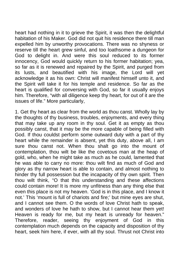heart had nothing in it to grieve the Spirit, it was then the delightful habitation of his Maker. God did not quit his residence there till man expelled him by unworthy provocations. There was no shyness or reserve till the heart grew sinful, and too loathsome a dungeon for God to delight in. And were this soul reduced to its former innocency, God would quickly return to his former habitation; yea, so far as it is renewed and repaired by the Spirit, and purged from its lusts, and beautified with his image, the Lord will yet acknowledge it as his own: Christ will manifest himself unto it, and the Spirit will take it for his temple and residence. So far as the heart is qualified for conversing with God, so far it usually enjoys him. Therefore, "with all diligence keep thy heart, for out of it are the issues of life." More particularly,

1. Get thy heart as clear from the world as thou canst. Wholly lay by the thoughts of thy business, troubles, enjoyments, and every thing that may take up any room in thy soul. Get it as empty as thou possibly canst, that it may be the more capable of being filled with God. If thou couldst perform some outward duty with a part of thy heart while the remainder is absent, yet this duty, above all, I am sure thou canst not. When thou shalt go into the mount of contemplation, thou wilt be like the covetous man at the heap of gold, who, when he might take as much as he could, lamented that he was able to carry no more: thou wilt find as much of God and glory as thy narrow heart is able to contain, and almost nothing to hinder thy full possession but the incapacity of thy own spirit. Then thou wilt think, "O that this understanding and these affections could contain more! It is more my unfitness than any thing else that even this place is not my heaven. 'God is in this place, and I know it not.' This 'mount is full of chariots and fire;' but mine eyes are shut, and I cannot see them. O the words of love Christ hath to speak, and wonders of love he hath to show, but I cannot hear them yet! Heaven is ready for me, but my heart is unready for heaven." Therefore, reader, seeing thy enjoyment of God in this contemplation much depends on the capacity and disposition of thy heart, seek him here, if ever, with all thy soul. Thrust not Christ into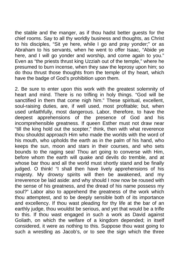the stable and the manger, as if thou hadst better guests for the chief rooms. Say to all thy worldly business and thoughts, as Christ to his disciples, "Sit ye here, while I go and pray yonder;" or as Abraham to his servants, when he went to offer Isaac, "Abide ye here, and I will go yonder and worship, and come again to you." Even as "the priests thrust king Uzziah out of the temple," where he presumed to burn incense, when they saw the leprosy upon him; so do thou thrust those thoughts from the temple of thy heart, which have the badge of God's prohibition upon them.

2. Be sure to enter upon this work with the greatest solemnity of heart and mind. There is no trifling in holy things. "God will be sanctified in them that come nigh him." These spiritual, excellent, soul-raising duties, are, if well used, most profitable; but, when used unfaithfully, most dangerous. Labor, therefore, to have the deepest apprehensions of the presence of God and his incomprehensible greatness. If queen Esther must not draw near "till the king hold out the scepter," think, then with what reverence thou shouldst approach Him who made the worlds with the word of his mouth, who upholds the earth as in the palm of his hand, who keeps the sun, moon and stars in their courses, and who sets bounds to the raging sea! Thou art going to converse with Him, before whom the earth will quake and devils do tremble, and at whose bar thou and all the world must shortly stand and be finally judged. O think! "I shall then have lively apprehensions of his majesty. My drowsy spirits will then be awakened, and my irreverence be laid aside: and why should I now now be roused with the sense of his greatness, and the dread of his name possess my soul?" Labor also to apprehend the greatness of the work which thou attemptest, and to be deeply sensible both of its importance and excellency. If thou wast pleading for thy life at the bar of an earthly judge, thou wouldst be serious, and yet that would be a trifle to this. If thou wast engaged in such a work as David against Goliath, on which the welfare of a kingdom depended; in itself considered, it were as nothing to this. Suppose thou wast going to such a wrestling as Jacob's, or to see the sign which the three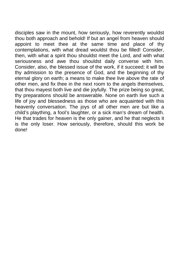disciples saw in the mount, how seriously, how reverently wouldst thou both approach and behold! If but an angel from heaven should appoint to meet thee at the same time and place of thy contemplations, with what dread wouldst thou be filled! Consider, then, with what a spirit thou shouldst meet the Lord, and with what seriousness and awe thou shouldst daily converse with him. Consider, also, the blessed issue of the work, if it succeed; it will be thy admission to the presence of God, and the beginning of thy eternal glory on earth; a means to make thee live above the rate of other men, and fix thee in the next room to the angels themselves, that thou mayest both live and die joyfully. The prize being so great, thy preparations should be answerable. None on earth live such a life of joy and blessedness as those who are acquainted with this heavenly conversation. The joys of all other men are but like a child's plaything, a fool's laughter, or a sick man's dream of health. He that trades for heaven is the only gainer, and he that neglects it is the only loser. How seriously, therefore, should this work be done!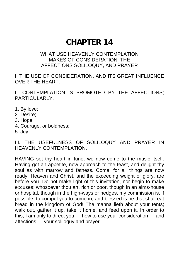## **CHAPTER 14**

#### WHAT USE HEAVENLY CONTEMPLATION MAKES OF CONSIDERATION, THE AFFECTIONS SOLILOQUY, AND PRAYER

I. THE USE OF CONSIDERATION, AND ITS GREAT INFLUENCE OVER THE HEART.

II. CONTEMPLATION IS PROMOTED BY THE AFFECTIONS; PARTICULARLY,

- 1. By love;
- 2. Desire;
- 3. Hope;
- 4. Courage, or boldness;
- 5. Joy.

III. THE USEFULNESS OF SOLILOQUY AND PRAYER IN HEAVENLY CONTEMPLATION.

HAVING set thy heart in tune, we now come to the music itself. Having got an appetite, now approach to the feast, and delight thy soul as with marrow and fatness. Come, for all things are now ready. Heaven and Christ, and the exceeding weight of glory, are before you. Do not make light of this invitation, nor begin to make excuses; whosoever thou art, rich or poor, though in an alms-house or hospital, though in the high-ways or hedges, my commission is, if possible, to compel you to come in; and blessed is he that shall eat bread in the kingdom of God! The manna lieth about your tents; walk out, gather it up, take it home, and feed upon it. In order to this, I am only to direct you — how to use your consideration — and affections — your soliloquy and prayer.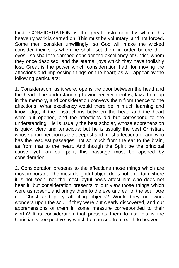First. CONSIDERATION is the great instrument by which this heavenly work is carried on. This must be voluntary, and not forced. Some men consider unwillingly; so God will make the wicked consider their sins when he shall "set them in order before their eyes;" so shall the damned consider the excellency of Christ, whom they once despised, and the eternal joys which they have foolishly lost. Great is the power which consideration hath for moving the affections and impressing things on the heart; as will appear by the following particulars:

1. Consideration, as it were, opens the door between the head and the heart. The understanding having received truths, lays them up in the memory, and consideration conveys them from thence to the affections. What excellency would there be in much learning and knowledge, if the obstructions between the head and the heart were but opened, and the affections did but correspond to the understanding! He is usually the best scholar, whose apprehension is quick, clear and tenacious; but he is usually the best Christian, whose apprehension is the deepest and most affectionate, and who has the readiest passages, not so much from the ear to the brain, as from that to the heart. And though the Spirit be the principal cause, yet, on our part, this passage must be opened by consideration.

2. Consideration presents to the affections those things which are most important. The most delightful object does not entertain where it is not seen, nor the most joyful news affect him who does not hear it; but consideration presents to our view those things which were as absent, and brings them to the eye and ear of the soul. Are not Christ and glory affecting objects? Would they not work wonders upon the soul, if they were but clearly discovered, and our apprehensions of them in some measure corresponded to their worth? It is consideration that presents them to us: this is the Christian's perspective by which he can see from earth to heaven.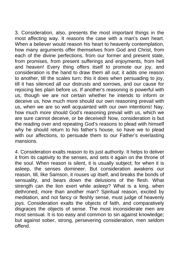3. Consideration, also, presents the most important things in the most affecting way. It reasons the case with a man's own heart. When a believer would reason his heart to heavenly contemplation, how many arguments offer themselves from God and Christ, from each of the divine perfections, from our former and present state, from promises, from present sufferings and enjoyments, from hell and heaven! Every thing offers itself to promote our joy, and consideration is the hand to draw them all out; it adds one reason to another, till the scales turn: this it does when persuading to joy, till it has silenced all our distrusts and sorrows, and our cause for rejoicing lies plain before us. If another's reasoning is powerful with us, though we are not certain whether he intends to inform or deceive us, how much more should our own reasoning prevail with us, when we are so well acquainted with our own intentions! Nay, how much more should God's reasoning prevail with us, which we are sure cannot deceive, or be deceived! Now, consideration is but the reading over and repeating God's reasons to plead with himself why he should return to his father's house, so have we to plead with our affections, to persuade them to our Father's everlasting mansions.

4. Consideration exalts reason to its just authority. It helps to deliver it from its captivity to the senses, and sets it again on the throne of the soul. When reason is silent, it is usually subject; for when it is asleep, the senses domineer. But consideration awakens our reason, till, like Samson, it rouses up itself, and breaks the bonds of sensuality, and bears down the delusions of the flesh. What strength can the lion exert while asleep? What is a king, when dethroned, more than another man? Spiritual reason, excited by meditation, and not fancy or fleshly sense, must judge of heavenly joys. Consideration exalts the objects of faith, and comparatively disgraces the objects of sense. The most inconsiderate men are most sensual. It is too easy and common to sin against knowledge; but against sober, strong, persevering consideration, men seldom offend.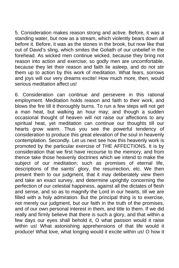5. Consideration makes reason strong and active. Before, it was a standing water, but now as a stream, which violently bears down all before it. Before, it was as the stones in the brook, but now like that out of David's sling, which smites the Goliath of our unbelief in the forehead. As wicked men continue wicked, because they bring not reason into action and exercise; so godly men are uncomfortable, because they let their reason and faith lie asleep, and do not stir them up to action by this work of meditation. What fears, sorrows and joys will our very dreams excite! How much more, then, would serious meditation affect us!

6. Consideration can continue and persevere in this rational employment. Meditation holds reason and faith to their work, and blows the fire till it thoroughly burns. To run a few steps will not get a man heat, but walking an hour may; and though a sudden occasional thought of heaven will not raise our affections to any spiritual heat, yet meditation can continue our thoughts till our hearts grow warm. Thus you see the powerful tendency of consideration to produce this great elevation of the soul in heavenly contemplation. Secondly. Let us next see how this heavenly work is promoted by the particular exercise of THE AFFECTIONS. It is by consideration that we first have recourse to the memory, and from thence take those heavenly doctrines which we intend to make the subject of our meditation; such as promises of eternal life, descriptions of the saints' glory, the resurrection, etc. We then present them to our judgment, that it may deliberately view them and take an exact survey, and determine uprightly concerning the perfection of our celestial happiness, against all the dictates of flesh and sense, and so as to magnify the Lord in our hearts, till we are filled with a holy admiration. But the principal thing is to exercise, not merely our judgment, but our faith in the truth of the promises, and of our own personal interest in them, and title to them. If we did really and firmly believe that there is such a glory, and that within a few days our eyes shall behold it, O what passion would it raise within us! What astonishing apprehensions of that life would it produce! What love, what longing would it excite within us! O how it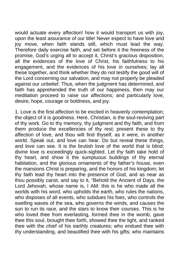would actuate every affection! how it would transport us with joy, upon the least assurance of our title! Never expect to have love and joy move, when faith stands still, which must lead the way. Therefore daily exercise faith, and set before it the freeness of the promise, God's urging all to accept it, Christ's gracious disposition, all the evidences of the love of Christ, his faithfulness to his engagement, and the evidences of his love in ourselves; lay all these together, and think whether they do not testify the good will of the Lord concerning our salvation, and may not properly be pleaded against our unbelief. Thus, when the judgment has determined, and faith has apprehended the truth of our happiness, then may our meditation proceed to raise our affections; and particularly love, desire, hope, courage or boldness, and joy.

1. Love is the first affection to be excited in heavenly contemplation; the object of it is goodness. Here, Christian, is the soul-reviving part of thy work. Go to thy memory, thy judgment and thy faith, and from them produce the excellencies of thy rest; present these to thy affection of love, and thou wilt find thyself, as it were, in another world. Speak out, and love can hear. Do but reveal these things, and love can see. It is the brutish love of the world that is blind; divine love is exceedingly quick-sighted. Let thy faith take hold of thy heart, and show it the sumptuous buildings of thy eternal habitation, and the glorious ornaments of thy father's house, even the mansions Christ is preparing, and the honors of his kingdom; let thy faith lead thy heart into the presence of God, and as near as thou possibly canst, and say to it, "Behold the Ancient of Days, the Lord Jehovah, whose name is, I AM: this is he who made all the worlds with his word, who upholds the earth, who rules the nations, who disposes of all events, who subdues his foes, who controls the swelling waves of the sea, who governs the winds, and causes the sun to run its race, and the stars to know their courses. This is he who loved thee from everlasting, formed thee in the womb, gave thee this soul, brought thee forth, showed thee the light, and ranked thee with the chief of his earthly creatures; who endued thee with thy understanding, and beautified thee with his gifts; who maintains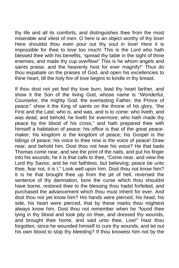thy life and all its comforts, and distinguishes thee from the most miserable and vilest of men. O here is an object worthy of thy love! Here shouldst thou even pour out thy soul in love! Here it is impossible for thee to love too much! This is the Lord who hath blessed thee with his benefits, 'spread thy table in the sight of thine enemies, and made thy cup overflow!' This is he whom angels and saints praise, and the heavenly host for ever magnify!" Thus do thou expatiate on the praises of God, and open his excellencies to thine heart, till the holy fire of love begins to kindle in thy breast.

If thou dost not yet feel thy love burn, lead thy heart farther, and show it the Son of the living God, whose name is "Wonderful, Counselor, the mighty God, the everlasting Father, the Prince of peace:" show it the King of saints on the throne of his glory, "the First and the Last; who is, and was, and is to come: who liveth, and was dead, and behold, he liveth for evermore; who hath made thy peace by the blood of his cross," and hath prepared thee with himself a habitation of peace: his office is that of the great peacemaker; his kingdom is the kingdom of peace; his Gospel is the tidings of peace; his voice to thee now is the voice of peace! Draw near, and behold him. Dost thou not hear his voice? He that bade Thomas come near, and see the print of the nails, and put his finger into his wounds; he it is that calls to thee, "Come near, and view the Lord thy Savior, and be not faithless, but believing; peace be unto thee, fear not, it is I." Look well upon him. Dost thou not know him? It is he that brought thee up from the pit of hell, reversed the sentence of thy damnation, bore the curse which thou shouldst have borne, restored thee to the blessing thou hadst forfeited, and purchased the advancement which thou must inherit for ever. And dost thou not yet know him? His hands were pierced, his head, his side, his heart were pierced, that by these marks thou mightest always know him. Dost thou not remember when he "found thee lying in thy blood and took pity on thee, and dressed thy wounds, and brought thee home, and said unto thee, Live!" Hast thou forgotten, since he wounded himself to cure thy wounds, and let out his own blood to stop thy bleeding? If thou knowest him not by the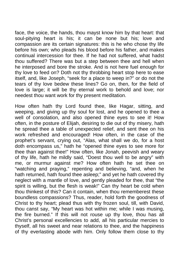face, the voice, the hands, thou mayst know him by that heart: that soul-pitying heart is his; it can be none but his; love and compassion are its certain signatures: this is he who chose thy life before his own; who pleads his blood before his father, and makes continual intercession for thee. If he had not suffered, what hadst thou suffered? There was but a step between thee and hell when he interposed and bore the stroke. And is not here fuel enough for thy love to feed on? Doth not thy throbbing heart stop here to ease itself, and, like Joseph, "seek for a place to weep in?" or do not the tears of thy love bedew these lines? Go on, then, for the field of love is large; it will be thy eternal work to behold and love; nor needest thou want work for thy present meditation.

How often hath thy Lord found thee, like Hagar, sitting, and weeping, and giving up thy soul for lost, and he opened to thee a well of consolation, and also opened thine eyes to see it! How often, in the posture of Elijah, desiring to die out of thy misery, hath he spread thee a table of unexpected relief, and sent thee on his work refreshed and encouraged! How often, in the case of the prophet's servant, crying out, "Alas, what shall we do, for a host doth encompass us," hath he "opened thine eyes to see more for thee than against thee!" How often, like Jonah, peevish and weary of thy life, hath he mildly said, "Doest thou well to be angry" with me, or murmur against me? How often hath he set thee on "watching and praying," repenting and believing, "and, when he hath returned, hath found thee asleep;" and yet he hath covered thy neglect with a mantle of love, and gently pleaded for thee, that "the spirit is willing, but the flesh is weak!" Can thy heart be cold when thou thinkest of this? Can it contain, when thou rememberest these boundless compassions? Thus, reader, hold forth the goodness of Christ to thy heart; plead thus with thy frozen soul, till, with David, thou canst say, "My heart was hot within me; while I was musing, the fire burned." If this will not rouse up thy love, thou has all Christ's personal excellencies to add, all his particular mercies to thyself, all his sweet and near relations to thee, and the happiness of thy everlasting abode with him. Only follow them close to thy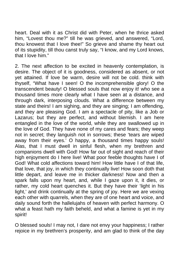heart. Deal with it as Christ did with Peter, when he thrice asked him, "Lovest thou me?" till he was grieved, and answered, "Lord, thou knowest that I love thee!" So grieve and shame thy heart out of its stupidity, till thou canst truly say, "I know, and my Lord knows, that I love him."

2. The next affection to be excited in heavenly contemplation, is desire. The object of it is goodness, considered as absent, or not yet attained. If love be warm, desire will not be cold. think with thyself, "What have I seen! O the incomprehensible glory! O the transcendent beauty! O blessed souls that now enjoy it! who see a thousand times more clearly what I have seen at a distance, and through dark, interposing clouds. What a difference between my state and theirs! I am sighing, and they are singing; I am offending, and they are pleasing God. I am a spectacle of pity, like a Job or Lazarus; but they are perfect, and without blemish. I am here entangled in the love of the world, while they are swallowed up in the love of God. They have none of my cares and fears; they weep not in secret; they languish not in sorrows; these 'tears are wiped away from their eyes.' O happy, a thousand times happy souls! Alas, that I must dwell in sinful flesh, when my brethren and companions dwell with God! How far out of sight and reach of their high enjoyment do I here live! What poor feeble thoughts have I of God! What cold affections toward him! How little have I of that life, that love, that joy, in which they continually live! How soon doth that little depart, and leave me in thicker darkness! Now and then a spark falls upon my heart, and, while I gaze upon it, it dies, or rather, my cold heart quenches it. But they have their 'light in his light,' and drink continually at the spring of joy. Here we are vexing each other with quarrels, when they are of one heart and voice, and daily sound forth the hallelujahs of heaven with perfect harmony. O what a feast hath my faith beheld, and what a famine is yet in my spirit!

O blessed souls! I may not, I dare not envy your happiness; I rather rejoice in my brethren's prosperity, and am glad to think of the day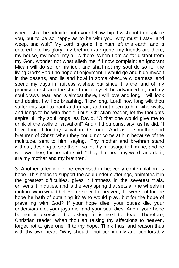when I shall be admitted into your fellowship. I wish not to displace you, but to be so happy as to be with you. why must I stay, and weep, and wait? My Lord is gone; He hath left this earth, and is entered into his glory: my brethren are gone; my friends are there; my house, my hope, my all is there. When I am so far distant from my God, wonder not what aileth me if I now complain: an ignorant Micah will do so for his idol, and shall not my soul do so for the living God? Had I no hope of enjoyment, I would go and hide myself in the deserts, and lie and howl in some obscure wilderness, and spend my days in fruitless wishes; but since it is the land of my promised rest, and the state I must myself be advanced to, and my soul draws near, and is almost there, I will love and long, I will look and desire, I will be breathing, 'How long, Lord! how long wilt thou suffer this soul to pant and groan, and not open to him who waits, and longs to be with thee!'" Thus, Christian reader, let thy thoughts aspire, till thy soul longs, as David, "O that one would give me to drink of the wells of salvation!" And till thou canst say, as he did, "I have longed for thy salvation, O Lord!" And as the mother and brethren of Christ, when they could not come at him because of the multitude, sent to him, saying, "Thy mother and brethren stand without, desiring to see thee;" so let thy message to him be, and he will own thee; for he hath said, "They that hear my word, and do it, are my mother and my brethren."

3. Another affection to be exercised in heavenly contemplation, is hope. This helps to support the soul under sufferings, animates it in the greatest difficulties, gives it firmness in the severest trials, enlivens it in duties, and is the very spring that sets all the wheels in motion. Who would believe or strive for heaven, if it were not for the hope he hath of obtaining it? Who would pray, but for the hope of prevailing with God? If your hope dies, your duties die, your endeavors die, your joys die, and your soul dies. And if your hope be not in exercise, but asleep, it is next to dead. Therefore, Christian reader, when thou art raising thy affections to heaven, forget not to give one lift to thy hope. Think thus, and reason thus with thy own heart: "Why should I not confidently and comfortably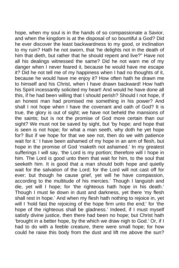hope, when my soul is in the hands of so compassionate a Savior, and when the kingdom is at the disposal of so bountiful a God? Did he ever discover the least backwardness to my good, or inclination to my ruin? Hath he not sworn, that 'he delights not in the death of him that dieth, but rather that he should repent and live?" Have not all his dealings witnessed the same? Did he not warn me of my danger when I never feared it, because he would have me escape it? Did he not tell me of my happiness when I had no thoughts of it, because he would have me enjoy it? How often hath he drawn me to himself and his Christ, when I have drawn backward! How hath his Spirit incessantly solicited my heart! And would he have done all this, if he had been willing that I should perish? Should I not hope, if an honest man had promised me something in his power? And shall I not hope when I have the covenant and oath of God? It is true, the glory is out of sight; we have not beheld the mansions of the saints; but is not the promise of God more certain than our sight? We must not be saved by sight, but 'by hope; and hope that is seen is not hope; for what a man seeth, why doth he yet hope for? But if we hope for that we see not, then do we with patience wait for it.' I have been ashamed of my hope in an arm of flesh, but hope in the promise of God 'maketh not ashamed.' In my greatest sufferings I will say, 'the Lord is my portion; therefore will I hope in him. The Lord is good unto them that wait for him, to the soul that seeketh him. It is good that a man should both hope and quietly wait for the salvation of the Lord; for the Lord will not cast off for ever; but though he cause grief, yet will he have compassion, according to the multitude of his mercies.' Though I languish and die, yet will I hope; for 'the righteous hath hope in his death.' Though I must lie down in dust and darkness, yet there 'my flesh shall rest in hope.' And when my flesh hath nothing to rejoice in, yet will I 'hold fast the rejoicing of the hope firm unto the end;' for 'the hope of the righteous shall be gladness.' Indeed, if I must myself satisfy divine justice, then there had been no hope; but Christ hath 'brought in a better hope, by the which we draw nigh to God.' Or, if I had to do with a feeble creature, there were small hope; for how could he raise this body from the dust and lift me above the sun?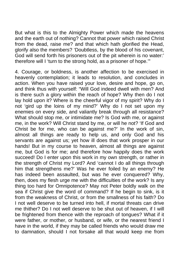But what is this to the Almighty Power which made the heavens and the earth out of nothing? Cannot that power which raised Christ from the dead, raise me? and that which hath glorified the Head, glorify also the members? 'Doubtless, by the blood of his covenant, God will send forth his prisoners out of the pit wherein is no water:' therefore will I 'turn to the strong hold, as a prisoner of hope.'"

4. Courage, or boldness, is another affection to be exercised in heavenly contemplation; it leads to resolution, and concludes in action. When you have raised your love, desire and hope, go on, and think thus with yourself: "Will God indeed dwell with men? And is there such a glory within the reach of hope? Why then do I not lay hold upon it? Where is the cheerful vigor of my spirit? Why do I not 'gird up the loins of my mind?' Why do I not set upon my enemies on every side, and valiantly break through all resistance? What should stop me, or intimidate me? Is God with me, or against me, in the work? Will Christ stand by me, or will he not? 'If God and Christ be for me, who can be against me?' In the work of sin, almost all things are ready to help us, and only God and his servants are against us; yet how ill does that work prosper in our hands! But in my course to heaven, almost all things are against me, but God is for me; and therefore how happily does the work succeed! Do I enter upon this work in my own strength, or rather in the strength of Christ my Lord? And 'cannot I do all things through him that strengthens me?' Was he ever foiled by an enemy? He has indeed been assaulted, but was he ever conquered? Why, then, does my flesh urge me with the difficulties of the work? Is any thing too hard for Omnipotence? May not Peter boldly walk on the sea if Christ give the word of command? If he begin to sink, is it from the weakness of Christ, or from the smallness of his faith? Do I not well deserve to be turned into hell, if mortal threats can drive me thither? Do I not well deserve to be shut out of heaven, if I will be frightened from thence with the reproach of tongues? What if it were father, or mother, or husband, or wife, or the nearest friend I have in the world, if they may be called friends who would draw me to damnation, should I not forsake all that would keep me from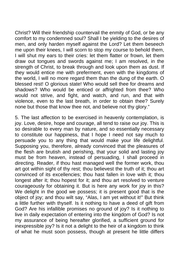Christ? Will their friendship countervail the enmity of God, or be any comfort to my condemned soul? Shall I be yielding to the desires of men, and only harden myself against the Lord? Let them beseech me upon their knees, I will scorn to stop my course to behold them, I will shut my ears to their cries: let them flatter or frown, let them draw out tongues and swords against me; I am resolved, in the strength of Christ, to break through and look upon them as dust. If they would entice me with preferment, even with the kingdoms of the world, I will no more regard them than the dung of the earth. O blessed rest! O glorious state! Who would sell thee for dreams and shadows? Who would be enticed or affrighted from thee? Who would not strive, and fight, and watch, and run, and that with violence, even to the last breath, in order to obtain thee? Surely none but those that know thee not, and believe not thy glory."

5. The last affection to be exercised in heavenly contemplation, is joy. Love, desire, hope and courage, all tend to raise our joy. This is so desirable to every man by nature, and so essentially necessary to constitute our happiness, that I hope I need not say much to persuade you to any thing that would make your life delightful. Supposing you, therefore, already convinced that the pleasures of the flesh are brutish and perishing, that your solid and lasting joy must be from heaven, instead of persuading, I shall proceed in directing. Reader, if thou hast managed well the former work, thou art got within sight of thy rest; thou believest the truth of it; thou art convinced of its excellencies; thou hast fallen in love with it; thou longest after it; thou hopest for it; and thou art resolved to venture courageously for obtaining it. But is here any work for joy in this? We delight in the good we possess; it is present good that is the object of joy; and thou wilt say, "Alas, I am yet without it!" But think a little further with thyself. Is it nothing to have a deed of gift from God? Are his infallible promises no ground of joy? Is it nothing to live in daily expectation of entering into the kingdom of God? Is not my assurance of being hereafter glorified, a sufficient ground for inexpressible joy? Is it not a delight to the heir of a kingdom to think of what he must soon possess, though at present he little differs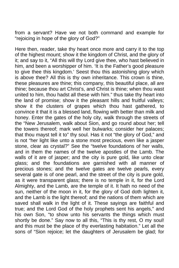from a servant? Have we not both command and example for "rejoicing in hope of the glory of God?"

Here then, reader, take thy heart once more and carry it to the top of the highest mount; show it the kingdom of Christ, and the glory of it; and say to it, "All this will thy Lord give thee, who hast believed in him, and been a worshipper of him. 'It is the Father's good pleasure to give thee this kingdom.' Seest thou this astonishing glory which is above thee? All this is thy own inheritance. This crown is thine, these pleasures are thine; this company, this beautiful place, all are thine; because thou art Christ's, and Christ is thine; when thou wast united to him, thou hadst all these with him." thus take thy heart into the land of promise; show it the pleasant hills and fruitful valleys; show it the clusters of grapes which thou hast gathered, to convince it that it is a blessed land, flowing with better than milk and honey. Enter the gates of the holy city, walk through the streets of the "New Jerusalem, walk about Sion, and go round about her; tell the towers thereof; mark well her bulwarks; consider her palaces; that thou mayst tell it to" thy soul. Has it not "the glory of God," and is not "her light like unto a stone most precious, even like a jasper stone, clear as crystal?" See the "twelve foundations of her walls, and in them the names of the twelve apostles of the Lamb. The walls of it are of jasper; and the city is pure gold, like unto clear glass; and the foundations are garnished with all manner of precious stones; and the twelve gates are twelve pearls, every several gate is of one pearl, and the street of the city is pure gold, as it were transparent glass; there is no temple in it, for the Lord Almighty, and the Lamb, are the temple of it. It hath no need of the sun, neither of the moon in it, for the glory of God doth lighten it, and the Lamb is the light thereof; and the nations of them which are saved shall walk in the light of it. These sayings are faithful and true; and the Lord God of the holy prophets sent his angels," and his own Son, "to show unto his servants the things which must shortly be done." Say now to all this, "This is thy rest, O my soul! and this must be the place of thy everlasting habitation." Let all the sons of "Sion rejoice; let the daughters of Jerusalem be glad; for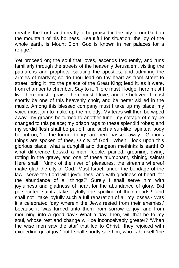great is the Lord, and greatly to be praised in the city of our God, in the mountain of his holiness. Beautiful for situation, the joy of the whole earth, is Mount Sion. God is known in her palaces for a refuge."

Yet proceed on; the soul that loves, ascends frequently, and runs familiarly through the streets of the heavenly Jerusalem, visiting the patriarchs and prophets, saluting the apostles, and admiring the armies of martyrs; so do thou lead on thy heart as from street to street; bring it into the palace of the Great King; lead it, as it were, from chamber to chamber. Say to it, "Here must I lodge; here must I live; here must I praise, here must I love, and be beloved. I must shortly be one of this heavenly choir, and be better skilled in the music. Among this blessed company must I take up my place; my voice must join to make up the melody. My tears will then be wiped away; my groans be turned to another tune; my cottage of clay be changed to this palace; my prison rags to these splendid robes; and my sordid flesh shall be put off, and such a sun-like, spiritual body be put on; 'for the former things are here passed away.' 'Glorious things are spoken of thee, O city of God!" When I look upon this glorious place, what a dunghill and dungeon methinks is earth! O what difference betwixt a man, feeble, pained, groaning, dying, rotting in the grave, and one of these triumphant, shining saints! Here shall I 'drink of the river of pleasures, the streams whereof make glad the city of God.' Must Israel, under the bondage of the law, 'serve the Lord with joyfulness, and with gladness of heart, for the abundance of all things?' Surely I shall serve him with joyfulness and gladness of heart for the abundance of glory. Did persecuted saints 'take joyfully the spoiling of their goods?' and shall not I take joyfully such a full reparation of all my losses? Was it a celebrated 'day wherein the Jews rested from their enemies,' because it 'was turned unto them from sorrow to joy, and from mourning into a good day? What a day, then, will that be to my soul, whose rest and change will be inconceivably greater? 'When the wise men saw the star' that led to Christ, 'they rejoiced with exceeding great joy;' but I shall shortly see him, who is himself 'the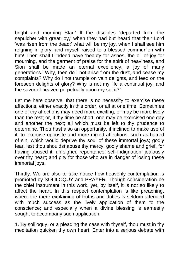bright and morning Star.' If the disciples 'departed from the sepulcher with great joy,' when they had but heard that their Lord 'was risen from the dead;' what will be my joy, when I shall see him reigning in glory, and myself raised to a blessed communion with him! Then shall I indeed have 'beauty for ashes, the oil of joy for mourning, and the garment of praise for the spirit of heaviness, and Sion shall be made an eternal excellency, a joy of many generations.' Why, then do I not arise from the dust, and cease my complaints? Why do I not trample on vain delights, and feed on the foreseen delights of glory? Why is not my life a continual joy, and the savor of heaven perpetually upon my spirit?"

Let me here observe, that there is no necessity to exercise these affections, either exactly in this order, or all at one time. Sometimes one of thy affections may need more exciting, or may be more lively than the rest; or, if thy time be short, one may be exercised one day and another the next; all which must be left to thy prudence to determine. Thou hast also an opportunity, if inclined to make use of it, to exercise opposite and more mixed affections, such as hatred of sin, which would deprive thy soul of these immortal joys; godly fear, lest thou shouldst abuse thy mercy; godly shame and grief, for having abused it; unfeigned repentance; self-indignation; jealously over thy heart; and pity for those who are in danger of losing these immortal joys.

Thirdly. We are also to take notice how heavenly contemplation is promoted by SOLILOQUY and PRAYER. Though consideration be the chief instrument in this work, yet, by itself, it is not so likely to affect the heart. In this respect contemplation is like preaching, where the mere explaining of truths and duties is seldom attended with much success as the lively application of them to the conscience; and especially when a divine blessing is earnestly sought to accompany such application.

1. By soliloquy, or a pleading the case with thyself, thou must in thy meditation quicken thy own heart. Enter into a serious debate with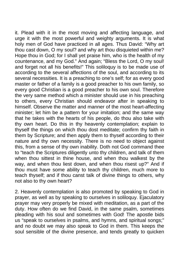it. Plead with it in the most moving and affecting language, and urge it with the most powerful and weighty arguments. It is what holy men of God have practiced in all ages. Thus David: "Why art thou cast down, O my soul? and why art thou disquieted within me? Hope thou in God; for I shall yet praise him, who is the health of my countenance, and my God." And again; "Bless the Lord, O my soul! and forget not all his benefits!" This soliloquy is to be made use of according to the several affections of the soul, and according to its several necessities. It is a preaching to one's self; for as every good master or father of a family is a good preacher to his own family, so every good Christian is a good preacher to his own soul. Therefore the very same method which a minister should use in his preaching to others, every Christian should endeavor after in speaking to himself. Observe the matter and manner of the most heart-affecting minister; let him be a pattern for your imitation; and the same way that he takes with the hearts of his people, do thou also take with thy own heart. Do this in thy heavenly contemplation; explain to thyself the things on which thou dost meditate; confirm thy faith in them by Scripture; and then apply them to thyself according to their nature and thy own necessity. There is no need to object against this, from a sense of thy own inability. Doth not God command thee to "teach the Scriptures diligently unto thy children, and talk of them when thou sittest in thine house, and when thou walkest by the way, and when thou liest down, and when thou risest up?" And if thou must have some ability to teach thy children, much more to teach thyself; and if thou canst talk of divine things to others, why not also to thy own heart?

2. Heavenly contemplation is also promoted by speaking to God in prayer, as well as by speaking to ourselves in soliloquy. Ejaculatory prayer may very properly be mixed with meditation, as a part of the duty. How often do we find David, in the same psalm, sometimes pleading with his soul and sometimes with God! The apostle bids us "speak to ourselves in psalms, and hymns, and spiritual songs;" and no doubt we may also speak to God in them. This keeps the soul sensible of the divine presence, and tends greatly to quicken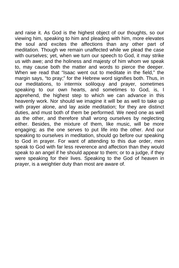and raise it. As God is the highest object of our thoughts, so our viewing him, speaking to him and pleading with him, more elevates the soul and excites the affections than any other part of meditation. Though we remain unaffected while we plead the case with ourselves; yet, when we turn our speech to God, it may strike us with awe; and the holiness and majesty of him whom we speak to, may cause both the matter and words to pierce the deeper. When we read that "Isaac went out to meditate in the field," the margin says, "to pray;" for the Hebrew word signifies both. Thus, in our meditations, to intermix soliloquy and prayer, sometimes speaking to our own hearts, and sometimes to God, is, I apprehend, the highest step to which we can advance in this heavenly work. Nor should we imagine it will be as well to take up with prayer alone, and lay aside meditation; for they are distinct duties, and must both of them be performed. We need one as well as the other, and therefore shall wrong ourselves by neglecting either. Besides, the mixture of them, like music, will be more engaging; as the one serves to put life into the other. And our speaking to ourselves in meditation, should go before our speaking to God in prayer. For want of attending to this due order, men speak to God with far less reverence and affection than they would speak to an angel if he should appear to them; or to a judge, if they were speaking for their lives. Speaking to the God of heaven in prayer, is a weightier duty than most are aware of.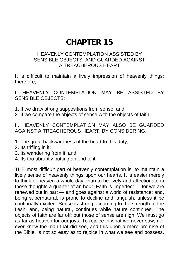# **CHAPTER 15**

### HEAVENLY CONTEMPLATION ASSISTED BY SENSIBLE OBJECTS, AND GUARDED AGAINST A TREACHEROUS HEART

It is difficult to maintain a lively impression of heavenly things: therefore,

I. HEAVENLY CONTEMPLATION MAY BE ASSISTED BY SENSIBLE OBJECTS;

- 1. If we draw strong suppositions from sense; and
- 2. If we compare the objects of sense with the objects of faith.

II. HEAVENLY CONTEMPLATION MAY ALSO BE GUARDED AGAINST A TREACHEROUS HEART, BY CONSIDERING,

- 1. The great backwardness of the heart to this duty;
- 2. Its trifling in it;
- 3. Its wandering from it; and,
- 4. Its too abruptly putting an end to it.

THE most difficult part of heavenly contemplation is, to maintain a lively sense of heavenly things upon our hearts. It is easier merely to think of heaven a whole day, than to be lively and affectionate in those thoughts a quarter of an hour. Faith is imperfect — for we are renewed but in part — and goes against a world of resistance; and, being supernatural, is prone to decline and languish, unless it be continually excited. Sense is strong according to the strength of the flesh; and, being natural, continues while nature continues. The objects of faith are far off; but those of sense are nigh. We must go as far as heaven for our joys. To rejoice in what we never saw, nor ever knew the man that did see, and this upon a mere promise of the Bible, is not so easy as to rejoice in what we see and possess.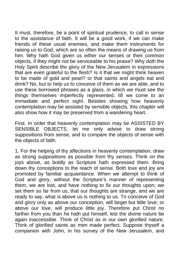It must, therefore, be a point of spiritual prudence, to call in sense to the assistance of faith. It will be a good work, if we can make friends of these usual enemies, and make them instruments for raising us to God, which are so often the means of drawing us from him. Why hath God given us either our senses or their common objects, if they might not be serviceable to his praise? Why doth the Holy Spirit describe the glory of the New Jerusalem in expressions that are even grateful to the flesh? Is it that we might think heaven to be made of gold and pearl? or that saints and angels eat and drink? No, but to help us to conceive of them as we are able, and to use these borrowed phrases as a glass, in which we must see the things themselves imperfectly represented, till we come to an immediate and perfect sight. Besides showing how heavenly contemplation may be assisted by sensible objects, this chapter will also show how it may be preserved from a wandering heart.

First. In order that heavenly contemplation may be ASSISTED BY SENSIBLE OBJECTS, let me only advise to draw strong suppositions from sense, and to compare the objects of sense with the objects of faith.

1. For the helping of thy affections in heavenly contemplation, draw as strong suppositions as possible from thy senses. Think on the joys above, as boldly as Scripture hath expressed them. Bring down thy conceptions to the reach of sense. Both love and joy are promoted by familiar acquaintance. When we attempt to think of God and glory, without the Scripture's manner of representing them, we are lost, and have nothing to fix our thoughts upon; we set them so far from us, that our thoughts are strange, and we are ready to say, what is above us is nothing to us. To conceive of God and glory only as above our conception, will beget but little love; or above our love, will produce little joy. Therefore put Christ no farther from you than he hath put himself, lest the divine nature be again inaccessible. Think of Christ as in our own glorified nature. Think of glorified saints as men made perfect. Suppose thyself a companion with John, in his survey of the New Jerusalem, and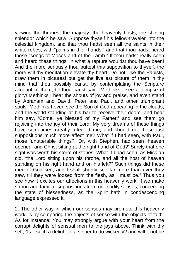viewing the thrones, the majesty, the heavenly hosts, the shining splendor which he saw. Suppose thyself his fellow-traveler into the celestial kingdom, and that thou hadst seen all the saints in their white robes, with "palms in their hands;" and that thou hadst heard those "songs of Moses and of the Lamb." If thou hadst really seen and heard these things, in what a rapture wouldst thou have been! And the more seriously thou puttest this supposition to thyself, the more will thy meditation elevate thy heart. Do not, like the Papists, draw them in pictures! but get the liveliest picture of them in thy mind that thou possibly canst, by contemplating the Scripture account of them, till thou canst say, "Methinks I see a glimpse of glory! Methinks I hear the shouts of joy and praise, and even stand by Abraham and David, Peter and Paul, and other triumphant souls! Methinks I even see the Son of God appearing in the clouds, and the world standing at his bar to receive their doom; and hear him say, 'Come, ye blessed of my Father;' and see them go rejoicing into the joy of their Lord! My very dreams of these things have sometimes greatly affected me; and should not these just suppositions much more affect me? What if I had seen, with Paul, those 'unutterable things?' Or, with Stephen, had seen 'heaven opened, and Christ sitting at the right hand of God?' Surely that one sight was worth his storm of stones. What if I had seen, as Micaiah did, 'the Lord sitting upon his throne, and all the host of heaven standing on his right hand and on his left?" Such things did these men of God see; and I shall shortly see far more than ever they saw, till they were loosed from the flesh, as I must be." Thus you see how it excites our affections in this heavenly work, if we make strong and familiar suppositions from our bodily senses, concerning the state of blessedness, as the Spirit hath in condescending language expressed it.

2. The other way in which our senses may promote this heavenly work, is by comparing the objects of sense with the objects of faith. As for instance: You may strongly argue with your heart from the corrupt delights of sensual men to the joys above. Think with thy self, "Is it such a delight to a sinner to do wickedly? and will it not be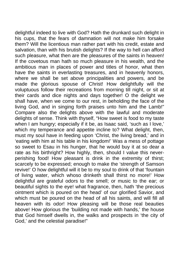delightful indeed to live with God? Hath the drunkard such delight in his cups, that the fears of damnation will not make him forsake them? Will the licentious man rather part with his credit, estate and salvation, than with his brutish delights? If the way to hell can afford such pleasure, what then are the pleasures of the saints in heaven! If the covetous man hath so much pleasure in his wealth, and the ambitious man in places of power and titles of honor, what then have the saints in everlasting treasures, and in heavenly honors, where we shall be set above principalities and powers, and be made the glorious spouse of Christ! How delightfully will the voluptuous follow their recreations from morning till night, or sit at their cards and dice nights and days together! O the delight we shall have, when we come to our rest, in beholding the face of the living God, and in singing forth praises unto him and the Lamb!" Compare also the delights above with the lawful and moderate delights of sense. Think with thyself, "How sweet is food to my taste when I am hungry; especially if it be, as Isaac said, 'such as I love,' which my temperance and appetite incline to? What delight, then, must my soul have in feeding upon 'Christ, the living bread,' and in 'eating with him at his table in his kingdom!' Was a mess of pottage so sweet to Esau in his hunger, that he would buy it at so dear a rate as his birthright? How highly, then, should I value this neverperishing food! How pleasant is drink in the extremity of thirst; scarcely to be expressed; enough to make the 'strength of Samson revive!' O how delightful will it be to my soul to drink of that 'fountain of living water, which whoso drinketh shall thirst no more!' How delightful are grateful odors to the smell; or music to the ear; or beautiful sights to the eye! what fragrance, then, hath 'the precious ointment which is poured on the head' of our glorified Savior, and which must be poured on the head of all his saints, and will fill all heaven with its odor! How pleasing will be those real beauties above! How glorious the 'building not made with hands,' the house that God himself dwells in, the walks and prospects in 'the city of God,' and the celestial paradise!"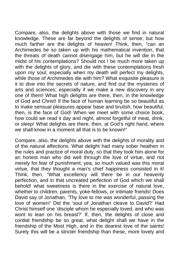Compare, also, the delights above with those we find in natural knowledge. These are far beyond the delights of sense; but how much farther are the delights of heaven! Think, then, "can an Archimedes be so taken up with his mathematical invention, that the threats of death cannot disengage him, but he will die in the midst of his contemplations? Should not I be much more taken up with the delights of glory, and die with these contemplations fresh upon my soul; especially when my death will perfect my delights, while those of Archimedes die with him? What exquisite pleasure is it to dive into the secrets of nature, and find out the mysteries of arts and sciences; especially if we make a new discovery in any one of them! What high delights are there, then, in the knowledge of God and Christ! If the face of human learning be so beautiful as to make sensual pleasures appear base and brutish, how beautiful, then, is the face of God! When we meet with some choice book, how could we read it day and night, almost forgetful of meat, drink, or sleep! What delights are there, then, at God's right hand, where we shall know in a moment all that is to be known!"

Compare, also, the delights above with the delights of morality and of the natural affections. What delight had many sober heathen in the rules and practice of moral duty, so that they took him alone for an honest man who did well through the love of virtue, and not merely for fear of punishment; yea, so much valued was this moral virtue, that they thought a man's chief happiness consisted in it! Think, then, "What excellency will there be in our heavenly perfection, and in that uncreated perfection of God which we shall behold! what sweetness is there in the exercise of natural love, whether to children, parents, yoke-fellows, or intimate friends! Does David say of Jonathan, 'Thy love to me was wonderful, passing the love of women!' Did the 'soul of Jonathan cleave to David?' Had Christ himself one 'disciple whom he especially loved, and who was wont to lean on his breast?' If, then, the delights of close and cordial friendship be so great, what delight shall we have in the friendship of the Most High, and in the dearest love of the saints! Surely this will be a stricter friendship than these, more lovely and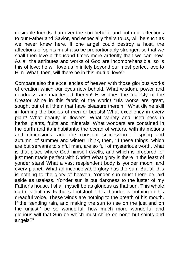desirable friends than ever the sun beheld; and both our affections to our Father and Savior, and especially theirs to us, will be such as we never knew here. If one angel could destroy a host, the affections of spirits must also be proportionably stronger, so that we shall then love a thousand times more ardently than we can now. As all the attributes and works of God are incomprehensible, so is this of love: he will love us infinitely beyond our most perfect love to Him. What, then, will there be in this mutual love!"

Compare also the excellencies of heaven with those glorious works of creation which our eyes now behold. What wisdom, power and goodness are manifested therein! How does the majesty of the Creator shine in this fabric of the world! "His works are great, sought out of all them that have pleasure therein." What divine skill in forming the bodies of men or beasts! What excellency in every plant! What beauty in flowers! What variety and usefulness in herbs, plants, fruits and minerals! What wonders are contained in the earth and its inhabitants; the ocean of waters, with its motions and dimensions; and the constant succession of spring and autumn, of summer and winter! Think, then, "If these things, which are but servants to sinful man, are so full of mysterious worth, what is that place where God himself dwells, and which is prepared for just men made perfect with Christ! What glory is there in the least of yonder stars! What a vast resplendent body is yonder moon, and every planet! What an inconceivable glory has the sun! But all this is nothing to the glory of heaven. Yonder sun must there be laid aside as useless. Yonder sun is but darkness to the luster of my Father's house. I shall myself be as glorious as that sun. This whole earth is but my Father's footstool. This thunder is nothing to his dreadful voice. These winds are nothing to the breath of his mouth. If the 'sending rain, and making the sun to rise on the just and on the unjust,' be so wonderful, how much more wonderful and glorious will that Sun be which must shine on none but saints and angels?"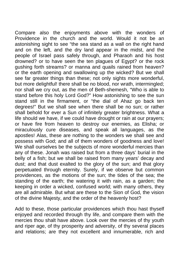Compare also the enjoyments above with the wonders of Providence in the church and the world. Would it not be an astonishing sight to see "the sea stand as a wall on the right hand and on the left, and the dry land appear in the midst, and the people of Israel pass safely through, and Pharaoh and his host drowned? or to have seen the ten plagues of Egypt? or the rock gushing forth streams? or manna and quails rained from heaven? or the earth opening and swallowing up the wicked? But we shall see far greater things than these; not only sights more wonderful, but more delightful! there shall be no blood, nor wrath, intermingled; nor shall we cry out, as the men of Beth-shemesh, "Who is able to stand before this holy Lord God?" How astonishing to see the sun stand still in the firmament, or "the dial of Ahaz go back ten degrees!" But we shall see when there shall be no sun; or rather shall behold for ever a Sun of infinitely greater brightness. What a life should we have, if we could have drought or rain at our prayers; or have fire from heaven to destroy our enemies, as Elisha; or miraculously cure diseases, and speak all languages, as the apostles! Alas, these are nothing to the wonders we shall see and possess with God; and all of them wonders of goodness and love! We shall ourselves be the subjects of more wonderful mercies than any of these. Jonah was raised but from a three days' burial in the belly of a fish; but we shall be raised from many years' decay and dust; and that dust exalted to the glory of the sun; and that glory perpetuated through eternity. Surely, if we observe but common providences, as the motions of the sun; the tides of the sea; the standing of the earth; the watering it with rain, as a garden; the keeping in order a wicked, confused world; with many others, they are all admirable. But what are these to the Sion of God, the vision of the divine Majesty, and the order of the heavenly host?

Add to these, those particular providences which thou hast thyself enjoyed and recorded through thy life, and compare them with the mercies thou shalt have above. Look over the mercies of thy youth and riper age, of thy prosperity and adversity, of thy several places and relations; are they not excellent and innumerable, rich and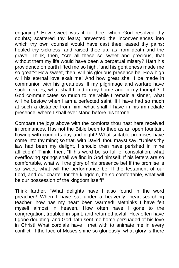engaging? How sweet was it to thee, when God resolved thy doubts; scattered thy fears; prevented the inconveniences into which thy own counsel would have cast thee; eased thy pains; healed thy sickness; and raised thee up, as from death and the grave! Think, then, "Are all these so sweet and precious, that without them my life would have been a perpetual misery? Hath his providence on earth lifted me so high, 'and his gentleness made me so great?' How sweet, then, will his glorious presence be! How high will his eternal love exalt me! And how great shall I be made in communion with his greatness! If my pilgrimage and warfare have such mercies, what shall I find in my home and in my triumph? If God communicates so much to me while I remain a sinner, what will he bestow when I am a perfected saint! If I have had so much at such a distance from him, what shall I have in his immediate presence, where I shall ever stand before his throne!"

Compare the joys above with the comforts thou hast here received in ordinances. Has not the Bible been to thee as an open fountain, flowing with comforts day and night? What suitable promises have come into thy mind; so that, with David, thou mayst say, "Unless thy law had been my delight, I should then have perished in mine affliction!" Think, then, "If his word be so full of consolation, what overflowing springs shall we find in God himself! If his letters are so comfortable, what will the glory of his presence be! If the promise is so sweet, what will the performance be! If the testament of our Lord, and our charter for the kingdom, be so comfortable, what will be our possession of the kingdom itself!"

Think farther, "What delights have I also found in the word preached! When I have sat under a heavenly, heart-searching teacher, how has my heart been warmed! Methinks I have felt myself almost in heaven. How often have I gone to the congregation, troubled in spirit, and returned joyful! How often have I gone doubting, and God hath sent me home persuaded of his love in Christ! What cordials have I met with to animate me in every conflict! If the face of Moses shine so gloriously, what glory is there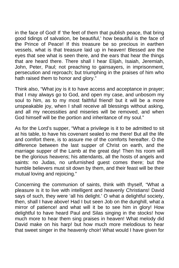in the face of God! If 'the feet of them that publish peace, that bring good tidings of salvation, be beautiful,' how beautiful is the face of the Prince of Peace! If this treasure be so precious in earthen vessels, what is that treasure laid up in heaven! Blessed are the eyes that see what is seen there, and the ears that hear the things that are heard there. There shall I hear Elijah, Isaiah, Jeremiah, John, Peter, Paul; not preaching to gainsayers, in imprisonment, persecution and reproach; but triumphing in the praises of him who hath raised them to honor and glory."

Think also, "What joy is it to have access and acceptance in prayer; that I may always go to God, and open my case, and unbosom my soul to him, as to my most faithful friend! but it will be a more unspeakable joy, when I shall receive all blessings without asking, and all my necessities and miseries will be removed, and when God himself will be the portion and inheritance of my soul."

As for the Lord's supper, "What a privilege is it to be admitted to sit at his table, to have his covenant sealed to me there! But all the life and comfort there, is to assure me of the comforts hereafter. O the difference between the last supper of Christ on earth, and the marriage supper of the Lamb at the great day! Then his room will be the glorious heavens; his attendants, all the hosts of angels and saints: no Judas, no unfurnished guest comes there; but the humble believers must sit down by them, and their feast will be their mutual loving and rejoicing."

Concerning the communion of saints, think with thyself, "What a pleasure is it to live with intelligent and heavenly Christians! David says of such, they were 'all his delight.' O what a delightful society, then, shall I have above! Had I but seen Job on the dunghill, what a mirror of patience! and what will it be to see him in glory! How delightful to have heard Paul and Silas singing in the stocks! how much more to hear them sing praises in heaven! What melody did David make on his harp! but how much more melodious to hear that sweet singer in the heavenly choir! What would I have given for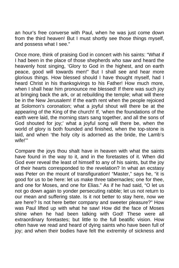an hour's free converse with Paul, when he was just come down from the third heaven! But I must shortly see those things myself, and possess what I see."

Once more, think of praising God in concert with his saints: "What if I had been in the place of those shepherds who saw and heard the heavenly host singing, 'Glory to God in the highest, and on earth peace, good will towards men!" But I shall see and hear more glorious things. How blessed should I have thought myself, had I heard Christ in his thanksgivings to his Father! How much more, when I shall hear him pronounce me blessed! If there was such joy at bringing back the ark, or at rebuilding the temple; what will there be in the New Jerusalem! If the earth rent when the people rejoiced at Solomon's coronation; what a joyful shout will there be at the appearing of the King of the church! If, 'when the foundations of the earth were laid, the morning stars sang together, and all the sons of God shouted for joy;' what a joyful song will there be, when the world of glory is both founded and finished, when the top-stone is laid, and when 'the holy city is adorned as the bride, the Lamb's wife!'"

Compare the joys thou shalt have in heaven with what the saints have found in the way to it, and in the foretastes of it. When did God ever reveal the least of himself to any of his saints, but the joy of their hearts corresponded to the revelation? In what an ecstasy was Peter on the mount of transfiguration! "Master," says he, "it is good for us to be here: let us make three tabernacles; one for thee, and one for Moses, and one for Elias." As if he had said, "O let us not go down again to yonder persecuting rabble; let us not return to our mean and suffering state. Is it not better to stay here, now we are here? Is not here better company and sweeter pleasure?" How was Paul lifted up with what he saw! How did the face of Moses shine when he had been talking with God! These were all extraordinary foretastes; but little to the full beatific vision. How often have we read and heard of dying saints who have been full of joy; and when their bodies have felt the extremity of sickness and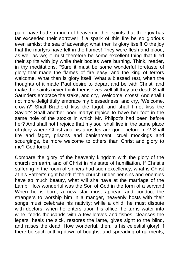pain, have had so much of heaven in their spirits that their joy has far exceeded their sorrows! If a spark of this fire be so glorious even amidst the sea of adversity; what then is glory itself! O the joy that the martyrs have felt in the flames! They were flesh and blood, as well as we; it must therefore be some excellent thing that filled their spirits with joy while their bodies were burning. Think, reader, in thy meditations, "Sure it must be some wonderful foretaste of glory that made the flames of fire easy, and the king of terrors welcome. What then is glory itself! What a blessed rest, when the thoughts of it made Paul desire to depart and be with Christ; and make the saints never think themselves well till they are dead! Shall Saunders embrace the stake, and cry, 'Welcome, cross!' And shall I not more delightfully embrace my blessedness, and cry, 'Welcome, crown?' Shall Bradford kiss the fagot, and shall I not kiss the Savior? Shall another poor martyr rejoice to have her foot in the same hole of the stocks in which Mr. Philpot's had been before her? And shall not I rejoice that my soul shall live in the same place of glory where Christ and his apostles are gone before me? Shall fire and fagot, prisons and banishment, cruel mockings and scourgings, be more welcome to others than Christ and glory to me? God forbid!'"

Compare the glory of the heavenly kingdom with the glory of the church on earth, and of Christ in his state of humiliation. If Christ's suffering in the room of sinners had such excellency, what is Christ at his Father's right hand! If the church under her sins and enemies have so much beauty, what will she have at the marriage of the Lamb! How wonderful was the Son of God in the form of a servant! When he is born, a new star must appear, and conduct the strangers to worship him in a manger, heavenly hosts with their songs must celebrate his nativity; while a child, he must dispute with doctors; when he enters upon his office, he turns water into wine, feeds thousands with a few loaves and fishes, cleanses the lepers, heals the sick, restores the lame, gives sight to the blind, and raises the dead. How wonderful, then, is his celestial glory! If there be such cutting down of boughs, and spreading of garments,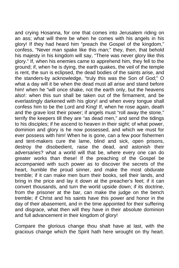and crying Hosanna, for one that comes into Jerusalem riding on an ass; what will there be when he comes with his angels in his glory! If they had heard him "preach the Gospel of the kingdom," confess, "Never man spake like this man;" they, then, that behold his majesty in his kingdom will say, "There was never glory like this glory." If, when his enemies came to apprehend him, they fell to the ground; if, when he is dying, the earth quakes, the veil of the temple is rent, the sun is eclipsed, the dead bodies of the saints arise, and the standers-by acknowledge, "truly this was the Son of God;" O what a day will it be when the dead must all arise and stand before him! when he "will once shake, not the earth only, but the heavens also!: when this sun shall be taken out of the firmament, and be everlastingly darkened with his glory! and when every tongue shall confess him to be the Lord and King! If, when he rose again, death and the grave lost their power; if angels must "roll away the stone," terrify the keepers till they are "as dead men," and send the tidings to his disciples; if he ascend to heaven in their sight; of what power, dominion and glory is he now possessed, and which we must for ever possess with him! When he is gone, can a few poor fishermen and tent-makers cure the lame, blind and sick, open prisons, destroy the disobedient, raise the dead, and astonish their adversaries? what a world will that be, where every one can do greater works than these! If the preaching of the Gospel be accompanied with such power as to discover the secrets of the heart, humble the proud sinner, and make the most obdurate tremble; if it can make men burn their books, sell their lands, and bring in the price and lay it down at the preacher's feet; if it can convert thousands, and turn the world upside down; if its doctrine, from the prisoner at the bar, can make the judge on the bench tremble; if Christ and his saints have this power and honor in the day of their abasement, and in the time appointed for their suffering and disgrace, what then will they have in their absolute dominion and full advancement in their kingdom of glory!

Compare the glorious change thou shalt have at last, with the gracious change which the Spirit hath here wrought on thy heart.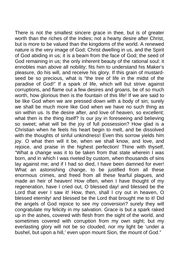There is not the smallest sincere grace in thee, but is of greater worth than the riches of the Indies; not a hearty desire after Christ, but is more to be valued than the kingdoms of the world. A renewed nature is the very image of God; Christ dwelling in us, and the Spirit of God abiding in us; it is a beam from the face of God; the seed of God remaining in us; the only inherent beauty of the rational soul: it ennobles man above all nobility; fits him to understand his Maker's pleasure, do his will, and receive his glory. If this grain of mustardseed be so precious, what is "the tree of life in the midst of the paradise of God!" If a spark of life, which will but strive against corruptions, and flame out a few desires and groans, be of so much worth, how glorious then is the fountain of this life! If we are said to be like God when we are pressed down with a body of sin; surely we shall be much more like God when we have no such thing as sin within us. Is the desire after, and love of heaven, so excellent; what then is the thing itself? Is our joy in foreseeing and believing so sweet; what will be the joy of full possession? How glad is a Christian when he feels his heart begin to melt, and be dissolved with the thoughts of sinful unkindness! Even this sorrow yields him joy. O what then will it be, when we shall know, and love, and rejoice, and praise in the highest perfection! Thine with thyself, "What a change was it to be taken from that state wherein I was born, and in which I was riveted by custom, when thousands of sins lay against me; and if I had so died, I have been damned for ever! What an astonishing change, to be justified from all these enormous crimes, and freed from all these fearful plagues, and made an heir of heaven! How often, when I have thought of my regeneration, have I cried out, O blessed day! and blessed be the Lord that ever I saw it! How, then, shall I cry out in heaven, O blessed eternity! and blessed be the Lord that brought me to it! Did the angels of God rejoice to see my conversion? surely they will congratulate my felicity in my salvation. Grace is but a spark raked up in the ashes, covered with flesh from the sight of the world, and sometimes covered with corruption from my own sight; but my everlasting glory will not be so clouded, nor my light be 'under a bushel, but upon a hill,' even upon mount Sion, the mount of God."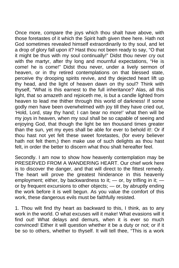Once more, compare the joys which thou shalt have above, with those foretastes of it which the Spirit hath given thee here. Hath not God sometimes revealed himself extraordinarily to thy soul, and let a drop of glory fall upon it? Hast thou not been ready to say, "O that it might be thus with my soul continually!" Didst thou never cry out with the martyr, after thy long and mournful expectations, "He is come! he is come!" Didst thou never, under a lively sermon of heaven, or in thy retired contemplations on that blessed state, perceive thy drooping spirits revive, and thy dejected heart lift up thy head, and the light of heaven dawn on thy soul? Think with thyself, "What is this earnest to the full inheritance? Alas, all this light, that so amazeth and rejoiceth me, is but a candle lighted from heaven to lead me thither through this world of darkness! If some godly men have been overwhelmed with joy till they have cried out, 'Hold, Lord, stay thy hand; I can bear no more!' what then will be my joys in heaven, when my soul shall be so capable of seeing and enjoying God, that though the light be ten thousand times greater than the sun, yet my eyes shall be able for ever to behold it!: Or if thou hast not yet felt these sweet foretastes, (for every believer hath not felt them,) then make use of such delights as thou hast felt, in order the better to discern what thou shalt hereafter feel.

Secondly. I am now to show how heavenly contemplation may be PRESERVED FROM A WANDERING HEART. Our chief work here is to discover the danger, and that will direct to the fittest remedy. The heart will prove the greatest hinderance in this heavenly employment; either, by backwardness to it; — or, by trifling in it; or by frequent excursions to other objects; — or, by abruptly ending the work before it is well begun. As you value the comfort of this work, these dangerous evils must be faithfully resisted.

1. Thou wilt find thy heart as backward to this, I think, as to any work in the world. O what excuses will it make! What evasions will it find out! What delays and demurs, when it is ever so much convinced! Either it will question whether it be a duty or not; or if it be so to others, whether to thyself. It will tell thee, "This is a work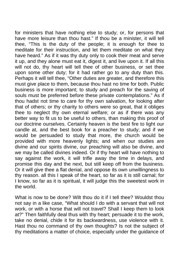for ministers that have nothing else to study; or, for persons that have more leisure than thou hast." If thou be a minister, it will tell thee, "This is the duty of the people; it is enough for thee to meditate for their instruction, and let them meditate on what they have heard." As if it was thy duty only to cook their meat and serve it up, and they alone must eat it, digest it, and live upon it. If all this will not do, thy heart will tell thee of other business, or set thee upon some other duty; for it had rather go to any duty than this. Perhaps it will tell thee, "Other duties are greater, and therefore this must give place to them, because thou hast no time for both. Public business is more important; to study and preach for the saving of souls must be preferred before these private contemplations." As if thou hadst not time to care for thy own salvation, for looking after that of others; or thy charity to others were so great, that it obliges thee to neglect thy own eternal welfare; or as if there was any better way to fit us to be useful to others, than making this proof of our doctrine ourselves. Certainly heaven is the best fire to light our candle at, and the best book for a preacher to study; and if we would be persuaded to study that more, the church would be provided with more heavenly lights; and when our studies are divine and our spirits divine, our preaching will also be divine, and we may be called divines indeed. Or if thy heart will have nothing to say against the work, it will trifle away the time in delays, and promise this day and the next, but still keep off from the business. Or it will give thee a flat denial, and oppose its own unwillingness to thy reason. all this I speak of the heart, so far as it is still carnal; for I know, so far as it is spiritual, it will judge this the sweetest work in the world.

What is now to be done? Wilt thou do it if I tell thee? Wouldst thou not say in a like case, "What should I do with a servant that will not work, or with a horse that will not travel? Shall I keep them to look at?" Then faithfully deal thus with thy heart; persuade it to the work, take no denial, chide it for its backwardness, use violence with it. Hast thou no command of thy own thoughts? Is not the subject of thy meditations a matter of choice, especially under the guidance of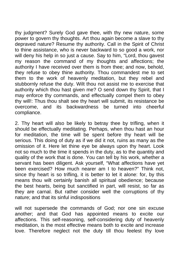thy judgment? Surely God gave thee, with thy new nature, some power to govern thy thoughts. Art thou again become a slave to thy depraved nature? Resume thy authority. Call in the Spirit of Christ to thine assistance, who is never backward to so good a work, nor will deny his help in so just a cause. Say to him, "Lord, thou gavest my reason the command of my thoughts and affections; the authority I have received over them is from thee; and now, behold, they refuse to obey thine authority. Thou commandest me to set them to the work of heavenly meditation, but they rebel and stubbornly refuse the duty. Wilt thou not assist me to exercise that authority which thou hast given me? O send down thy Spirit, that I may enforce thy commands, and effectually compel them to obey thy will!: Thus thou shalt see thy heart will submit, its resistance be overcome, and its backwardness be turned into cheerful compliance.

2. Thy heart will also be likely to betray thee by trifling, when it should be effectually meditating. Perhaps, when thou hast an hour for meditation, the time will be spent before thy heart will be serious. This doing of duty as if we did it not, ruins as many as the omission of it. Here let thine eye be always upon thy heart. Look not so much to the time it spends in the duty, as to the quantity and quality of the work that is done. You can tell by his work, whether a servant has been diligent. Ask yourself, "What affections have yet been exercised? How much nearer am I to heaven?" Think not, since thy heart is so trifling, it is better to let it alone: for, by this means thou wilt certainly banish all spiritual obedience; because the best hearts, being but sanctified in part, will resist, so far as they are carnal. But rather consider well the corruptions of thy nature; and that its sinful indispositions

will not supersede the commands of God; nor one sin excuse another; and that God has appointed means to excite our affections. This self-reasoning, self-considering duty of heavenly meditation, is the most effective means both to excite and increase love. Therefore neglect not the duty till thou feelest thy love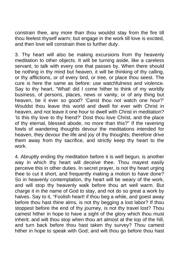constrain thee, any more than thou wouldst stay from the fire till thou feelest thyself warm; but engage in the work till love is excited, and then love will constrain thee to further duty.

3. Thy heart will also be making excursions from thy heavenly meditation to other objects. It will be turning aside, like a careless servant, to talk with every one that passes by. When there should be nothing in thy mind but heaven, it will be thinking of thy calling, or thy afflictions, or of every bird, or tree, or place thou seest. The cure is here the same as before: use watchfulness and violence. Say to thy heart, "What! did I come hither to think of my worldly business, of persons, places, news or vanity, or of any thing but heaven, be it ever so good? 'Canst thou not watch one hour?' Wouldst thou leave this world and dwell for ever with Christ in heaven, and not leave it one hour to dwell with Christ in meditation? 'Is this thy love to thy friend?' Dost thou love Christ, and the place of thy eternal, blessed abode, no more than this?" If the ravening fowls of wandering thoughts devour the meditations intended for heaven, they devour the life and joy of thy thoughts; therefore drive them away from thy sacrifice, and strictly keep thy heart to the work.

4. Abruptly ending thy meditation before it is well begun, is another way in which thy heart will deceive thee. Thou mayest easily perceive this in other duties. In secret prayer, is not thy heart urging thee to cut it short, and frequently making a motion to have done? So in heavenly contemplation, thy heart will be weary of the work, and will stop thy heavenly walk before thou art well warm. But charge it in the name of God to stay, and not do so great a work by halves. Say to it, "Foolish heart! if thou beg a while, and goest away before thou hast thine alms, is not thy begging a lost labor? If thou stoppest before the end of thy journey, is not thy travel lost? Thou camest hither in hope to have a sight of the glory which thou must inherit; and wilt thou stop when thou art almost at the top of the hill, and turn back before thou hast taken thy survey? Thou camest hither in hope to speak with God; and wilt thou go before thou hast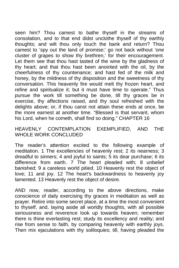seen him? Thou camest to bathe thyself in the streams of consolation, and to that end didst unclothe thyself of thy earthly thoughts; and wilt thou only touch the bank and return? Thou camest to 'spy out the land of promise;' go not back without 'one cluster of grapes to show thy brethren,' for their encouragement. Let them see that thou hast tasted of the wine by the gladness of thy heart; and that thou hast been anointed with the oil, by the cheerfulness of thy countenance; and hast fed of the milk and honey, by the mildness of thy disposition and the sweetness of thy conversation. This heavenly fire would melt thy frozen heart, and refine and spiritualize it; but it must have time to operate." Thus pursue the work till something be done, till thy graces be in exercise, thy affections raised, and thy soul refreshed with the delights above; or, if thou canst not attain these ends at once, be the more earnest at another time. "Blessed is that servant, whom his Lord, when he cometh, shall find so doing." CHAPTER 16

## HEAVENLY CONTEMPLATION EXEMPLIFIED, AND THE WHOLE WORK CONCLUDED

The reader's attention excited to the following example of meditation. 1 The excellencies of heavenly rest; 2 its nearness; 3 dreadful to sinners; 4 and joyful to saints; 5 its dear purchase; 6 its difference from earth. 7 The heart pleaded with; 8 unbelief banished; 9 a careless world pitied. 10 Heavenly rest the object of love; 11 and joy. 12 The heart's backwardness to heavenly joy lamented. 13 Heavenly rest the object of desire.

AND now, reader, according to the above directions, make conscience of daily exercising thy graces in meditation as well as prayer. Retire into some secret place, at a time the most convenient to thyself, and, laying aside all worldly thoughts, with all possible seriousness and reverence look up towards heaven; remember there is thine everlasting rest; study its excellency and reality; and rise from sense to faith, by comparing heavenly with earthly joys. Then mix ejaculations with thy soliloquies; till, having pleaded the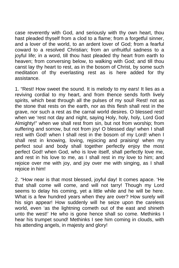case reverently with God, and seriously with thy own heart, thou hast pleaded thyself from a clod to a flame; from a forgetful sinner, and a lover of the world, to an ardent lover of God; from a fearful coward to a resolved Christian; from an unfruitful sadness to a joyful life; in a word, till thou hast pleaded thy heart from earth to heaven; from conversing below, to walking with God; and till thou canst lay thy heart to rest, as in the bosom of Christ, by some such meditation of thy everlasting rest as is here added for thy assistance.

1. "Rest! How sweet the sound. It is melody to my ears! It lies as a reviving cordial to my heart, and from thence sends forth lively spirits, which beat through all the pulses of my soul! Rest! not as the stone that rests on the earth, nor as this flesh shall rest in the grave, nor such a rest as the carnal world desires. O blessed rest! when we 'rest not day and night, saying Holy, holy, holy, Lord God Almighty!" when we shall rest from sin, but not from worship; from suffering and sorrow, but not from joy! O blessed day! when I shall rest with God! when I shall rest in the bosom of my Lord! when I shall rest in knowing, loving, rejoicing and praising! when my perfect soul and body shall together perfectly enjoy the most perfect God! when God, who is love itself, shall perfectly love me, and rest in his love to me, as I shall rest in my love to him; and rejoice over me with joy, and joy over me with singing, as I shall rejoice in him!

2. "How near is that most blessed, joyful day! It comes apace. 'He that shall come will come, and will not tarry! Though my Lord seems to delay his coming, yet a little while and he will be here. What is a few hundred years when they are over? How surely will his sign appear! How suddenly will he seize upon the careless world, even 'as the lightning cometh out of the east and shineth unto the west!' He who is gone hence shall so come. Methinks I hear his trumpet sound! Methinks I see him coming in clouds, with his attending angels, in majesty and glory!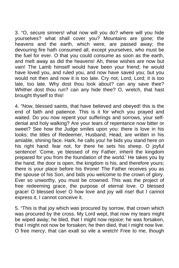3. "O, secure sinners! what now will you do? where will you hide yourselves? what shall cover you? Mountains are gone; the heavens and the earth, which were, are passed away; the devouring fire hath consumed all, except yourselves, who must be the fuel for ever. O that you could consume as soon as the earth, and melt away as did the heavens! Ah, these wishes are now but vain! The Lamb himself would have been your friend; he would have loved you, and ruled you, and now have saved you; but you would not then and now it is too late. Cry not, Lord, Lord; it is too late, too late. Why dost thou look about? can any save thee? Whither dost thou run? can any hide thee? O, wretch, that hast brought thyself to this!

4. "Now, blessed saints, that have believed and obeyed! this is the end of faith and patience. This is it for which you prayed and waited. Do you now repent your sufferings and sorrows, your selfdenial and holy walking? Are your tears of repentance now bitter or sweet? See how the Judge smiles upon you: there is love in his looks; the titles of Redeemer, Husband, Head, are written in his amiable, shining face. Hark, he calls you! he bids you stand here on his right hand: fear not, for there he sets his sheep. O joyful sentence! 'Come, ye blessed of my Father, inherit the kingdom prepared for you from the foundation of the world.' He takes you by the hand, the door is open, the kingdom is his, and therefore yours; there is your place before his throne! The Father receives you as the spouse of his Son, and bids you welcome to the crown of glory. Ever so unworthy, you must be crowned. This was the project of free redeeming grace, the purpose of eternal love. O blessed grace! O blessed love! O how love and joy will rise! But I cannot express it, I cannot conceive it.

5. "This is that joy which was procured by sorrow, that crown which was procured by the cross. My Lord wept, that now my tears might be wiped away; he bled, that I might now rejoice; he was forsaken, that I might not now be forsaken; he then died, that I might now live. O free mercy, that can exalt so vile a wretch! Free to me, though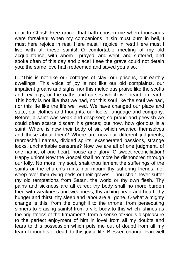dear to Christ! Free grace, that hath chosen me when thousands were forsaken! When my companions in sin must burn in hell, I must here rejoice in rest! Here must I rejoice in rest! Here must I live with all these saints! O comfortable meeting of my old acquaintance, with whom I prayed, and wept, and suffered, and spoke often of this day and place! I see the grave could not detain you: the same love hath redeemed and saved you also.

6. "This is not like our cottages of clay, our prisons, our earthly dwellings. This voice of joy is not like our old complaints, our impatient groans and sighs; nor this melodious praise like the scoffs and revilings, or the oaths and curses which we heard on earth. This body is not like that we had, nor this soul like the soul we had, nor this life like the life we lived. We have changed our place and state, our clothes and thoughts, our looks, language and company. Before, a saint was weak and despised; so proud and peevish we could often scarce discern his graces; but now, how glorious is a saint! Where is now their body of sin, which wearied themselves and those about them? Where are now our different judgments, reproachful names, divided spirits, exasperated passions, strange looks, uncharitable censures? Now we are all of one judgment, of one name, of one heart, house and glory. O sweet reconciliation! Happy union! Now the Gospel shall no more be dishonored through our folly. No more, my soul, shalt thou lament the sufferings of the saints or the church's ruins; nor mourn thy suffering friends, nor weep over their dying beds or their graves. Thou shalt never suffer thy old temptations from Satan, the world or thy own flesh. Thy pains and sickness are all cured; thy body shall no more burden thee with weakness and weariness; thy aching head and heart, thy hunger and thirst, thy sleep and labor are all gone. O what a mighty change is this! from the dunghill to the throne! from persecuting sinners to praising saints! from a vile body to this which 'shines as the brightness of the firmament!' from a sense of God's displeasure to the perfect enjoyment of him in love! from all my doubts and fears to this possession which puts me out of doubt! from all my fearful thoughts of death to this joyful life! Blessed change! Farewell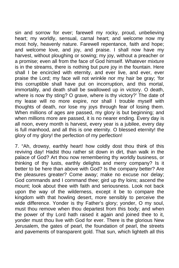sin and sorrow for ever; farewell my rocky, proud, unbelieving heart; my worldly, sensual, carnal heart; and welcome now my most holy, heavenly nature. Farewell repentance, faith and hope; and welcome love, and joy, and praise. I shall now have my harvest, without ploughing or sowing; my joy, without a preacher or a promise; even all from the face of God himself. Whatever mixture is in the streams, there is nothing but pure joy in the fountain. Here shall I be encircled with eternity, and ever live, and ever, ever praise the Lord; my face will not wrinkle nor my hair be gray; 'for this corruptible shall have put on incorruption, and this mortal, immortality, and death shall be swallowed up in victory. O death, where is now thy sting? O grave, where is thy victory?' The date of my lease will no more expire, nor shall I trouble myself with thoughts of death, nor lose my joys through fear of losing them. When millions of ages are passed, my glory is but beginning; and when millions more are passed, it is no nearer ending. Every day is all noon, every month is harvest, every year is a jubilee, every day is full manhood, and all this is one eternity. O blessed eternity! the glory of my glory! the perfection of my perfection!

7. "Ah, drowsy, earthly heart! how coldly dost thou think of this reviving day! Hadst thou rather sit down in dirt, than walk in the palace of God? Art thou now remembering thy worldly business, or thinking of thy lusts, earthly delights and merry company? Is it better to be here than above with God? Is the company better? Are the pleasures greater? Come away; make no excuse nor delay; God commands and I command thee; gird up thy loins; ascend the mount; look about thee with faith and seriousness. Look not back upon the way of the wilderness, except it be to compare the kingdom with that howling desert, more sensibly to perceive the wide difference. Yonder is thy Father's glory; yonder, O my soul, must thou remove when thou departest from this body; and when the power of thy Lord hath raised it again and joined thee to it, yonder must thou live with God for ever. There is the glorious New Jerusalem, the gates of pearl, the foundation of pearl, the streets and pavements of transparent gold. That sun, which lighteth all this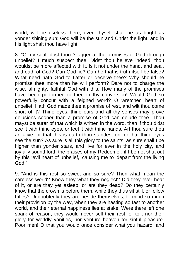world, will be useless there; even thyself shall be as bright as yonder shining sun; God will be the sun and Christ the light, and in his light shalt thou have light.

8. "O my soul! dost thou 'stagger at the promises of God through unbelief? I much suspect thee. Didst thou believe indeed, thou wouldst be more affected with it. Is it not under the hand, and seal, and oath of God? Can God lie? Can he that is truth itself be false? What need hath God to flatter or deceive thee? Why should he promise thee more than he will perform? Dare not to charge the wise, almighty, faithful God with this. How many of the promises have been performed to thee in thy conversion! Would God so powerfully concur with a feigned word? O wretched heart of unbelief! Hath God made thee a promise of rest, and wilt thou come short of it? Thine eyes, thine ears and all thy senses may prove delusions sooner than a promise of God can delude thee. Thou mayst be surer of that which is written in the word, than if thou didst see it with thine eyes, or feel it with thine hands. Art thou sure thou art alive, or that this is earth thou standest on, or that thine eyes see the sun? As sure is all this glory to the saints; as sure shall I be higher than yonder stars, and live for ever in the holy city, and joyfully sound forth the praises of my Redeemer, if I be not shut out by this 'evil heart of unbelief,' causing me to 'depart from the living God.'

9. "And is this rest so sweet and so sure? Then what mean the careless world? Know they what they neglect? Did they ever hear of it, or are they yet asleep, or are they dead? Do they certainly know that the crown is before them, while they thus sit still, or follow trifles? Undoubtedly they are beside themselves, to mind so much their provision by the way, when they are hasting so fast to another world, and their eternal happiness lies at stake. Were there left one spark of reason, they would never sell their rest for toil, nor their glory for worldly vanities, nor venture heaven for sinful pleasure. Poor men! O that you would once consider what you hazard, and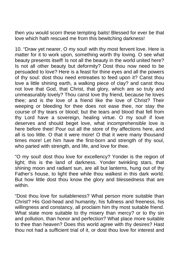then you would scorn these tempting baits! Blessed for ever be that love which hath rescued me from this bewitching darkness!

10. "Draw yet nearer, O my soul! with thy most fervent love. Here is matter for it to work upon, something worth thy loving. O see what beauty presents itself! Is not all the beauty in the world united here? Is not all other beauty but deformity? Dost thou now need to be persuaded to love? Here is a feast for thine eyes and all the powers of thy soul: dost thou need entreaties to feed upon it? Canst thou love a little shining earth, a walking piece of clay? and canst thou not love that God, that Christ, that glory, which are so truly and unmeasurably lovely? Thou canst love thy friend, because he loves thee; and is the love of a friend like the love of Christ? Their weeping or bleeding for thee does not ease thee, nor stay the course of thy tears or blood; but the tears and blood that fell from thy Lord have a sovereign, healing virtue. O my soul! if love deserves and should beget love, what incomprehensible love is here before thee! Pour out all the store of thy affections here, and all is too little. O that it were more! O that it were many thousand times more! Let him have the first-born and strength of thy soul, who parted with strength, and life, and love for thee.

"O my soul! dost thou love for excellency? Yonder is the region of light; this is the land of darkness. Yonder twinkling stars, that shining moon and radiant sun, are all but lanterns, hung out of thy Father's house, to light thee while thou walkest in this dark world. But how little dost thou know the glory and blessedness that are within.

"Dost thou love for suitableness? What person more suitable than Christ? His God-head and humanity, his fullness and freeness, his willingness and constancy, all proclaim him thy most suitable friend. What state more suitable to thy misery than mercy? or to thy sin and pollution, than honor and perfection? What place more suitable to thee than heaven? Does this world agree with thy desires? Hast thou not had a sufficient trial of it, or dost thou love for interest and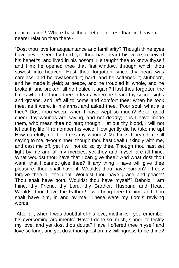near relation? Where hast thou better interest than in heaven, or nearer relation than there?

"Dost thou love for acquaintance and familiarity? Though thine eyes have never seen thy Lord, yet thou hast heard his voice, received his benefits, and lived in his bosom. He taught thee to know thyself and him; he opened thee that first window, through which thou sawest into heaven. Hast thou forgotten since thy heart was careless, and he awakened it; hard, and he softened it; stubborn, and he made it yield; at peace, and he troubled it; whole, and he broke it; and broken, till he healed it again? Hast thou forgotten the times when he found thee in tears; when he heard thy secret sighs and groans, and left all to come and comfort thee; when he took thee, as it were, in his arms, and asked thee, 'Poor soul, what ails thee? Dost thou weep, when I have wept so much? Be of good cheer; thy wounds are saving, and not deadly; it is I have made them, who mean thee no hurt; though I let out thy blood, I will not let out thy life.' I remember his voice. How gently did he take me up! How carefully did he dress my wounds! Methinks I hear him still saying to me, 'Poor sinner, though thou hast dealt unkindly with me, and cast me off, yet I will not do so by thee. Though thou hast set light by me and all my mercies, yet they and myself are all thine. What wouldst thou have that I can give thee? And what dost thou want, that I cannot give thee? If any thing I have will give thee pleasure, thou shalt have it. Wouldst thou have pardon? I freely forgive thee all the debt. Wouldst thou have grace and peace? Thou shalt have both. Wouldst thou have myself? Behold I am thine, thy Friend, thy Lord, thy Brother, Husband and Head. Wouldst thou have the Father? I will bring thee to him, and thou shalt have him, in and by me.' These were my Lord's reviving words.

"After all, when I was doubtful of his love, methinks I yet remember his overcoming arguments: 'Have I done so much, sinner, to testify my love, and yet dost thou doubt? Have I offered thee myself and love so long, and yet dost thou question my willingness to be thine?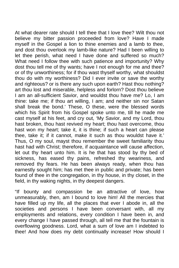At what dearer rate should I tell thee that I love thee? Wilt thou not believe my bitter passion proceeded from love? Have I made myself in the Gospel a lion to thine enemies and a lamb to thee, and dost thou overlook my lamb-like nature? Had I been willing to let thee perish, what need I have done and suffered so much? What need I follow thee with such patience and importunity? Why dost thou tell me of thy wants; have I not enough for me and thee? or of thy unworthiness; for if thou wast thyself worthy, what shouldst thou do with my worthiness? Did I ever invite or save the worthy and righteous? or is there any such upon earth? Hast thou nothing? art thou lost and miserable, helpless and forlorn? Dost thou believe I am an all-sufficient Savior, and wouldst thou have me? Lo, I am thine: take me; if thou art willing, I am; and neither sin nor Satan shall break the bond.' These, O these, were the blessed words which his Spirit from his Gospel spoke unto me, till he made me cast myself at his feet, and cry out, 'My Savior, and my Lord, thou hast broken, thou hast revived my heart; thou hast overcome, thou hast won my heart; take it, it is thine; if such a heart can please thee, take it; if it cannot, make it such as thou wouldst have it.' Thus, O my soul, mayst thou remember the sweet familiarity thou hast had with Christ; therefore, if acquaintance will cause affection, let out thy heart unto him. It is he that has stood by thy bed of sickness, has eased thy pains, refreshed thy weariness, and removed thy fears. He has been always ready, when thou has earnestly sought him; has met thee in public and private; has been found of thee in the congregation, in thy house, in thy closet, in the field, in thy waking nights, in thy deepest dangers.

"If bounty and compassion be an attractive of love, how unmeasurably, then, am I bound to love him! All the mercies that have filled up my life, all the places that ever I abode in, all the societies and persons I have been conversant with, all my employments and relations, every condition I have been in, and every change I have passed through, all tell me that the fountain is overflowing goodness. Lord, what a sum of love am I indebted to thee! And how does my debt continually increase! How should I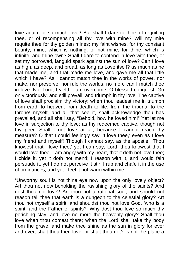love again for so much love? But shall I dare to think of requiting thee, or of recompensing all thy love with mine? Will my mite requite thee for thy golden mines; my faint wishes, for thy constant bounty; mine, which is nothing, or not mine, for thine, which is infinite, and thine own? Shall I dare to contend in love with thee, or set my borrowed, languid spark against the sun of love? Can I love as high, as deep, and broad, as long as Love itself? as much as he that made me, and that made me love, and gave me all that little which I have? As I cannot match thee in the works of power, nor make, nor preserve, nor rule the worlds; no more can I match thee in love. No, Lord, I yield; I am overcome. O blessed conquest! Go on victoriously, and still prevail, and triumph in thy love. The captive of love shall proclaim thy victory; when thou leadest me in triumph from earth to heaven, from death to life, from the tribunal to the throne! myself, and all that see it, shall acknowledge thou has prevailed, and all shall say, "Behold, how he loved him!" Yet let me love in subjection to thy love; as thy redeemed captive, though not thy peer. Shall I not love at all, because I cannot reach thy measure? O that I could feelingly say, 'I love thee,' even as I love my friend and myself! Though I cannot say, as the apostle, 'Thou knowest that I love thee;' yet I can say, Lord, thou knowest that I would love thee. I am angry with my heart, that it doth not love thee; I chide it, yet it doth not mend; I reason with it, and would fain persuade it, yet I do not perceive it stir; I rub and chafe it in the use of ordinances, and yet I feel it not warm within me.

"Unworthy soul! is not thine eye now upon the only lovely object? Art thou not now beholding the ravishing glory of the saints? And dost thou not love? Art thou not a rational soul, and should not reason tell thee that earth is a dungeon to the celestial glory? Art thou not thyself a spirit, and shouldst thou not love God, 'who is a spirit, and the Father of spirits?' Why dost thou love so much thy perishing clay, and love no more the heavenly glory? Shall thou love when thou comest there; when the Lord shall take thy body from the grave, and make thee shine as the sun in glory for ever and ever; shalt thou then love, or shalt thou not? Is not the place a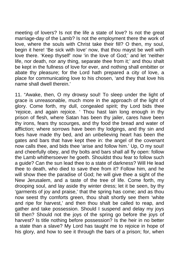meeting of lovers? Is not the life a state of love? Is not the great marriage-day of the Lamb? Is not the employment there the work of love, where the souls with Christ take their fill? O then, my soul, begin it here! 'Be sick with love' now, that thou mayst be well with love there. 'Keep thyself' now 'in the love of God;' and let 'neither life, nor death, nor any thing, separate thee from it;' and thou shalt be kept in the fullness of love for ever, and nothing shall embitter or abate thy pleasure; for the Lord hath prepared a city of love, a place for communicating love to his chosen, 'and they that love his name shall dwell therein.'

11. "Awake, then, O my drowsy soul! To sleep under the light of grace is unreasonable, much more in the approach of the light of glory. Come forth, my dull, congealed spirit; thy Lord bids thee 'rejoice, and again rejoice. ' Thou hast lain long enough in thy prison of flesh, where Satan has been thy jailer, cares have been thy irons, fears thy scourges, and thy food the bread and water of affliction; where sorrows have been thy lodgings, and thy sin and foes have made thy bed, and an unbelieving heart has been the gates and bars that have kept thee in: the angel of the covenant now calls thee, and bids thee 'arise and follow him.' Up, O my soul! and cheerfully obey, and thy bolts and bars shall all fly open: follow the Lamb whithersoever he goeth. Shouldst thou fear to follow such a guide? Can the sun lead thee to a state of darkness? Will He lead thee to death, who died to save thee from it? Follow him, and he will show thee the paradise of God; he will give thee a sight of the New Jerusalem, and a taste of the tree of life. Come forth, my drooping soul, and lay aside thy winter dress; let it be seen, by thy 'garments of joy and praise,' that the spring has come; and as thou now seest thy comforts green, thou shalt shortly see them 'white and ripe for harvest,' and then thou shalt be called to reap, and gather and take possession. Should I suspend and delay my joys till then? Should not the joys of the spring go before the joys of harvest? Is title nothing before possession? Is the heir in no better a state than a slave? My Lord has taught me to rejoice in hope of his glory, and how to see it through the bars of a prison; for, when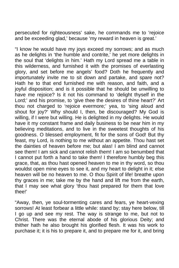persecuted for righteousness' sake, he commands me to 'rejoice and be exceeding glad,' because 'my reward in heaven is great.'

"I know he would have my joys exceed my sorrows; and as much as he delights in 'the humble and contrite,' he yet more delights in the soul that 'delights in him.' Hath my Lord spread me a table in this wilderness, and furnished it with the promises of everlasting glory, and set before me angels' food? Doth he frequently and importunately invite me to sit down and partake, and spare not? Hath he to that end furnished me with reason, and faith, and a joyful disposition; and is it possible that he should be unwilling to have me rejoice? Is it not his command to 'delight thyself in the Lord;' and his promise, to 'give thee the desires of thine heart?' Art thou not charged to 'rejoice evermore;' yea, to 'sing aloud and shout for joy?' Why should I, then, be discouraged? My God is willing, if I were but willing. He is delighted in my delights. He would have it my constant frame and daily business to be near him in my believing meditations, and to live in the sweetest thoughts of his goodness. O blessed employment, fit for the sons of God! But thy feast, my Lord, is nothing to me without an appetite. Thou hast set the dainties of heaven before me; but alas! I am blind and cannot see them! I am sick and cannot relish them! I am so benumbed that I cannot put forth a hand to take them! I therefore humbly beg this grace, that, as thou hast opened heaven to me in thy word, so thou wouldst open mine eyes to see it, and my heart to delight in it; else heaven will be no heaven to me. O thou Spirit of life! breathe upon thy graces in me; take me by the hand and lift me from the earth, that I may see what glory 'thou hast prepared for them that love thee!'

"Away, then, ye soul-tormenting cares and fears, ye heart-vexing sorrows! At least forbear a little while: stand by; stay here below, till I go up and see my rest. The way is strange to me, but not to Christ. There was the eternal abode of his glorious Deity; and thither hath he also brought his glorified flesh. It was his work to purchase it; it is his to prepare it, and to prepare me for it, and bring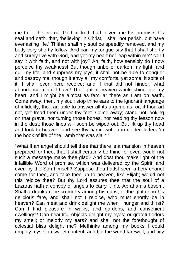me to it. the eternal God of truth hath given me his promise, his seal and oath, that, 'believing in Christ, I shall not perish, but have everlasting life.' Thither shall my soul be speedily removed, and my body very shortly follow. And can my tongue say that I shall shortly and surely live with God, and yet my heart not leap within me? can I say it with faith, and not with joy? Ah, faith, how sensibly do I now perceive thy weakness! But though unbelief darken my light, and dull my life, and suppress my joys, it shall not be able to conquer and destroy me; though it envy all my comforts, yet some, it spite of it, I shall even here receive; and if that did not hinder, what abundance might I have! The light of heaven would shine into my heart, and I might be almost as familiar there as I am on earth. Come away, then, my soul; stop thine ears to the ignorant language of infidelity; thou art able to answer all its arguments; or, if thou art not, yet tread them under thy feet. Come away; stand not looking on that grave, nor turning those bones, nor reading thy lesson now in the dust; those lines will soon be wiped out. But lift up thy head and look to heaven, and see thy name written in golden letters 'in the book of life of the Lamb that was slain.'

"What if an angel should tell thee that there is a mansion in heaven prepared for thee, that it shall certainly be thine for ever; would not such a message make thee glad? And dost thou make light of the infallible Word of promise, which was delivered by the Spirit, and even by the Son himself? Suppose thou hadst seen a fiery chariot come for thee, and take thee up to heaven, like Elijah; would not this rejoice thee? But thy Lord assures thee that the soul of a Lazarus hath a convoy of angels to carry it into Abraham's bosom. Shall a drunkard be so merry among his cups, or the glutton in his delicious fare, and shall not I rejoice, who must shortly be in heaven? Can meat and drink delight me when I hunger and thirst? Can I find pleasure in walks, and gardens, and convenient dwellings? Can beautiful objects delight my eyes; or grateful odors my smell; or melody my ears? and shall not the forethought of celestial bliss delight me? Methinks among my books I could employ myself in sweet content, and bid the world farewell, and pity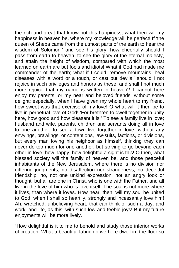the rich and great that know not this happiness; what then will my happiness in heaven be, where my knowledge will be perfect! If 'the queen of Sheba came from the utmost parts of the earth to hear the wisdom of Solomon,' and see his glory; how cheerfully should I pass from earth to heaven, to see the glory of the eternal majesty, and attain the height of wisdom, compared with which the most learned on earth are but fools and idiots! What if God had made me commander of the earth; what if I could 'remove mountains, heal diseases with a word or a touch, or cast out devils,' should I not rejoice in such privileges and honors as these, and shall I not much more rejoice that my name is written in heaven? I cannot here enjoy my parents, or my near and beloved friends, without some delight; especially, when I have given my whole heart to my friend, how sweet was that exercise of my love! O what will it then be to live in perpetual love of God! 'For brethren to dwell together in unity here, how good and how pleasant it is!' To see a family live in love; husband and wife, parents, children and servants doing all in love to one another; to see a town live together in love, without any envyings, brawlings, or contentions, law-suits, factions, or divisions, but every man loving his neighbor as himself, thinking they can never do too much for one another, but striving to go beyond each other in love; how happy, how delightful a sight is this! O then, what blessed society will the family of heaven be, and those peaceful inhabitants of the New Jerusalem, where there is no division nor differing judgments, no disaffection nor strangeness, no deceitful friendship, no, not one unkind expression, not an angry look or thought; but all are one in Christ, who is one with the Father, and all live in the love of him who is love itself! The soul is not more where it lives, than where it loves. How near, then, will my soul be united to God, when I shall so heartily, strongly and incessantly love him! Ah, wretched, unbelieving heart, that can think of such a day, and work, and life, as this, with such low and feeble joys! But my future enjoyments will be more lively.

"How delightful is it to me to behold and study those inferior works of creation! What a beautiful fabric do we here dwell in; the floor so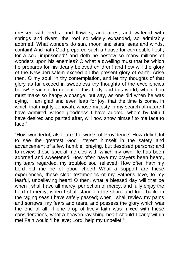dressed with herbs, and flowers, and trees, and watered with springs and rivers; the roof so widely expanded, so admirably adorned! What wonders do sun, moon and stars, seas and winds, contain! And hath God prepared such a house for corruptible flesh, for a soul imprisoned? and doth he bestow so many millions of wonders upon his enemies? O what a dwelling must that be which he prepares for his dearly beloved children! and how will the glory of the New Jerusalem exceed all the present glory of earth! Arise then, O my soul, in thy contemplation, and let thy thoughts of that glory as far exceed in sweetness thy thoughts of the excellencies below! Fear not to go out of this body and this world, when thou must make so happy a change: but say, as one did when he was dying, 'I am glad and even leap for joy, that the time is come, in which that mighty Jehovah, whose majesty in my search of nature I have admired, whose goodness I have adored, whom by faith I have desired and panted after, will now show himself to me face to face.'

"How wonderful, also, are the works of Providence! How delightful to see the greatest God interest himself in the safety and advancement of a few humble, praying, but despised persons; and to review those special mercies with which my own life has been adorned and sweetened! How often have my prayers been heard, my tears regarded, my troubled soul relieved! How often hath my Lord bid me be of good cheer! What a support are these experiences, these clear testimonies of my Father's love, to my fearful, unbelieving heart! O then, what a blessed day will that be when I shall have all mercy, perfection of mercy, and fully enjoy the Lord of mercy; when I shall stand on the shore and look back on the raging seas I have safely passed; when I shall review my pains and sorrows, my fears and tears, and possess the glory which was the end of all! If one drop of lively faith was mixed with these considerations, what a heaven-ravishing heart should I carry within me! Fain would 'I believe; Lord, help my unbelief.'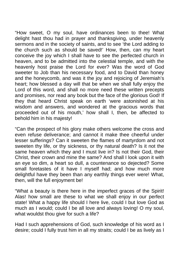"How sweet, O my soul, have ordinances been to thee! What delight hast thou had in prayer and thanksgiving, under heavenly sermons and in the society of saints, and to see 'the Lord adding to the church such as should be saved!' How, then, can my heart conceive the joy which I shall have to see the perfected church in heaven, and to be admitted into the celestial temple, and with the heavenly host praise the Lord for ever? Was the word of God sweeter to Job than his necessary food, and to David than honey and the honeycomb, and was it the joy and rejoicing of Jeremiah's heart; how blessed a day will that be when we shall fully enjoy the Lord of this word, and shall no more need these written precepts and promises, nor read any book but the face of the glorious God! If they that heard Christ speak on earth 'were astonished at his wisdom and answers, and wondered at the gracious words that proceeded out of his mouth,' how shall I, then, be affected to behold him in his majesty!

"Can the prospect of his glory make others welcome the cross and even refuse deliverance; and cannot it make thee cheerful under lesser sufferings? Can it sweeten the flames of martyrdom and not sweeten thy life, or thy sickness, or thy natural death? Is it not the same heaven which they and I must live in? Is not their God, their Christ, their crown and mine the same? And shall I look upon it with an eye so dim, a heart so dull, a countenance so dejected? Some small foretastes of it have I myself had; and how much more delightful have they been than any earthly things ever were! What, then, will the full enjoyment be!

"What a beauty is there here in the imperfect graces of the Spirit! Alas! how small are these to what we shall enjoy in our perfect state! What a happy life should I here live, could I but love God as much as I would; could I be all love and always loving! O my soul, what wouldst thou give for such a life?

Had I such apprehensions of God, such knowledge of his word as I desire; could I fully trust him in all my straits; could I be as lively as I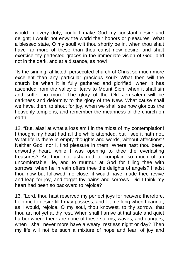would in every duty; could I make God my constant desire and delight; I would not envy the world their honors or pleasures. What a blessed state, O my soul! wilt thou shortly be in, when thou shalt have far more of these than thou canst now desire, and shalt exercise thy perfected graces in the immediate vision of God, and not in the dark, and at a distance, as now!

"Is the sinning, afflicted, persecuted church of Christ so much more excellent than any particular gracious soul? What then will the church be when it is fully gathered and glorified; when it has ascended from the valley of tears to Mount Sion; when it shall sin and suffer no more! The glory of the Old Jerusalem will be darkness and deformity to the glory of the New. What cause shall we have, then, to shout for joy, when we shall see how glorious the heavenly temple is, and remember the meanness of the church on earth!

12. "But, alas! at what a loss am I in the midst of my contemplation! I thought my heart had all the while attended, but I see it hath not. What life is there in empty thoughts and words, without affections? Neither God, nor I, find pleasure in them. Where hast thou been, unworthy heart, while I was opening to thee the everlasting treasures? Art thou not ashamed to complain so much of an uncomfortable life, and to murmur at God for filling thee with sorrows, when he in vain offers thee the delights of angels? Hadst thou now but followed me close, it would have made thee revive and leap for joy, and forget thy pains and sorrows. Did I think my heart had been so backward to rejoice?

13. "Lord, thou hast reserved my perfect joys for heaven; therefore, help me to desire till I may possess, and let me long when I cannot, as I would, rejoice. O my soul, thou knowest, to thy sorrow, that thou art not yet at thy rest. When shall I arrive at that safe and quiet harbor where there are none of these storms, waves, and dangers; when I shall never more have a weary, restless night or day? Then my life will not be such a mixture of hope and fear, of joy and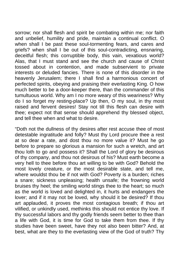sorrow; nor shall flesh and spirit be combating within me; nor faith and unbelief, humility and pride, maintain a continual conflict. O when shall I be past these soul-tormenting fears, and cares and griefs? when shall I be out of this soul-contradicting, ensnaring, deceitful flesh; this corruptible body, this vain, vexatious world? Alas, that I must stand and see the church and cause of Christ tossed about in contention, and made subservient to private interests or deluded fancies. There is none of this disorder in the heavenly Jerusalem; there I shall find a harmonious concert of perfected spirits, obeying and praising their everlasting King. O how much better to be a door-keeper there, than the commander of this tumultuous world. Why am I no more weary of this weariness? Why do I so forget my resting-place? Up then, O my soul, in thy most raised and fervent desires! Stay not till this flesh can desire with thee; expect not that sense should apprehend thy blessed object, and tell thee when and what to desire.

"Doth not the dullness of thy desires after rest accuse thee of most detestable ingratitude and folly? Must thy Lord procure thee a rest at so dear a rate, and dost thou no more value it? Must he go before to prepare so glorious a mansion for such a wretch, and art thou loth to go and possess it? Shall the Lord of glory be desirous of thy company, and thou not desirous of his? Must earth become a very hell to thee before thou art willing to be with God? Behold the most lovely creature, or the most desirable state, and tell me, where wouldst thou be if not with God? Poverty is a burden; riches a snare; sickness unpleasing; health unsafe; the frowning world bruises thy heel; the smiling world stings thee to the heart; so much as the world is loved and delighted in, it hurts and endangers the lover; and if it may not be loved, why should it be desired? If thou art applauded, it proves the most contagious breath; if thou art vilified, or unkindly used, methinks this should not entice thy love. If thy successful labors and thy godly friends seem better to thee than a life with God, it is time for God to take them from thee. If thy studies have been sweet, have they not also been bitter? And, at best, what are they to the everlasting view of the God of truth? Thy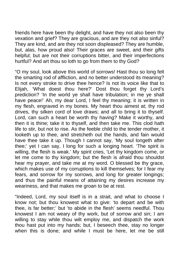friends here have been thy delight, and have they not also been thy vexation and grief? They are gracious, and are they not also sinful? They are kind, and are they not soon displeased? They are humble, but, alas, how proud also! Their graces are sweet, and their gifts helpful; but are not their corruptions bitter, and their imperfections hurtful? And art thou so loth to go from them to thy God?

"O my soul, look above this world of sorrows! Hast thou so long felt the smarting rod of affliction, and no better understood its meaning? Is not every stroke to drive thee hence? Is not its voice like that to Elijah, 'What doest thou here?' Dost thou forget thy Lord's prediction? 'In the world ye shall have tribulation; in me ye shall have peace!' Ah, my dear Lord, I feel thy meaning; it is written in my flesh, engraved in my bones. My heart thou aimest at; thy rod drives, thy silken cord of love draws; and all to bring it to thyself. Lord, can such a heart be worth thy having? Make it worthy, and then it is thine; take it to thyself, and then take me. This clod hath life to stir, but not to rise. As the feeble child to the tender mother, it looketh up to thee, and stretcheth out the hands, and fain would have thee take it up. Though I cannot say, 'My soul longeth after thee;' yet I can say, I long for such a longing heart. 'The spirit is willing, the flesh is weak.' My spirit cries, 'Let thy kingdom come, or let me come to thy kingdom; but the flesh is afraid thou shouldst hear my prayer, and take me at my word. O blessed be thy grace, which makes use of my corruptions to kill themselves; for I fear my fears, and sorrow for my sorrows, and long for greater longings; and thus the painful means of attaining my desires increase my weariness, and that makes me groan to be at rest.

"Indeed, Lord, my soul itself is in a strait, and what to choose I know not; but thou knowest what to give: 'to depart and be with thee, is far better;' but 'to abide in the flesh' seems needful. Thou knowest I am not weary of thy work, but of sorrow and sin; I am willing to stay while thou wilt employ me, and dispatch the work thou hast put into my hands; but, I beseech thee, stay no longer when this is done; and while I must be here, let me be still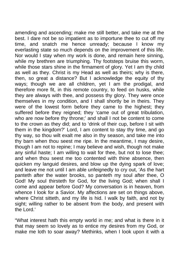amending and ascending; make me still better, and take me at the best. I dare not be so impatient as to importune thee to cut off my time, and snatch me hence unready; because I know my everlasting state so much depends on the improvement of this life. Nor would I stay when my work is done, and remain here sinning, while my brethren are triumphing. Thy footsteps bruise this worm, while those stars shine in the firmament of glory. Yet I am thy child as well as they. Christ is my Head as well as theirs; why is there, then, so great a distance? But I acknowledge the equity of thy ways; though we are all children, yet I am the prodigal, and therefore more fit, in this remote country, to feed on husks, while they are always with thee, and possess thy glory. They were once themselves in my condition, and I shall shortly be in theirs. They were of the lowest form before they came to the highest; they suffered before they reigned; they 'came out of great tribulation, who are now before thy throne;' and shall I not be content to come to the crown as they did; and to 'drink of their cup, before I sit with them in the kingdom?' Lord, I am content to stay thy time, and go thy way, so thou wilt exalt me also in thy season, and take me into thy barn when thou seest me ripe. In the meantime, I may desire, though I am not to repine; I may believe and wish, though not make any sinful haste; I am willing to wait for thee, but not to lose thee; and when thou seest me too contented with thine absence, then quicken my languid desires, and blow up the dying spark of love; and leave me not until I am able unfeignedly to cry out, 'As the hart panteth after the water brooks, so panteth my soul after thee, O God! My soul thirsteth for God, for the living God; when shall I come and appear before God? My conversation is in heaven, from whence I look for a Savior. My affections are set on things above, where Christ sitteth, and my life is hid. I walk by faith, and not by sight; willing rather to be absent from the body, and present with the Lord.'

"What interest hath this empty world in me; and what is there in it that may seem so lovely as to entice my desires from my God, or make me loth to soar away? Methinks, when I look upon it with a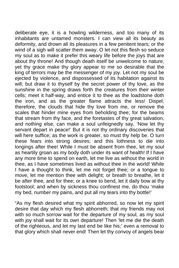deliberate eye, it is a howling wilderness, and too many of its inhabitants are untamed monsters. I can view all its beauty as deformity, and drown all its pleasures in a few penitent tears; or the wind of a sigh will scatter them away. O let not this flesh so seduce my soul as to make it prefer this weary life before the joys that are about thy throne! And though death itself be unwelcome to nature, yet thy grace make thy glory appear to me so desirable that the king of terrors may be the messenger of my joy. Let not my soul be ejected by violence, and dispossessed of its habitation against its will; but draw it to thyself by the secret power of thy love, as the sunshine in the spring draws forth the creatures from their winter cells; meet it half-way, and entice it to thee as the loadstone doth the iron, and as the greater flame attracts the less! Dispel, therefore, the clouds that hide thy love from me, or remove the scales that hinder mine eyes from beholding thee; for the beams that stream from thy face, and the foretastes of thy great salvation, and nothing else, can make a soul unfeignedly say, 'Now let thy servant depart in peace!' But it is not thy ordinary discoveries that will here suffice; as the work is greater, so must thy help be. O turn these fears into strong desires; and this lothness to die into longings after thee! While I must be absent from thee, let my soul as heartily groan as my body doth under its want of health! If I have any more time to spend on earth, let me live as without the world in thee, as I have sometimes lived as without thee in the world! While I have a thought to think, let me not forget thee; or a tongue to move, let me mention thee with delight; or breath to breathe, let it be after thee, and for thee; or a knee to bend, let it daily bow at thy footstool; and when by sickness thou confinest me, do thou 'make my bed, number my pains, and put all my tears into thy bottle!'

"As my flesh desired what my spirit abhorred, so now let my spirit desire that day which my flesh abhorreth; that my friends may not with so much sorrow wait for the departure of my soul, as my soul with joy shall wait for its own departure! Then 'let me die the death of the righteous, and let my last end be like his;' even a removal to that glory which shall never end! Then let thy convoy of angels bear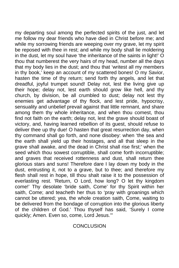my departing soul among the perfected spirits of the just, and let me follow my dear friends who have died in Christ before me; and while my sorrowing friends are weeping over my grave, let my spirit be reposed with thee in rest; and while my body shall lie moldering in the dust, let my soul have 'the inheritance of the saints in light!' O thou that numberest the very hairs of my head, number all the days that my body lies in the dust; and thou that 'writest all my members in thy book,' keep an account of my scattered bones! O my Savior, hasten the time of thy return; send forth thy angels, and let that dreadful, joyful trumpet sound! Delay not, lest the living give up their hope; delay not, lest earth should grow like hell, and thy church, by division, be all crumbled to dust; delay not lest thy enemies get advantage of thy flock, and lest pride, hypocrisy, sensuality and unbelief prevail against that little remnant, and share among them thy whole inheritance, and when thou comest, thou find not faith on the earth; delay not, lest the grave should boast of victory, and, having learned rebellion of its guest, should refuse to deliver thee up thy due! O hasten that great resurrection day, when thy command shall go forth, and none disobey: when 'the sea and the earth shall yield up their hostages, and all that sleep in the grave shall awake, and the dead in Christ shall rise first;' when the seed which thou sowest corruptible, shall come forth incorruptible; and graves that received rottenness and dust, shall return thee glorious stars and suns! Therefore dare I lay down my body in the dust, entrusting it, not to a grave, but to thee; and therefore my flesh shall rest in hope, till thou shalt raise it to the possession of everlasting rest. 'Return, O Lord, how long? O let thy kingdom come!' Thy desolate 'bride saith, Come' for thy Spirit within her saith, Come; and teacheth her thus to 'pray with groanings which cannot be uttered; yea, the whole creation saith, Come, waiting to be delivered from the bondage of corruption into the glorious liberty of the children of God.' Thou thyself has said, 'Surely I come quickly; Amen. Even so, come, Lord Jesus.'"

## **CONCLUSION**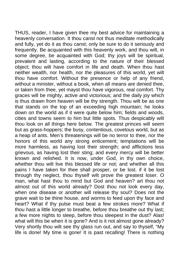THUS, reader, I have given thee my best advice for maintaining a heavenly conversation. It thou canst not thus meditate methodically and fully, yet do it as thou canst; only be sure to do it seriously and frequently. Be acquainted with this heavenly work, and thou wilt, in some degree, be acquainted with God; thy joys will be spiritual, prevalent and lasting, according to the nature of their blessed object; thou wilt have comfort in life and death. When thou hast neither wealth, nor health, nor the pleasures of this world, yet wilt thou have comfort. Without the presence or help of any friend, without a minister, without a book, when all means are denied thee, or taken from thee, yet mayst thou have vigorous, real comfort. Thy graces will be mighty, active and victorious; and the daily joy which is thus drawn from heaven will be thy strength. Thou wilt be as one that stands on the top of an exceeding high mountain; he looks down on the world as if it were quite below him; fields and woods, cities and towns seem to him but little spots. Thus despicably wilt thou look on all things here below. The greatest princes will seem but as grass-hoppers; the busy, contentious, covetous world, but as a heap of ants. Men's threatenings will be no terror to thee, nor the honors of this world any strong enticement; temptations will be more harmless, as having lost their strength; and afflictions less grievous, as having lost their sting; and every mercy will be better known and relished. It is now, under God, in thy own choice, whether thou wilt live this blessed life or not; and whether all this pains I have taken for thee shall prosper, or be lost. if it be lost through thy neglect, thou thyself wilt prove the greatest loser. O man, what hast thou to mind but God and heaven? art thou not almost out of this world already? Dost thou not look every day, when one disease or another will release thy soul? Does not the grave wait to be thine house, and worms to feed upon thy face and heart? What if thy pulse must beat a few strokes more? What if thou hast a little longer to breathe, before thou breathe out thy last; a few more nights to sleep, before thou sleepest in the dust? Alas! what will this be when it is gone? And is it not almost gone already? Very shortly thou wilt see thy glass run out, and say to thyself, "My life is done! My time is gone! It is past recalling! There is nothing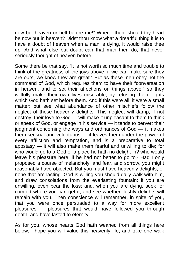now but heaven or hell before me!" Where, then, should thy heart be now but in heaven? Didst thou know what a dreadful thing it is to have a doubt of heaven when a man is dying, it would raise thee up. And what else but doubt can that man then do, that never seriously thought of heaven before.

Some there be that say, "It is not worth so much time and trouble to think of the greatness of the joys above; if we can make sure they are ours, we know they are great." But as these men obey not the command of God, which requires them to have their "conversation in heaven, and to set their affections on things above;" so they willfully make their own lives miserable, by refusing the delights which God hath set before them. And if this were all, it were a small matter: but see what abundance of other mischiefs follow the neglect of these heavenly delights. This neglect will damp, if not destroy, their love to God — will make it unpleasant to them to think or speak of God, or engage in his service — it tends to pervert their judgment concerning the ways and ordinances of God — it makes them sensual and voluptuous — it leaves them under the power of every affliction and temptation, and is a preparative to total apostasy — it will also make them fearful and unwilling to die; for who would go to a God or a place he hath no delight in? who would leave his pleasure here, if he had not better to go to? Had I only proposed a course of melancholy, and fear, and sorrow, you might reasonably have objected. But you must have heavenly delights, or none that are lasting. God is willing you should daily walk with him, and draw consolations from the everlasting fountain: if you are unwilling, even bear the loss; and, when you are dying, seek for comfort where you can get it, and see whether fleshly delights will remain with you. Then conscience will remember, in spite of you, that you were once persuaded to a way for more excellent pleasures — pleasures that would have followed you through death, and have lasted to eternity.

As for you, whose hearts God hath weaned from all things here below, I hope you will value this heavenly life, and take one walk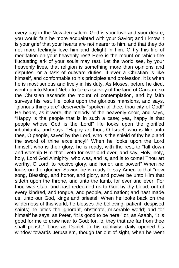every day in the New Jerusalem. God is your love and your desire; you would fain be more acquainted with your Savior; and I know it is your grief that your hearts are not nearer to him, and that they do not more feelingly love him and delight in him. O try this life of meditation on your heavenly rest! Here is the mount on which the fluctuating ark of your souls may rest. Let the world see, by your heavenly lives, that religion is something more than opinions and disputes, or a task of outward duties. If ever a Christian is like himself, and conformable to his principles and profession, it is when he is most serious and lively in his duty. As Moses, before he died, went up into Mount Nebo to take a survey of the land of Canaan; so the Christian ascends the mount of contemplation, and by faith surveys his rest. He looks upon the glorious mansions, and says, "glorious things are" deservedly "spoken of thee, thou city of God!" He hears, as it were, the melody of the heavenly choir, and says, "Happy is the people that is in such a case; yea, happy is that people whose God is the Lord!" He looks upon the glorified inhabitants, and says, "Happy art thou, O Israel; who is like unto thee, O people, saved by the Lord, who is the shield of thy help and the sword of thine excellency!" When he looks upon the Lord himself, who is their glory, he is ready, with the rest, to "fall down and worship Him that liveth for ever and ever, and say, Holy, holy, holy, Lord God Almighty, who was, and is, and is to come! Thou art worthy, O Lord, to receive glory, and honor, and power!" When he looks on the glorified Savior, he is ready to say Amen to that "new song, Blessing, and honor, and glory, and power be unto Him that sitteth upon the throne, and unto the lamb, for ever and ever. For thou was slain, and hast redeemed us to God by thy blood, out of every kindred, and tongue, and people, and nation; and hast made us, unto our God, kings and priests!: When he looks back on the wilderness of this world, he blesses the believing, patient, despised saints; he pities the ignorant, obstinate, miserable world; and for himself he says, as Peter, "It is good to be here;" or, as Asaph, "It is good for me to draw near to God; for, lo, they that are far from thee shall perish." Thus as Daniel, in his captivity, daily opened his window towards Jerusalem, though far out of sight, when he went